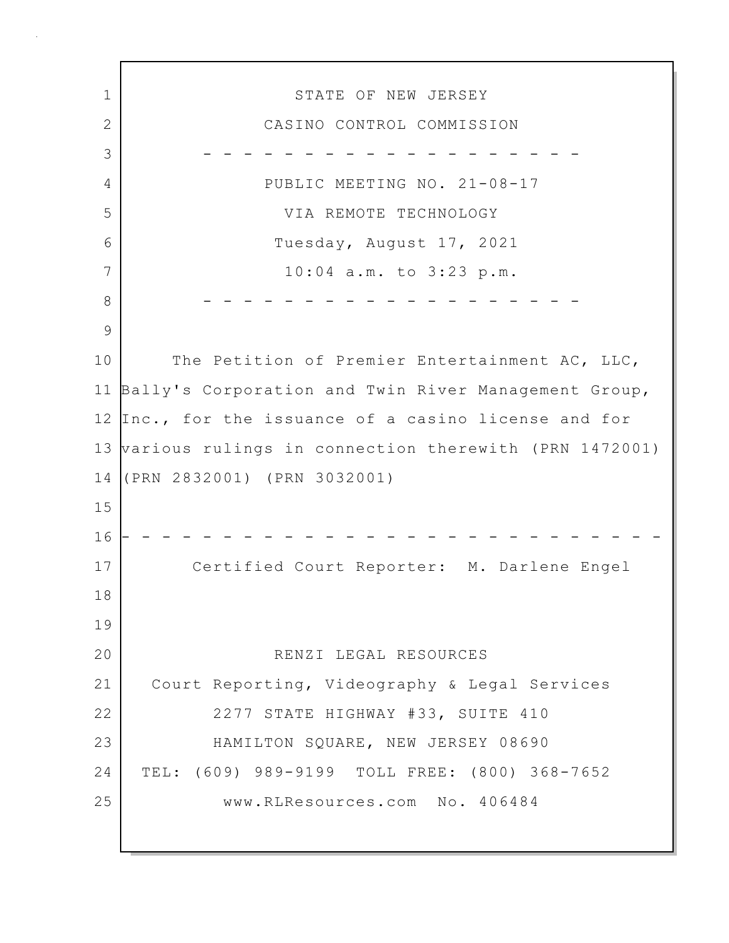1 STATE OF NEW JERSEY 2 CASINO CONTROL COMMISSION 3 - - - - - - - - - - - - - - - - - - - 4 PUBLIC MEETING NO. 21-08-17 5 VIA REMOTE TECHNOLOGY 6 Tuesday, August 17, 2021 7 10:04 a.m. to 3:23 p.m. 8 - - - - - - - - - - - - - - - - - - - 9 10 The Petition of Premier Entertainment AC, LLC, 11 Bally's Corporation and Twin River Management Group, 12 Inc., for the issuance of a casino license and for 13 various rulings in connection therewith (PRN 1472001) 14 (PRN 2832001) (PRN 3032001) 15 16 - - - - - - - - - - - - - - - - - - - - - - - - - - - 17 Certified Court Reporter: M. Darlene Engel 18 19 20 RENZI LEGAL RESOURCES 21 Court Reporting, Videography & Legal Services 22 2277 STATE HIGHWAY #33, SUITE 410 23 HAMILTON SQUARE, NEW JERSEY 08690 24 TEL: (609) 989-9199 TOLL FREE: (800) 368-7652 25 www.RLResources.com No. 406484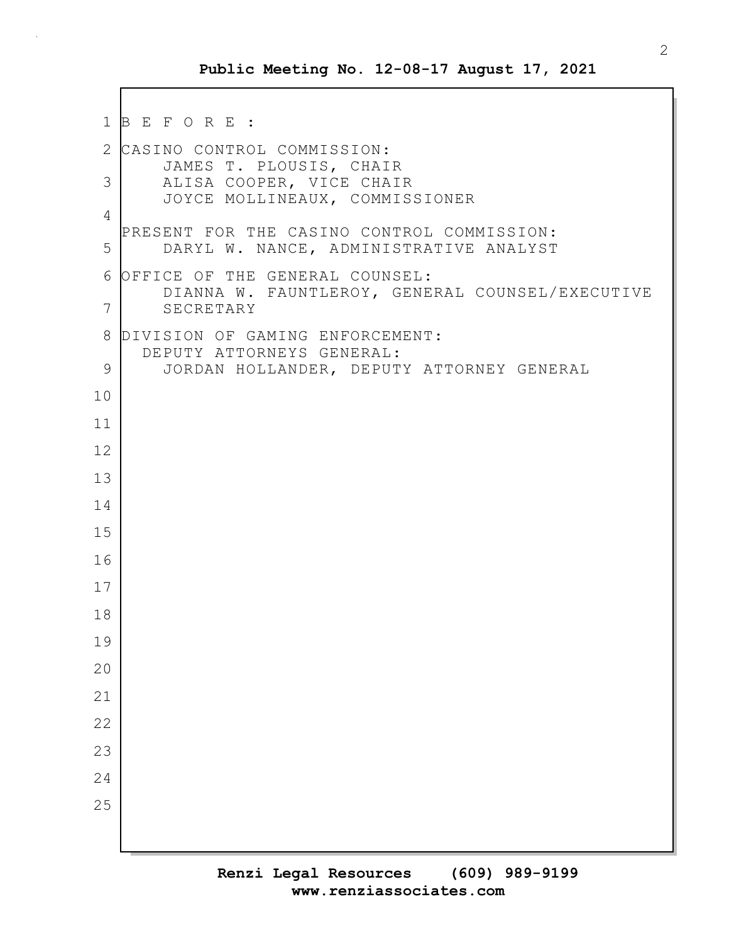```
1 B E F O R E :
2 CASINO CONTROL COMMISSION:
       JAMES T. PLOUSIS, CHAIR
 3 ALISA COOPER, VICE CHAIR
       JOYCE MOLLINEAUX, COMMISSIONER
4
  PRESENT FOR THE CASINO CONTROL COMMISSION:
5 DARYL W. NANCE, ADMINISTRATIVE ANALYST
6 OFFICE OF THE GENERAL COUNSEL:
       DIANNA W. FAUNTLEROY, GENERAL COUNSEL/EXECUTIVE
7 SECRETARY
8 DIVISION OF GAMING ENFORCEMENT:
     DEPUTY ATTORNEYS GENERAL:
9 JORDAN HOLLANDER, DEPUTY ATTORNEY GENERAL
10
11
12
13
14
15
16
17
18
19
20
21
22
23
24
25
```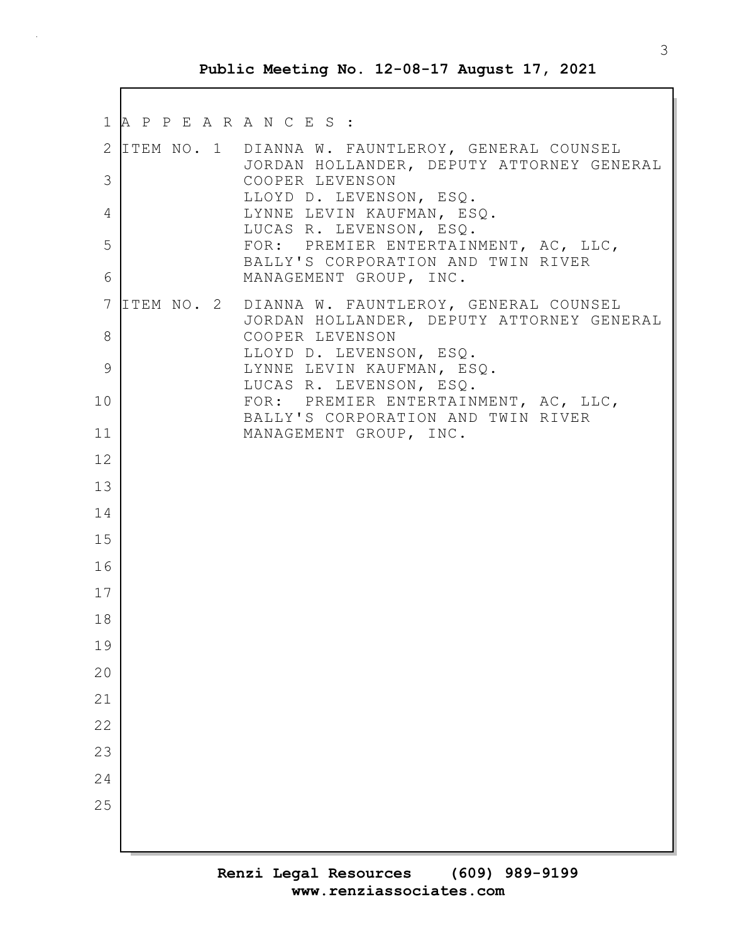|          | 1 A P P E A R A N C E S : |                                                                                                                    |
|----------|---------------------------|--------------------------------------------------------------------------------------------------------------------|
| 3        |                           | 2 ITEM NO. 1 DIANNA W. FAUNTLEROY, GENERAL COUNSEL<br>JORDAN HOLLANDER, DEPUTY ATTORNEY GENERAL<br>COOPER LEVENSON |
|          |                           | LLOYD D. LEVENSON, ESQ.                                                                                            |
| 4        |                           | LYNNE LEVIN KAUFMAN, ESQ.<br>LUCAS R. LEVENSON, ESQ.                                                               |
| 5        |                           | FOR: PREMIER ENTERTAINMENT, AC, LLC,<br>BALLY'S CORPORATION AND TWIN RIVER                                         |
| 6        |                           | MANAGEMENT GROUP, INC.                                                                                             |
| 7<br>8   |                           | ITEM NO. 2 DIANNA W. FAUNTLEROY, GENERAL COUNSEL<br>JORDAN HOLLANDER, DEPUTY ATTORNEY GENERAL<br>COOPER LEVENSON   |
|          |                           | LLOYD D. LEVENSON, ESQ.                                                                                            |
| 9        |                           | LYNNE LEVIN KAUFMAN, ESQ.<br>LUCAS R. LEVENSON, ESQ.                                                               |
| 10       |                           | FOR: PREMIER ENTERTAINMENT, AC, LLC,<br>BALLY'S CORPORATION AND TWIN RIVER                                         |
| 11       |                           | MANAGEMENT GROUP, INC.                                                                                             |
| 12       |                           |                                                                                                                    |
| 13       |                           |                                                                                                                    |
| 14       |                           |                                                                                                                    |
| 15       |                           |                                                                                                                    |
| 16<br>17 |                           |                                                                                                                    |
| 18       |                           |                                                                                                                    |
| 19       |                           |                                                                                                                    |
| 20       |                           |                                                                                                                    |
| 21       |                           |                                                                                                                    |
| 22       |                           |                                                                                                                    |
| 23       |                           |                                                                                                                    |
| 24       |                           |                                                                                                                    |
| 25       |                           |                                                                                                                    |
|          |                           |                                                                                                                    |
|          |                           |                                                                                                                    |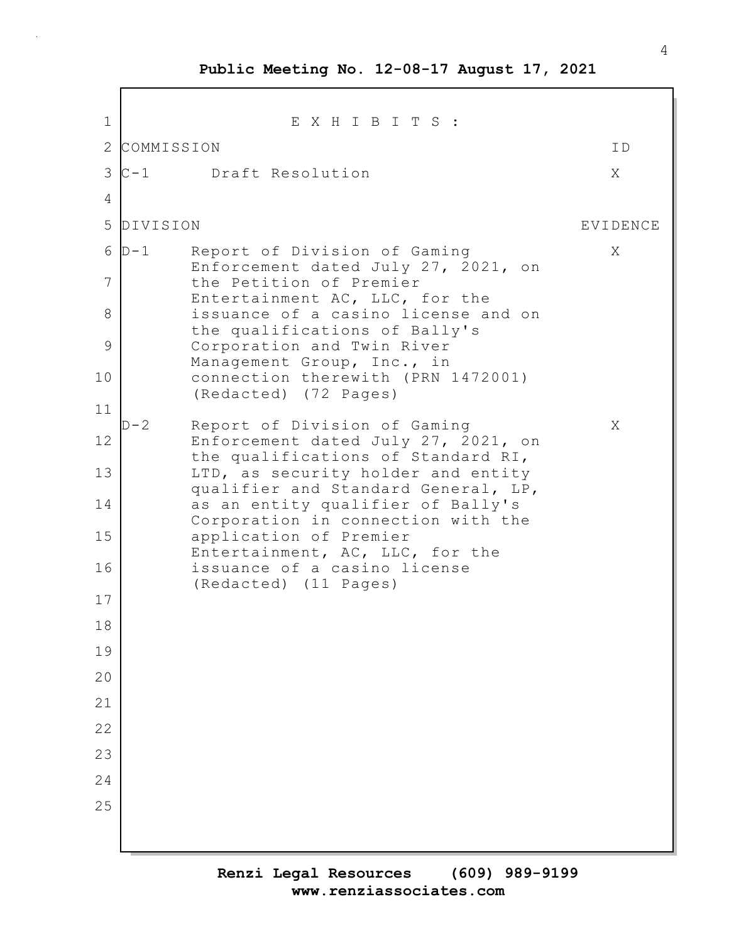1 E X H I B I T S : 2 COMMISSION ID 3 C-1 Draft Resolution X 4 5 DIVISION EVIDENCE 6 D-1 Report of Division of Gaming X Enforcement dated July 27, 2021, on 7 the Petition of Premier Entertainment AC, LLC, for the 8 | issuance of a casino license and on the qualifications of Bally's 9 Corporation and Twin River Management Group, Inc., in 10 connection therewith (PRN 1472001) (Redacted) (72 Pages) 11 D-2 Report of Division of Gaming X 12 Enforcement dated July 27, 2021, on the qualifications of Standard RI, 13 LTD, as security holder and entity qualifier and Standard General, LP, 14 as an entity qualifier of Bally's Corporation in connection with the 15 application of Premier Entertainment, AC, LLC, for the 16 issuance of a casino license (Redacted) (11 Pages) 17 18 19 20 21 22 23 24 25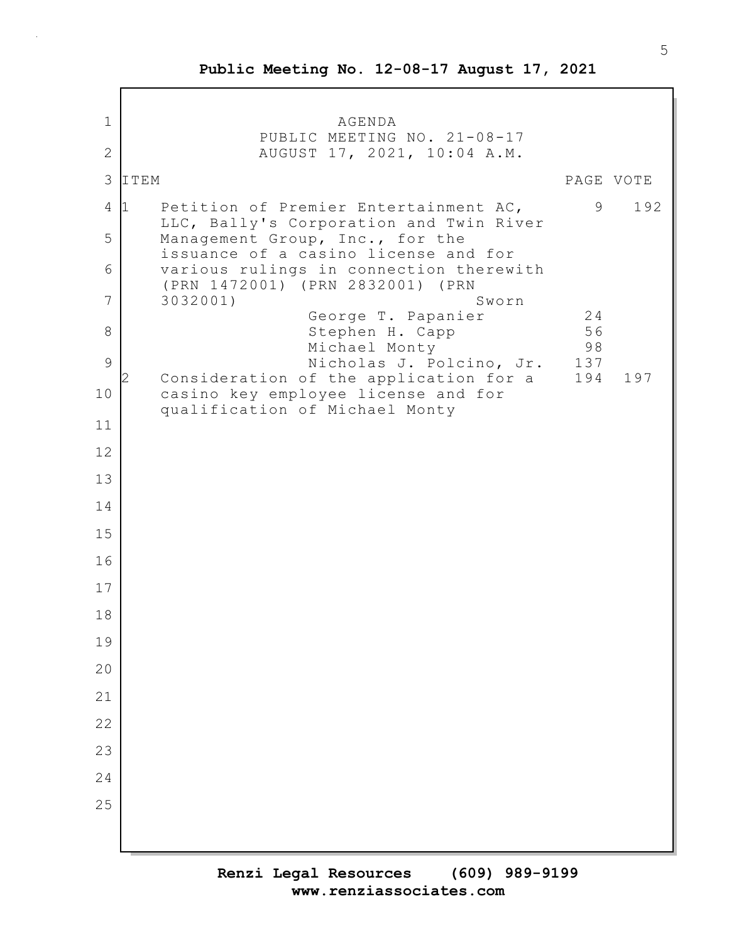1 AGENDA PUBLIC MEETING NO. 21-08-17 2 AUGUST 17, 2021, 10:04 A.M. 3 ITEM PAGE VOTE 4 1 Petition of Premier Entertainment AC, 39 192 LLC, Bally's Corporation and Twin River 5 Management Group, Inc., for the issuance of a casino license and for 6 various rulings in connection therewith (PRN 1472001) (PRN 2832001) (PRN 7 3032001) Sworn George T. Papanier 1948<br>Stephen H. Capp 1948 8 Stephen H. Capp Michael Monty 98 9 | Nicholas J. Polcino, Jr. 137 2 Consideration of the application for a 194 197 10 casino key employee license and for qualification of Michael Monty 11 12 13 14 15 16 17 18 19 20 21 22 23 24 25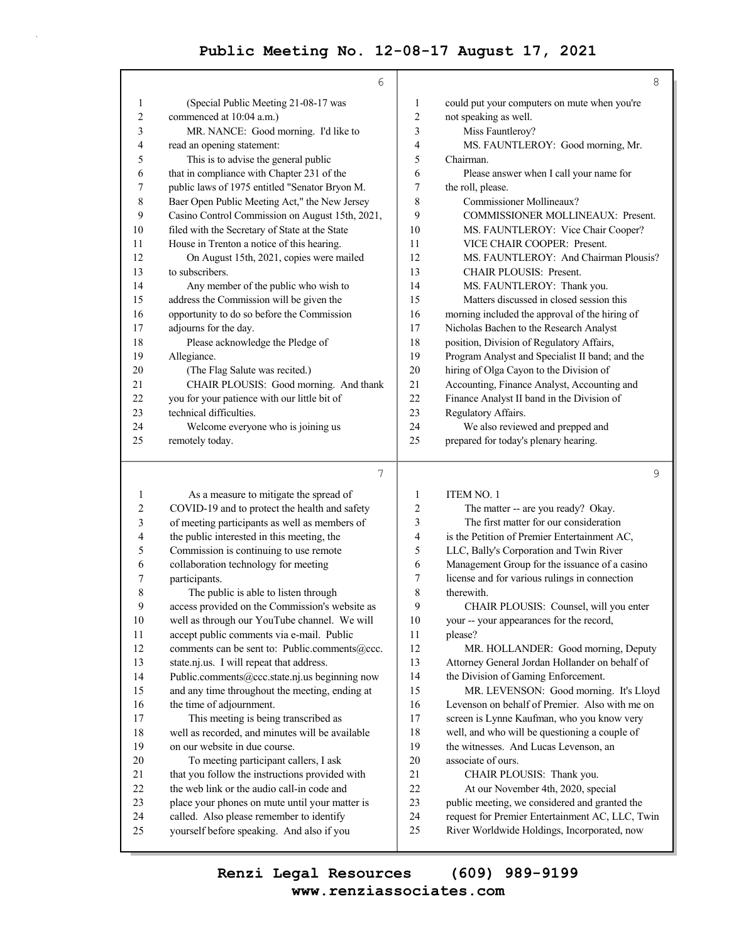$\bar{z}$ 

|    | 6                                                      |                         | 8                                               |
|----|--------------------------------------------------------|-------------------------|-------------------------------------------------|
| 1  | (Special Public Meeting 21-08-17 was                   | 1                       | could put your computers on mute when you're    |
| 2  | commenced at 10:04 a.m.)                               | $\overline{\mathbf{c}}$ | not speaking as well.                           |
| 3  | MR. NANCE: Good morning. I'd like to                   | 3                       | Miss Fauntleroy?                                |
| 4  | read an opening statement:                             | 4                       | MS. FAUNTLEROY: Good morning, Mr.               |
| 5  | This is to advise the general public                   | 5                       | Chairman.                                       |
| 6  | that in compliance with Chapter 231 of the             | 6                       | Please answer when I call your name for         |
| 7  | public laws of 1975 entitled "Senator Bryon M.         | 7                       | the roll, please.                               |
| 8  | Baer Open Public Meeting Act," the New Jersey          | 8                       | Commissioner Mollineaux?                        |
| 9  | Casino Control Commission on August 15th, 2021,        | 9                       | COMMISSIONER MOLLINEAUX: Present.               |
| 10 | filed with the Secretary of State at the State         | 10                      | MS. FAUNTLEROY: Vice Chair Cooper?              |
| 11 | House in Trenton a notice of this hearing.             | 11                      | VICE CHAIR COOPER: Present.                     |
| 12 | On August 15th, 2021, copies were mailed               | 12                      | MS. FAUNTLEROY: And Chairman Plousis?           |
| 13 | to subscribers.                                        | 13                      | <b>CHAIR PLOUSIS: Present.</b>                  |
| 14 | Any member of the public who wish to                   | 14                      | MS. FAUNTLEROY: Thank you.                      |
| 15 | address the Commission will be given the               | 15                      | Matters discussed in closed session this        |
| 16 | opportunity to do so before the Commission             | 16                      | morning included the approval of the hiring of  |
| 17 | adjourns for the day.                                  | 17                      | Nicholas Bachen to the Research Analyst         |
| 18 | Please acknowledge the Pledge of                       | 18                      | position, Division of Regulatory Affairs,       |
| 19 | Allegiance.                                            | 19                      | Program Analyst and Specialist II band; and the |
| 20 | (The Flag Salute was recited.)                         | 20                      | hiring of Olga Cayon to the Division of         |
| 21 | CHAIR PLOUSIS: Good morning. And thank                 | 21                      | Accounting, Finance Analyst, Accounting and     |
| 22 | you for your patience with our little bit of           | 22                      | Finance Analyst II band in the Division of      |
| 23 | technical difficulties.                                | 23                      | Regulatory Affairs.                             |
| 24 | Welcome everyone who is joining us                     | 24                      | We also reviewed and prepped and                |
| 25 | remotely today.                                        | 25                      | prepared for today's plenary hearing.           |
|    | 7                                                      |                         | 9                                               |
| 1  | As a measure to mitigate the spread of                 | 1                       | <b>ITEM NO. 1</b>                               |
| っ  | $\text{COVID-10}$ and to protect the health and safety | $\mathcal{D}$           | The matter $_{-}$ are you ready? Okay           |

| 1  | As a measure to mitigate the spread of          | 1  | <b>ITEM NO. 1</b>                               |
|----|-------------------------------------------------|----|-------------------------------------------------|
| 2  | COVID-19 and to protect the health and safety   | 2  | The matter -- are you ready? Okay.              |
| 3  | of meeting participants as well as members of   | 3  | The first matter for our consideration          |
| 4  | the public interested in this meeting, the      | 4  | is the Petition of Premier Entertainment AC,    |
| 5  | Commission is continuing to use remote          | 5  | LLC, Bally's Corporation and Twin River         |
| 6  | collaboration technology for meeting            | 6  | Management Group for the issuance of a casino   |
| 7  | participants.                                   | 7  | license and for various rulings in connection   |
| 8  | The public is able to listen through            | 8  | therewith.                                      |
| 9  | access provided on the Commission's website as  | 9  | CHAIR PLOUSIS: Counsel, will you enter          |
| 10 | well as through our YouTube channel. We will    | 10 | your -- your appearances for the record,        |
| 11 | accept public comments via e-mail. Public       | 11 | please?                                         |
| 12 | comments can be sent to: Public.comments@ccc.   | 12 | MR. HOLLANDER: Good morning, Deputy             |
| 13 | state.nj.us. I will repeat that address.        | 13 | Attorney General Jordan Hollander on behalf of  |
| 14 | Public.comments@ccc.state.nj.us beginning now   | 14 | the Division of Gaming Enforcement.             |
| 15 | and any time throughout the meeting, ending at  | 15 | MR. LEVENSON: Good morning. It's Lloyd          |
| 16 | the time of adjournment.                        | 16 | Levenson on behalf of Premier. Also with me on  |
| 17 | This meeting is being transcribed as            | 17 | screen is Lynne Kaufman, who you know very      |
| 18 | well as recorded, and minutes will be available | 18 | well, and who will be questioning a couple of   |
| 19 | on our website in due course.                   | 19 | the witnesses. And Lucas Levenson, an           |
| 20 | To meeting participant callers, I ask           | 20 | associate of ours.                              |
| 21 | that you follow the instructions provided with  | 21 | CHAIR PLOUSIS: Thank you.                       |
| 22 | the web link or the audio call-in code and      | 22 | At our November 4th, 2020, special              |
| 23 | place your phones on mute until your matter is  | 23 | public meeting, we considered and granted the   |
| 24 | called. Also please remember to identify        | 24 | request for Premier Entertainment AC, LLC, Twin |
| 25 | yourself before speaking. And also if you       | 25 | River Worldwide Holdings, Incorporated, now     |
|    |                                                 |    |                                                 |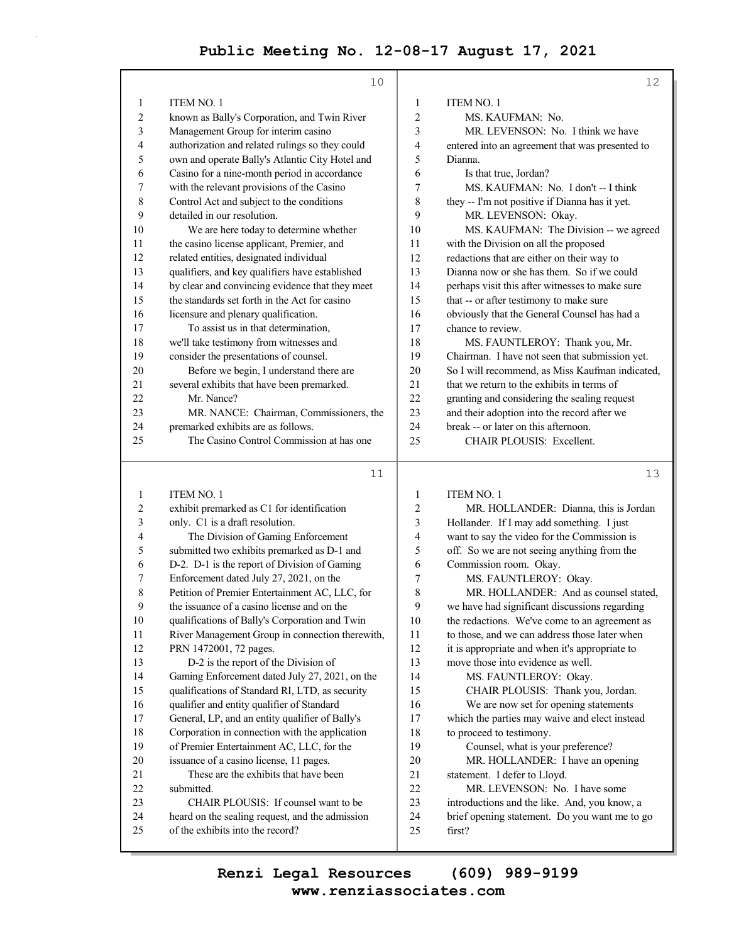|                  | 10                                                                               |                  | 12                                                               |
|------------------|----------------------------------------------------------------------------------|------------------|------------------------------------------------------------------|
| 1                | <b>ITEM NO. 1</b>                                                                | 1                | <b>ITEM NO. 1</b>                                                |
| 2                | known as Bally's Corporation, and Twin River                                     | $\boldsymbol{2}$ | MS. KAUFMAN: No.                                                 |
| 3                | Management Group for interim casino                                              | 3                | MR. LEVENSON: No. I think we have                                |
| 4                | authorization and related rulings so they could                                  | 4                | entered into an agreement that was presented to                  |
| 5                | own and operate Bally's Atlantic City Hotel and                                  | 5                | Dianna.                                                          |
| 6                | Casino for a nine-month period in accordance                                     | 6                | Is that true, Jordan?                                            |
| 7                | with the relevant provisions of the Casino                                       | 7                | MS. KAUFMAN: No. I don't -- I think                              |
| $\,$ $\,$        | Control Act and subject to the conditions                                        | 8                | they -- I'm not positive if Dianna has it yet.                   |
| 9                | detailed in our resolution.                                                      | 9                | MR. LEVENSON: Okay.                                              |
| 10               | We are here today to determine whether                                           | 10               | MS. KAUFMAN: The Division -- we agreed                           |
| 11               | the casino license applicant, Premier, and                                       | 11               | with the Division on all the proposed                            |
| 12               | related entities, designated individual                                          | 12               | redactions that are either on their way to                       |
| 13               | qualifiers, and key qualifiers have established                                  | 13               | Dianna now or she has them. So if we could                       |
| 14               | by clear and convincing evidence that they meet                                  | 14               |                                                                  |
| 15               | the standards set forth in the Act for casino                                    | 15               | perhaps visit this after witnesses to make sure                  |
|                  |                                                                                  |                  | that -- or after testimony to make sure                          |
| 16               | licensure and plenary qualification.<br>To assist us in that determination,      | 16               | obviously that the General Counsel has had a                     |
| 17               |                                                                                  | 17               | chance to review.                                                |
| 18               | we'll take testimony from witnesses and                                          | 18               | MS. FAUNTLEROY: Thank you, Mr.                                   |
| 19               | consider the presentations of counsel.                                           | 19               | Chairman. I have not seen that submission yet.                   |
| 20               | Before we begin, I understand there are                                          | 20               | So I will recommend, as Miss Kaufman indicated,                  |
| 21               | several exhibits that have been premarked.                                       | 21               | that we return to the exhibits in terms of                       |
| 22               | Mr. Nance?                                                                       | 22               | granting and considering the sealing request                     |
| 23               | MR. NANCE: Chairman, Commissioners, the                                          | 23               | and their adoption into the record after we                      |
| 24               | premarked exhibits are as follows.                                               | 24               | break -- or later on this afternoon.                             |
| 25               | The Casino Control Commission at has one                                         | 25               | CHAIR PLOUSIS: Excellent.                                        |
|                  | 11                                                                               |                  | 13                                                               |
|                  |                                                                                  |                  |                                                                  |
| 1                | <b>ITEM NO. 1</b>                                                                | 1                | <b>ITEM NO. 1</b>                                                |
| $\boldsymbol{2}$ | exhibit premarked as C1 for identification                                       |                  |                                                                  |
| 3                |                                                                                  | $\boldsymbol{2}$ | MR. HOLLANDER: Dianna, this is Jordan                            |
|                  | only. C1 is a draft resolution.                                                  | 3                | Hollander. If I may add something. I just                        |
| 4                | The Division of Gaming Enforcement                                               | 4                | want to say the video for the Commission is                      |
| 5                | submitted two exhibits premarked as D-1 and                                      | 5                | off. So we are not seeing anything from the                      |
| 6                | D-2. D-1 is the report of Division of Gaming                                     | 6                | Commission room. Okay.                                           |
| 7                | Enforcement dated July 27, 2021, on the                                          | 7                | MS. FAUNTLEROY: Okay.                                            |
| 8                | Petition of Premier Entertainment AC, LLC, for                                   | 8                | MR. HOLLANDER: And as counsel stated,                            |
| 9                | the issuance of a casino license and on the                                      | $\mathbf Q$      | we have had significant discussions regarding                    |
| $10\,$           | qualifications of Bally's Corporation and Twin                                   | 10               | the redactions. We've come to an agreement as                    |
| 11               | River Management Group in connection therewith,                                  | 11               | to those, and we can address those later when                    |
| 12               | PRN 1472001, 72 pages.                                                           | 12               | it is appropriate and when it's appropriate to                   |
| 13               | D-2 is the report of the Division of                                             | 13               | move those into evidence as well.                                |
| 14               | Gaming Enforcement dated July 27, 2021, on the                                   | 14               | MS. FAUNTLEROY: Okay.                                            |
| 15               | qualifications of Standard RI, LTD, as security                                  | 15               | CHAIR PLOUSIS: Thank you, Jordan.                                |
| 16               | qualifier and entity qualifier of Standard                                       | 16               | We are now set for opening statements                            |
| 17               | General, LP, and an entity qualifier of Bally's                                  | 17               | which the parties may waive and elect instead                    |
| 18               | Corporation in connection with the application                                   | 18               | to proceed to testimony.                                         |
| 19               | of Premier Entertainment AC, LLC, for the                                        | 19               | Counsel, what is your preference?                                |
| $20\,$<br>21     | issuance of a casino license, 11 pages.<br>These are the exhibits that have been | $20\,$<br>21     | MR. HOLLANDER: I have an opening<br>statement. I defer to Lloyd. |

22 MR. LEVENSON: No. I have some

- 23 introductions and the like. And, you know, a
- 24 brief opening statement. Do you want me to go
- 25 first?

22 submitted.

23 CHAIR PLOUSIS: If counsel want to be 24 heard on the sealing request, and the admission

25 of the exhibits into the record?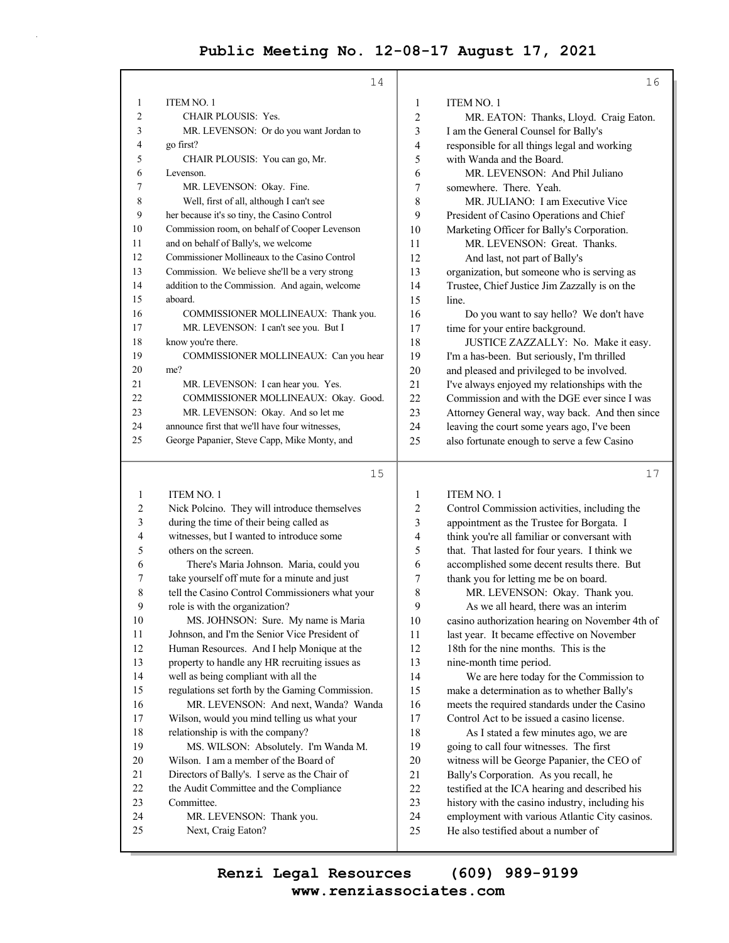|                         | 14                                              |                  | 16                                              |
|-------------------------|-------------------------------------------------|------------------|-------------------------------------------------|
| 1                       | ITEM NO. 1                                      | 1                | <b>ITEM NO. 1</b>                               |
| 2                       | <b>CHAIR PLOUSIS: Yes.</b>                      | $\boldsymbol{2}$ | MR. EATON: Thanks, Lloyd. Craig Eaton.          |
| 3                       | MR. LEVENSON: Or do you want Jordan to          | 3                | I am the General Counsel for Bally's            |
| 4                       | go first?                                       | $\overline{4}$   | responsible for all things legal and working    |
| 5                       | CHAIR PLOUSIS: You can go, Mr.                  | 5                | with Wanda and the Board.                       |
| 6                       | Levenson.                                       | 6                | MR. LEVENSON: And Phil Juliano                  |
| 7                       | MR. LEVENSON: Okay. Fine.                       | 7                | somewhere. There. Yeah.                         |
| 8                       | Well, first of all, although I can't see        | 8                | MR. JULIANO: I am Executive Vice                |
| 9                       | her because it's so tiny, the Casino Control    | 9                | President of Casino Operations and Chief        |
| 10                      | Commission room, on behalf of Cooper Levenson   | 10               | Marketing Officer for Bally's Corporation.      |
| 11                      | and on behalf of Bally's, we welcome            | 11               | MR. LEVENSON: Great. Thanks.                    |
| 12                      | Commissioner Mollineaux to the Casino Control   | 12               | And last, not part of Bally's                   |
| 13                      | Commission. We believe she'll be a very strong  | 13               | organization, but someone who is serving as     |
| 14                      | addition to the Commission. And again, welcome  | 14               | Trustee, Chief Justice Jim Zazzally is on the   |
| 15                      | aboard.                                         | 15               | line.                                           |
| 16                      | COMMISSIONER MOLLINEAUX: Thank you.             | 16               | Do you want to say hello? We don't have         |
| 17                      | MR. LEVENSON: I can't see you. But I            | 17               | time for your entire background.                |
| 18                      | know you're there.                              | 18               | JUSTICE ZAZZALLY: No. Make it easy.             |
| 19                      | COMMISSIONER MOLLINEAUX: Can you hear           | 19               | I'm a has-been. But seriously, I'm thrilled     |
| 20                      | me?                                             | 20               | and pleased and privileged to be involved.      |
| 21                      | MR. LEVENSON: I can hear you. Yes.              | 21               | I've always enjoyed my relationships with the   |
| 22                      | COMMISSIONER MOLLINEAUX: Okay. Good.            | 22               | Commission and with the DGE ever since I was    |
| 23                      | MR. LEVENSON: Okay. And so let me               | 23               | Attorney General way, way back. And then since  |
| 24                      | announce first that we'll have four witnesses,  | 24               | leaving the court some years ago, I've been     |
| 25                      | George Papanier, Steve Capp, Mike Monty, and    | 25               | also fortunate enough to serve a few Casino     |
|                         | 15                                              |                  | 17                                              |
| 1                       | <b>ITEM NO. 1</b>                               | $\mathbf{1}$     | <b>ITEM NO. 1</b>                               |
| $\overline{\mathbf{c}}$ | Nick Polcino. They will introduce themselves    | 2                | Control Commission activities, including the    |
| 3                       | during the time of their being called as        | 3                | appointment as the Trustee for Borgata. I       |
| 4                       | witnesses, but I wanted to introduce some       | 4                | think you're all familiar or conversant with    |
| 5                       | others on the screen.                           | 5                | that. That lasted for four years. I think we    |
| 6                       | There's Maria Johnson. Maria, could you         | 6                | accomplished some decent results there. But     |
| 7                       | take yourself off mute for a minute and just    | 7                | thank you for letting me be on board.           |
| 8                       | tell the Casino Control Commissioners what your | 8                | MR. LEVENSON: Okay. Thank you.                  |
| 9                       | role is with the organization?                  | 9                | As we all heard, there was an interim           |
| 10                      | MS. JOHNSON: Sure. My name is Maria             | 10               | casino authorization hearing on November 4th of |
| 11                      | Johnson, and I'm the Senior Vice President of   | 11               | last year. It became effective on November      |
| 12                      | Human Resources. And I help Monique at the      | 12               | 18th for the nine months. This is the           |
| 13                      | property to handle any HR recruiting issues as  | 13               | nine-month time period.                         |
| 14                      | well as being compliant with all the            | 14               | We are here today for the Commission to         |
| 15                      | regulations set forth by the Gaming Commission. | 15               | make a determination as to whether Bally's      |
| 16                      | MR. LEVENSON: And next, Wanda? Wanda            | 16               | meets the required standards under the Casino   |
| 17                      | Wilson, would you mind telling us what your     | 17               | Control Act to be issued a casino license.      |
| 18                      | relationship is with the company?               | 18               | As I stated a few minutes ago, we are           |
| 19                      | MS. WILSON: Absolutely. I'm Wanda M.            | 19               | going to call four witnesses. The first         |
| 20                      | Wilson. I am a member of the Board of           | $20\,$           | witness will be George Papanier, the CEO of     |
| 21                      | Directors of Bally's. I serve as the Chair of   | 21               | Bally's Corporation. As you recall, he          |
| 22                      | the Audit Committee and the Compliance          | $22\,$           | testified at the ICA hearing and described his  |

24 MR. LEVENSON: Thank you. 23 history with the casino industry, including his<br>24 mployment with various Atlantic City casino employment with various Atlantic City casinos. 25 He also testified about a number of

23 Committee.

25 Next, Craig Eaton?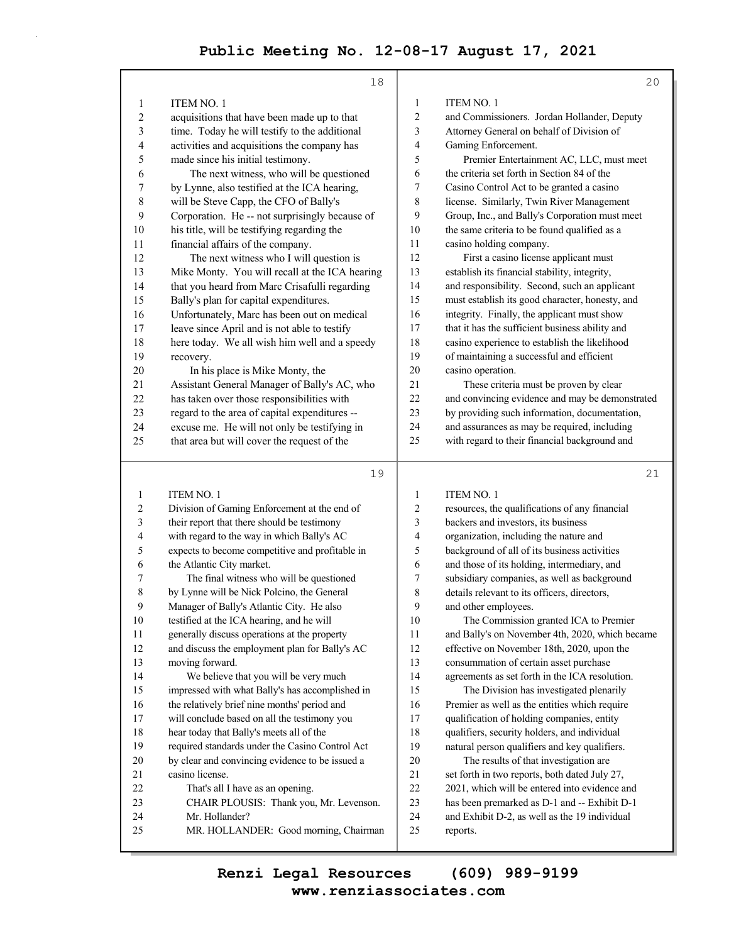|                  | 18                                                                                       |                | 20                                                                                            |
|------------------|------------------------------------------------------------------------------------------|----------------|-----------------------------------------------------------------------------------------------|
| 1                | <b>ITEM NO. 1</b>                                                                        | $\mathbf{1}$   | <b>ITEM NO. 1</b>                                                                             |
| $\overline{2}$   | acquisitions that have been made up to that                                              | $\overline{2}$ | and Commissioners. Jordan Hollander, Deputy                                                   |
| 3                | time. Today he will testify to the additional                                            | 3              | Attorney General on behalf of Division of                                                     |
| 4                | activities and acquisitions the company has                                              | $\overline{4}$ | Gaming Enforcement.                                                                           |
| 5                | made since his initial testimony.                                                        | 5              | Premier Entertainment AC, LLC, must meet                                                      |
| 6                | The next witness, who will be questioned                                                 | 6              | the criteria set forth in Section 84 of the                                                   |
| 7                | by Lynne, also testified at the ICA hearing,                                             | 7              | Casino Control Act to be granted a casino                                                     |
| $\,$ 8 $\,$      | will be Steve Capp, the CFO of Bally's                                                   | 8              | license. Similarly, Twin River Management                                                     |
| 9                | Corporation. He -- not surprisingly because of                                           | 9              | Group, Inc., and Bally's Corporation must meet                                                |
| 10               | his title, will be testifying regarding the                                              | 10             | the same criteria to be found qualified as a                                                  |
| 11               | financial affairs of the company.                                                        | 11             | casino holding company.                                                                       |
| 12               | The next witness who I will question is                                                  | 12             | First a casino license applicant must                                                         |
| 13               | Mike Monty. You will recall at the ICA hearing                                           | 13             | establish its financial stability, integrity,                                                 |
| 14               | that you heard from Marc Crisafulli regarding                                            | 14             | and responsibility. Second, such an applicant                                                 |
| 15               | Bally's plan for capital expenditures.                                                   | 15             | must establish its good character, honesty, and                                               |
| 16               | Unfortunately, Marc has been out on medical                                              | 16             | integrity. Finally, the applicant must show                                                   |
| 17               | leave since April and is not able to testify                                             | 17             | that it has the sufficient business ability and                                               |
| 18               | here today. We all wish him well and a speedy                                            | 18             | casino experience to establish the likelihood                                                 |
| 19               | recovery.                                                                                | 19             | of maintaining a successful and efficient                                                     |
| 20               | In his place is Mike Monty, the                                                          | 20             | casino operation.                                                                             |
| 21               | Assistant General Manager of Bally's AC, who                                             | 21             | These criteria must be proven by clear                                                        |
| 22               | has taken over those responsibilities with                                               | 22             | and convincing evidence and may be demonstrated                                               |
| 23               | regard to the area of capital expenditures --                                            | 23             | by providing such information, documentation,                                                 |
| 24               | excuse me. He will not only be testifying in                                             | 24             | and assurances as may be required, including                                                  |
| 25               | that area but will cover the request of the                                              | 25             | with regard to their financial background and                                                 |
|                  | 19                                                                                       |                | 21                                                                                            |
| $\mathbf{1}$     | ITEM NO. 1                                                                               | $\mathbf{1}$   | <b>ITEM NO. 1</b>                                                                             |
| $\overline{c}$   | Division of Gaming Enforcement at the end of                                             | $\sqrt{2}$     | resources, the qualifications of any financial                                                |
| 3                | their report that there should be testimony                                              | 3              | backers and investors, its business                                                           |
| 4                | with regard to the way in which Bally's AC                                               | 4              | organization, including the nature and                                                        |
| 5                | expects to become competitive and profitable in                                          | 5              | background of all of its business activities                                                  |
| 6                | the Atlantic City market.                                                                | 6              | and those of its holding, intermediary, and                                                   |
| 7                | The final witness who will be questioned                                                 | 7              | subsidiary companies, as well as background                                                   |
| 8                | by Lynne will be Nick Polcino, the General                                               | 8              | details relevant to its officers, directors,                                                  |
| $\boldsymbol{9}$ | Manager of Bally's Atlantic City. He also                                                | $\mathbf{9}$   | and other employees.                                                                          |
| 10               | testified at the ICA hearing, and he will                                                | 10             | The Commission granted ICA to Premier                                                         |
| 11               | generally discuss operations at the property                                             | 11             | and Bally's on November 4th, 2020, which became                                               |
| 12               | and discuss the employment plan for Bally's AC                                           | 12             | effective on November 18th, 2020, upon the                                                    |
| 13               | moving forward.                                                                          | 13             | consummation of certain asset purchase                                                        |
| 14<br>15         | We believe that you will be very much<br>impressed with what Bally's has accomplished in | 14<br>15       | agreements as set forth in the ICA resolution.                                                |
| 16               | the relatively brief nine months' period and                                             | 16             | The Division has investigated plenarily<br>Premier as well as the entities which require      |
| 17               | will conclude based on all the testimony you                                             | 17             | qualification of holding companies, entity                                                    |
| 18               | hear today that Bally's meets all of the                                                 | 18             | qualifiers, security holders, and individual                                                  |
| 19               | required standards under the Casino Control Act                                          | 19             | natural person qualifiers and key qualifiers.                                                 |
| $20\,$           | by clear and convincing evidence to be issued a                                          | $20\,$         | The results of that investigation are                                                         |
| $21\,$           | casino license.                                                                          | 21             | set forth in two reports, both dated July 27,                                                 |
| 22               | That's all I have as an opening.                                                         | 22             | 2021, which will be entered into evidence and                                                 |
| 23               |                                                                                          |                |                                                                                               |
|                  |                                                                                          | 23             |                                                                                               |
| 24               | CHAIR PLOUSIS: Thank you, Mr. Levenson.<br>Mr. Hollander?                                | 24             | has been premarked as D-1 and -- Exhibit D-1<br>and Exhibit D-2, as well as the 19 individual |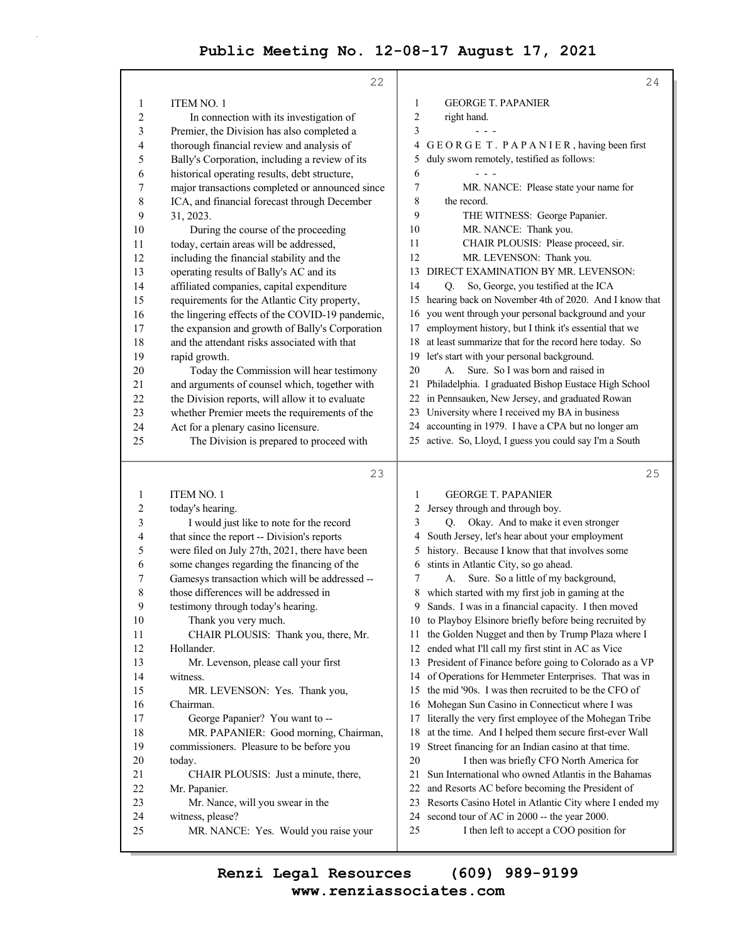|                         | 22                                              | 24                                                                                                            |
|-------------------------|-------------------------------------------------|---------------------------------------------------------------------------------------------------------------|
| 1                       | <b>ITEM NO. 1</b>                               | <b>GEORGE T. PAPANIER</b><br>1                                                                                |
| $\overline{2}$          | In connection with its investigation of         | $\overline{c}$<br>right hand.                                                                                 |
| 3                       | Premier, the Division has also completed a      | 3                                                                                                             |
| 4                       | thorough financial review and analysis of       | GEORGE T. PAPANIER, having been first<br>4                                                                    |
| 5                       | Bally's Corporation, including a review of its  | duly sworn remotely, testified as follows:<br>5                                                               |
| 6                       | historical operating results, debt structure,   | 6                                                                                                             |
| 7                       | major transactions completed or announced since | 7<br>MR. NANCE: Please state your name for                                                                    |
| 8                       | ICA, and financial forecast through December    | 8<br>the record.                                                                                              |
| 9                       | 31, 2023.                                       | 9<br>THE WITNESS: George Papanier.                                                                            |
| 10                      | During the course of the proceeding             | 10<br>MR. NANCE: Thank you.                                                                                   |
| 11                      | today, certain areas will be addressed,         | 11<br>CHAIR PLOUSIS: Please proceed, sir.                                                                     |
| 12                      | including the financial stability and the       | 12<br>MR. LEVENSON: Thank you.                                                                                |
| 13                      | operating results of Bally's AC and its         | DIRECT EXAMINATION BY MR. LEVENSON:<br>13                                                                     |
| 14                      | affiliated companies, capital expenditure       | 14<br>So, George, you testified at the ICA<br>Q.                                                              |
| 15                      | requirements for the Atlantic City property,    | 15 hearing back on November 4th of 2020. And I know that                                                      |
| 16                      | the lingering effects of the COVID-19 pandemic, | you went through your personal background and your<br>16                                                      |
| 17                      | the expansion and growth of Bally's Corporation | employment history, but I think it's essential that we<br>17                                                  |
| 18                      | and the attendant risks associated with that    | at least summarize that for the record here today. So<br>18                                                   |
| 19                      | rapid growth.                                   | 19 let's start with your personal background.                                                                 |
| 20                      | Today the Commission will hear testimony        | Sure. So I was born and raised in<br>20<br>A.                                                                 |
| 21                      | and arguments of counsel which, together with   | Philadelphia. I graduated Bishop Eustace High School<br>21                                                    |
| 22                      | the Division reports, will allow it to evaluate | in Pennsauken, New Jersey, and graduated Rowan<br>22                                                          |
| 23                      | whether Premier meets the requirements of the   | 23 University where I received my BA in business                                                              |
| 24                      | Act for a plenary casino licensure.             | 24 accounting in 1979. I have a CPA but no longer am                                                          |
| 25                      | The Division is prepared to proceed with        | 25 active. So, Lloyd, I guess you could say I'm a South                                                       |
|                         |                                                 |                                                                                                               |
|                         |                                                 |                                                                                                               |
|                         | 23                                              | 25                                                                                                            |
| $\mathbf{1}$            | <b>ITEM NO. 1</b>                               | $\mathbf{1}$<br><b>GEORGE T. PAPANIER</b>                                                                     |
| $\overline{\mathbf{c}}$ | today's hearing.                                | Jersey through and through boy.<br>2                                                                          |
| 3                       | I would just like to note for the record        | Q. Okay. And to make it even stronger<br>3                                                                    |
| 4                       | that since the report -- Division's reports     | South Jersey, let's hear about your employment<br>4                                                           |
| 5                       | were filed on July 27th, 2021, there have been  | history. Because I know that that involves some<br>5                                                          |
| 6                       | some changes regarding the financing of the     | stints in Atlantic City, so go ahead.<br>6                                                                    |
| 7                       | Gamesys transaction which will be addressed --  | Sure. So a little of my background,<br>7<br>А.                                                                |
| 8                       | those differences will be addressed in          | which started with my first job in gaming at the<br>8                                                         |
| 9                       | testimony through today's hearing.              | 9 Sands. I was in a financial capacity. I then moved                                                          |
| 10                      | Thank you very much.                            | 10 to Playboy Elsinore briefly before being recruited by                                                      |
| 11                      | CHAIR PLOUSIS: Thank you, there, Mr.            | the Golden Nugget and then by Trump Plaza where I<br>11                                                       |
| 12                      | Hollander.                                      | ended what I'll call my first stint in AC as Vice<br>12                                                       |
| 13                      | Mr. Levenson, please call your first            | 13 President of Finance before going to Colorado as a VP<br>14                                                |
| 14                      | witness.                                        | of Operations for Hemmeter Enterprises. That was in<br>15                                                     |
| 15                      | MR. LEVENSON: Yes. Thank you,<br>Chairman.      | the mid '90s. I was then recruited to be the CFO of<br>16                                                     |
| 16<br>17                | George Papanier? You want to --                 | Mohegan Sun Casino in Connecticut where I was<br>literally the very first employee of the Mohegan Tribe<br>17 |
| 18                      | MR. PAPANIER: Good morning, Chairman,           | at the time. And I helped them secure first-ever Wall<br>18                                                   |
| 19                      | commissioners. Pleasure to be before you        | Street financing for an Indian casino at that time.<br>19                                                     |
| 20                      | today.                                          | 20<br>I then was briefly CFO North America for                                                                |
| 21                      | CHAIR PLOUSIS: Just a minute, there,            | Sun International who owned Atlantis in the Bahamas<br>21                                                     |
| 22                      | Mr. Papanier.                                   | 22<br>and Resorts AC before becoming the President of                                                         |
| 23                      | Mr. Nance, will you swear in the                | Resorts Casino Hotel in Atlantic City where I ended my<br>23                                                  |
| 24<br>25                | witness, please?                                | second tour of AC in 2000 -- the year 2000.<br>24<br>I then left to accept a COO position for                 |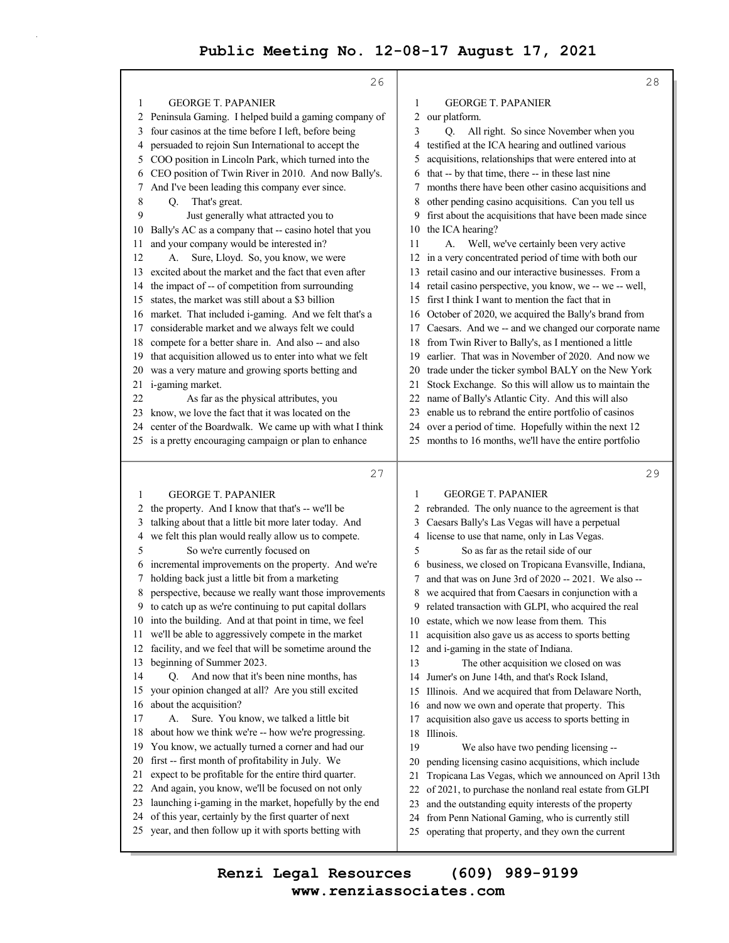|          | 26                                                                                                           |          | 28                                                                                                     |
|----------|--------------------------------------------------------------------------------------------------------------|----------|--------------------------------------------------------------------------------------------------------|
| 1        | <b>GEORGE T. PAPANIER</b>                                                                                    | 1        | <b>GEORGE T. PAPANIER</b>                                                                              |
| 2        | Peninsula Gaming. I helped build a gaming company of                                                         | 2        | our platform.                                                                                          |
| 3        | four casinos at the time before I left, before being                                                         | 3        | All right. So since November when you<br>Q.                                                            |
| 4        | persuaded to rejoin Sun International to accept the                                                          | 4        | testified at the ICA hearing and outlined various                                                      |
| 5        | COO position in Lincoln Park, which turned into the                                                          | 5        | acquisitions, relationships that were entered into at                                                  |
| 6        | CEO position of Twin River in 2010. And now Bally's.                                                         | 6        | that -- by that time, there -- in these last nine                                                      |
| 7        | And I've been leading this company ever since.                                                               | 7        | months there have been other casino acquisitions and                                                   |
| 8        | That's great.<br>Q.                                                                                          | 8        | other pending casino acquisitions. Can you tell us                                                     |
| 9        | Just generally what attracted you to                                                                         | 9        | first about the acquisitions that have been made since                                                 |
| 10       | Bally's AC as a company that -- casino hotel that you                                                        | 10       | the ICA hearing?                                                                                       |
| 11       | and your company would be interested in?                                                                     | 11       | Well, we've certainly been very active<br>A.                                                           |
| 12       | Sure, Lloyd. So, you know, we were<br>А.                                                                     | 12       | in a very concentrated period of time with both our                                                    |
| 13       | excited about the market and the fact that even after                                                        | 13       | retail casino and our interactive businesses. From a                                                   |
| 14       | the impact of -- of competition from surrounding                                                             | 14       | retail casino perspective, you know, we -- we -- well,                                                 |
| 15       | states, the market was still about a \$3 billion                                                             | 15       | first I think I want to mention the fact that in                                                       |
| 16       | market. That included i-gaming. And we felt that's a                                                         | 16       | October of 2020, we acquired the Bally's brand from                                                    |
| 17       | considerable market and we always felt we could                                                              | 17       | Caesars. And we -- and we changed our corporate name                                                   |
| 18       | compete for a better share in. And also -- and also                                                          | 18       | from Twin River to Bally's, as I mentioned a little                                                    |
| 19       | that acquisition allowed us to enter into what we felt                                                       | 19       | earlier. That was in November of 2020. And now we                                                      |
| 20       | was a very mature and growing sports betting and                                                             | 20       | trade under the ticker symbol BALY on the New York                                                     |
| 21       | i-gaming market.                                                                                             | 21       | Stock Exchange. So this will allow us to maintain the                                                  |
| 22       | As far as the physical attributes, you                                                                       | 22       | name of Bally's Atlantic City. And this will also                                                      |
| 23       | know, we love the fact that it was located on the                                                            | 23       | enable us to rebrand the entire portfolio of casinos                                                   |
| 24       | center of the Boardwalk. We came up with what I think                                                        | 24       | over a period of time. Hopefully within the next 12                                                    |
|          | 25 is a pretty encouraging campaign or plan to enhance                                                       | 25       | months to 16 months, we'll have the entire portfolio                                                   |
|          |                                                                                                              |          |                                                                                                        |
|          | 27                                                                                                           |          | 29                                                                                                     |
|          |                                                                                                              |          |                                                                                                        |
| 1        | <b>GEORGE T. PAPANIER</b>                                                                                    | 1<br>2   | <b>GEORGE T. PAPANIER</b>                                                                              |
| 2<br>3   | the property. And I know that that's -- we'll be                                                             | 3        | rebranded. The only nuance to the agreement is that                                                    |
| 4        | talking about that a little bit more later today. And<br>we felt this plan would really allow us to compete. | 4        | Caesars Bally's Las Vegas will have a perpetual<br>license to use that name, only in Las Vegas.        |
| 5        | So we're currently focused on                                                                                | 5        | So as far as the retail side of our                                                                    |
| 6        | incremental improvements on the property. And we're                                                          | 6        | business, we closed on Tropicana Evansville, Indiana,                                                  |
|          | holding back just a little bit from a marketing                                                              | 7        | and that was on June 3rd of 2020 -- 2021. We also --                                                   |
| 8        | perspective, because we really want those improvements                                                       | 8        | we acquired that from Caesars in conjunction with a                                                    |
| 9        | to catch up as we're continuing to put capital dollars                                                       | 9        | related transaction with GLPI, who acquired the real                                                   |
| 10       | into the building. And at that point in time, we feel                                                        | 10       | estate, which we now lease from them. This                                                             |
| 11       | we'll be able to aggressively compete in the market                                                          | 11       | acquisition also gave us as access to sports betting                                                   |
| 12       | facility, and we feel that will be sometime around the                                                       | 12       | and i-gaming in the state of Indiana.                                                                  |
| 13       | beginning of Summer 2023.                                                                                    | 13       | The other acquisition we closed on was                                                                 |
| 14       | And now that it's been nine months, has<br>O.                                                                | 14       | Jumer's on June 14th, and that's Rock Island,                                                          |
| 15       | your opinion changed at all? Are you still excited                                                           | 15       | Illinois. And we acquired that from Delaware North,                                                    |
| 16       | about the acquisition?                                                                                       | 16       | and now we own and operate that property. This                                                         |
| 17       | Sure. You know, we talked a little bit<br>А.                                                                 | 17       | acquisition also gave us access to sports betting in                                                   |
| 18       | about how we think we're -- how we're progressing.                                                           | 18       | Illinois.                                                                                              |
| 19       | You know, we actually turned a corner and had our                                                            | 19       | We also have two pending licensing --                                                                  |
| 20       | first -- first month of profitability in July. We                                                            | 20       | pending licensing casino acquisitions, which include                                                   |
| 21       | expect to be profitable for the entire third quarter.                                                        | 21       | Tropicana Las Vegas, which we announced on April 13th                                                  |
| 22       | And again, you know, we'll be focused on not only                                                            | 22       | of 2021, to purchase the nonland real estate from GLPI                                                 |
| 23       | launching i-gaming in the market, hopefully by the end                                                       | 23       | and the outstanding equity interests of the property                                                   |
| 24<br>25 | of this year, certainly by the first quarter of next<br>year, and then follow up it with sports betting with | 24<br>25 | from Penn National Gaming, who is currently still<br>operating that property, and they own the current |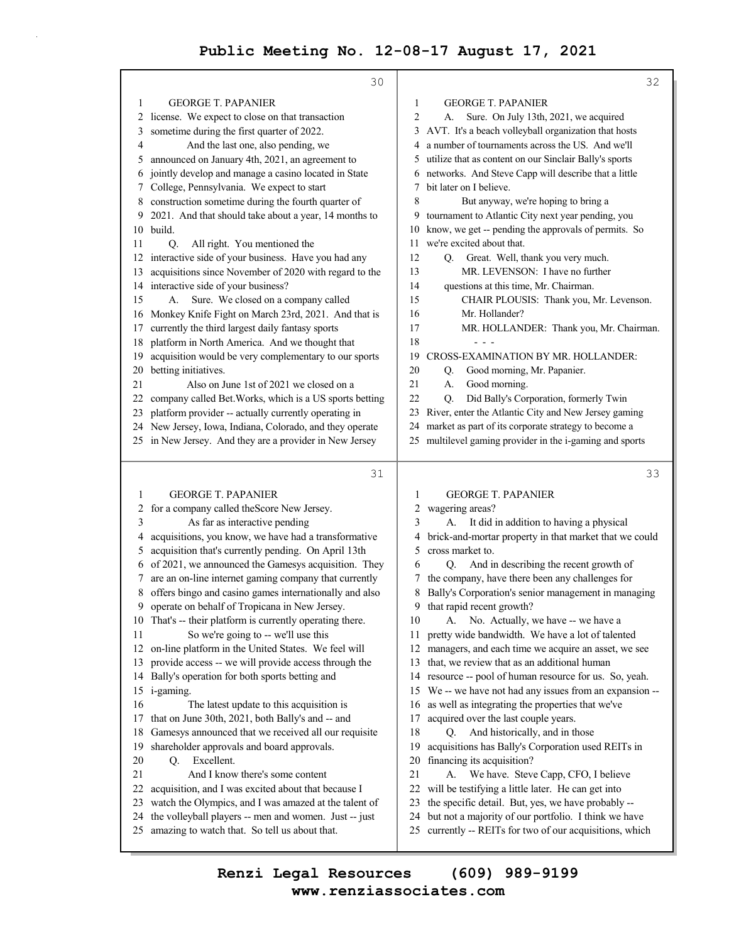|          | 30                                                                                                             |          | 32                                                                                                         |
|----------|----------------------------------------------------------------------------------------------------------------|----------|------------------------------------------------------------------------------------------------------------|
| 1        | <b>GEORGE T. PAPANIER</b>                                                                                      | 1        | <b>GEORGE T. PAPANIER</b>                                                                                  |
| 2        | license. We expect to close on that transaction                                                                | 2        | Sure. On July 13th, 2021, we acquired<br>А.                                                                |
| 3        | sometime during the first quarter of 2022.                                                                     | 3        | AVT. It's a beach volleyball organization that hosts                                                       |
| 4        | And the last one, also pending, we                                                                             | 4        | a number of tournaments across the US. And we'll                                                           |
| 5        | announced on January 4th, 2021, an agreement to                                                                | 5        | utilize that as content on our Sinclair Bally's sports                                                     |
| 6        | jointly develop and manage a casino located in State                                                           | 6        | networks. And Steve Capp will describe that a little                                                       |
| 7        | College, Pennsylvania. We expect to start                                                                      | 7        | bit later on I believe.                                                                                    |
| 8        | construction sometime during the fourth quarter of                                                             | 8        | But anyway, we're hoping to bring a                                                                        |
| 9        | 2021. And that should take about a year, 14 months to                                                          | 9        | tournament to Atlantic City next year pending, you                                                         |
| 10       | build.                                                                                                         | 10       | know, we get -- pending the approvals of permits. So                                                       |
| 11       | All right. You mentioned the<br>Q <sub>r</sub>                                                                 | 11       | we're excited about that.                                                                                  |
| 12       | interactive side of your business. Have you had any                                                            | 12       | Great. Well, thank you very much.<br>O.                                                                    |
| 13       | acquisitions since November of 2020 with regard to the                                                         | 13       | MR. LEVENSON: I have no further                                                                            |
| 14       | interactive side of your business?                                                                             | 14       | questions at this time, Mr. Chairman.                                                                      |
| 15       | Sure. We closed on a company called<br>А.                                                                      | 15       | CHAIR PLOUSIS: Thank you, Mr. Levenson.                                                                    |
| 16       | Monkey Knife Fight on March 23rd, 2021. And that is                                                            | 16       | Mr. Hollander?                                                                                             |
| 17       | currently the third largest daily fantasy sports                                                               | 17       | MR. HOLLANDER: Thank you, Mr. Chairman.                                                                    |
| 18       | platform in North America. And we thought that                                                                 | 18       |                                                                                                            |
| 19       | acquisition would be very complementary to our sports                                                          | 19       | CROSS-EXAMINATION BY MR. HOLLANDER:                                                                        |
| 20       | betting initiatives.                                                                                           | 20       | Good morning, Mr. Papanier.<br>Q.                                                                          |
| 21       | Also on June 1st of 2021 we closed on a                                                                        | 21       | Good morning.<br>А.                                                                                        |
| 22       | company called Bet. Works, which is a US sports betting                                                        | 22       | Did Bally's Corporation, formerly Twin<br>Q.                                                               |
| 23       | platform provider -- actually currently operating in                                                           | 23       | River, enter the Atlantic City and New Jersey gaming                                                       |
| 24       | New Jersey, Iowa, Indiana, Colorado, and they operate                                                          | 24       | market as part of its corporate strategy to become a                                                       |
|          | 25 in New Jersey. And they are a provider in New Jersey                                                        | 25       | multilevel gaming provider in the i-gaming and sports                                                      |
|          |                                                                                                                |          |                                                                                                            |
|          | 31                                                                                                             |          | 33                                                                                                         |
| 1        | <b>GEORGE T. PAPANIER</b>                                                                                      | 1        | <b>GEORGE T. PAPANIER</b>                                                                                  |
| 2        |                                                                                                                | 2        |                                                                                                            |
| 3        | for a company called the Score New Jersey.<br>As far as interactive pending                                    | 3        | wagering areas?<br>It did in addition to having a physical<br>А.                                           |
| 4        | acquisitions, you know, we have had a transformative                                                           | 4        | brick-and-mortar property in that market that we could                                                     |
| 5        | acquisition that's currently pending. On April 13th                                                            | 5        | cross market to.                                                                                           |
| 6        | of 2021, we announced the Gamesys acquisition. They                                                            | 6        | And in describing the recent growth of<br>O.                                                               |
|          | are an on-line internet gaming company that currently                                                          |          | the company, have there been any challenges for                                                            |
| 8        | offers bingo and casino games internationally and also                                                         | 8        | Bally's Corporation's senior management in managing                                                        |
| 9.       | operate on behalf of Tropicana in New Jersey.                                                                  | 9        | that rapid recent growth?                                                                                  |
| 10       | That's -- their platform is currently operating there.                                                         | 10       | No. Actually, we have -- we have a<br>А.                                                                   |
| 11       | So we're going to -- we'll use this                                                                            | 11       | pretty wide bandwidth. We have a lot of talented                                                           |
| 12       | on-line platform in the United States. We feel will                                                            | 12       | managers, and each time we acquire an asset, we see                                                        |
| 13       | provide access -- we will provide access through the                                                           | 13       | that, we review that as an additional human                                                                |
| 14       | Bally's operation for both sports betting and                                                                  | 14       | resource -- pool of human resource for us. So, yeah.                                                       |
|          | 15 i-gaming.                                                                                                   | 15       | We -- we have not had any issues from an expansion --                                                      |
| 16       | The latest update to this acquisition is                                                                       | 16       | as well as integrating the properties that we've                                                           |
| 17       | that on June 30th, 2021, both Bally's and -- and                                                               | 17       | acquired over the last couple years.                                                                       |
| 18       | Gamesys announced that we received all our requisite                                                           | 18       | And historically, and in those<br>O.                                                                       |
| 19       | shareholder approvals and board approvals.                                                                     | 19       | acquisitions has Bally's Corporation used REITs in                                                         |
| 20       | Q. Excellent.                                                                                                  | 20       | financing its acquisition?                                                                                 |
| 21       | And I know there's some content                                                                                | 21       | We have. Steve Capp, CFO, I believe<br>A.                                                                  |
| 22<br>23 | acquisition, and I was excited about that because I                                                            | 22<br>23 | will be testifying a little later. He can get into                                                         |
| 24       | watch the Olympics, and I was amazed at the talent of<br>the volleyball players -- men and women. Just -- just | 24       | the specific detail. But, yes, we have probably --<br>but not a majority of our portfolio. I think we have |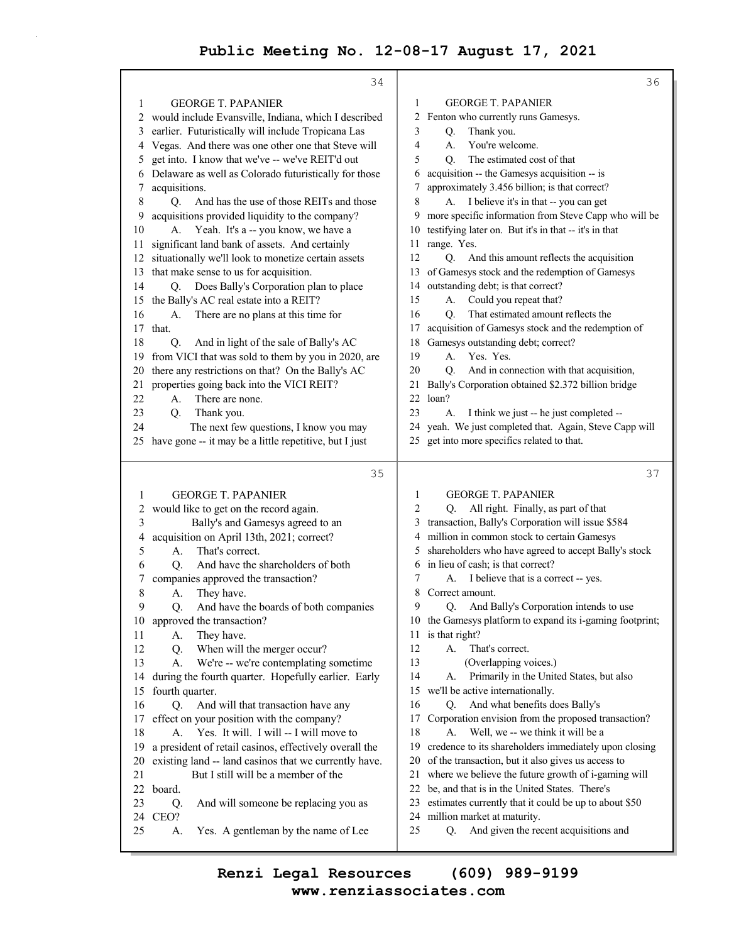|          | 34                                                     | 36                                                                                  |
|----------|--------------------------------------------------------|-------------------------------------------------------------------------------------|
| 1        | <b>GEORGE T. PAPANIER</b>                              | <b>GEORGE T. PAPANIER</b><br>1                                                      |
| 2        | would include Evansville, Indiana, which I described   | 2<br>Fenton who currently runs Gamesys.                                             |
| 3        | earlier. Futuristically will include Tropicana Las     | 3<br>Thank you.<br>Q.                                                               |
| 4        | Vegas. And there was one other one that Steve will     | 4<br>You're welcome.<br>A.                                                          |
| 5        | get into. I know that we've -- we've REIT'd out        | 5<br>The estimated cost of that<br>O.                                               |
| 6        | Delaware as well as Colorado futuristically for those  | acquisition -- the Gamesys acquisition -- is<br>6                                   |
| 7        | acquisitions.                                          | approximately 3.456 billion; is that correct?<br>7                                  |
| 8        | Q.<br>And has the use of those REITs and those         | 8<br>A. I believe it's in that -- you can get                                       |
| 9        | acquisitions provided liquidity to the company?        | more specific information from Steve Capp who will be<br>9                          |
| 10       | A. Yeah. It's a -- you know, we have a                 | testifying later on. But it's in that -- it's in that<br>10                         |
| 11       | significant land bank of assets. And certainly         | range. Yes.<br>11                                                                   |
| 12       | situationally we'll look to monetize certain assets    | 12<br>Q. And this amount reflects the acquisition                                   |
| 13       | that make sense to us for acquisition.                 | of Gamesys stock and the redemption of Gamesys<br>13                                |
| 14       | Q. Does Bally's Corporation plan to place              | outstanding debt; is that correct?<br>14                                            |
| 15       | the Bally's AC real estate into a REIT?                | Could you repeat that?<br>15<br>А.                                                  |
| 16       | There are no plans at this time for<br>А.              | That estimated amount reflects the<br>16<br>Q.                                      |
| 17       | that.                                                  | acquisition of Gamesys stock and the redemption of<br>17                            |
| 18       | And in light of the sale of Bally's AC<br>Q.           | Gamesys outstanding debt; correct?<br>18                                            |
| 19       | from VICI that was sold to them by you in 2020, are    | 19<br>A.<br>Yes. Yes.                                                               |
| 20       | there any restrictions on that? On the Bally's AC      | And in connection with that acquisition,<br>20<br>Q.                                |
| 21       | properties going back into the VICI REIT?              | Bally's Corporation obtained \$2.372 billion bridge<br>21                           |
| 22       | There are none.<br>А.                                  | loan?<br>22                                                                         |
| 23       | Q.<br>Thank you.                                       | 23<br>I think we just -- he just completed --<br>А.                                 |
| 24       | The next few questions, I know you may                 | yeah. We just completed that. Again, Steve Capp will<br>24                          |
| 25.      | have gone -- it may be a little repetitive, but I just | get into more specifics related to that.<br>25                                      |
|          |                                                        |                                                                                     |
|          |                                                        |                                                                                     |
|          | 35                                                     | 37                                                                                  |
| 1        | <b>GEORGE T. PAPANIER</b>                              | <b>GEORGE T. PAPANIER</b><br>1                                                      |
| 2        | would like to get on the record again.                 | All right. Finally, as part of that<br>2<br>Q.                                      |
| 3        | Bally's and Gamesys agreed to an                       | transaction, Bally's Corporation will issue \$584<br>3                              |
| 4        | acquisition on April 13th, 2021; correct?              | million in common stock to certain Gamesys<br>4                                     |
| 5        | That's correct.<br>A.                                  | shareholders who have agreed to accept Bally's stock<br>5                           |
| 6        | And have the shareholders of both<br>O.                | in lieu of cash; is that correct?<br>6                                              |
| 7        | companies approved the transaction?                    | I believe that is a correct -- yes.<br>7<br>А.                                      |
| 8        | They have.<br>А.                                       | Correct amount.<br>8                                                                |
| 9        | And have the boards of both companies<br>Q.            | 9<br>Q. And Bally's Corporation intends to use                                      |
| 10       | approved the transaction?                              | 10 the Gamesys platform to expand its i-gaming footprint;                           |
| 11       | They have.<br>А.                                       | 11 is that right?                                                                   |
| 12       | When will the merger occur?<br>Q.                      | 12<br>That's correct.<br>А.                                                         |
| 13       | We're -- we're contemplating sometime<br>А.            | 13<br>(Overlapping voices.)                                                         |
| 14       | during the fourth quarter. Hopefully earlier. Early    | 14<br>Primarily in the United States, but also<br>А.                                |
| 15       | fourth quarter.                                        | we'll be active internationally.<br>15                                              |
| 16       | And will that transaction have any<br>Q.               | 16<br>And what benefits does Bally's<br>Q.                                          |
| 17       | effect on your position with the company?              | 17<br>Corporation envision from the proposed transaction?                           |
| 18       | Yes. It will. I will -- I will move to<br>А.           | 18<br>A.<br>Well, we -- we think it will be a                                       |
| 19       | a president of retail casinos, effectively overall the | credence to its shareholders immediately upon closing<br>19                         |
| 20       | existing land -- land casinos that we currently have.  | of the transaction, but it also gives us access to<br>20                            |
| 21       | But I still will be a member of the                    | where we believe the future growth of i-gaming will<br>21                           |
| 22       | board.                                                 | be, and that is in the United States. There's<br>22<br>23                           |
| 23<br>24 | Q.<br>And will someone be replacing you as<br>CEO?     | estimates currently that it could be up to about \$50                               |
| 25       | А.<br>Yes. A gentleman by the name of Lee              | 24 million market at maturity.<br>25<br>And given the recent acquisitions and<br>Q. |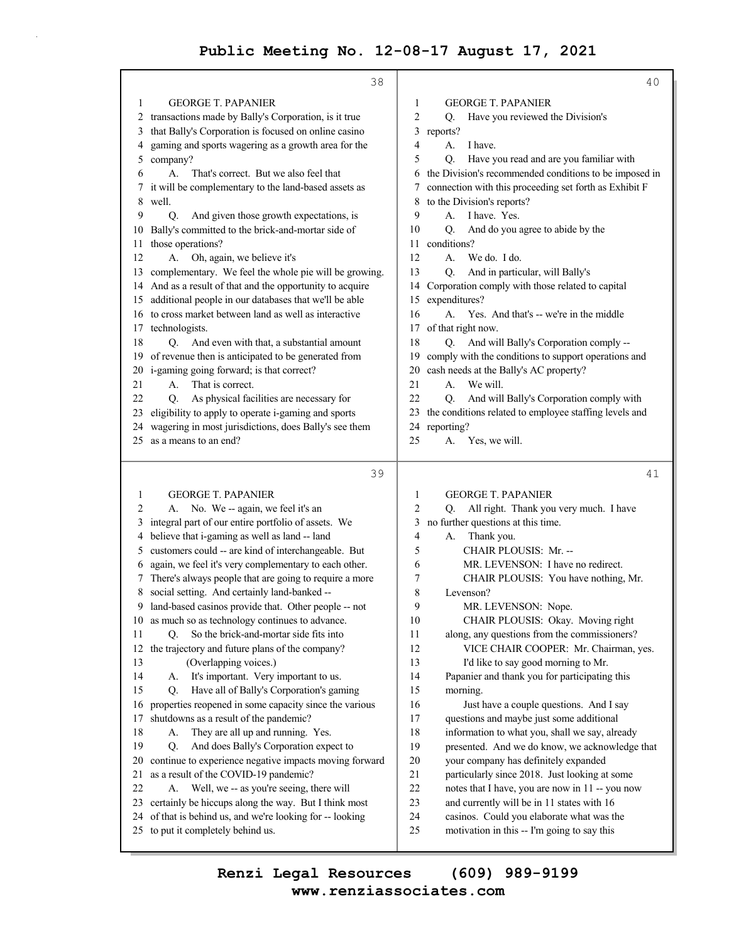38 1 GEORGE T. PAPANIER 2 transactions made by Bally's Corporation, is it true 3 that Bally's Corporation is focused on online casino 4 gaming and sports wagering as a growth area for the 5 company? 6 A. That's correct. But we also feel that 7 it will be complementary to the land-based assets as 8 well. 9 Q. And given those growth expectations, is 10 Bally's committed to the brick-and-mortar side of 11 those operations? 12 A. Oh, again, we believe it's 13 complementary. We feel the whole pie will be growing. 14 And as a result of that and the opportunity to acquire 15 additional people in our databases that we'll be able 16 to cross market between land as well as interactive 17 technologists. 18 O. And even with that, a substantial amount 19 of revenue then is anticipated to be generated from 20 i-gaming going forward; is that correct? 21 A. That is correct. 22 Q. As physical facilities are necessary for 23 eligibility to apply to operate i-gaming and sports 24 wagering in most jurisdictions, does Bally's see them 25 as a means to an end? 39 1 GEORGE T. PAPANIER 2 A. No. We -- again, we feel it's an 3 integral part of our entire portfolio of assets. We 4 believe that i-gaming as well as land -- land 5 customers could -- are kind of interchangeable. But 6 again, we feel it's very complementary to each other. 7 There's always people that are going to require a more 8 social setting. And certainly land-banked -- 9 land-based casinos provide that. Other people -- not 10 as much so as technology continues to advance. 11 Q. So the brick-and-mortar side fits into 12 the trajectory and future plans of the company? 13 (Overlapping voices.) 14 A. It's important. Very important to us. 15 Q. Have all of Bally's Corporation's gaming 16 properties reopened in some capacity since the various 17 shutdowns as a result of the pandemic? 18 A. They are all up and running. Yes. 19 Q. And does Bally's Corporation expect to 20 continue to experience negative impacts moving forward 21 as a result of the COVID-19 pandemic? 22 A. Well, we -- as you're seeing, there will 23 certainly be hiccups along the way. But I think most 24 of that is behind us, and we're looking for -- looking 25 to put it completely behind us. 40 1 GEORGE T. PAPANIER 2 Q. Have you reviewed the Division's 3 reports? 4 A. I have. 5 Q. Have you read and are you familiar with 6 the Division's recommended conditions to be imposed in 7 connection with this proceeding set forth as Exhibit F 8 to the Division's reports? 9 A. I have. Yes. 10 Q. And do you agree to abide by the 11 conditions? 12 A. We do. I do. 13 Q. And in particular, will Bally's 14 Corporation comply with those related to capital 15 expenditures? 16 A. Yes. And that's -- we're in the middle 17 of that right now. 18 Q. And will Bally's Corporation comply -- 19 comply with the conditions to support operations and 20 cash needs at the Bally's AC property? 21 A. We will. 22 Q. And will Bally's Corporation comply with 23 the conditions related to employee staffing levels and 24 reporting? 25 A. Yes, we will. 41 1 GEORGE T. PAPANIER 2 Q. All right. Thank you very much. I have 3 no further questions at this time. 4 A. Thank you. 5 CHAIR PLOUSIS: Mr. -- 6 MR. LEVENSON: I have no redirect. 7 CHAIR PLOUSIS: You have nothing, Mr. 8 Levenson? 9 MR. LEVENSON: Nope. 10 CHAIR PLOUSIS: Okay. Moving right 11 along, any questions from the commissioners? 12 VICE CHAIR COOPER: Mr. Chairman, yes. 13 I'd like to say good morning to Mr. 14 Papanier and thank you for participating this 15 morning. 16 Just have a couple questions. And I say 17 questions and maybe just some additional 18 information to what you, shall we say, already 19 presented. And we do know, we acknowledge that 20 your company has definitely expanded 21 particularly since 2018. Just looking at some 22 notes that I have, you are now in 11 -- you now 23 and currently will be in 11 states with 16 24 casinos. Could you elaborate what was the 25 motivation in this -- I'm going to say this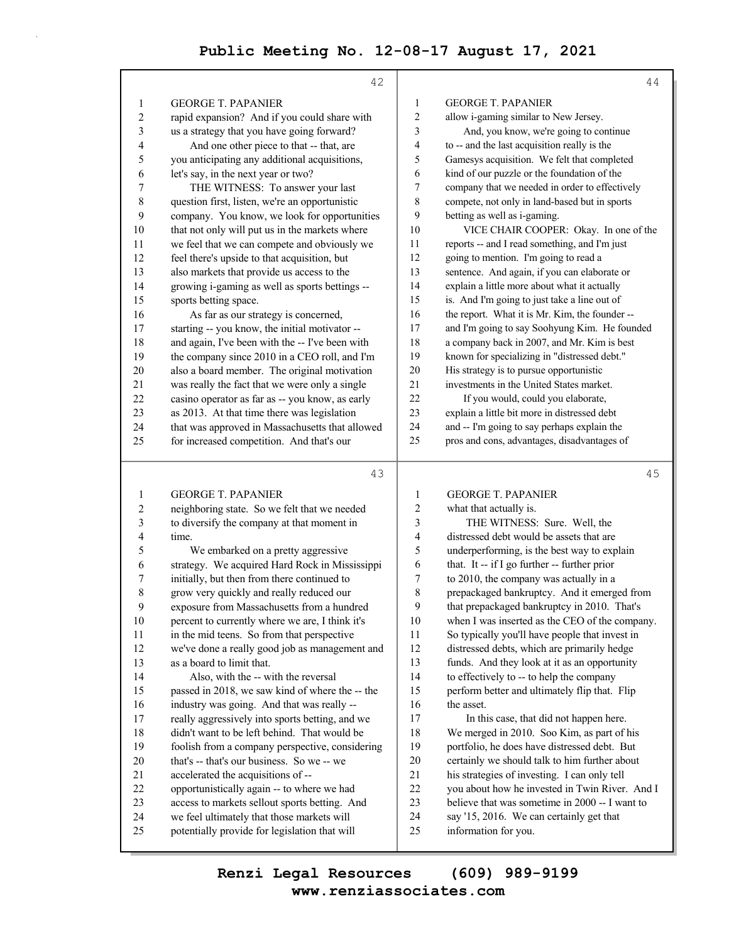|              | 42                                                                                          |              | 44                                                                                         |
|--------------|---------------------------------------------------------------------------------------------|--------------|--------------------------------------------------------------------------------------------|
| 1            | <b>GEORGE T. PAPANIER</b>                                                                   | $\mathbf{1}$ | <b>GEORGE T. PAPANIER</b>                                                                  |
| 2            | rapid expansion? And if you could share with                                                | $\sqrt{2}$   | allow i-gaming similar to New Jersey.                                                      |
| 3            | us a strategy that you have going forward?                                                  | 3            | And, you know, we're going to continue                                                     |
| 4            | And one other piece to that -- that, are                                                    | 4            | to -- and the last acquisition really is the                                               |
| 5            | you anticipating any additional acquisitions,                                               | 5            | Gamesys acquisition. We felt that completed                                                |
| 6            | let's say, in the next year or two?                                                         | 6            | kind of our puzzle or the foundation of the                                                |
| 7            | THE WITNESS: To answer your last                                                            | 7            | company that we needed in order to effectively                                             |
| 8            | question first, listen, we're an opportunistic                                              | 8            | compete, not only in land-based but in sports                                              |
| 9            | company. You know, we look for opportunities                                                | 9            | betting as well as i-gaming.                                                               |
| 10           | that not only will put us in the markets where                                              | 10           | VICE CHAIR COOPER: Okay. In one of the                                                     |
| 11           | we feel that we can compete and obviously we                                                | 11           | reports -- and I read something, and I'm just                                              |
| 12           | feel there's upside to that acquisition, but                                                | 12           | going to mention. I'm going to read a                                                      |
| 13           | also markets that provide us access to the                                                  | 13           | sentence. And again, if you can elaborate or                                               |
| 14           | growing i-gaming as well as sports bettings --                                              | 14           | explain a little more about what it actually                                               |
| 15           | sports betting space.                                                                       | 15           | is. And I'm going to just take a line out of                                               |
| 16           | As far as our strategy is concerned,                                                        | 16           | the report. What it is Mr. Kim, the founder --                                             |
| 17           | starting -- you know, the initial motivator --                                              | 17           | and I'm going to say Soohyung Kim. He founded                                              |
| 18           | and again, I've been with the -- I've been with                                             | 18           | a company back in 2007, and Mr. Kim is best                                                |
| 19           | the company since 2010 in a CEO roll, and I'm                                               | 19           | known for specializing in "distressed debt."                                               |
| 20           | also a board member. The original motivation                                                | 20           | His strategy is to pursue opportunistic                                                    |
| 21           | was really the fact that we were only a single                                              | 21           | investments in the United States market.                                                   |
| 22           | casino operator as far as -- you know, as early                                             | 22           | If you would, could you elaborate,                                                         |
| 23           | as 2013. At that time there was legislation                                                 | 23           | explain a little bit more in distressed debt                                               |
| 24           | that was approved in Massachusetts that allowed                                             | 24<br>25     | and -- I'm going to say perhaps explain the<br>pros and cons, advantages, disadvantages of |
| 25           | for increased competition. And that's our                                                   |              |                                                                                            |
|              |                                                                                             |              |                                                                                            |
|              | 43                                                                                          |              | 45                                                                                         |
| 1            | <b>GEORGE T. PAPANIER</b>                                                                   | 1            | <b>GEORGE T. PAPANIER</b>                                                                  |
| 2            | neighboring state. So we felt that we needed                                                | 2            | what that actually is.                                                                     |
| 3            | to diversify the company at that moment in                                                  | 3            | THE WITNESS: Sure. Well, the                                                               |
| 4            | time.                                                                                       | 4            | distressed debt would be assets that are                                                   |
| 5            | We embarked on a pretty aggressive                                                          | 5            | underperforming, is the best way to explain                                                |
| 6            | strategy. We acquired Hard Rock in Mississippi                                              | 6            | that. It -- if I go further -- further prior                                               |
| 7            | initially, but then from there continued to                                                 | 7            | to 2010, the company was actually in a                                                     |
| 8            | grow very quickly and really reduced our                                                    | 8            | prepackaged bankruptcy. And it emerged from                                                |
| $\mathbf{9}$ | exposure from Massachusetts from a hundred                                                  | 9            | that prepackaged bankruptcy in 2010. That's                                                |
| 10           | percent to currently where we are, I think it's                                             | 10           | when I was inserted as the CEO of the company.                                             |
| 11           | in the mid teens. So from that perspective                                                  | 11           | So typically you'll have people that invest in                                             |
| 12           | we've done a really good job as management and                                              | 12           | distressed debts, which are primarily hedge                                                |
| 13           | as a board to limit that.                                                                   | 13           | funds. And they look at it as an opportunity                                               |
| 14           | Also, with the -- with the reversal                                                         | 14           | to effectively to -- to help the company                                                   |
| 15           | passed in 2018, we saw kind of where the -- the                                             | 15           | perform better and ultimately flip that. Flip                                              |
| 16           | industry was going. And that was really --                                                  | 16           | the asset.                                                                                 |
| 17           | really aggressively into sports betting, and we                                             | 17           | In this case, that did not happen here.                                                    |
| 18           | didn't want to be left behind. That would be                                                | 18           | We merged in 2010. Soo Kim, as part of his                                                 |
| 19           | foolish from a company perspective, considering                                             | 19           | portfolio, he does have distressed debt. But                                               |
| 20           | that's -- that's our business. So we -- we                                                  | 20           | certainly we should talk to him further about                                              |
| 21           | accelerated the acquisitions of --                                                          | 21           | his strategies of investing. I can only tell                                               |
| 22           | opportunistically again -- to where we had                                                  | 22           | you about how he invested in Twin River. And I                                             |
| 23           | access to markets sellout sports betting. And                                               | 23           | believe that was sometime in 2000 -- I want to                                             |
| 24<br>25     | we feel ultimately that those markets will<br>potentially provide for legislation that will | 24<br>25     | say '15, 2016. We can certainly get that<br>information for you.                           |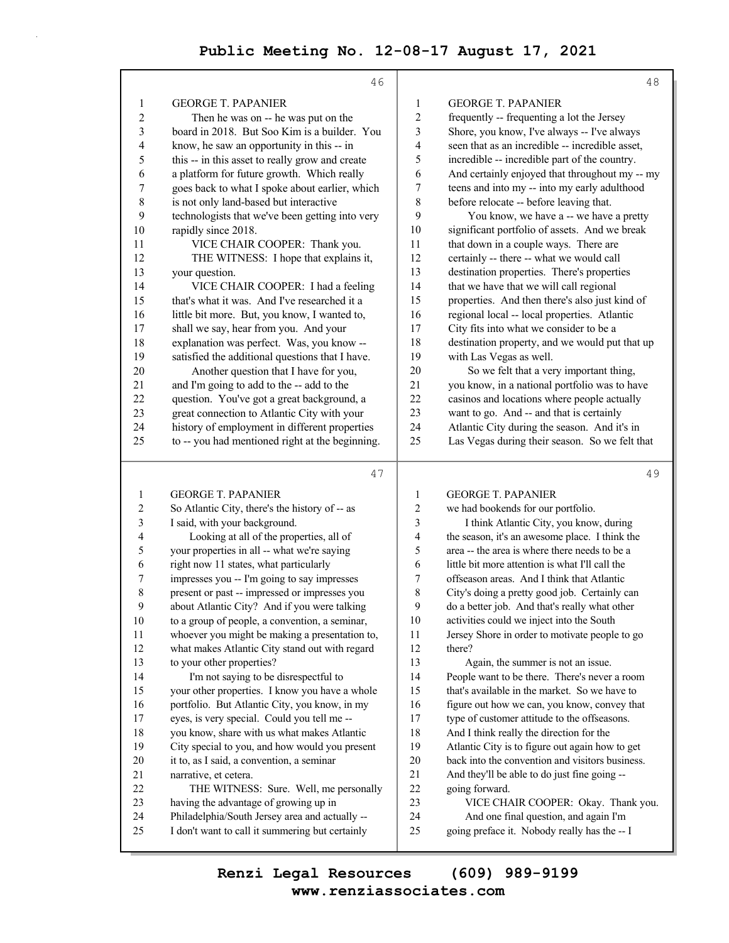|                          | 46                                              |                | 48                                              |
|--------------------------|-------------------------------------------------|----------------|-------------------------------------------------|
| 1                        | <b>GEORGE T. PAPANIER</b>                       | 1              | <b>GEORGE T. PAPANIER</b>                       |
| $\overline{c}$           | Then he was on -- he was put on the             | $\overline{c}$ | frequently -- frequenting a lot the Jersey      |
| 3                        | board in 2018. But Soo Kim is a builder. You    | 3              | Shore, you know, I've always -- I've always     |
| 4                        | know, he saw an opportunity in this -- in       | 4              | seen that as an incredible -- incredible asset, |
| 5                        | this -- in this asset to really grow and create | 5              | incredible -- incredible part of the country.   |
| 6                        | a platform for future growth. Which really      | 6              | And certainly enjoyed that throughout my -- my  |
| 7                        | goes back to what I spoke about earlier, which  | 7              | teens and into my -- into my early adulthood    |
| 8                        | is not only land-based but interactive          | 8              | before relocate -- before leaving that.         |
| 9                        | technologists that we've been getting into very | 9              | You know, we have a -- we have a pretty         |
| 10                       | rapidly since 2018.                             | 10             | significant portfolio of assets. And we break   |
| 11                       | VICE CHAIR COOPER: Thank you.                   | 11             | that down in a couple ways. There are           |
| 12                       | THE WITNESS: I hope that explains it,           | 12             | certainly -- there -- what we would call        |
| 13                       | your question.                                  | 13             | destination properties. There's properties      |
| 14                       | VICE CHAIR COOPER: I had a feeling              | 14             | that we have that we will call regional         |
| 15                       | that's what it was. And I've researched it a    | 15             | properties. And then there's also just kind of  |
| 16                       | little bit more. But, you know, I wanted to,    | 16             | regional local -- local properties. Atlantic    |
| 17                       | shall we say, hear from you. And your           | 17             | City fits into what we consider to be a         |
| 18                       | explanation was perfect. Was, you know --       | 18             | destination property, and we would put that up  |
| 19                       | satisfied the additional questions that I have. | 19             | with Las Vegas as well.                         |
| 20                       | Another question that I have for you,           | $20\,$         | So we felt that a very important thing,         |
| 21                       | and I'm going to add to the -- add to the       | 21             | you know, in a national portfolio was to have   |
| 22                       | question. You've got a great background, a      | 22             | casinos and locations where people actually     |
| 23                       | great connection to Atlantic City with your     | 23             | want to go. And -- and that is certainly        |
| 24                       | history of employment in different properties   | 24             | Atlantic City during the season. And it's in    |
| 25                       | to -- you had mentioned right at the beginning. | 25             | Las Vegas during their season. So we felt that  |
|                          |                                                 |                |                                                 |
|                          | 47                                              |                | 49                                              |
| 1                        | <b>GEORGE T. PAPANIER</b>                       | 1              | <b>GEORGE T. PAPANIER</b>                       |
| $\overline{\mathbf{c}}$  | So Atlantic City, there's the history of -- as  | 2              | we had bookends for our portfolio.              |
| 3                        | I said, with your background.                   | 3              | I think Atlantic City, you know, during         |
| $\overline{\mathcal{L}}$ | Looking at all of the properties, all of        | 4              | the season, it's an awesome place. I think the  |
| 5                        | your properties in all -- what we're saying     | 5              | area -- the area is where there needs to be a   |
| 6                        | right now 11 states, what particularly          | 6              | little bit more attention is what I'll call the |
| 7                        | impresses you -- I'm going to say impresses     | 7              | offseason areas. And I think that Atlantic      |
| $\,$ $\,$                | present or past -- impressed or impresses you   | 8              | City's doing a pretty good job. Certainly can   |
| 9                        | about Atlantic City? And if you were talking    | 9              | do a better job. And that's really what other   |
| 10                       | to a group of people, a convention, a seminar,  | 10             | activities could we inject into the South       |
| 11                       | whoever you might be making a presentation to,  | 11             | Jersey Shore in order to motivate people to go  |
| 12                       | what makes Atlantic City stand out with regard  | 12             | there?                                          |
| 13                       | to your other properties?                       | 13             | Again, the summer is not an issue.              |
| 14                       | I'm not saying to be disrespectful to           | 14             | People want to be there. There's never a room   |
| 15                       | your other properties. I know you have a whole  | 15             | that's available in the market. So we have to   |
| 16                       | portfolio. But Atlantic City, you know, in my   | 16             | figure out how we can, you know, convey that    |
| 17                       | eyes, is very special. Could you tell me --     | $17\,$         | type of customer attitude to the offseasons.    |

18 And I think really the direction for the 19 Atlantic City is to figure out again how to get 20 back into the convention and visitors business. 21 And they'll be able to do just fine going --

23 VICE CHAIR COOPER: Okay. Thank you. 24 And one final question, and again I'm 25 going preface it. Nobody really has the -- I

22 going forward.

18 you know, share with us what makes Atlantic 19 City special to you, and how would you present

22 THE WITNESS: Sure. Well, me personally

20 it to, as I said, a convention, a seminar

23 having the advantage of growing up in 24 Philadelphia/South Jersey area and actually -- 25 I don't want to call it summering but certainly

21 narrative, et cetera.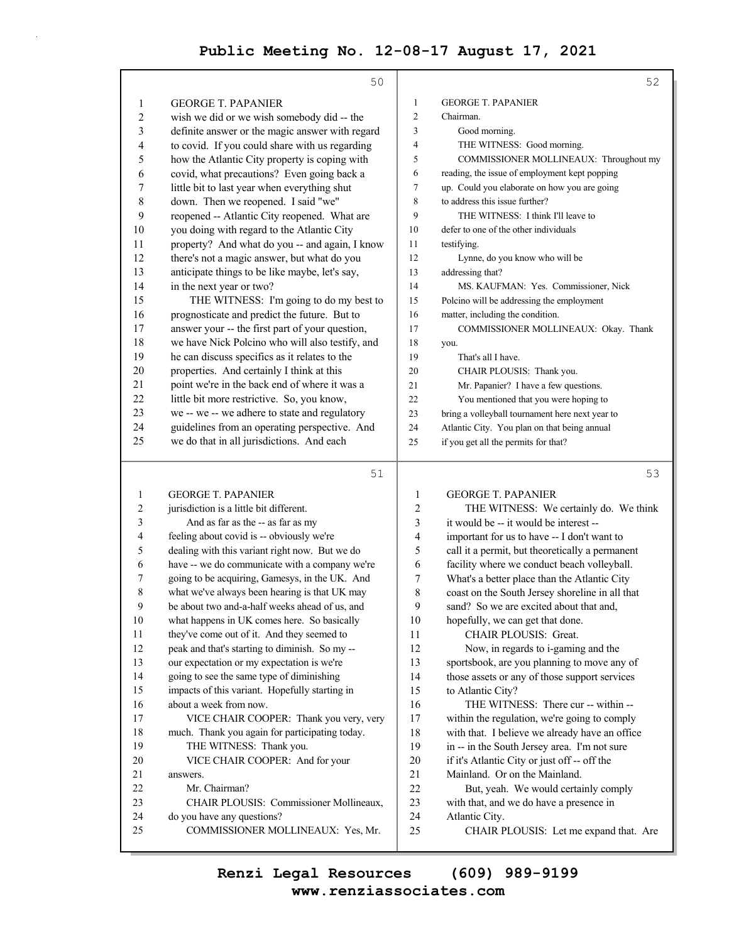|                  | 50                                                                                               |                         | 52                                                                                           |
|------------------|--------------------------------------------------------------------------------------------------|-------------------------|----------------------------------------------------------------------------------------------|
| 1                | <b>GEORGE T. PAPANIER</b>                                                                        | $\mathbf{1}$            | <b>GEORGE T. PAPANIER</b>                                                                    |
| $\overline{c}$   | wish we did or we wish somebody did -- the                                                       | 2                       | Chairman.                                                                                    |
| 3                | definite answer or the magic answer with regard                                                  | 3                       | Good morning.                                                                                |
| 4                | to covid. If you could share with us regarding                                                   | 4                       | THE WITNESS: Good morning.                                                                   |
| 5                | how the Atlantic City property is coping with                                                    | 5                       | COMMISSIONER MOLLINEAUX: Throughout my                                                       |
| 6                | covid, what precautions? Even going back a                                                       | 6                       | reading, the issue of employment kept popping                                                |
| 7                | little bit to last year when everything shut                                                     | 7                       | up. Could you elaborate on how you are going                                                 |
| 8                | down. Then we reopened. I said "we"                                                              | 8                       | to address this issue further?                                                               |
| 9                | reopened -- Atlantic City reopened. What are                                                     | 9                       | THE WITNESS: I think I'll leave to                                                           |
| 10               | you doing with regard to the Atlantic City                                                       | 10                      | defer to one of the other individuals                                                        |
| 11               | property? And what do you -- and again, I know                                                   | 11                      | testifying.                                                                                  |
| 12               | there's not a magic answer, but what do you                                                      | 12                      | Lynne, do you know who will be                                                               |
| 13               | anticipate things to be like maybe, let's say,                                                   | 13                      | addressing that?                                                                             |
| 14               | in the next year or two?                                                                         | 14                      | MS. KAUFMAN: Yes. Commissioner, Nick                                                         |
| 15               | THE WITNESS: I'm going to do my best to                                                          | 15                      | Polcino will be addressing the employment                                                    |
| 16               | prognosticate and predict the future. But to                                                     | 16                      | matter, including the condition.                                                             |
| 17               | answer your -- the first part of your question,                                                  | 17                      | COMMISSIONER MOLLINEAUX: Okay. Thank                                                         |
| 18               | we have Nick Polcino who will also testify, and                                                  | 18                      |                                                                                              |
| 19               | he can discuss specifics as it relates to the                                                    | 19                      | you.<br>That's all I have.                                                                   |
| 20               | properties. And certainly I think at this                                                        | 20                      |                                                                                              |
| 21               | point we're in the back end of where it was a                                                    | 21                      | CHAIR PLOUSIS: Thank you.                                                                    |
| 22               | little bit more restrictive. So, you know,                                                       | 22                      | Mr. Papanier? I have a few questions.                                                        |
| 23               | we -- we -- we adhere to state and regulatory                                                    |                         | You mentioned that you were hoping to<br>bring a volleyball tournament here next year to     |
| 24               | guidelines from an operating perspective. And                                                    | 23                      |                                                                                              |
| 25               | we do that in all jurisdictions. And each                                                        | 24                      | Atlantic City. You plan on that being annual                                                 |
|                  |                                                                                                  | 25                      | if you get all the permits for that?                                                         |
|                  |                                                                                                  |                         |                                                                                              |
|                  | 51                                                                                               |                         | 53                                                                                           |
| 1                | <b>GEORGE T. PAPANIER</b>                                                                        | $\mathbf{1}$            | <b>GEORGE T. PAPANIER</b>                                                                    |
|                  |                                                                                                  |                         |                                                                                              |
| $\boldsymbol{2}$ | jurisdiction is a little bit different.                                                          | $\overline{\mathbf{c}}$ | THE WITNESS: We certainly do. We think                                                       |
| 3<br>4           | And as far as the -- as far as my                                                                | 3<br>4                  | it would be -- it would be interest --                                                       |
|                  | feeling about covid is -- obviously we're                                                        | 5                       | important for us to have -- I don't want to                                                  |
| 5<br>6           | dealing with this variant right now. But we do<br>have -- we do communicate with a company we're | 6                       | call it a permit, but theoretically a permanent                                              |
| 7                | going to be acquiring, Gamesys, in the UK. And                                                   | 7                       | facility where we conduct beach volleyball.                                                  |
| 8                |                                                                                                  | 8                       | What's a better place than the Atlantic City                                                 |
| $\mathbf Q$      | what we've always been hearing is that UK may<br>be about two and-a-half weeks ahead of us, and  | $\mathbf Q$             | coast on the South Jersey shoreline in all that<br>sand? So we are excited about that and,   |
| 10               |                                                                                                  | 10                      |                                                                                              |
| 11               | what happens in UK comes here. So basically<br>they've come out of it. And they seemed to        | 11                      | hopefully, we can get that done.<br>CHAIR PLOUSIS: Great.                                    |
| 12               | peak and that's starting to diminish. So my --                                                   | 12                      |                                                                                              |
| 13               | our expectation or my expectation is we're                                                       |                         | Now, in regards to i-gaming and the                                                          |
| 14               |                                                                                                  | 13                      | sportsbook, are you planning to move any of                                                  |
| 15               | going to see the same type of diminishing                                                        | 14<br>15                | those assets or any of those support services                                                |
| 16               | impacts of this variant. Hopefully starting in<br>about a week from now.                         | 16                      | to Atlantic City?                                                                            |
| 17               |                                                                                                  | 17                      | THE WITNESS: There cur -- within --                                                          |
| 18               | VICE CHAIR COOPER: Thank you very, very<br>much. Thank you again for participating today.        | 18                      | within the regulation, we're going to comply                                                 |
| 19               | THE WITNESS: Thank you.                                                                          | 19                      | with that. I believe we already have an office                                               |
| $20\,$           | VICE CHAIR COOPER: And for your                                                                  | 20                      | in -- in the South Jersey area. I'm not sure<br>if it's Atlantic City or just off -- off the |
| 21               | answers.                                                                                         | 21                      | Mainland. Or on the Mainland.                                                                |
| 22               | Mr. Chairman?                                                                                    | 22                      | But, yeah. We would certainly comply                                                         |
| 23               | CHAIR PLOUSIS: Commissioner Mollineaux,                                                          | 23                      | with that, and we do have a presence in                                                      |
| 24               | do you have any questions?                                                                       | 24                      | Atlantic City.                                                                               |

**www.renziassociates.com Renzi Legal Resources (609) 989-9199**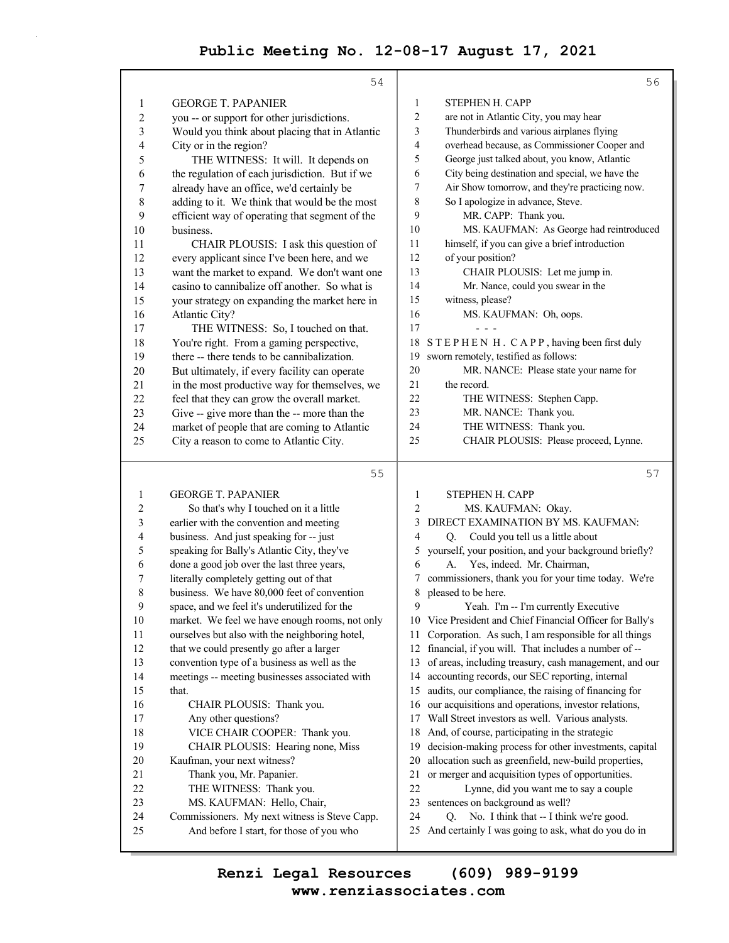|                         | 54                                             | 56                                                           |
|-------------------------|------------------------------------------------|--------------------------------------------------------------|
| 1                       | <b>GEORGE T. PAPANIER</b>                      | STEPHEN H. CAPP<br>1                                         |
| $\overline{c}$          | you -- or support for other jurisdictions.     | 2<br>are not in Atlantic City, you may hear                  |
| 3                       | Would you think about placing that in Atlantic | Thunderbirds and various airplanes flying<br>3               |
| 4                       | City or in the region?                         | overhead because, as Commissioner Cooper and<br>4            |
| 5                       | THE WITNESS: It will. It depends on            | George just talked about, you know, Atlantic<br>5            |
| 6                       | the regulation of each jurisdiction. But if we | City being destination and special, we have the<br>6         |
| 7                       | already have an office, we'd certainly be      | Air Show tomorrow, and they're practicing now.<br>7          |
| $\,$ 8 $\,$             | adding to it. We think that would be the most  | So I apologize in advance, Steve.<br>8                       |
| 9                       | efficient way of operating that segment of the | 9<br>MR. CAPP: Thank you.                                    |
| 10                      | business.                                      | MS. KAUFMAN: As George had reintroduced<br>10                |
| 11                      | CHAIR PLOUSIS: I ask this question of          | himself, if you can give a brief introduction<br>11          |
| 12                      | every applicant since I've been here, and we   | 12<br>of your position?                                      |
| 13                      | want the market to expand. We don't want one   | 13<br>CHAIR PLOUSIS: Let me jump in.                         |
| 14                      | casino to cannibalize off another. So what is  | 14<br>Mr. Nance, could you swear in the                      |
| 15                      | your strategy on expanding the market here in  | 15<br>witness, please?                                       |
| 16                      | Atlantic City?                                 | 16<br>MS. KAUFMAN: Oh, oops.                                 |
| 17                      | THE WITNESS: So, I touched on that.            | 17                                                           |
| 18                      | You're right. From a gaming perspective,       | 18<br>STEPHEN H. CAPP, having been first duly                |
| 19                      | there -- there tends to be cannibalization.    | sworn remotely, testified as follows:<br>19                  |
| 20                      | But ultimately, if every facility can operate  | 20<br>MR. NANCE: Please state your name for                  |
| 21                      | in the most productive way for themselves, we  | 21<br>the record.                                            |
| 22                      | feel that they can grow the overall market.    | 22<br>THE WITNESS: Stephen Capp.                             |
| 23                      | Give -- give more than the -- more than the    | 23<br>MR. NANCE: Thank you.                                  |
| 24                      | market of people that are coming to Atlantic   | 24<br>THE WITNESS: Thank you.                                |
| 25                      | City a reason to come to Atlantic City.        | CHAIR PLOUSIS: Please proceed, Lynne.<br>25                  |
|                         |                                                |                                                              |
|                         | 55                                             | 57                                                           |
| 1                       | <b>GEORGE T. PAPANIER</b>                      | $\mathbf{1}$<br>STEPHEN H. CAPP                              |
| $\overline{\mathbf{c}}$ | So that's why I touched on it a little         | $\overline{c}$<br>MS. KAUFMAN: Okay.                         |
| 3                       | earlier with the convention and meeting        | DIRECT EXAMINATION BY MS. KAUFMAN:<br>3                      |
| 4                       | business. And just speaking for -- just        | Could you tell us a little about<br>$\overline{4}$<br>Q.     |
| 5                       | speaking for Bally's Atlantic City, they've    | yourself, your position, and your background briefly?<br>5   |
| 6                       | done a good job over the last three years,     | Yes, indeed. Mr. Chairman,<br>6<br>А.                        |
| 7                       | literally completely getting out of that       | commissioners, thank you for your time today. We're<br>7     |
| 8                       | business. We have 80,000 feet of convention    | 8<br>pleased to be here.                                     |
| 9                       | space, and we feel it's underutilized for the  |                                                              |
| 10                      |                                                | 9<br>Yeah. I'm -- I'm currently Executive                    |
| 11                      | market. We feel we have enough rooms, not only | 10 Vice President and Chief Financial Officer for Bally's    |
|                         | ourselves but also with the neighboring hotel, | Corporation. As such, I am responsible for all things<br>11  |
| 12                      | that we could presently go after a larger      | 12<br>financial, if you will. That includes a number of --   |
| 13                      | convention type of a business as well as the   | of areas, including treasury, cash management, and our<br>13 |
| 14                      | meetings -- meeting businesses associated with | accounting records, our SEC reporting, internal<br>14        |
| 15                      | that.                                          | audits, our compliance, the raising of financing for<br>15   |
| 16                      | CHAIR PLOUSIS: Thank you.                      | our acquisitions and operations, investor relations,<br>16   |
| 17                      | Any other questions?                           | 17<br>Wall Street investors as well. Various analysts.       |
| 18                      | VICE CHAIR COOPER: Thank you.                  | And, of course, participating in the strategic<br>18         |
| 19                      | CHAIR PLOUSIS: Hearing none, Miss              | decision-making process for other investments, capital<br>19 |
| $20\,$                  | Kaufman, your next witness?                    | 20<br>allocation such as greenfield, new-build properties,   |
| 21                      | Thank you, Mr. Papanier.                       | or merger and acquisition types of opportunities.<br>21      |
| 22                      | THE WITNESS: Thank you.                        | 22<br>Lynne, did you want me to say a couple                 |
| 23                      | MS. KAUFMAN: Hello, Chair,                     | 23<br>sentences on background as well?                       |
| 24                      | Commissioners. My next witness is Steve Capp.  | 24<br>No. I think that -- I think we're good.<br>Q.          |
| 25                      | And before I start, for those of you who       | 25<br>And certainly I was going to ask, what do you do in    |

**www.renziassociates.com Renzi Legal Resources (609) 989-9199**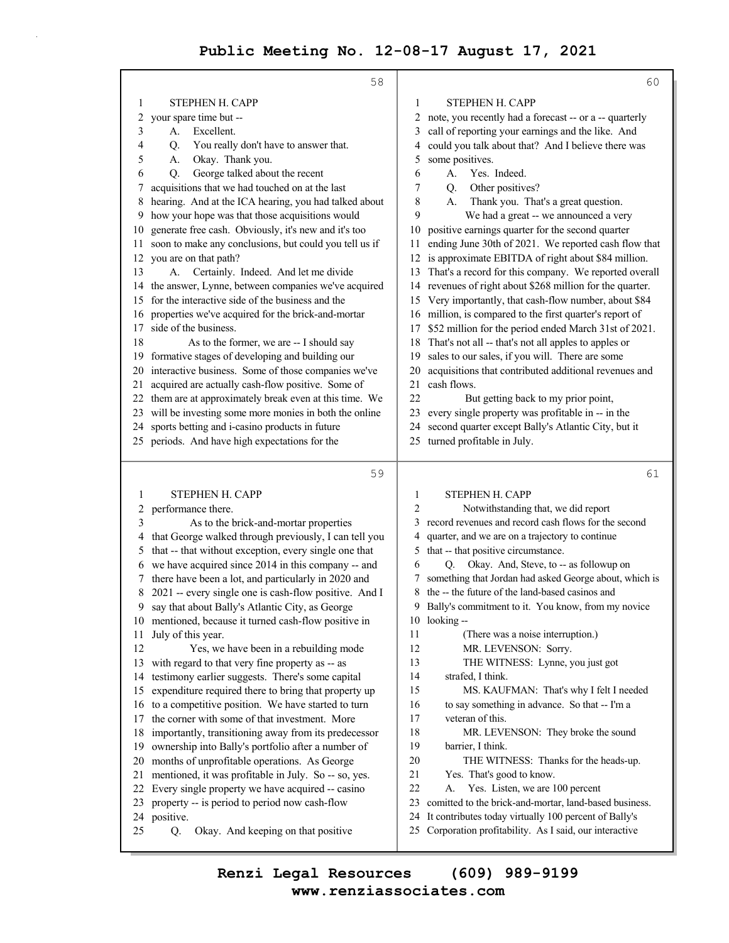|          | 58                                                                                                     |          | 60                                                                                                             |
|----------|--------------------------------------------------------------------------------------------------------|----------|----------------------------------------------------------------------------------------------------------------|
| 1        | STEPHEN H. CAPP                                                                                        | 1        | STEPHEN H. CAPP                                                                                                |
| 2        | your spare time but --                                                                                 | 2        | note, you recently had a forecast -- or a -- quarterly                                                         |
| 3        | Excellent.<br>А.                                                                                       | 3        | call of reporting your earnings and the like. And                                                              |
| 4        | You really don't have to answer that.<br>Q.                                                            | 4        | could you talk about that? And I believe there was                                                             |
| 5        | Okay. Thank you.<br>А.                                                                                 | 5        | some positives.                                                                                                |
| 6        | George talked about the recent<br>Q.                                                                   | 6        | Yes. Indeed.<br>А.                                                                                             |
|          | acquisitions that we had touched on at the last                                                        | 7        | Other positives?<br>Q.                                                                                         |
| 8        | hearing. And at the ICA hearing, you had talked about                                                  | 8        | Thank you. That's a great question.<br>А.                                                                      |
| 9        | how your hope was that those acquisitions would                                                        | 9        | We had a great -- we announced a very                                                                          |
| 10       | generate free cash. Obviously, it's new and it's too                                                   | 10       | positive earnings quarter for the second quarter                                                               |
| 11       | soon to make any conclusions, but could you tell us if                                                 | 11       | ending June 30th of 2021. We reported cash flow that                                                           |
| 12       | you are on that path?                                                                                  | 12       | is approximate EBITDA of right about \$84 million.                                                             |
| 13       | Certainly. Indeed. And let me divide<br>А.                                                             | 13       | That's a record for this company. We reported overall                                                          |
| 14       | the answer, Lynne, between companies we've acquired                                                    | 14       | revenues of right about \$268 million for the quarter.                                                         |
| 15       | for the interactive side of the business and the                                                       | 15       | Very importantly, that cash-flow number, about \$84                                                            |
| 16       | properties we've acquired for the brick-and-mortar                                                     | 16       | million, is compared to the first quarter's report of                                                          |
| 17       | side of the business.                                                                                  | 17       | \$52 million for the period ended March 31st of 2021.                                                          |
| 18       | As to the former, we are -- I should say                                                               | 18       | That's not all -- that's not all apples to apples or                                                           |
| 19       | formative stages of developing and building our<br>interactive business. Some of those companies we've | 19<br>20 | sales to our sales, if you will. There are some<br>acquisitions that contributed additional revenues and       |
| 20<br>21 | acquired are actually cash-flow positive. Some of                                                      | 21       | cash flows.                                                                                                    |
| 22       | them are at approximately break even at this time. We                                                  | 22       | But getting back to my prior point,                                                                            |
| 23       | will be investing some more monies in both the online                                                  | 23       | every single property was profitable in -- in the                                                              |
| 24       | sports betting and i-casino products in future                                                         | 24       | second quarter except Bally's Atlantic City, but it                                                            |
| 25       | periods. And have high expectations for the                                                            | 25       | turned profitable in July.                                                                                     |
|          |                                                                                                        |          |                                                                                                                |
|          | 59                                                                                                     |          | 61                                                                                                             |
| 1        | STEPHEN H. CAPP                                                                                        | 1        | STEPHEN H. CAPP                                                                                                |
| 2        | performance there.                                                                                     | 2        | Notwithstanding that, we did report                                                                            |
| 3        | As to the brick-and-mortar properties                                                                  | 3        | record revenues and record cash flows for the second                                                           |
| 4        | that George walked through previously, I can tell you                                                  | 4        | quarter, and we are on a trajectory to continue                                                                |
| 5        | that -- that without exception, every single one that                                                  | 5        | that -- that positive circumstance.                                                                            |
| 6        | we have acquired since 2014 in this company -- and                                                     | 6        | Okay. And, Steve, to -- as followup on<br>Q.                                                                   |
| 7        | there have been a lot, and particularly in 2020 and                                                    | 7        | something that Jordan had asked George about, which is                                                         |
| 8        | 2021 -- every single one is cash-flow positive. And I                                                  |          |                                                                                                                |
| 9        |                                                                                                        |          | 8 the -- the future of the land-based casinos and                                                              |
|          | say that about Bally's Atlantic City, as George                                                        | 9        | Bally's commitment to it. You know, from my novice                                                             |
| 10       | mentioned, because it turned cash-flow positive in                                                     | 10       | looking --                                                                                                     |
| 11       | July of this year.                                                                                     | 11       | (There was a noise interruption.)                                                                              |
| 12       | Yes, we have been in a rebuilding mode                                                                 | 12       | MR. LEVENSON: Sorry.                                                                                           |
| 13       | with regard to that very fine property as -- as                                                        | 13       | THE WITNESS: Lynne, you just got                                                                               |
| 14<br>15 | testimony earlier suggests. There's some capital                                                       | 14<br>15 | strafed, I think.                                                                                              |
| 16       | expenditure required there to bring that property up                                                   | 16       | MS. KAUFMAN: That's why I felt I needed<br>to say something in advance. So that -- I'm a                       |
| 17       | to a competitive position. We have started to turn<br>the corner with some of that investment. More    | 17       | veteran of this.                                                                                               |
| 18       | importantly, transitioning away from its predecessor                                                   | 18       | MR. LEVENSON: They broke the sound                                                                             |
| 19       | ownership into Bally's portfolio after a number of                                                     | 19       | barrier, I think.                                                                                              |
| 20       | months of unprofitable operations. As George                                                           | 20       | THE WITNESS: Thanks for the heads-up.                                                                          |
| 21       | mentioned, it was profitable in July. So -- so, yes.                                                   | 21       | Yes. That's good to know.                                                                                      |
| 22       | Every single property we have acquired -- casino                                                       | 22       | Yes. Listen, we are 100 percent<br>А.                                                                          |
| 23       | property -- is period to period now cash-flow                                                          | 23       | comitted to the brick-and-mortar, land-based business.                                                         |
| 24<br>25 | positive.<br>Okay. And keeping on that positive<br>Q.                                                  | 24<br>25 | It contributes today virtually 100 percent of Bally's<br>Corporation profitability. As I said, our interactive |

**www.renziassociates.com Renzi Legal Resources (609) 989-9199**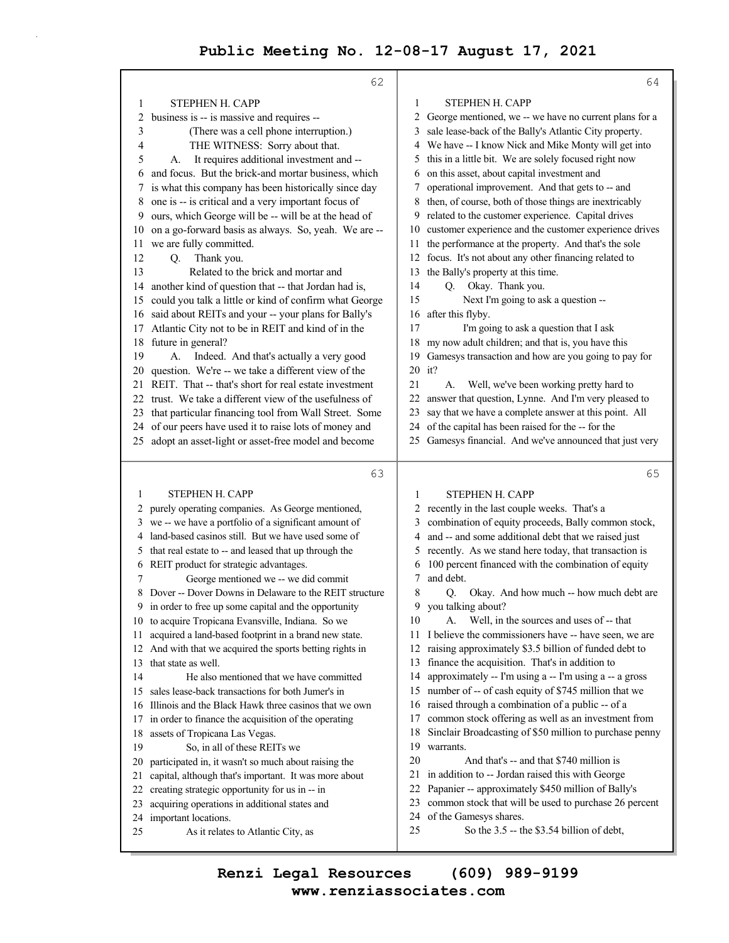|          | 62                                                                                              |              | 64                                                                   |
|----------|-------------------------------------------------------------------------------------------------|--------------|----------------------------------------------------------------------|
| 1        | STEPHEN H. CAPP                                                                                 | 1            | STEPHEN H. CAPP                                                      |
| 2        | business is -- is massive and requires --                                                       |              | 2 George mentioned, we -- we have no current plans for a             |
| 3        | (There was a cell phone interruption.)                                                          | 3            | sale lease-back of the Bally's Atlantic City property.               |
| 4        | THE WITNESS: Sorry about that.                                                                  |              | 4 We have -- I know Nick and Mike Monty will get into                |
| 5        | It requires additional investment and --<br>А.                                                  | 5.           | this in a little bit. We are solely focused right now                |
| 6        | and focus. But the brick-and mortar business, which                                             | 6            | on this asset, about capital investment and                          |
|          | is what this company has been historically since day                                            | 7            | operational improvement. And that gets to -- and                     |
| 8        | one is -- is critical and a very important focus of                                             | 8            | then, of course, both of those things are inextricably               |
| 9        | ours, which George will be -- will be at the head of                                            | 9            | related to the customer experience. Capital drives                   |
| 10       | on a go-forward basis as always. So, yeah. We are --                                            | 10           | customer experience and the customer experience drives               |
| 11       | we are fully committed.                                                                         | 11           | the performance at the property. And that's the sole                 |
| 12       | Thank you.<br>Q.                                                                                | 12           | focus. It's not about any other financing related to                 |
| 13       | Related to the brick and mortar and                                                             | 13           | the Bally's property at this time.                                   |
| 14       | another kind of question that -- that Jordan had is,                                            | 14           | Okay. Thank you.<br>Q.                                               |
| 15       | could you talk a little or kind of confirm what George                                          | 15           | Next I'm going to ask a question --                                  |
| 16       | said about REITs and your -- your plans for Bally's                                             | 16           | after this flyby.                                                    |
| 17       | Atlantic City not to be in REIT and kind of in the                                              | 17           | I'm going to ask a question that I ask                               |
| 18       | future in general?                                                                              | 18           | my now adult children; and that is, you have this                    |
| 19       | Indeed. And that's actually a very good<br>А.                                                   | 19           | Gamesys transaction and how are you going to pay for                 |
| 20       | question. We're -- we take a different view of the                                              | 20           | it?                                                                  |
| 21       | REIT. That -- that's short for real estate investment                                           | 21           | Well, we've been working pretty hard to<br>А.                        |
| 22       | trust. We take a different view of the usefulness of                                            | 22           | answer that question, Lynne. And I'm very pleased to                 |
| 23       | that particular financing tool from Wall Street. Some                                           | 23           | say that we have a complete answer at this point. All                |
| 24       | of our peers have used it to raise lots of money and                                            | 24           | of the capital has been raised for the -- for the                    |
| 25       | adopt an asset-light or asset-free model and become                                             | 25           | Gamesys financial. And we've announced that just very                |
|          |                                                                                                 |              |                                                                      |
|          |                                                                                                 |              |                                                                      |
|          | 63                                                                                              |              | 65                                                                   |
| 1        | STEPHEN H. CAPP                                                                                 | 1            | STEPHEN H. CAPP                                                      |
| 2        | purely operating companies. As George mentioned,                                                | $\mathbf{2}$ | recently in the last couple weeks. That's a                          |
| 3        | we -- we have a portfolio of a significant amount of                                            | 3            | combination of equity proceeds, Bally common stock,                  |
| 4        | land-based casinos still. But we have used some of                                              | 4            | and -- and some additional debt that we raised just                  |
| 5        | that real estate to -- and leased that up through the                                           | 5            | recently. As we stand here today, that transaction is                |
| 6        | REIT product for strategic advantages.                                                          | 6            | 100 percent financed with the combination of equity                  |
| 7        | George mentioned we -- we did commit                                                            | 7            | and debt.                                                            |
|          | Dover -- Dover Downs in Delaware to the REIT structure                                          | 8            | Okay. And how much -- how much debt are<br>Q.                        |
|          | in order to free up some capital and the opportunity                                            | 9            | you talking about?                                                   |
|          | 10 to acquire Tropicana Evansville, Indiana. So we                                              | 10           | A. Well, in the sources and uses of -- that                          |
| 11       | acquired a land-based footprint in a brand new state.                                           | 11           | I believe the commissioners have -- have seen, we are                |
| 12       | And with that we acquired the sports betting rights in                                          | 12           | raising approximately \$3.5 billion of funded debt to                |
| 13       | that state as well.                                                                             | 13           | finance the acquisition. That's in addition to                       |
| 14       | He also mentioned that we have committed                                                        | 14           | approximately -- I'm using a -- I'm using a -- a gross               |
| 15       | sales lease-back transactions for both Jumer's in                                               | 15           | number of -- of cash equity of \$745 million that we                 |
| 16       | Illinois and the Black Hawk three casinos that we own                                           | 16           | raised through a combination of a public -- of a                     |
| 17       | in order to finance the acquisition of the operating                                            | 17<br>18     | common stock offering as well as an investment from                  |
| 18<br>19 | assets of Tropicana Las Vegas.                                                                  | 19           | Sinclair Broadcasting of \$50 million to purchase penny<br>warrants. |
| 20       | So, in all of these REITs we                                                                    | 20           | And that's -- and that \$740 million is                              |
| 21       | participated in, it wasn't so much about raising the                                            | 21           | in addition to -- Jordan raised this with George                     |
| 22       | capital, although that's important. It was more about                                           | 22           | Papanier -- approximately \$450 million of Bally's                   |
| 23       | creating strategic opportunity for us in -- in<br>acquiring operations in additional states and | 23           | common stock that will be used to purchase 26 percent                |
| 24       | important locations.                                                                            | 24           | of the Gamesys shares.                                               |
| 25       | As it relates to Atlantic City, as                                                              | 25           | So the 3.5 -- the \$3.54 billion of debt,                            |

**www.renziassociates.com Renzi Legal Resources (609) 989-9199**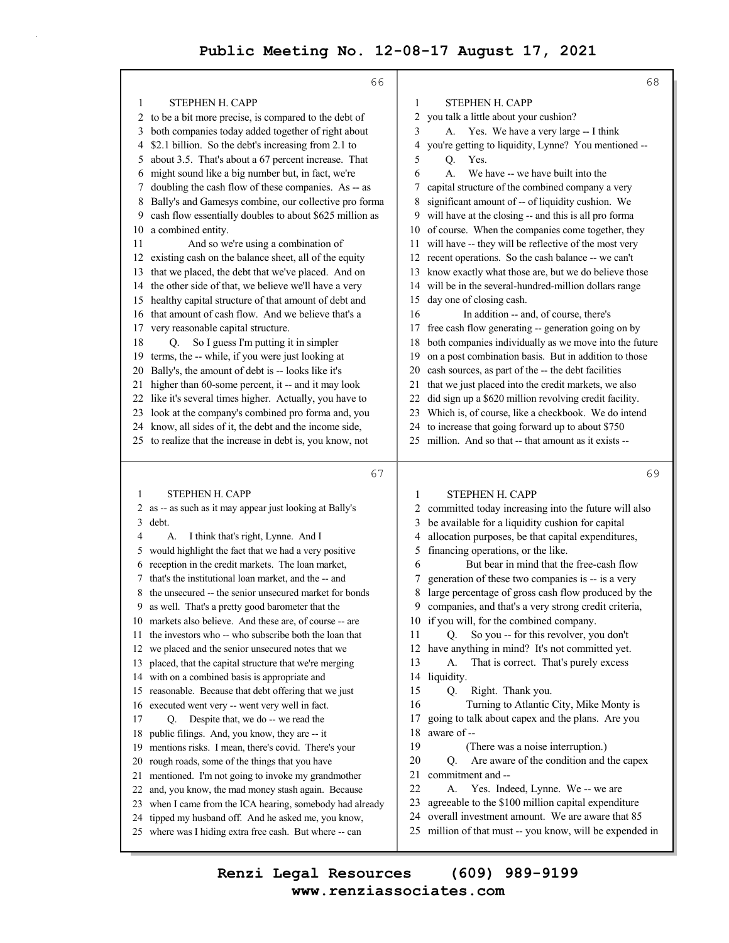|    | 66                                                                                                        |                                                                                                                   | 68 |
|----|-----------------------------------------------------------------------------------------------------------|-------------------------------------------------------------------------------------------------------------------|----|
| 1  | STEPHEN H. CAPP                                                                                           | STEPHEN H. CAPP<br>1                                                                                              |    |
| 2  | to be a bit more precise, is compared to the debt of                                                      | 2<br>you talk a little about your cushion?                                                                        |    |
| 3  | both companies today added together of right about                                                        | 3<br>A. Yes. We have a very large -- I think                                                                      |    |
| 4  | \$2.1 billion. So the debt's increasing from 2.1 to                                                       | you're getting to liquidity, Lynne? You mentioned --<br>4                                                         |    |
| 5  | about 3.5. That's about a 67 percent increase. That                                                       | 5<br>Yes.<br>Q.                                                                                                   |    |
| 6  | might sound like a big number but, in fact, we're                                                         | We have -- we have built into the<br>6<br>A.                                                                      |    |
| 7  | doubling the cash flow of these companies. As -- as                                                       | capital structure of the combined company a very<br>7                                                             |    |
| 8  | Bally's and Gamesys combine, our collective pro forma                                                     | significant amount of -- of liquidity cushion. We<br>8                                                            |    |
| 9  | cash flow essentially doubles to about \$625 million as                                                   | will have at the closing -- and this is all pro forma<br>9                                                        |    |
| 10 | a combined entity.                                                                                        | of course. When the companies come together, they<br>10                                                           |    |
| 11 | And so we're using a combination of                                                                       | 11 will have -- they will be reflective of the most very                                                          |    |
| 12 | existing cash on the balance sheet, all of the equity                                                     | recent operations. So the cash balance -- we can't<br>12                                                          |    |
| 13 | that we placed, the debt that we've placed. And on                                                        | know exactly what those are, but we do believe those<br>13                                                        |    |
| 14 | the other side of that, we believe we'll have a very                                                      | will be in the several-hundred-million dollars range<br>14                                                        |    |
| 15 | healthy capital structure of that amount of debt and                                                      | day one of closing cash.<br>15                                                                                    |    |
| 16 | that amount of cash flow. And we believe that's a                                                         | In addition -- and, of course, there's<br>16                                                                      |    |
| 17 | very reasonable capital structure.                                                                        | free cash flow generating -- generation going on by<br>17                                                         |    |
| 18 | So I guess I'm putting it in simpler<br>Q.                                                                | both companies individually as we move into the future<br>18                                                      |    |
| 19 | terms, the -- while, if you were just looking at                                                          | on a post combination basis. But in addition to those<br>19                                                       |    |
| 20 | Bally's, the amount of debt is -- looks like it's                                                         | cash sources, as part of the -- the debt facilities<br>20                                                         |    |
| 21 | higher than 60-some percent, it -- and it may look                                                        | that we just placed into the credit markets, we also<br>21                                                        |    |
|    | 22 like it's several times higher. Actually, you have to                                                  | did sign up a \$620 million revolving credit facility.<br>22                                                      |    |
| 23 | look at the company's combined pro forma and, you                                                         | Which is, of course, like a checkbook. We do intend<br>23                                                         |    |
|    | 24 know, all sides of it, the debt and the income side,                                                   | to increase that going forward up to about \$750<br>24                                                            |    |
|    | 25 to realize that the increase in debt is, you know, not                                                 | million. And so that -- that amount as it exists --<br>25                                                         |    |
|    | 67                                                                                                        |                                                                                                                   | 69 |
| 1  | STEPHEN H. CAPP                                                                                           | STEPHEN H. CAPP<br>1                                                                                              |    |
| 2  | as -- as such as it may appear just looking at Bally's                                                    | committed today increasing into the future will also<br>2                                                         |    |
| 3  | debt.                                                                                                     | be available for a liquidity cushion for capital<br>3                                                             |    |
| 4  | I think that's right, Lynne. And I<br>А.                                                                  | allocation purposes, be that capital expenditures,<br>4                                                           |    |
| 5  | would highlight the fact that we had a very positive                                                      | financing operations, or the like.<br>5                                                                           |    |
| 6  | reception in the credit markets. The loan market,                                                         | But bear in mind that the free-cash flow<br>6                                                                     |    |
| 7  | that's the institutional loan market, and the -- and                                                      | generation of these two companies is -- is a very<br>7                                                            |    |
| 8  | the unsecured -- the senior unsecured market for bonds                                                    | 8<br>large percentage of gross cash flow produced by the                                                          |    |
| 9. | as well. That's a pretty good barometer that the                                                          | companies, and that's a very strong credit criteria,<br>9                                                         |    |
| 10 | markets also believe. And these are, of course -- are                                                     | if you will, for the combined company.<br>10                                                                      |    |
| 11 | the investors who -- who subscribe both the loan that                                                     | So you -- for this revolver, you don't<br>11<br>Q.                                                                |    |
| 12 | we placed and the senior unsecured notes that we                                                          | have anything in mind? It's not committed yet.<br>12                                                              |    |
| 13 | placed, that the capital structure that we're merging                                                     | 13<br>That is correct. That's purely excess<br>А.                                                                 |    |
| 14 | with on a combined basis is appropriate and                                                               | 14<br>liquidity.                                                                                                  |    |
| 15 | reasonable. Because that debt offering that we just                                                       | 15<br>Q.<br>Right. Thank you.                                                                                     |    |
| 16 | executed went very -- went very well in fact.                                                             | 16<br>Turning to Atlantic City, Mike Monty is                                                                     |    |
| 17 | Despite that, we do -- we read the<br>Q.                                                                  | 17<br>going to talk about capex and the plans. Are you                                                            |    |
| 18 | public filings. And, you know, they are -- it                                                             | 18<br>aware of --                                                                                                 |    |
| 19 | mentions risks. I mean, there's covid. There's your                                                       | 19<br>(There was a noise interruption.)                                                                           |    |
| 20 | rough roads, some of the things that you have                                                             | 20<br>Are aware of the condition and the capex<br>Q.                                                              |    |
| 21 | mentioned. I'm not going to invoke my grandmother                                                         | 21<br>commitment and --                                                                                           |    |
| 22 |                                                                                                           | 22                                                                                                                |    |
|    | and, you know, the mad money stash again. Because                                                         | Yes. Indeed, Lynne. We -- we are<br>А.                                                                            |    |
| 23 | when I came from the ICA hearing, somebody had already                                                    | agreeable to the \$100 million capital expenditure<br>23                                                          |    |
| 24 | tipped my husband off. And he asked me, you know,<br>where was I hiding extra free cash. But where -- can | overall investment amount. We are aware that 85<br>24<br>25 million of that must -- you know, will be expended in |    |

**www.renziassociates.com Renzi Legal Resources (609) 989-9199**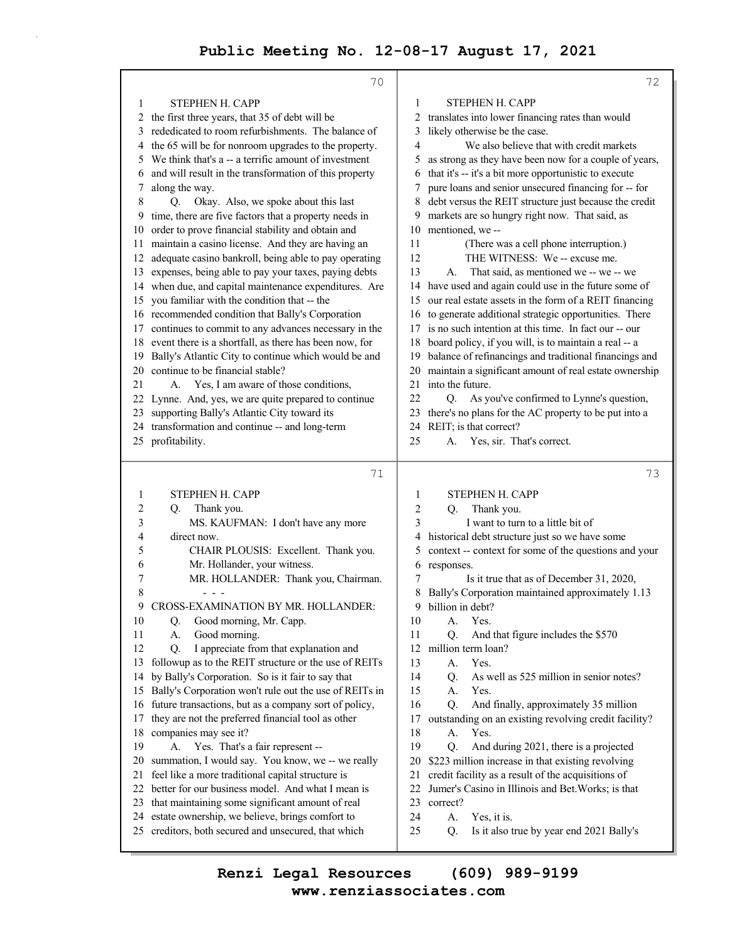|          | 70                                                     |          | 72                                                       |
|----------|--------------------------------------------------------|----------|----------------------------------------------------------|
| 1        | STEPHEN H. CAPP                                        | 1        | STEPHEN H. CAPP                                          |
| 2        | the first three years, that 35 of debt will be         | 2        | translates into lower financing rates than would         |
| 3        | rededicated to room refurbishments. The balance of     | 3        | likely otherwise be the case.                            |
| 4        | the 65 will be for nonroom upgrades to the property.   | 4        | We also believe that with credit markets                 |
| 5        | We think that's a -- a terrific amount of investment   | 5        | as strong as they have been now for a couple of years,   |
| 6        | and will result in the transformation of this property | 6        | that it's -- it's a bit more opportunistic to execute    |
| 7        | along the way.                                         | 7        | pure loans and senior unsecured financing for -- for     |
| 8        | Okay. Also, we spoke about this last<br>Q.             | 8        | debt versus the REIT structure just because the credit   |
| 9        | time, there are five factors that a property needs in  | 9        | markets are so hungry right now. That said, as           |
| 10       | order to prove financial stability and obtain and      | 10       | mentioned, we-                                           |
| 11.      | maintain a casino license. And they are having an      | 11       | (There was a cell phone interruption.)                   |
| 12       | adequate casino bankroll, being able to pay operating  | 12       | THE WITNESS: We -- excuse me.                            |
| 13       | expenses, being able to pay your taxes, paying debts   | 13       | That said, as mentioned we -- we -- we<br>А.             |
| 14       | when due, and capital maintenance expenditures. Are    | 14       | have used and again could use in the future some of      |
| 15       | you familiar with the condition that -- the            | 15       | our real estate assets in the form of a REIT financing   |
|          | 16 recommended condition that Bally's Corporation      |          | 16 to generate additional strategic opportunities. There |
| 17       | continues to commit to any advances necessary in the   | 17       | is no such intention at this time. In fact our -- our    |
| 18       | event there is a shortfall, as there has been now, for | 18       | board policy, if you will, is to maintain a real -- a    |
| 19       | Bally's Atlantic City to continue which would be and   | 19       | balance of refinancings and traditional financings and   |
| 20       | continue to be financial stable?                       | 20       | maintain a significant amount of real estate ownership   |
| 21       | A. Yes, I am aware of those conditions,                | 21       | into the future.                                         |
|          | 22 Lynne. And, yes, we are quite prepared to continue  | 22       | O.<br>As you've confirmed to Lynne's question,           |
| 23       | supporting Bally's Atlantic City toward its            | 23       | there's no plans for the AC property to be put into a    |
|          | 24 transformation and continue -- and long-term        |          | 24 REIT; is that correct?                                |
|          | 25 profitability.                                      | 25       | Yes, sir. That's correct.<br>А.                          |
|          |                                                        |          |                                                          |
|          |                                                        |          |                                                          |
|          | 71                                                     |          | 73                                                       |
|          |                                                        |          |                                                          |
| 1        | <b>STEPHEN H. CAPP</b>                                 | 1        | STEPHEN H. CAPP                                          |
| 2        | Thank you.<br>Q.                                       | 2        | Thank you.<br>Q.                                         |
| 3        | MS. KAUFMAN: I don't have any more                     | 3        | I want to turn to a little bit of                        |
| 4        | direct now.                                            | 4        | historical debt structure just so we have some           |
| 5        | CHAIR PLOUSIS: Excellent. Thank you.                   | 5        | context -- context for some of the questions and your    |
| 6<br>7   | Mr. Hollander, your witness.                           | 6<br>7   | responses.                                               |
|          | MR. HOLLANDER: Thank you, Chairman.                    |          | Is it true that as of December 31, 2020,                 |
| 8<br>9   |                                                        | 9        | Bally's Corporation maintained approximately 1.13        |
|          | CROSS-EXAMINATION BY MR. HOLLANDER:                    |          | billion in debt?                                         |
| 10<br>11 | Good morning, Mr. Capp.<br>Q.<br>Good morning.<br>А.   | 10<br>11 | А.<br>Yes.<br>And that figure includes the \$570<br>Q.   |
| 12       | I appreciate from that explanation and<br>Q.           | 12       | million term loan?                                       |
| 13       | followup as to the REIT structure or the use of REITs  | 13       | Yes.<br>А.                                               |
| 14       | by Bally's Corporation. So is it fair to say that      | 14       | As well as 525 million in senior notes?<br>Q.            |
| 15       | Bally's Corporation won't rule out the use of REITs in | 15       | Yes.<br>А.                                               |
| 16       | future transactions, but as a company sort of policy,  | 16       | And finally, approximately 35 million<br>Q.              |
| 17       | they are not the preferred financial tool as other     | 17       | outstanding on an existing revolving credit facility?    |
| 18       | companies may see it?                                  | 18       | Yes.<br>A.                                               |
| 19       | Yes. That's a fair represent --<br>А.                  | 19       | Q.<br>And during 2021, there is a projected              |
| 20       | summation, I would say. You know, we -- we really      | 20       | \$223 million increase in that existing revolving        |
| 21       | feel like a more traditional capital structure is      | 21       | credit facility as a result of the acquisitions of       |
| 22       | better for our business model. And what I mean is      | 22       | Jumer's Casino in Illinois and Bet. Works; is that       |
| 23       | that maintaining some significant amount of real       | 23       | correct?                                                 |
| 24       | estate ownership, we believe, brings comfort to        | 24       | Yes, it is.<br>А.                                        |
| 25       | creditors, both secured and unsecured, that which      | 25       | Is it also true by year end 2021 Bally's<br>Q.           |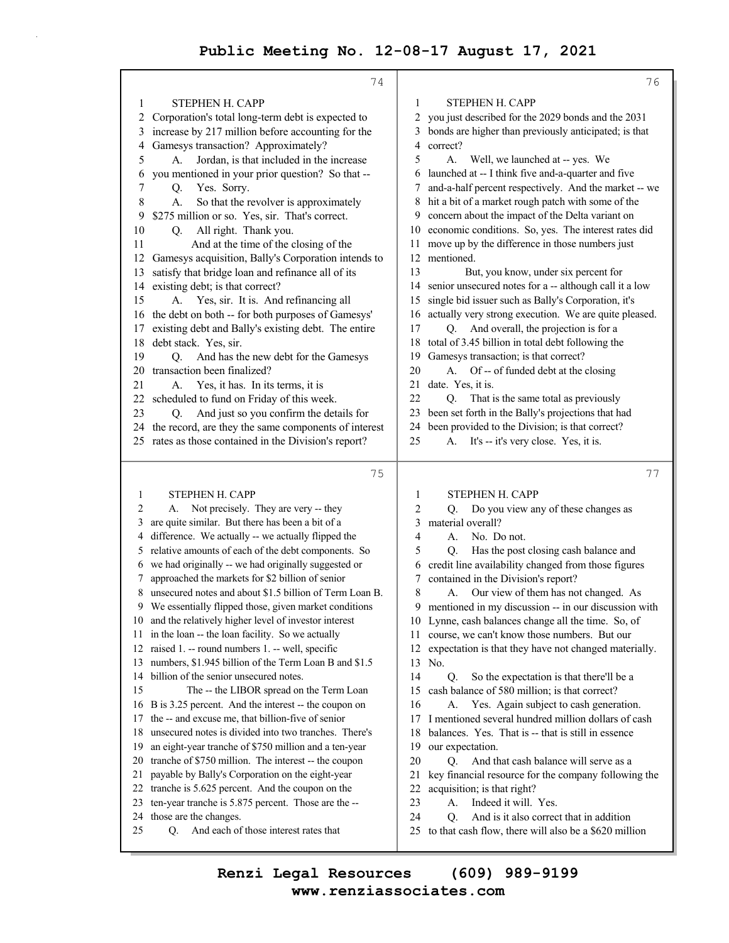74 1 STEPHEN H. CAPP 2 Corporation's total long-term debt is expected to 3 increase by 217 million before accounting for the 4 Gamesys transaction? Approximately? 5 A. Jordan, is that included in the increase 6 you mentioned in your prior question? So that -- 7 Q. Yes. Sorry. 8 A. So that the revolver is approximately 9 \$275 million or so. Yes, sir. That's correct. 10 Q. All right. Thank you. 11 And at the time of the closing of the 12 Gamesys acquisition, Bally's Corporation intends to 13 satisfy that bridge loan and refinance all of its 14 existing debt; is that correct? 15 A. Yes, sir. It is. And refinancing all 16 the debt on both -- for both purposes of Gamesys' 17 existing debt and Bally's existing debt. The entire 18 debt stack. Yes, sir. 19 Q. And has the new debt for the Gamesys 20 transaction been finalized? 21 A. Yes, it has. In its terms, it is 22 scheduled to fund on Friday of this week. 23 Q. And just so you confirm the details for 24 the record, are they the same components of interest 25 rates as those contained in the Division's report? 75 1 STEPHEN H. CAPP 2 A. Not precisely. They are very -- they 3 are quite similar. But there has been a bit of a 4 difference. We actually -- we actually flipped the 5 relative amounts of each of the debt components. So 6 we had originally -- we had originally suggested or 7 approached the markets for \$2 billion of senior 8 unsecured notes and about \$1.5 billion of Term Loan B. 9 We essentially flipped those, given market conditions 10 and the relatively higher level of investor interest 11 in the loan -- the loan facility. So we actually 12 raised 1. -- round numbers 1. -- well, specific 13 numbers, \$1.945 billion of the Term Loan B and \$1.5 14 billion of the senior unsecured notes. 15 The -- the LIBOR spread on the Term Loan 16 B is 3.25 percent. And the interest -- the coupon on 17 the -- and excuse me, that billion-five of senior 18 unsecured notes is divided into two tranches. There's 19 an eight-year tranche of \$750 million and a ten-year 20 tranche of \$750 million. The interest -- the coupon 21 payable by Bally's Corporation on the eight-year 22 tranche is 5.625 percent. And the coupon on the 23 ten-year tranche is 5.875 percent. Those are the -- 24 those are the changes. 25 Q. And each of those interest rates that 76 1 STEPHEN H. CAPP 2 you just described for the 2029 bonds and the 2031 3 bonds are higher than previously anticipated; is that 4 correct? 5 A. Well, we launched at -- yes. We 6 launched at -- I think five and-a-quarter and five 7 and-a-half percent respectively. And the market -- we 8 hit a bit of a market rough patch with some of the 9 concern about the impact of the Delta variant on 10 economic conditions. So, yes. The interest rates did 11 move up by the difference in those numbers just 12 mentioned. 13 But, you know, under six percent for 14 senior unsecured notes for a -- although call it a low 15 single bid issuer such as Bally's Corporation, it's 16 actually very strong execution. We are quite pleased. 17 Q. And overall, the projection is for a 18 total of 3.45 billion in total debt following the 19 Gamesys transaction; is that correct? 20 A. Of -- of funded debt at the closing 21 date. Yes, it is. 22 Q. That is the same total as previously 23 been set forth in the Bally's projections that had 24 been provided to the Division; is that correct? 25 A. It's -- it's very close. Yes, it is. 77 1 STEPHEN H. CAPP 2 Q. Do you view any of these changes as 3 material overall? 4 A. No. Do not. 5 Q. Has the post closing cash balance and 6 credit line availability changed from those figures 7 contained in the Division's report? 8 A. Our view of them has not changed. As 9 mentioned in my discussion -- in our discussion with 10 Lynne, cash balances change all the time. So, of 11 course, we can't know those numbers. But our 12 expectation is that they have not changed materially. 13 No. 14 Q. So the expectation is that there'll be a 15 cash balance of 580 million; is that correct? 16 A. Yes. Again subject to cash generation. 17 I mentioned several hundred million dollars of cash 18 balances. Yes. That is -- that is still in essence 19 our expectation. 20 Q. And that cash balance will serve as a 21 key financial resource for the company following the 22 acquisition; is that right? 23 A. Indeed it will. Yes. 24 O. And is it also correct that in addition 25 to that cash flow, there will also be a \$620 million

**www.renziassociates.com Renzi Legal Resources (609) 989-9199**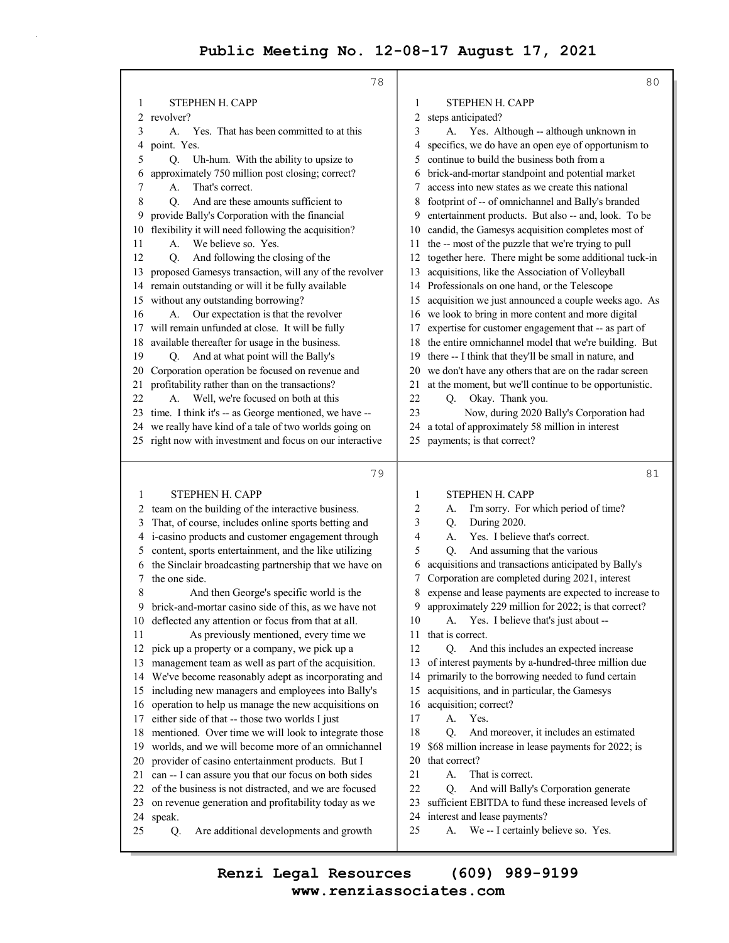|     | 78                                                        | 80                                                             |
|-----|-----------------------------------------------------------|----------------------------------------------------------------|
| 1   | STEPHEN H. CAPP                                           | STEPHEN H. CAPP<br>1                                           |
| 2   | revolver?                                                 | steps anticipated?<br>2                                        |
| 3   | Yes. That has been committed to at this<br>А.             | 3<br>Yes. Although -- although unknown in<br>А.                |
| 4   | point. Yes.                                               | specifics, we do have an open eye of opportunism to<br>4       |
| 5   | Uh-hum. With the ability to upsize to<br>Q.               | continue to build the business both from a<br>5                |
| 6   | approximately 750 million post closing; correct?          | brick-and-mortar standpoint and potential market<br>6          |
| 7   | That's correct.<br>А.                                     | access into new states as we create this national<br>7         |
| 8   | And are these amounts sufficient to<br>O.                 | footprint of -- of omnichannel and Bally's branded<br>8        |
| 9   | provide Bally's Corporation with the financial            | entertainment products. But also -- and, look. To be<br>9      |
| 10  | flexibility it will need following the acquisition?       | candid, the Gamesys acquisition completes most of<br>10        |
| 11  | We believe so. Yes.<br>А.                                 | the -- most of the puzzle that we're trying to pull<br>11      |
| 12  | And following the closing of the<br>Q.                    | together here. There might be some additional tuck-in<br>12    |
| 13  | proposed Gamesys transaction, will any of the revolver    | acquisitions, like the Association of Volleyball<br>13         |
| 14  | remain outstanding or will it be fully available          | Professionals on one hand, or the Telescope<br>14              |
| 15  | without any outstanding borrowing?                        | acquisition we just announced a couple weeks ago. As<br>15     |
| 16  | Our expectation is that the revolver<br>А.                | we look to bring in more content and more digital<br>16        |
| 17  | will remain unfunded at close. It will be fully           | expertise for customer engagement that -- as part of<br>17     |
| 18  | available thereafter for usage in the business.           | the entire omnichannel model that we're building. But<br>18    |
| 19  | And at what point will the Bally's<br>Q.                  | there -- I think that they'll be small in nature, and<br>19    |
| 20  | Corporation operation be focused on revenue and           | we don't have any others that are on the radar screen<br>20    |
| 21  | profitability rather than on the transactions?            | at the moment, but we'll continue to be opportunistic.<br>21   |
| 22  | Well, we're focused on both at this<br>А.                 | 22<br>Okay. Thank you.<br>Q.                                   |
|     | 23 time. I think it's -- as George mentioned, we have --  | 23<br>Now, during 2020 Bally's Corporation had                 |
|     | 24 we really have kind of a tale of two worlds going on   | a total of approximately 58 million in interest<br>24          |
|     | 25 right now with investment and focus on our interactive | payments; is that correct?<br>25                               |
|     |                                                           |                                                                |
|     | 79                                                        | 81                                                             |
|     |                                                           |                                                                |
| 1   | STEPHEN H. CAPP                                           | STEPHEN H. CAPP<br>1                                           |
| 2   | team on the building of the interactive business.         | I'm sorry. For which period of time?<br>2<br>A.                |
| 3   | That, of course, includes online sports betting and       | During 2020.<br>3<br>Q.                                        |
| 4   | i-casino products and customer engagement through         | Yes. I believe that's correct.<br>4<br>А.                      |
| 5   | content, sports entertainment, and the like utilizing     | 5<br>And assuming that the various<br>Q.                       |
| 6   | the Sinclair broadcasting partnership that we have on     | acquisitions and transactions anticipated by Bally's<br>6      |
| 7   | the one side.                                             | Corporation are completed during 2021, interest<br>7           |
| 8   | And then George's specific world is the                   | expense and lease payments are expected to increase to<br>8    |
| 9   | brick-and-mortar casino side of this, as we have not      | 9 approximately 229 million for 2022; is that correct?         |
| 10  | deflected any attention or focus from that at all.        | Yes. I believe that's just about --<br>10<br>А.                |
| 11  | As previously mentioned, every time we                    | that is correct.<br>11                                         |
| 12  | pick up a property or a company, we pick up a             | 12<br>And this includes an expected increase<br>Q.             |
| 13  | management team as well as part of the acquisition.       | of interest payments by a-hundred-three million due<br>13      |
|     | 14 We've become reasonably adept as incorporating and     | primarily to the borrowing needed to fund certain<br>14        |
|     | 15 including new managers and employees into Bally's      | acquisitions, and in particular, the Gamesys<br>15             |
| 16  | operation to help us manage the new acquisitions on       | acquisition; correct?<br>16                                    |
| 17  | either side of that -- those two worlds I just            | 17<br>Yes.<br>А.                                               |
| 18  | mentioned. Over time we will look to integrate those      | 18<br>And moreover, it includes an estimated<br>Q <sub>r</sub> |
| 19. | worlds, and we will become more of an omnichannel         | 19<br>\$68 million increase in lease payments for 2022; is     |
| 20  | provider of casino entertainment products. But I          | 20<br>that correct?                                            |
| 21  | can -- I can assure you that our focus on both sides      | 21<br>That is correct.<br>А.                                   |
| 22  | of the business is not distracted, and we are focused     | 22<br>And will Bally's Corporation generate<br>Q.              |
| 23  | on revenue generation and profitability today as we       | sufficient EBITDA to fund these increased levels of<br>23      |
| 24  | speak.                                                    | interest and lease payments?<br>24                             |
| 25  | Are additional developments and growth<br>Q.              | 25<br>We -- I certainly believe so. Yes.<br>А.                 |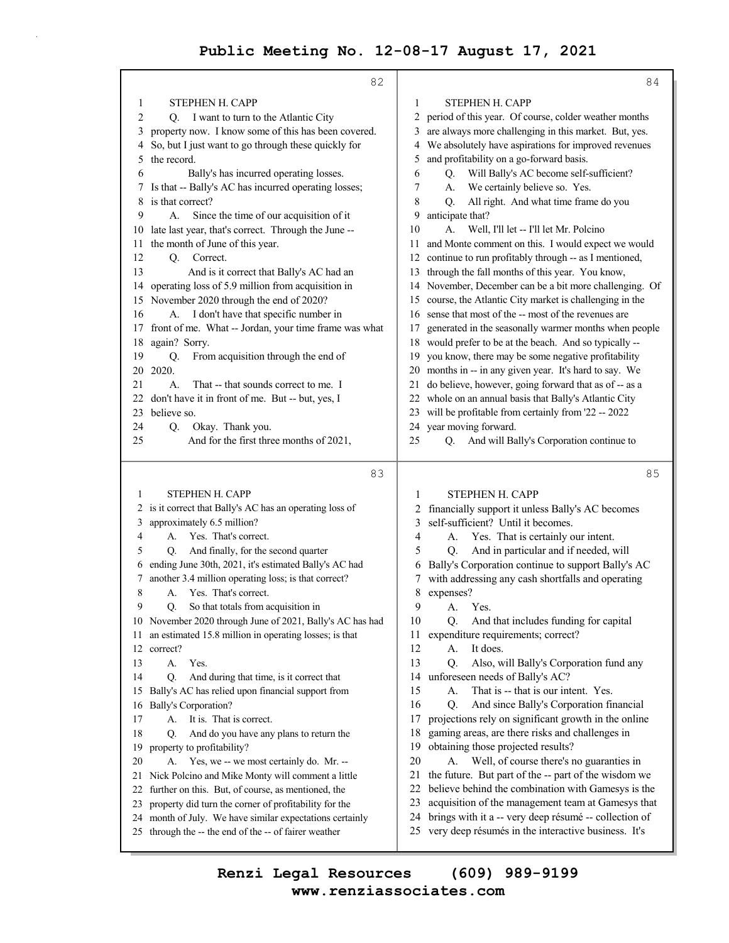82 1 STEPHEN H. CAPP 2 Q. I want to turn to the Atlantic City 3 property now. I know some of this has been covered. 4 So, but I just want to go through these quickly for 5 the record. 6 Bally's has incurred operating losses. 7 Is that -- Bally's AC has incurred operating losses; 8 is that correct? 9 A. Since the time of our acquisition of it 10 late last year, that's correct. Through the June -- 11 the month of June of this year. 12 O. Correct. 13 And is it correct that Bally's AC had an 14 operating loss of 5.9 million from acquisition in 15 November 2020 through the end of 2020? 16 A. I don't have that specific number in 17 front of me. What -- Jordan, your time frame was what 18 again? Sorry. 19 Q. From acquisition through the end of 20 2020. 21 A. That -- that sounds correct to me. I 22 don't have it in front of me. But -- but, yes, I 23 believe so. 24 Q. Okay. Thank you. 25 And for the first three months of 2021, 83 1 STEPHEN H. CAPP 2 is it correct that Bally's AC has an operating loss of 3 approximately 6.5 million? 4 A. Yes. That's correct. 5 Q. And finally, for the second quarter 6 ending June 30th, 2021, it's estimated Bally's AC had 7 another 3.4 million operating loss; is that correct? 8 A. Yes. That's correct. 9 Q. So that totals from acquisition in 10 November 2020 through June of 2021, Bally's AC has had 11 an estimated 15.8 million in operating losses; is that 12 correct? 13 A. Yes. 14 Q. And during that time, is it correct that 15 Bally's AC has relied upon financial support from 16 Bally's Corporation? 17 A. It is. That is correct. 18 Q. And do you have any plans to return the 19 property to profitability? 20 A. Yes, we -- we most certainly do. Mr. -- 21 Nick Polcino and Mike Monty will comment a little 22 further on this. But, of course, as mentioned, the 23 property did turn the corner of profitability for the 24 month of July. We have similar expectations certainly 25 through the -- the end of the -- of fairer weather 84 1 STEPHEN H. CAPP 2 period of this year. Of course, colder weather months 3 are always more challenging in this market. But, yes. 4 We absolutely have aspirations for improved revenues 5 and profitability on a go-forward basis. 6 Q. Will Bally's AC become self-sufficient? 7 A. We certainly believe so. Yes. 8 Q. All right. And what time frame do you 9 anticipate that? 10 A. Well, I'll let -- I'll let Mr. Polcino 11 and Monte comment on this. I would expect we would 12 continue to run profitably through -- as I mentioned, 13 through the fall months of this year. You know, 14 November, December can be a bit more challenging. Of 15 course, the Atlantic City market is challenging in the 16 sense that most of the -- most of the revenues are 17 generated in the seasonally warmer months when people 18 would prefer to be at the beach. And so typically -- 19 you know, there may be some negative profitability 20 months in -- in any given year. It's hard to say. We 21 do believe, however, going forward that as of -- as a 22 whole on an annual basis that Bally's Atlantic City 23 will be profitable from certainly from '22 -- 2022 24 year moving forward. 25 Q. And will Bally's Corporation continue to 85 1 STEPHEN H. CAPP 2 financially support it unless Bally's AC becomes 3 self-sufficient? Until it becomes. 4 A. Yes. That is certainly our intent. 5 Q. And in particular and if needed, will 6 Bally's Corporation continue to support Bally's AC 7 with addressing any cash shortfalls and operating 8 expenses? 9 A. Yes. 10 Q. And that includes funding for capital 11 expenditure requirements; correct? 12 A. It does. 13 Q. Also, will Bally's Corporation fund any 14 unforeseen needs of Bally's AC? 15 A. That is -- that is our intent. Yes. 16 Q. And since Bally's Corporation financial 17 projections rely on significant growth in the online 18 gaming areas, are there risks and challenges in 19 obtaining those projected results? 20 A. Well, of course there's no guaranties in 21 the future. But part of the -- part of the wisdom we 22 believe behind the combination with Gamesys is the 23 acquisition of the management team at Gamesys that 24 brings with it a -- very deep résumé -- collection of 25 very deep résumés in the interactive business. It's

**www.renziassociates.com Renzi Legal Resources (609) 989-9199**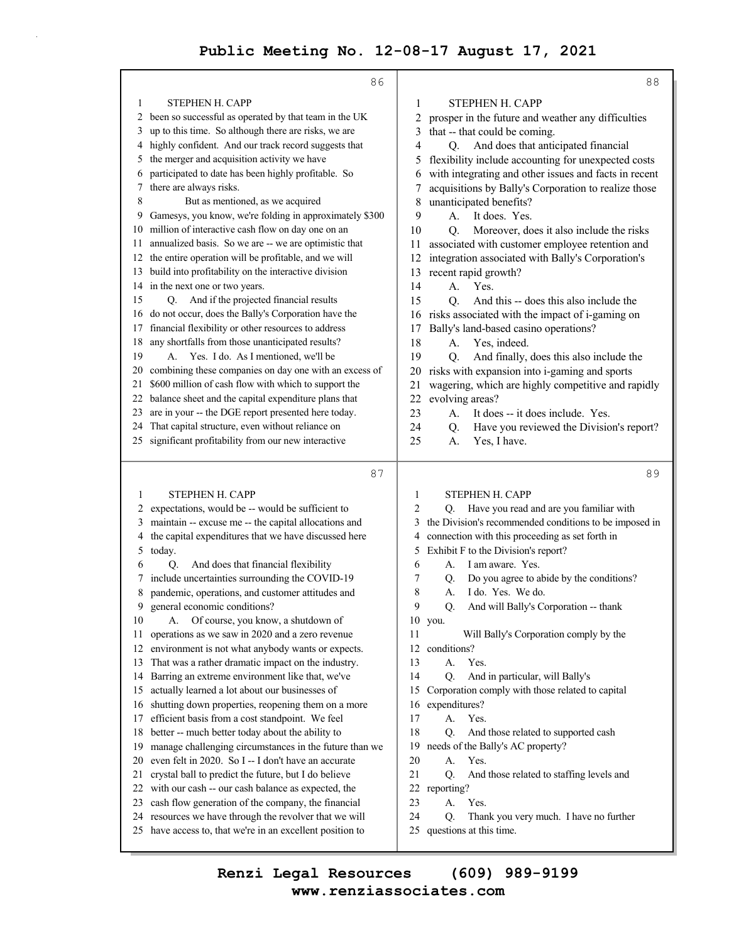|        | 86                                                                                                               | 88                                                                                          |
|--------|------------------------------------------------------------------------------------------------------------------|---------------------------------------------------------------------------------------------|
| 1      | STEPHEN H. CAPP                                                                                                  | STEPHEN H. CAPP<br>1                                                                        |
| 2      | been so successful as operated by that team in the UK                                                            | 2<br>prosper in the future and weather any difficulties                                     |
| 3      | up to this time. So although there are risks, we are                                                             | that -- that could be coming.<br>3                                                          |
| 4      | highly confident. And our track record suggests that                                                             | And does that anticipated financial<br>4<br>Q.                                              |
| 5      | the merger and acquisition activity we have                                                                      | flexibility include accounting for unexpected costs<br>5                                    |
| 6      | participated to date has been highly profitable. So                                                              | with integrating and other issues and facts in recent<br>6                                  |
| 7      | there are always risks.                                                                                          | acquisitions by Bally's Corporation to realize those                                        |
| 8      | But as mentioned, as we acquired                                                                                 | unanticipated benefits?<br>8                                                                |
| 9      | Gamesys, you know, we're folding in approximately \$300                                                          | 9<br>It does. Yes.<br>А.                                                                    |
|        | 10 million of interactive cash flow on day one on an                                                             | Moreover, does it also include the risks<br>10<br>Q.                                        |
| 11.    | annualized basis. So we are -- we are optimistic that                                                            | associated with customer employee retention and<br>11                                       |
|        | 12 the entire operation will be profitable, and we will                                                          | integration associated with Bally's Corporation's<br>12                                     |
|        | 13 build into profitability on the interactive division                                                          | recent rapid growth?<br>13                                                                  |
|        | 14 in the next one or two years.                                                                                 | 14<br>Yes.<br>А.                                                                            |
| 15     | Q. And if the projected financial results                                                                        | And this -- does this also include the<br>15<br>О.                                          |
|        | 16 do not occur, does the Bally's Corporation have the                                                           | risks associated with the impact of i-gaming on<br>16                                       |
| 17     | financial flexibility or other resources to address                                                              | Bally's land-based casino operations?<br>17                                                 |
| 18     | any shortfalls from those unanticipated results?                                                                 | 18<br>A.<br>Yes, indeed.                                                                    |
| 19     | Yes. I do. As I mentioned, we'll be<br>A.                                                                        | 19<br>And finally, does this also include the<br>Q.                                         |
| 20     | combining these companies on day one with an excess of                                                           | risks with expansion into i-gaming and sports<br>20                                         |
| 21     | \$600 million of cash flow with which to support the                                                             | wagering, which are highly competitive and rapidly<br>21                                    |
| 22     | balance sheet and the capital expenditure plans that                                                             | 22<br>evolving areas?                                                                       |
| 23     | are in your -- the DGE report presented here today.                                                              | 23<br>It does -- it does include. Yes.<br>А.                                                |
| 24     | That capital structure, even without reliance on                                                                 | 24<br>Have you reviewed the Division's report?<br>Q.                                        |
|        | 25 significant profitability from our new interactive                                                            | 25<br>A.<br>Yes, I have.                                                                    |
|        |                                                                                                                  |                                                                                             |
|        | 87                                                                                                               | 89                                                                                          |
|        |                                                                                                                  |                                                                                             |
| 1      | STEPHEN H. CAPP                                                                                                  | STEPHEN H. CAPP<br>1<br>2                                                                   |
| 2<br>3 | expectations, would be -- would be sufficient to                                                                 | Have you read and are you familiar with<br>Q.<br>3                                          |
| 4      | maintain -- excuse me -- the capital allocations and<br>the capital expenditures that we have discussed here     | the Division's recommended conditions to be imposed in<br>4                                 |
| 5      | today.                                                                                                           | connection with this proceeding as set forth in<br>Exhibit F to the Division's report?<br>5 |
| 6      | And does that financial flexibility<br>Q.                                                                        | 6<br>I am aware. Yes.<br>A.                                                                 |
| 7      | include uncertainties surrounding the COVID-19                                                                   | 7<br>Do you agree to abide by the conditions?<br>Q.                                         |
| 8      | pandemic, operations, and customer attitudes and                                                                 | 8<br>I do. Yes. We do.<br>А.                                                                |
|        | 9 general economic conditions?                                                                                   | 9<br>And will Bally's Corporation -- thank<br>Q.                                            |
| 10     | Of course, you know, a shutdown of<br>А.                                                                         | 10 you.                                                                                     |
| 11     | operations as we saw in 2020 and a zero revenue                                                                  | 11<br>Will Bally's Corporation comply by the                                                |
| 12     | environment is not what anybody wants or expects.                                                                | 12<br>conditions?                                                                           |
| 13     | That was a rather dramatic impact on the industry.                                                               | 13<br>Yes.<br>А.                                                                            |
| 14     | Barring an extreme environment like that, we've                                                                  | 14<br>And in particular, will Bally's<br>Q.                                                 |
| 15     | actually learned a lot about our businesses of                                                                   | Corporation comply with those related to capital<br>15                                      |
| 16     | shutting down properties, reopening them on a more                                                               | expenditures?<br>16                                                                         |
| 17     | efficient basis from a cost standpoint. We feel                                                                  | 17<br>А.<br>Yes.                                                                            |
| 18     | better -- much better today about the ability to                                                                 | 18<br>Q.<br>And those related to supported cash                                             |
| 19     | manage challenging circumstances in the future than we                                                           | needs of the Bally's AC property?<br>19                                                     |
| 20     | even felt in 2020. So I -- I don't have an accurate                                                              | 20<br>А.<br>Yes.                                                                            |
| 21     | crystal ball to predict the future, but I do believe                                                             | 21<br>Q.<br>And those related to staffing levels and                                        |
| 22     | with our cash -- our cash balance as expected, the                                                               | 22<br>reporting?                                                                            |
| 23     | cash flow generation of the company, the financial                                                               | 23<br>А.<br>Yes.                                                                            |
| 24     | resources we have through the revolver that we will<br>25 have access to, that we're in an excellent position to | 24<br>Thank you very much. I have no further<br>Q.<br>questions at this time.<br>25         |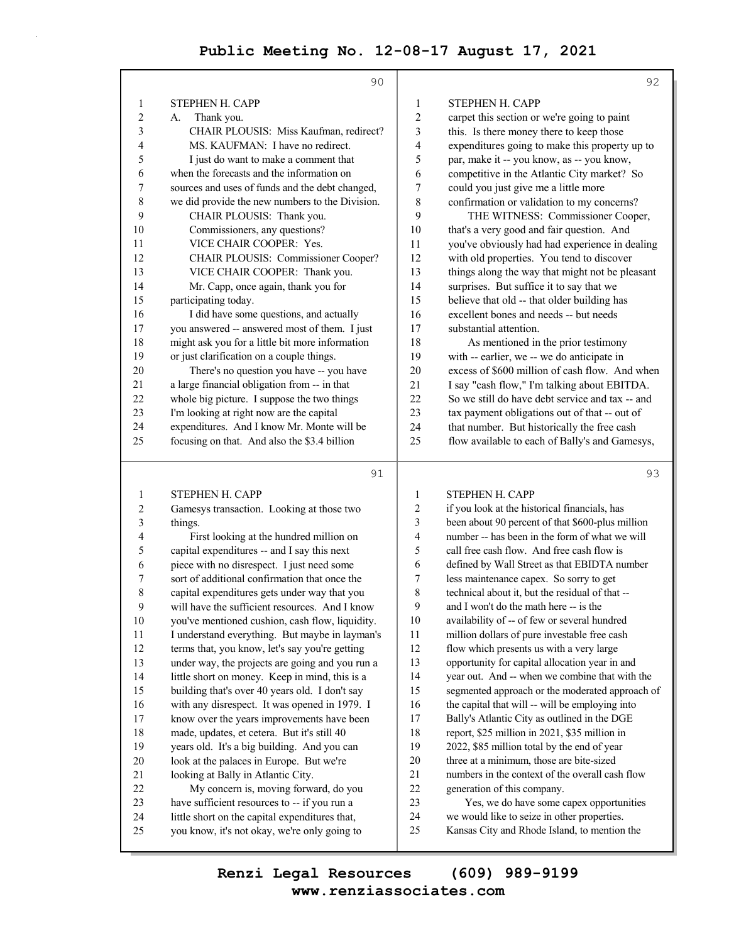|                | 90                                              |                | 92                                               |
|----------------|-------------------------------------------------|----------------|--------------------------------------------------|
| 1              | STEPHEN H. CAPP                                 | 1              | STEPHEN H. CAPP                                  |
| $\overline{2}$ | Thank you.<br>А.                                | $\overline{2}$ | carpet this section or we're going to paint      |
| $\mathfrak{Z}$ | CHAIR PLOUSIS: Miss Kaufman, redirect?          | 3              | this. Is there money there to keep those         |
| 4              | MS. KAUFMAN: I have no redirect.                | 4              | expenditures going to make this property up to   |
| 5              | I just do want to make a comment that           | 5              | par, make it -- you know, as -- you know,        |
| 6              | when the forecasts and the information on       | 6              | competitive in the Atlantic City market? So      |
| 7              | sources and uses of funds and the debt changed, | 7              | could you just give me a little more             |
| $\,$ 8 $\,$    | we did provide the new numbers to the Division. | 8              | confirmation or validation to my concerns?       |
| 9              | CHAIR PLOUSIS: Thank you.                       | 9              | THE WITNESS: Commissioner Cooper,                |
| 10             | Commissioners, any questions?                   | 10             | that's a very good and fair question. And        |
| 11             | VICE CHAIR COOPER: Yes.                         | 11             | you've obviously had had experience in dealing   |
| 12             | CHAIR PLOUSIS: Commissioner Cooper?             | 12             | with old properties. You tend to discover        |
| 13             | VICE CHAIR COOPER: Thank you.                   | 13             | things along the way that might not be pleasant  |
| 14             | Mr. Capp, once again, thank you for             | 14             | surprises. But suffice it to say that we         |
| 15             | participating today.                            | 15             | believe that old -- that older building has      |
| 16             | I did have some questions, and actually         | 16             | excellent bones and needs -- but needs           |
| 17             | you answered -- answered most of them. I just   | 17             | substantial attention.                           |
| 18             | might ask you for a little bit more information | 18             | As mentioned in the prior testimony              |
| 19             | or just clarification on a couple things.       | 19             | with -- earlier, we -- we do anticipate in       |
| $20\,$         | There's no question you have -- you have        | 20             | excess of \$600 million of cash flow. And when   |
| 21             | a large financial obligation from -- in that    | 21             | I say "cash flow," I'm talking about EBITDA.     |
| 22             | whole big picture. I suppose the two things     | 22             | So we still do have debt service and tax -- and  |
| 23             | I'm looking at right now are the capital        | 23             | tax payment obligations out of that -- out of    |
| 24             | expenditures. And I know Mr. Monte will be      | 24             | that number. But historically the free cash      |
| 25             | focusing on that. And also the \$3.4 billion    | 25             | flow available to each of Bally's and Gamesys,   |
|                | 91                                              |                | 93                                               |
| $\mathbf{1}$   | STEPHEN H. CAPP                                 | 1              | STEPHEN H. CAPP                                  |
| $\overline{c}$ | Gamesys transaction. Looking at those two       | 2              | if you look at the historical financials, has    |
| 3              | things.                                         | 3              | been about 90 percent of that \$600-plus million |
| 4              | First looking at the hundred million on         | $\overline{4}$ | number -- has been in the form of what we will   |
| 5              | capital expenditures -- and I say this next     | 5              | call free cash flow. And free cash flow is       |
| 6              | piece with no disrespect. I just need some      | 6              | defined by Wall Street as that EBIDTA number     |
| 7              | sort of additional confirmation that once the   | 7              | less maintenance capex. So sorry to get          |
| 8              | capital expenditures gets under way that you    | 8              | technical about it, but the residual of that --  |
| 9              | will have the sufficient resources. And I know  | $\mathbf Q$    | and I won't do the math here -- is the           |
| 10             | you've mentioned cushion, cash flow, liquidity. | 10             | availability of -- of few or several hundred     |
| 11             | I understand everything. But maybe in layman's  | 11             | million dollars of pure investable free cash     |
| 12             | terms that, you know, let's say you're getting  | 12             | flow which presents us with a very large         |
| 13             | under way, the projects are going and you run a | 13             | opportunity for capital allocation year in and   |
| 14             | little short on money. Keep in mind, this is a  | 14             | year out. And -- when we combine that with the   |
| 15             | building that's over 40 years old. I don't say  | 15             | segmented approach or the moderated approach of  |
| 16             | with any disrespect. It was opened in 1979. I   | 16             | the capital that will -- will be employing into  |
| 17             | know over the years improvements have been      | 17             | Bally's Atlantic City as outlined in the DGE     |
| 18             | made, updates, et cetera. But it's still 40     | 18             | report, \$25 million in 2021, \$35 million in    |

- 19 years old. It's a big building. And you can 20 look at the palaces in Europe. But we're
- 21 looking at Bally in Atlantic City.
- 22 My concern is, moving forward, do you 23 have sufficient resources to -- if you run a
- 24 little short on the capital expenditures that,
- 25 you know, it's not okay, we're only going to 24 we would like to seize in other properties. 25 Kansas City and Rhode Island, to mention the

## **www.renziassociates.com Renzi Legal Resources (609) 989-9199**

19 2022, \$85 million total by the end of year 20 three at a minimum, those are bite-sized 21 numbers in the context of the overall cash flow

23 Yes, we do have some capex opportunities

22 generation of this company.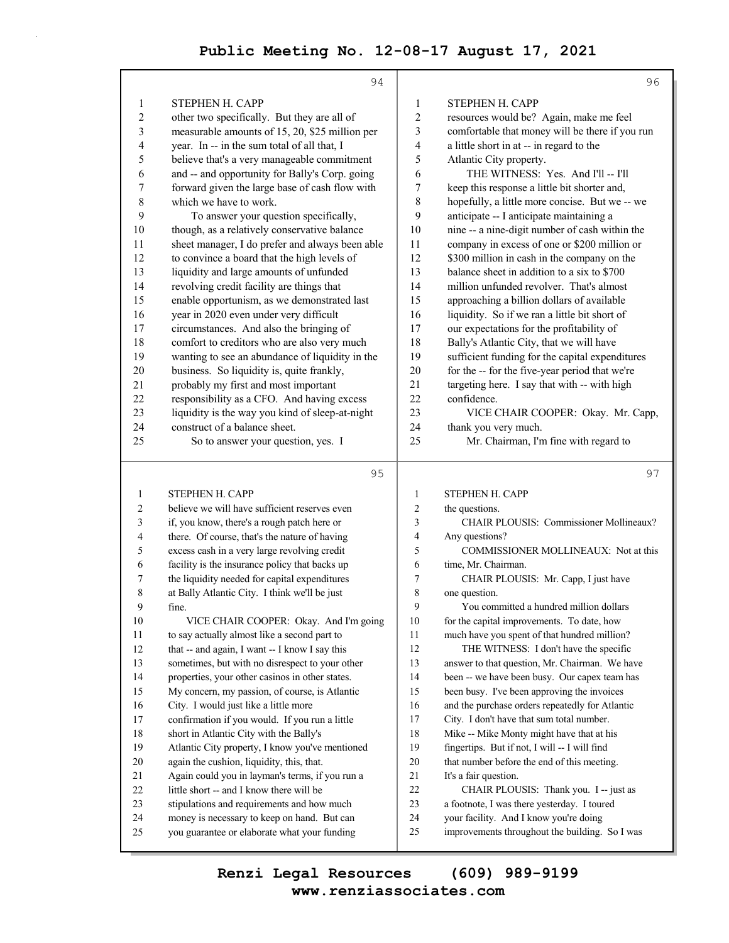|                  | 94                                                                                          |                | 96                                                                                             |
|------------------|---------------------------------------------------------------------------------------------|----------------|------------------------------------------------------------------------------------------------|
| 1                | STEPHEN H. CAPP                                                                             | $\mathbf{1}$   | <b>STEPHEN H. CAPP</b>                                                                         |
| $\overline{c}$   | other two specifically. But they are all of                                                 | $\overline{c}$ | resources would be? Again, make me feel                                                        |
| 3                | measurable amounts of 15, 20, \$25 million per                                              | 3              | comfortable that money will be there if you run                                                |
| 4                | year. In -- in the sum total of all that, I                                                 | 4              | a little short in at -- in regard to the                                                       |
| 5                | believe that's a very manageable commitment                                                 | 5              | Atlantic City property.                                                                        |
| 6                | and -- and opportunity for Bally's Corp. going                                              | 6              | THE WITNESS: Yes. And I'll -- I'll                                                             |
| 7                | forward given the large base of cash flow with                                              | 7              | keep this response a little bit shorter and,                                                   |
| 8                | which we have to work.                                                                      | 8              | hopefully, a little more concise. But we -- we                                                 |
| 9                | To answer your question specifically,                                                       | 9              | anticipate -- I anticipate maintaining a                                                       |
| 10               | though, as a relatively conservative balance                                                | 10             | nine -- a nine-digit number of cash within the                                                 |
| 11               | sheet manager, I do prefer and always been able                                             | 11             | company in excess of one or \$200 million or                                                   |
| 12               | to convince a board that the high levels of                                                 | 12             | \$300 million in cash in the company on the                                                    |
| 13               | liquidity and large amounts of unfunded                                                     | 13             | balance sheet in addition to a six to \$700                                                    |
| 14               | revolving credit facility are things that                                                   | 14             | million unfunded revolver. That's almost                                                       |
| 15               | enable opportunism, as we demonstrated last                                                 | 15             | approaching a billion dollars of available                                                     |
| 16<br>17         | year in 2020 even under very difficult                                                      | 16<br>17       | liquidity. So if we ran a little bit short of<br>our expectations for the profitability of     |
| 18               | circumstances. And also the bringing of<br>comfort to creditors who are also very much      | 18             | Bally's Atlantic City, that we will have                                                       |
| 19               | wanting to see an abundance of liquidity in the                                             | 19             | sufficient funding for the capital expenditures                                                |
| 20               | business. So liquidity is, quite frankly,                                                   | 20             | for the -- for the five-year period that we're                                                 |
| 21               | probably my first and most important                                                        | 21             | targeting here. I say that with -- with high                                                   |
| 22               | responsibility as a CFO. And having excess                                                  | 22             | confidence.                                                                                    |
| 23               | liquidity is the way you kind of sleep-at-night                                             | 23             | VICE CHAIR COOPER: Okay. Mr. Capp,                                                             |
| 24               | construct of a balance sheet.                                                               | 24             | thank you very much.                                                                           |
| 25               | So to answer your question, yes. I                                                          | 25             | Mr. Chairman, I'm fine with regard to                                                          |
|                  |                                                                                             |                |                                                                                                |
|                  |                                                                                             |                |                                                                                                |
|                  | 95                                                                                          |                | 97                                                                                             |
| 1                | <b>STEPHEN H. CAPP</b>                                                                      | $\mathbf{1}$   | STEPHEN H. CAPP                                                                                |
| 2                | believe we will have sufficient reserves even                                               | $\overline{2}$ | the questions.                                                                                 |
| 3                | if, you know, there's a rough patch here or                                                 | 3              | CHAIR PLOUSIS: Commissioner Mollineaux?                                                        |
| 4                | there. Of course, that's the nature of having                                               | 4              | Any questions?                                                                                 |
| 5                | excess cash in a very large revolving credit                                                | 5              | COMMISSIONER MOLLINEAUX: Not at this                                                           |
| 6                | facility is the insurance policy that backs up                                              | 6              | time, Mr. Chairman.                                                                            |
| 7                | the liquidity needed for capital expenditures                                               | 7              | CHAIR PLOUSIS: Mr. Capp, I just have                                                           |
| 8                | at Bally Atlantic City. I think we'll be just                                               | 8              | one question.                                                                                  |
| $\boldsymbol{9}$ | fine.                                                                                       | 9              | You committed a hundred million dollars                                                        |
| 10               | VICE CHAIR COOPER: Okay. And I'm going                                                      | 10             | for the capital improvements. To date, how                                                     |
| 11               | to say actually almost like a second part to                                                | 11             | much have you spent of that hundred million?                                                   |
| 12               | that -- and again, I want -- I know I say this                                              | 12             | THE WITNESS: I don't have the specific                                                         |
| 13               | sometimes, but with no disrespect to your other                                             | 13             | answer to that question, Mr. Chairman. We have                                                 |
| 14               | properties, your other casinos in other states.                                             | 14             | been -- we have been busy. Our capex team has                                                  |
| 15<br>16         | My concern, my passion, of course, is Atlantic<br>City. I would just like a little more     | 15<br>16       | been busy. I've been approving the invoices<br>and the purchase orders repeatedly for Atlantic |
| 17               | confirmation if you would. If you run a little                                              | 17             | City. I don't have that sum total number.                                                      |
| 18               | short in Atlantic City with the Bally's                                                     | 18             | Mike -- Mike Monty might have that at his                                                      |
| 19               | Atlantic City property, I know you've mentioned                                             | 19             | fingertips. But if not, I will -- I will find                                                  |
| 20               | again the cushion, liquidity, this, that.                                                   | 20             | that number before the end of this meeting.                                                    |
| 21               | Again could you in layman's terms, if you run a                                             | 21             | It's a fair question.                                                                          |
| 22               | little short -- and I know there will be                                                    | 22             | CHAIR PLOUSIS: Thank you. I -- just as                                                         |
| 23               | stipulations and requirements and how much                                                  | 23             | a footnote, I was there yesterday. I toured                                                    |
| 24<br>25         | money is necessary to keep on hand. But can<br>you guarantee or elaborate what your funding | 24<br>25       | your facility. And I know you're doing<br>improvements throughout the building. So I was       |

п.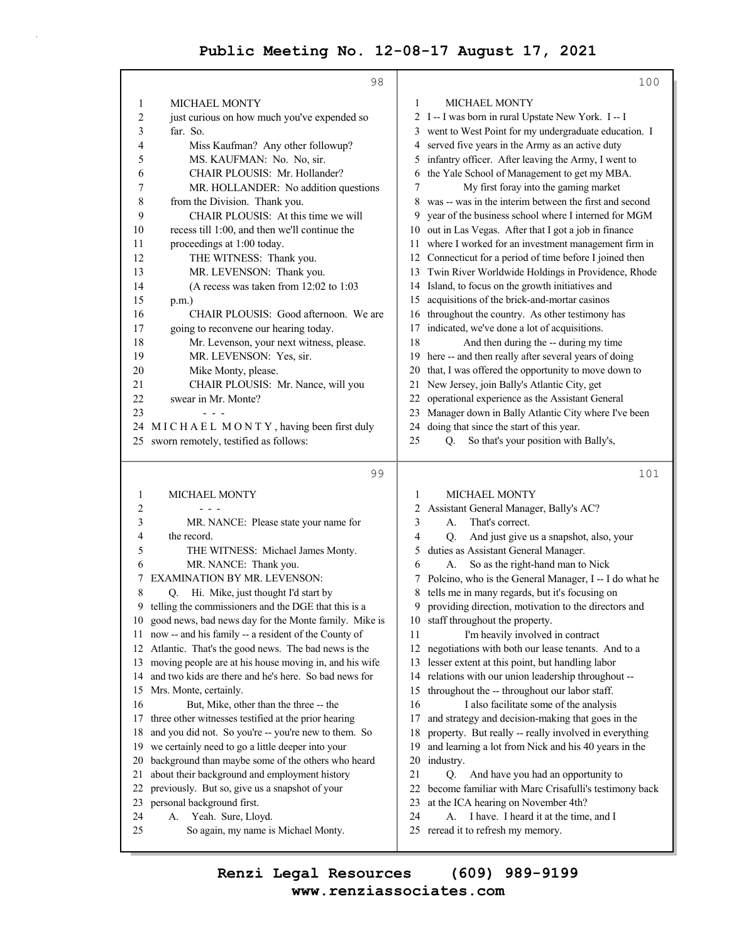|                         | 98                                                                                              |          | 100                                                                                         |
|-------------------------|-------------------------------------------------------------------------------------------------|----------|---------------------------------------------------------------------------------------------|
| 1                       | <b>MICHAEL MONTY</b>                                                                            | 1        | <b>MICHAEL MONTY</b>                                                                        |
| $\overline{\mathbf{c}}$ | just curious on how much you've expended so                                                     |          | 2 I -- I was born in rural Upstate New York. I -- I                                         |
| 3                       | far. So.                                                                                        |          | 3 went to West Point for my undergraduate education. I                                      |
| 4                       | Miss Kaufman? Any other followup?                                                               |          | 4 served five years in the Army as an active duty                                           |
| 5                       | MS. KAUFMAN: No. No, sir.                                                                       |          | 5 infantry officer. After leaving the Army, I went to                                       |
| 6                       | CHAIR PLOUSIS: Mr. Hollander?                                                                   | 6        | the Yale School of Management to get my MBA.                                                |
| 7                       | MR. HOLLANDER: No addition questions                                                            | 7        | My first foray into the gaming market                                                       |
| 8                       | from the Division. Thank you.                                                                   |          | 8 was -- was in the interim between the first and second                                    |
| 9                       | CHAIR PLOUSIS: At this time we will                                                             | 9.       | year of the business school where I interned for MGM                                        |
| 10                      | recess till 1:00, and then we'll continue the                                                   |          | 10 out in Las Vegas. After that I got a job in finance                                      |
| 11                      | proceedings at 1:00 today.                                                                      |          | 11 where I worked for an investment management firm in                                      |
| 12                      | THE WITNESS: Thank you.                                                                         |          | 12 Connecticut for a period of time before I joined then                                    |
| 13                      | MR. LEVENSON: Thank you.                                                                        |          | 13 Twin River Worldwide Holdings in Providence, Rhode                                       |
| 14                      | (A recess was taken from 12:02 to 1:03                                                          | 14       | Island, to focus on the growth initiatives and                                              |
| 15                      | p.m.)                                                                                           | 15       | acquisitions of the brick-and-mortar casinos                                                |
| 16                      | CHAIR PLOUSIS: Good afternoon. We are                                                           | 16       | throughout the country. As other testimony has                                              |
| 17                      | going to reconvene our hearing today.                                                           | 17       | indicated, we've done a lot of acquisitions.                                                |
| 18                      | Mr. Levenson, your next witness, please.                                                        | 18       | And then during the -- during my time                                                       |
| 19                      | MR. LEVENSON: Yes, sir.                                                                         | 19       | here -- and then really after several years of doing                                        |
| 20                      | Mike Monty, please.                                                                             | 20       | that, I was offered the opportunity to move down to                                         |
| 21                      | CHAIR PLOUSIS: Mr. Nance, will you                                                              | 21       | New Jersey, join Bally's Atlantic City, get                                                 |
| 22                      | swear in Mr. Monte?                                                                             | 22       | operational experience as the Assistant General                                             |
| 23                      |                                                                                                 | 23       | Manager down in Bally Atlantic City where I've been                                         |
|                         | 24 MICHAEL MONTY, having been first duly                                                        | 24       | doing that since the start of this year.                                                    |
|                         | 25 sworn remotely, testified as follows:                                                        | 25       | So that's your position with Bally's,<br>Q.                                                 |
|                         |                                                                                                 |          |                                                                                             |
|                         |                                                                                                 |          |                                                                                             |
|                         | 99                                                                                              |          | 101                                                                                         |
| 1                       | <b>MICHAEL MONTY</b>                                                                            | 1        | MICHAEL MONTY                                                                               |
| 2                       |                                                                                                 | 2        | Assistant General Manager, Bally's AC?                                                      |
| 3                       | MR. NANCE: Please state your name for                                                           | 3        | That's correct.<br>А.                                                                       |
| 4                       | the record.                                                                                     | 4        | And just give us a snapshot, also, your<br>Q.                                               |
| 5                       | THE WITNESS: Michael James Monty.                                                               | 5        | duties as Assistant General Manager.                                                        |
| 6                       | MR. NANCE: Thank you.                                                                           | 6        | So as the right-hand man to Nick<br>А.                                                      |
| 7                       | EXAMINATION BY MR. LEVENSON:                                                                    | 7        | Polcino, who is the General Manager, I -- I do what he                                      |
| 8                       | Hi. Mike, just thought I'd start by<br>Q.                                                       | 8        | tells me in many regards, but it's focusing on                                              |
|                         | 9 telling the commissioners and the DGE that this is a                                          |          | 9 providing direction, motivation to the directors and                                      |
| 10                      | good news, bad news day for the Monte family. Mike is                                           |          | 10 staff throughout the property.                                                           |
| 11                      | now -- and his family -- a resident of the County of                                            | 11       | I'm heavily involved in contract                                                            |
| 12                      | Atlantic. That's the good news. The bad news is the                                             | 12       | negotiations with both our lease tenants. And to a                                          |
| 13                      | moving people are at his house moving in, and his wife                                          | 13       | lesser extent at this point, but handling labor                                             |
| 14                      | and two kids are there and he's here. So bad news for                                           | 14       | relations with our union leadership throughout --                                           |
| 15                      | Mrs. Monte, certainly.                                                                          | 15       | throughout the -- throughout our labor staff.                                               |
| 16                      | But, Mike, other than the three -- the                                                          | 16<br>17 | I also facilitate some of the analysis                                                      |
| 17<br>18                | three other witnesses testified at the prior hearing                                            | 18       | and strategy and decision-making that goes in the                                           |
| 19                      | and you did not. So you're -- you're new to them. So                                            | 19       | property. But really -- really involved in everything                                       |
| 20                      | we certainly need to go a little deeper into your                                               | 20       | and learning a lot from Nick and his 40 years in the<br>industry.                           |
| 21                      | background than maybe some of the others who heard                                              | 21       | Q.                                                                                          |
| 22                      | about their background and employment history<br>previously. But so, give us a snapshot of your | 22       | And have you had an opportunity to<br>become familiar with Marc Crisafulli's testimony back |
| 23                      | personal background first.                                                                      | 23       | at the ICA hearing on November 4th?                                                         |
| 24                      | A. Yeah. Sure, Lloyd.                                                                           | 24       | I have. I heard it at the time, and I<br>А.                                                 |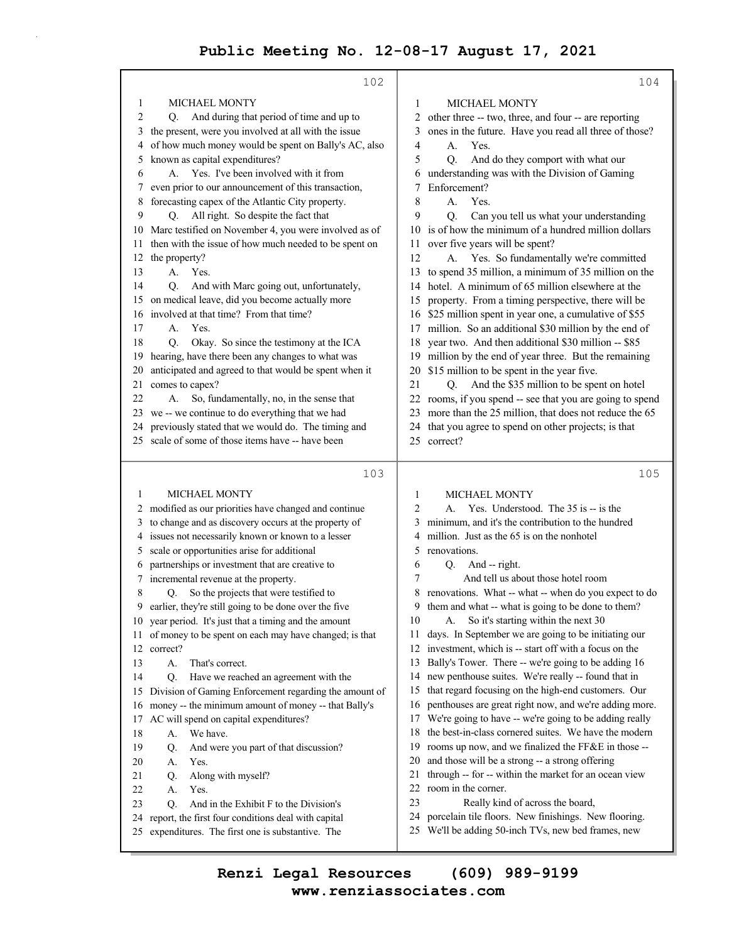|    | 102                                                    |          | 104                                                    |
|----|--------------------------------------------------------|----------|--------------------------------------------------------|
| 1  | <b>MICHAEL MONTY</b>                                   | 1        | <b>MICHAEL MONTY</b>                                   |
| 2  | And during that period of time and up to<br>Q.         | 2        | other three -- two, three, and four -- are reporting   |
| 3  | the present, were you involved at all with the issue   | 3        | ones in the future. Have you read all three of those?  |
| 4  | of how much money would be spent on Bally's AC, also   | 4        | Yes.<br>А.                                             |
| 5  | known as capital expenditures?                         | 5        | Q.<br>And do they comport with what our                |
| 6  | A. Yes. I've been involved with it from                | 6        | understanding was with the Division of Gaming          |
| 7  | even prior to our announcement of this transaction,    | 7        | Enforcement?                                           |
| 8  | forecasting capex of the Atlantic City property.       | 8        | А.<br>Yes.                                             |
| 9  | All right. So despite the fact that<br>Q.              | 9        | Q.<br>Can you tell us what your understanding          |
| 10 | Marc testified on November 4, you were involved as of  | 10       | is of how the minimum of a hundred million dollars     |
|    | then with the issue of how much needed to be spent on  |          |                                                        |
| 11 |                                                        | 11<br>12 | over five years will be spent?                         |
| 12 | the property?<br>A.                                    |          | A. Yes. So fundamentally we're committed               |
| 13 | Yes.                                                   | 13       | to spend 35 million, a minimum of 35 million on the    |
| 14 | And with Marc going out, unfortunately,<br>Q.          | 14       | hotel. A minimum of 65 million elsewhere at the        |
| 15 | on medical leave, did you become actually more         | 15       | property. From a timing perspective, there will be     |
| 16 | involved at that time? From that time?                 | 16       | \$25 million spent in year one, a cumulative of \$55   |
| 17 | Yes.<br>А.                                             | 17       | million. So an additional \$30 million by the end of   |
| 18 | Okay. So since the testimony at the ICA<br>O.          | 18       | year two. And then additional \$30 million -- \$85     |
| 19 | hearing, have there been any changes to what was       | 19       | million by the end of year three. But the remaining    |
| 20 | anticipated and agreed to that would be spent when it  | 20       | \$15 million to be spent in the year five.             |
| 21 | comes to capex?                                        | 21       | Q. And the \$35 million to be spent on hotel           |
| 22 | So, fundamentally, no, in the sense that<br>А.         | 22       | rooms, if you spend -- see that you are going to spend |
| 23 | we -- we continue to do everything that we had         | 23       | more than the 25 million, that does not reduce the 65  |
| 24 | previously stated that we would do. The timing and     | 24       | that you agree to spend on other projects; is that     |
| 25 | scale of some of those items have -- have been         |          | 25 correct?                                            |
|    |                                                        |          |                                                        |
|    |                                                        |          |                                                        |
|    | 103                                                    |          | 105                                                    |
| 1  | MICHAEL MONTY                                          | 1        | <b>MICHAEL MONTY</b>                                   |
| 2  | modified as our priorities have changed and continue   | 2        | A. Yes. Understood. The 35 is -- is the                |
| 3  | to change and as discovery occurs at the property of   | 3        | minimum, and it's the contribution to the hundred      |
| 4  | issues not necessarily known or known to a lesser      | 4        | million. Just as the 65 is on the nonhotel             |
| 5  | scale or opportunities arise for additional            | 5        | renovations.                                           |
| 6  | partnerships or investment that are creative to        | 6        | Q. And -- right.                                       |
| 7  | incremental revenue at the property.                   | 7        | And tell us about those hotel room                     |
| 8  | So the projects that were testified to<br>Q.           |          | renovations. What -- what -- when do you expect to do  |
| 9  | earlier, they're still going to be done over the five  | 9        | them and what -- what is going to be done to them?     |
| 10 | year period. It's just that a timing and the amount    | 10       | A. So it's starting within the next 30                 |
| 11 | of money to be spent on each may have changed; is that | 11       | days. In September we are going to be initiating our   |
| 12 | correct?                                               | 12       | investment, which is -- start off with a focus on the  |
| 13 | That's correct.<br>А.                                  | 13       | Bally's Tower. There -- we're going to be adding 16    |
| 14 | Q.<br>Have we reached an agreement with the            | 14       | new penthouse suites. We're really -- found that in    |
| 15 | Division of Gaming Enforcement regarding the amount of | 15       | that regard focusing on the high-end customers. Our    |
| 16 | money -- the minimum amount of money -- that Bally's   | 16       | penthouses are great right now, and we're adding more. |
| 17 | AC will spend on capital expenditures?                 | 17       | We're going to have -- we're going to be adding really |
| 18 | We have.<br>А.                                         | 18       | the best-in-class cornered suites. We have the modern  |
| 19 | Q.<br>And were you part of that discussion?            | 19       | rooms up now, and we finalized the FF&E in those --    |
| 20 | Yes.<br>А.                                             | 20       | and those will be a strong -- a strong offering        |
| 21 | Along with myself?<br>Q.                               | 21       | through -- for -- within the market for an ocean view  |
| 22 | Yes.<br>А.                                             | 22       | room in the corner.                                    |
| 23 | Q.<br>And in the Exhibit F to the Division's           | 23       | Really kind of across the board,                       |
| 24 | report, the first four conditions deal with capital    | 24       | porcelain tile floors. New finishings. New flooring.   |
| 25 | expenditures. The first one is substantive. The        |          | 25 We'll be adding 50-inch TVs, new bed frames, new    |

**www.renziassociates.com Renzi Legal Resources (609) 989-9199**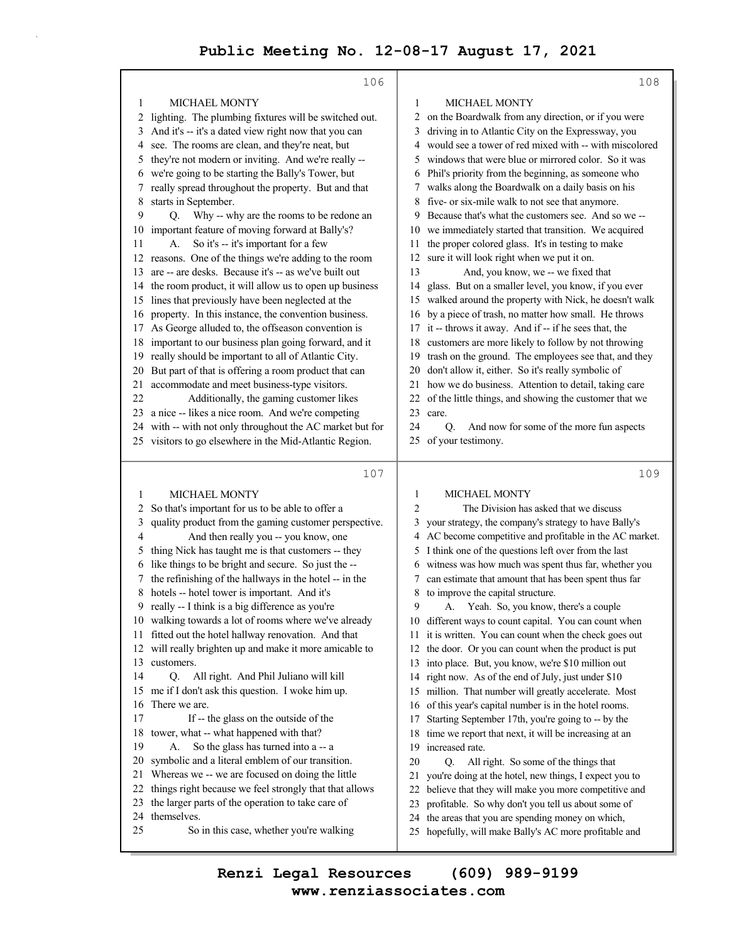|          | 106                                                                                                           |    | 108                                                                                                       |
|----------|---------------------------------------------------------------------------------------------------------------|----|-----------------------------------------------------------------------------------------------------------|
| 1        | <b>MICHAEL MONTY</b>                                                                                          | 1  | <b>MICHAEL MONTY</b>                                                                                      |
| 2        | lighting. The plumbing fixtures will be switched out.                                                         | 2  | on the Boardwalk from any direction, or if you were                                                       |
| 3        | And it's -- it's a dated view right now that you can                                                          | 3  | driving in to Atlantic City on the Expressway, you                                                        |
| 4        | see. The rooms are clean, and they're neat, but                                                               | 4  | would see a tower of red mixed with -- with miscolored                                                    |
| 5        | they're not modern or inviting. And we're really --                                                           | 5  | windows that were blue or mirrored color. So it was                                                       |
| 6        | we're going to be starting the Bally's Tower, but                                                             |    | 6 Phil's priority from the beginning, as someone who                                                      |
| 7        | really spread throughout the property. But and that                                                           | 7  | walks along the Boardwalk on a daily basis on his                                                         |
| 8        | starts in September.                                                                                          | 8  | five- or six-mile walk to not see that anymore.                                                           |
| 9        | Why -- why are the rooms to be redone an<br>Q.                                                                | 9  | Because that's what the customers see. And so we --                                                       |
| 10       | important feature of moving forward at Bally's?                                                               | 10 | we immediately started that transition. We acquired                                                       |
| 11       | So it's -- it's important for a few<br>А.                                                                     | 11 | the proper colored glass. It's in testing to make                                                         |
| 12       | reasons. One of the things we're adding to the room                                                           | 12 | sure it will look right when we put it on.                                                                |
| 13       | are -- are desks. Because it's -- as we've built out                                                          | 13 | And, you know, we -- we fixed that                                                                        |
| 14       | the room product, it will allow us to open up business                                                        | 14 | glass. But on a smaller level, you know, if you ever                                                      |
| 15       | lines that previously have been neglected at the                                                              | 15 | walked around the property with Nick, he doesn't walk                                                     |
| 16       | property. In this instance, the convention business.                                                          | 16 | by a piece of trash, no matter how small. He throws                                                       |
| 17       | As George alluded to, the offseason convention is                                                             | 17 | it -- throws it away. And if -- if he sees that, the                                                      |
| 18       | important to our business plan going forward, and it                                                          | 18 | customers are more likely to follow by not throwing                                                       |
| 19       | really should be important to all of Atlantic City.                                                           | 19 | trash on the ground. The employees see that, and they                                                     |
| 20       | But part of that is offering a room product that can                                                          | 20 | don't allow it, either. So it's really symbolic of                                                        |
| 21       | accommodate and meet business-type visitors.                                                                  | 21 | how we do business. Attention to detail, taking care                                                      |
| 22       | Additionally, the gaming customer likes                                                                       | 22 | of the little things, and showing the customer that we                                                    |
| 23       | a nice -- likes a nice room. And we're competing                                                              | 23 | care.                                                                                                     |
| 24       | with -- with not only throughout the AC market but for                                                        | 24 | And now for some of the more fun aspects<br>O.                                                            |
|          | 25 visitors to go elsewhere in the Mid-Atlantic Region.                                                       | 25 | of your testimony.                                                                                        |
|          |                                                                                                               |    |                                                                                                           |
|          |                                                                                                               |    |                                                                                                           |
|          | 107                                                                                                           |    | 109                                                                                                       |
|          |                                                                                                               | 1  | MICHAEL MONTY                                                                                             |
| 1<br>2   | <b>MICHAEL MONTY</b>                                                                                          | 2  | The Division has asked that we discuss                                                                    |
| 3        | So that's important for us to be able to offer a                                                              | 3  |                                                                                                           |
| 4        | quality product from the gaming customer perspective.                                                         |    | your strategy, the company's strategy to have Bally's                                                     |
| 5        | And then really you -- you know, one                                                                          | 5  | 4 AC become competitive and profitable in the AC market.                                                  |
| 6        | thing Nick has taught me is that customers -- they                                                            | 6  | I think one of the questions left over from the last                                                      |
| 7        | like things to be bright and secure. So just the --<br>the refinishing of the hallways in the hotel -- in the | 7  | witness was how much was spent thus far, whether you                                                      |
| 8        | hotels -- hotel tower is important. And it's                                                                  | 8  | can estimate that amount that has been spent thus far<br>to improve the capital structure.                |
|          | 9 really -- I think is a big difference as you're                                                             | 9  | A. Yeah. So, you know, there's a couple                                                                   |
|          | 10 walking towards a lot of rooms where we've already                                                         |    | 10 different ways to count capital. You can count when                                                    |
| 11       | fitted out the hotel hallway renovation. And that                                                             |    | 11 it is written. You can count when the check goes out                                                   |
| 12       | will really brighten up and make it more amicable to                                                          | 12 | the door. Or you can count when the product is put                                                        |
| 13       | customers.                                                                                                    | 13 | into place. But, you know, we're \$10 million out                                                         |
| 14       | All right. And Phil Juliano will kill<br>Q.                                                                   | 14 | right now. As of the end of July, just under \$10                                                         |
| 15       | me if I don't ask this question. I woke him up.                                                               | 15 | million. That number will greatly accelerate. Most                                                        |
| 16       | There we are.                                                                                                 | 16 | of this year's capital number is in the hotel rooms.                                                      |
| 17       | If -- the glass on the outside of the                                                                         | 17 | Starting September 17th, you're going to -- by the                                                        |
| 18       | tower, what -- what happened with that?                                                                       | 18 | time we report that next, it will be increasing at an                                                     |
| 19       | So the glass has turned into a -- a<br>А.                                                                     | 19 | increased rate.                                                                                           |
| 20       | symbolic and a literal emblem of our transition.                                                              | 20 | All right. So some of the things that<br>Q.                                                               |
| 21       | Whereas we -- we are focused on doing the little                                                              | 21 | you're doing at the hotel, new things, I expect you to                                                    |
| 22       | things right because we feel strongly that that allows                                                        | 22 | believe that they will make you more competitive and                                                      |
| 23       | the larger parts of the operation to take care of                                                             | 23 | profitable. So why don't you tell us about some of                                                        |
| 24<br>25 | themselves.<br>So in this case, whether you're walking                                                        | 24 | the areas that you are spending money on which,<br>25 hopefully, will make Bally's AC more profitable and |

**www.renziassociates.com Renzi Legal Resources (609) 989-9199**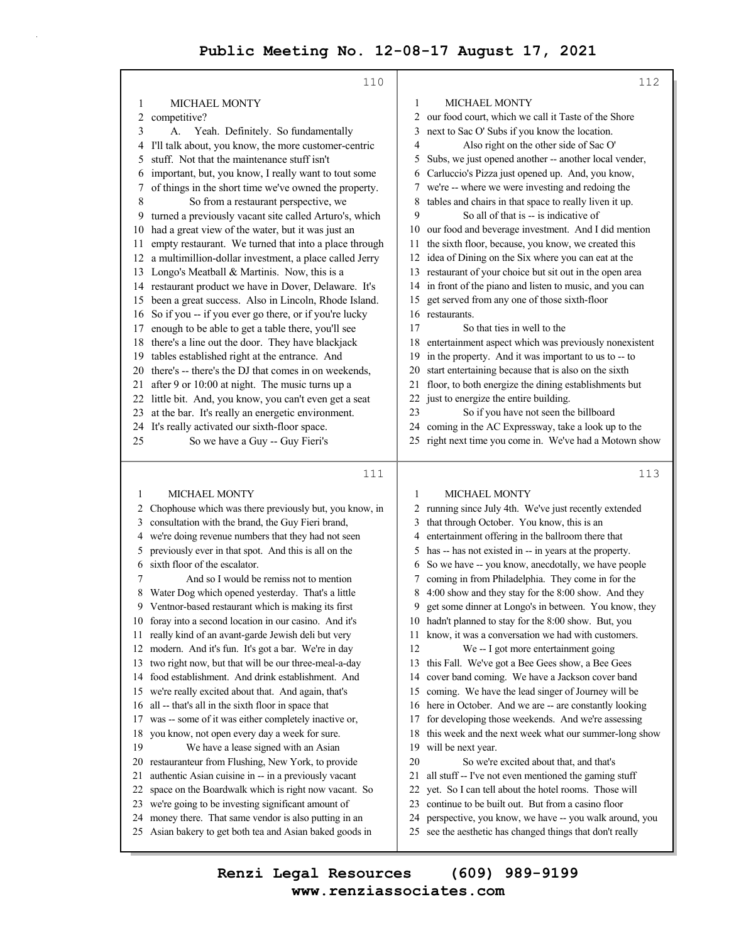|    | 110                                                                                                             |          | 112                                                                                                              |
|----|-----------------------------------------------------------------------------------------------------------------|----------|------------------------------------------------------------------------------------------------------------------|
| 1  | MICHAEL MONTY                                                                                                   | 1        | MICHAEL MONTY                                                                                                    |
| 2  | competitive?                                                                                                    | 2        | our food court, which we call it Taste of the Shore                                                              |
| 3  | Yeah. Definitely. So fundamentally<br>А.                                                                        | 3        | next to Sac O' Subs if you know the location.                                                                    |
| 4  | I'll talk about, you know, the more customer-centric                                                            | 4        | Also right on the other side of Sac O'                                                                           |
| 5  | stuff. Not that the maintenance stuff isn't                                                                     | 5        | Subs, we just opened another -- another local vender,                                                            |
| 6  | important, but, you know, I really want to tout some                                                            | 6        | Carluccio's Pizza just opened up. And, you know,                                                                 |
| 7  | of things in the short time we've owned the property.                                                           | 7        | we're -- where we were investing and redoing the                                                                 |
| 8  | So from a restaurant perspective, we                                                                            | 8        | tables and chairs in that space to really liven it up.                                                           |
| 9  | turned a previously vacant site called Arturo's, which                                                          | 9        | So all of that is -- is indicative of                                                                            |
| 10 | had a great view of the water, but it was just an                                                               | 10       | our food and beverage investment. And I did mention                                                              |
| 11 | empty restaurant. We turned that into a place through                                                           | 11       | the sixth floor, because, you know, we created this                                                              |
| 12 | a multimillion-dollar investment, a place called Jerry                                                          | 12       | idea of Dining on the Six where you can eat at the                                                               |
| 13 | Longo's Meatball & Martinis. Now, this is a                                                                     | 13       | restaurant of your choice but sit out in the open area                                                           |
| 14 | restaurant product we have in Dover, Delaware. It's                                                             | 14       | in front of the piano and listen to music, and you can                                                           |
| 15 | been a great success. Also in Lincoln, Rhode Island.                                                            | 15       | get served from any one of those sixth-floor                                                                     |
| 16 | So if you -- if you ever go there, or if you're lucky                                                           | 16       | restaurants.                                                                                                     |
| 17 | enough to be able to get a table there, you'll see                                                              | 17       | So that ties in well to the                                                                                      |
| 18 | there's a line out the door. They have blackjack                                                                | 18       | entertainment aspect which was previously nonexistent                                                            |
| 19 | tables established right at the entrance. And                                                                   | 19       | in the property. And it was important to us to -- to                                                             |
| 20 | there's -- there's the DJ that comes in on weekends,                                                            | 20       | start entertaining because that is also on the sixth                                                             |
| 21 | after 9 or 10:00 at night. The music turns up a                                                                 | 21       | floor, to both energize the dining establishments but                                                            |
| 22 | little bit. And, you know, you can't even get a seat                                                            | 22       | just to energize the entire building.                                                                            |
| 23 | at the bar. It's really an energetic environment.                                                               | 23       | So if you have not seen the billboard                                                                            |
|    | 24 It's really activated our sixth-floor space.                                                                 | 24       | coming in the AC Expressway, take a look up to the                                                               |
| 25 | So we have a Guy -- Guy Fieri's                                                                                 |          | 25 right next time you come in. We've had a Motown show                                                          |
|    |                                                                                                                 |          |                                                                                                                  |
|    |                                                                                                                 |          |                                                                                                                  |
|    | 111                                                                                                             |          | 113                                                                                                              |
| 1  | MICHAEL MONTY                                                                                                   | 1        | MICHAEL MONTY                                                                                                    |
| 2  | Chophouse which was there previously but, you know, in                                                          | 2        | running since July 4th. We've just recently extended                                                             |
| 3  | consultation with the brand, the Guy Fieri brand,                                                               | 3        | that through October. You know, this is an                                                                       |
| 4  | we're doing revenue numbers that they had not seen                                                              | 4        | entertainment offering in the ballroom there that                                                                |
| 5  | previously ever in that spot. And this is all on the                                                            | 5        | has -- has not existed in -- in years at the property.                                                           |
| 6  | sixth floor of the escalator.                                                                                   | 6        | So we have -- you know, anecdotally, we have people                                                              |
| 7  | And so I would be remiss not to mention                                                                         |          | coming in from Philadelphia. They come in for the                                                                |
| 8  | Water Dog which opened yesterday. That's a little                                                               | 8        | 4:00 show and they stay for the 8:00 show. And they                                                              |
|    | 9 Ventnor-based restaurant which is making its first                                                            | 9        | get some dinner at Longo's in between. You know, they                                                            |
| 10 | foray into a second location in our casino. And it's                                                            | 10       | hadn't planned to stay for the 8:00 show. But, you                                                               |
| 11 | really kind of an avant-garde Jewish deli but very                                                              | 11       | know, it was a conversation we had with customers.                                                               |
| 12 | modern. And it's fun. It's got a bar. We're in day                                                              | 12       | We -- I got more entertainment going                                                                             |
| 13 | two right now, but that will be our three-meal-a-day                                                            | 13       | this Fall. We've got a Bee Gees show, a Bee Gees                                                                 |
| 14 | food establishment. And drink establishment. And                                                                | 14       | cover band coming. We have a Jackson cover band                                                                  |
| 15 | we're really excited about that. And again, that's                                                              | 15       | coming. We have the lead singer of Journey will be                                                               |
| 16 | all -- that's all in the sixth floor in space that                                                              | 16       | here in October. And we are -- are constantly looking                                                            |
| 17 | was -- some of it was either completely inactive or,                                                            | 17       | for developing those weekends. And we're assessing                                                               |
| 18 | you know, not open every day a week for sure.                                                                   | 18       | this week and the next week what our summer-long show                                                            |
| 19 | We have a lease signed with an Asian                                                                            | 19       | will be next year.                                                                                               |
| 20 | restauranteur from Flushing, New York, to provide                                                               | 20       | So we're excited about that, and that's                                                                          |
| 21 | authentic Asian cuisine in -- in a previously vacant                                                            | 21       | all stuff -- I've not even mentioned the gaming stuff                                                            |
| 22 | space on the Boardwalk which is right now vacant. So                                                            | 22       | yet. So I can tell about the hotel rooms. Those will                                                             |
| 23 | we're going to be investing significant amount of                                                               | 23       | continue to be built out. But from a casino floor                                                                |
| 24 | money there. That same vendor is also putting in an<br>25 Asian bakery to get both tea and Asian baked goods in | 24<br>25 | perspective, you know, we have -- you walk around, you<br>see the aesthetic has changed things that don't really |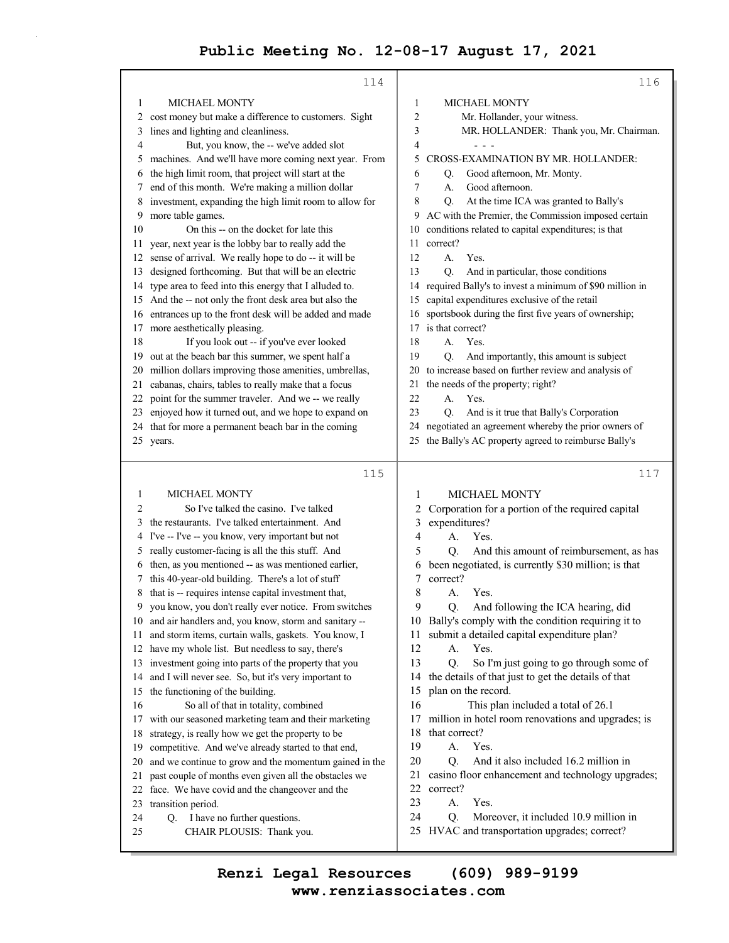|          | 114                                                                      |    | 116                                                     |
|----------|--------------------------------------------------------------------------|----|---------------------------------------------------------|
| 1        | <b>MICHAEL MONTY</b>                                                     | 1  | <b>MICHAEL MONTY</b>                                    |
| 2        | cost money but make a difference to customers. Sight                     | 2  | Mr. Hollander, your witness.                            |
| 3        | lines and lighting and cleanliness.                                      | 3  | MR. HOLLANDER: Thank you, Mr. Chairman.                 |
| 4        | But, you know, the -- we've added slot                                   | 4  |                                                         |
| 5        | machines. And we'll have more coming next year. From                     | 5  | CROSS-EXAMINATION BY MR. HOLLANDER:                     |
| 6        | the high limit room, that project will start at the                      | 6  | Good afternoon, Mr. Monty.<br>Q.                        |
| 7        | end of this month. We're making a million dollar                         | 7  | А.<br>Good afternoon.                                   |
| 8        | investment, expanding the high limit room to allow for                   | 8  | At the time ICA was granted to Bally's<br>Q.            |
| 9        | more table games.                                                        | 9  | AC with the Premier, the Commission imposed certain     |
| 10       | On this -- on the docket for late this                                   | 10 | conditions related to capital expenditures; is that     |
| 11       | year, next year is the lobby bar to really add the                       | 11 | correct?                                                |
| 12       | sense of arrival. We really hope to do -- it will be                     | 12 | A.<br>Yes.                                              |
|          | designed forthcoming. But that will be an electric                       | 13 | And in particular, those conditions<br>Q.               |
| 13       | type area to feed into this energy that I alluded to.                    | 14 | required Bally's to invest a minimum of \$90 million in |
| 14       | And the -- not only the front desk area but also the                     | 15 | capital expenditures exclusive of the retail            |
| 15       | entrances up to the front desk will be added and made                    | 16 | sportsbook during the first five years of ownership;    |
| 16       |                                                                          | 17 | is that correct?                                        |
| 17<br>18 | more aesthetically pleasing.<br>If you look out -- if you've ever looked | 18 | A.<br>Yes.                                              |
|          | out at the beach bar this summer, we spent half a                        | 19 | And importantly, this amount is subject<br>O.           |
| 19       | million dollars improving those amenities, umbrellas,                    | 20 | to increase based on further review and analysis of     |
| 20<br>21 | cabanas, chairs, tables to really make that a focus                      | 21 | the needs of the property; right?                       |
| 22       | point for the summer traveler. And we -- we really                       | 22 | A.<br>Yes.                                              |
|          | enjoyed how it turned out, and we hope to expand on                      | 23 | And is it true that Bally's Corporation<br>Q.           |
| 23<br>24 | that for more a permanent beach bar in the coming                        | 24 | negotiated an agreement whereby the prior owners of     |
|          | 25 years.                                                                |    | 25 the Bally's AC property agreed to reimburse Bally's  |
|          |                                                                          |    |                                                         |
|          |                                                                          |    |                                                         |
|          |                                                                          |    |                                                         |
|          | 115                                                                      |    | 117                                                     |
| 1        | <b>MICHAEL MONTY</b>                                                     | 1  | MICHAEL MONTY                                           |
| 2        | So I've talked the casino. I've talked                                   | 2  | Corporation for a portion of the required capital       |
| 3        | the restaurants. I've talked entertainment. And                          | 3  | expenditures?                                           |
| 4        | I've -- I've -- you know, very important but not                         | 4  | A.<br>Yes.                                              |
| 5        | really customer-facing is all the this stuff. And                        | 5  | And this amount of reimbursement, as has<br>Q.          |
| 6        | then, as you mentioned -- as was mentioned earlier,                      | 6  | been negotiated, is currently \$30 million; is that     |
| 7        | this 40-year-old building. There's a lot of stuff                        | 7  | correct?                                                |
| 8        | that is -- requires intense capital investment that,                     | 8  | Yes.<br>А.                                              |
| 9        | you know, you don't really ever notice. From switches                    | 9  | And following the ICA hearing, did<br>O.                |
|          | 10 and air handlers and, you know, storm and sanitary --                 |    | 10 Bally's comply with the condition requiring it to    |
| 11       | and storm items, curtain walls, gaskets. You know, I                     | 11 | submit a detailed capital expenditure plan?             |
| 12       | have my whole list. But needless to say, there's                         | 12 | Yes.<br>А.                                              |
| 13       | investment going into parts of the property that you                     | 13 | Q.<br>So I'm just going to go through some of           |
| 14       | and I will never see. So, but it's very important to                     | 14 | the details of that just to get the details of that     |
| 15       | the functioning of the building.                                         | 15 | plan on the record.                                     |
| 16       | So all of that in totality, combined                                     | 16 | This plan included a total of 26.1                      |
| 17       | with our seasoned marketing team and their marketing                     | 17 | million in hotel room renovations and upgrades; is      |
| 18       | strategy, is really how we get the property to be                        | 18 | that correct?                                           |
| 19       | competitive. And we've already started to that end,                      | 19 | A.<br>Yes.                                              |
| 20       | and we continue to grow and the momentum gained in the                   | 20 | And it also included 16.2 million in<br>O.              |
| 21       | past couple of months even given all the obstacles we                    | 21 | casino floor enhancement and technology upgrades;       |
| 22       | face. We have covid and the changeover and the                           | 22 | correct?                                                |
| 23       | transition period.                                                       | 23 | Yes.<br>А.                                              |
| 24       | Q. I have no further questions.                                          | 24 | Moreover, it included 10.9 million in<br>Q.             |
| 25       | CHAIR PLOUSIS: Thank you.                                                | 25 | HVAC and transportation upgrades; correct?              |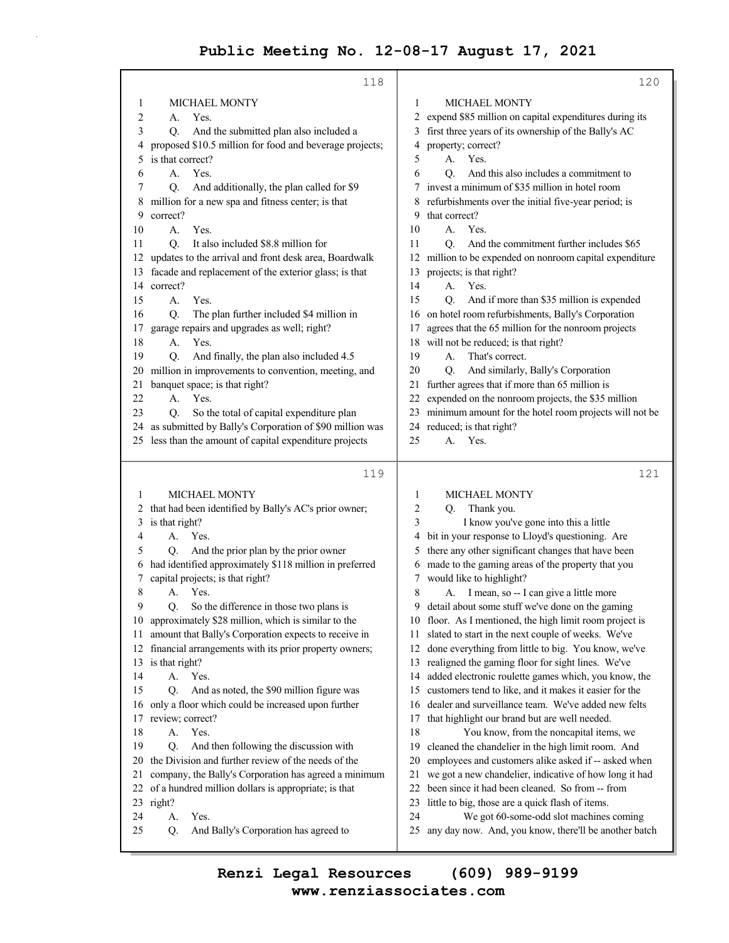|          | 118                                                                                                          | 120                                                                                                          |  |
|----------|--------------------------------------------------------------------------------------------------------------|--------------------------------------------------------------------------------------------------------------|--|
| 1        | <b>MICHAEL MONTY</b>                                                                                         | <b>MICHAEL MONTY</b><br>1                                                                                    |  |
| 2        | Yes.<br>А.                                                                                                   | expend \$85 million on capital expenditures during its                                                       |  |
| 3        | And the submitted plan also included a<br>Q.                                                                 | first three years of its ownership of the Bally's AC                                                         |  |
| 4        | proposed \$10.5 million for food and beverage projects;                                                      | property; correct?<br>4                                                                                      |  |
| 5        | is that correct?                                                                                             | Yes.<br>5<br>А.                                                                                              |  |
| 6        | А.<br>Yes.                                                                                                   | О.<br>And this also includes a commitment to<br>6                                                            |  |
| 7        | And additionally, the plan called for \$9<br>Q.                                                              | invest a minimum of \$35 million in hotel room                                                               |  |
| 8        | million for a new spa and fitness center; is that                                                            | refurbishments over the initial five-year period; is                                                         |  |
| 9        | correct?                                                                                                     | that correct?<br>9                                                                                           |  |
| 10       | Yes.<br>А.                                                                                                   | 10<br>А.<br>Yes.                                                                                             |  |
| 11       | It also included \$8.8 million for<br>O.                                                                     | And the commitment further includes \$65<br>11<br>O.                                                         |  |
| 12       | updates to the arrival and front desk area, Boardwalk                                                        | million to be expended on nonroom capital expenditure<br>12                                                  |  |
| 13       | facade and replacement of the exterior glass; is that                                                        | projects; is that right?<br>13                                                                               |  |
| 14       | correct?                                                                                                     | A.<br>Yes.<br>14                                                                                             |  |
| 15       | Yes.<br>А.                                                                                                   | And if more than \$35 million is expended<br>15<br>О.                                                        |  |
| 16       | The plan further included \$4 million in<br>O.                                                               | 16 on hotel room refurbishments, Bally's Corporation                                                         |  |
| 17       | garage repairs and upgrades as well; right?                                                                  | agrees that the 65 million for the nonroom projects<br>17                                                    |  |
| 18       | Yes.<br>A.                                                                                                   | 18 will not be reduced; is that right?                                                                       |  |
| 19       | And finally, the plan also included 4.5<br>Q.                                                                | That's correct.<br>19<br>А.                                                                                  |  |
| 20       | million in improvements to convention, meeting, and                                                          | 20<br>And similarly, Bally's Corporation<br>Q <sub>r</sub>                                                   |  |
| 21       | banquet space; is that right?                                                                                | 21 further agrees that if more than 65 million is                                                            |  |
| 22       | A.<br>Yes.                                                                                                   | 22 expended on the nonroom projects, the \$35 million                                                        |  |
| 23       | So the total of capital expenditure plan<br>Q.<br>24 as submitted by Bally's Corporation of \$90 million was | 23 minimum amount for the hotel room projects will not be<br>24 reduced; is that right?                      |  |
|          | 25 less than the amount of capital expenditure projects                                                      | 25<br>А.<br>Yes.                                                                                             |  |
|          |                                                                                                              |                                                                                                              |  |
|          |                                                                                                              |                                                                                                              |  |
|          | 119                                                                                                          | 121                                                                                                          |  |
|          |                                                                                                              |                                                                                                              |  |
| 1        | <b>MICHAEL MONTY</b>                                                                                         | <b>MICHAEL MONTY</b><br>1                                                                                    |  |
| 2        | that had been identified by Bally's AC's prior owner;                                                        | 2<br>Thank you.<br>Q.                                                                                        |  |
| 3        | is that right?                                                                                               | 3<br>I know you've gone into this a little                                                                   |  |
| 4        | А.<br>Yes.                                                                                                   | bit in your response to Lloyd's questioning. Are<br>4                                                        |  |
| 5<br>6   | And the prior plan by the prior owner<br>Q.                                                                  | there any other significant changes that have been<br>5<br>6                                                 |  |
| 7        | had identified approximately \$118 million in preferred                                                      | made to the gaming areas of the property that you<br>7.                                                      |  |
| 8        | capital projects; is that right?<br>A. Yes.                                                                  | would like to highlight?<br>8                                                                                |  |
| 9        | Q. So the difference in those two plans is                                                                   | A. I mean, so -- I can give a little more<br>9 detail about some stuff we've done on the gaming              |  |
| 10       | approximately \$28 million, which is similar to the                                                          | 10 floor. As I mentioned, the high limit room project is                                                     |  |
| 11       | amount that Bally's Corporation expects to receive in                                                        | slated to start in the next couple of weeks. We've<br>11                                                     |  |
| 12       | financial arrangements with its prior property owners;                                                       | done everything from little to big. You know, we've<br>12                                                    |  |
|          | 13 is that right?                                                                                            | realigned the gaming floor for sight lines. We've<br>13                                                      |  |
| 14       | A.<br>Yes.                                                                                                   | added electronic roulette games which, you know, the<br>14                                                   |  |
| 15       | And as noted, the \$90 million figure was<br>Q.                                                              | customers tend to like, and it makes it easier for the<br>15                                                 |  |
| 16       | only a floor which could be increased upon further                                                           | dealer and surveillance team. We've added new felts<br>16                                                    |  |
| 17       | review; correct?                                                                                             | that highlight our brand but are well needed.<br>17                                                          |  |
| 18       | Yes.<br>А.                                                                                                   | 18<br>You know, from the noncapital items, we                                                                |  |
| 19       | And then following the discussion with<br>Q.                                                                 | 19<br>cleaned the chandelier in the high limit room. And                                                     |  |
| 20       | the Division and further review of the needs of the                                                          | employees and customers alike asked if -- asked when<br>20                                                   |  |
| 21       | company, the Bally's Corporation has agreed a minimum                                                        | we got a new chandelier, indicative of how long it had<br>21                                                 |  |
| 22       | of a hundred million dollars is appropriate; is that                                                         | been since it had been cleaned. So from -- from<br>22                                                        |  |
|          | 23 right?                                                                                                    | little to big, those are a quick flash of items.<br>23                                                       |  |
| 24<br>25 | А.<br>Yes.<br>And Bally's Corporation has agreed to<br>Q.                                                    | 24<br>We got 60-some-odd slot machines coming<br>any day now. And, you know, there'll be another batch<br>25 |  |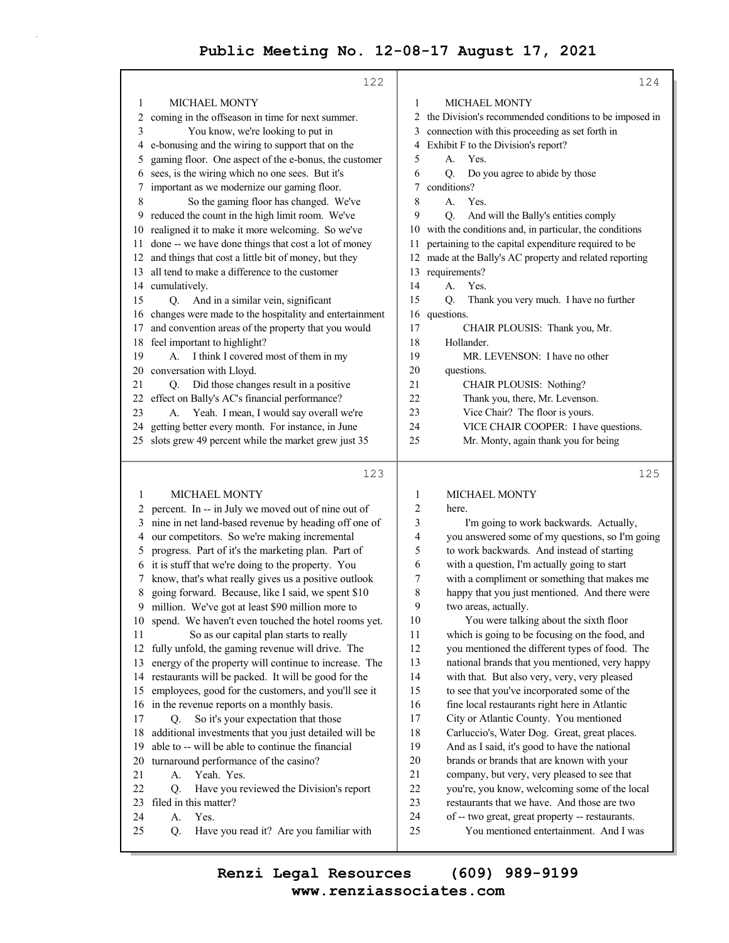|    | 122                                                    |                | 124                                                    |
|----|--------------------------------------------------------|----------------|--------------------------------------------------------|
| 1  | <b>MICHAEL MONTY</b>                                   | 1              | <b>MICHAEL MONTY</b>                                   |
| 2  | coming in the offseason in time for next summer.       | $\mathfrak{D}$ | the Division's recommended conditions to be imposed in |
| 3  | You know, we're looking to put in                      | 3              | connection with this proceeding as set forth in        |
| 4  | e-bonusing and the wiring to support that on the       | 4              | Exhibit F to the Division's report?                    |
| 5  | gaming floor. One aspect of the e-bonus, the customer  | 5              | Yes.<br>$A_{-}$                                        |
| 6  | sees, is the wiring which no one sees. But it's        | 6              | Do you agree to abide by those<br>O.                   |
| 7  | important as we modernize our gaming floor.            | 7              | conditions?                                            |
| 8  | So the gaming floor has changed. We've                 | 8              | Yes.<br>$A_{-}$                                        |
| 9  | reduced the count in the high limit room. We've        | 9              | And will the Bally's entities comply<br>О.             |
| 10 | realigned it to make it more welcoming. So we've       | 10             | with the conditions and, in particular, the conditions |
| 11 | done -- we have done things that cost a lot of money   | 11             | pertaining to the capital expenditure required to be   |
| 12 | and things that cost a little bit of money, but they   | 12             | made at the Bally's AC property and related reporting  |
| 13 | all tend to make a difference to the customer          | 13             | requirements?                                          |
| 14 | cumulatively.                                          | 14             | Yes.<br>$\mathbf{A}$ .                                 |
| 15 | And in a similar vein, significant<br>O.               | 15             | Thank you very much. I have no further<br>Ο.           |
| 16 | changes were made to the hospitality and entertainment | 16             | questions.                                             |
| 17 | and convention areas of the property that you would    | 17             | CHAIR PLOUSIS: Thank you, Mr.                          |
| 18 | feel important to highlight?                           | 18             | Hollander.                                             |
| 19 | I think I covered most of them in my<br>$A_{\cdot}$    | 19             | MR. LEVENSON: I have no other                          |
| 20 | conversation with Lloyd.                               | 20             | questions.                                             |
| 21 | Did those changes result in a positive<br>О.           | 21             | CHAIR PLOUSIS: Nothing?                                |
| 22 | effect on Bally's AC's financial performance?          | 22             | Thank you, there, Mr. Levenson.                        |
| 23 | Yeah. I mean, I would say overall we're<br>A.          | 23             | Vice Chair? The floor is yours.                        |
| 24 | getting better every month. For instance, in June      | 24             | VICE CHAIR COOPER: I have questions.                   |
| 25 | slots grew 49 percent while the market grew just 35    | 25             | Mr. Monty, again thank you for being                   |
|    | 123                                                    |                | 125                                                    |
|    |                                                        |                |                                                        |

|     | <b>MICHAEL MONTY</b>                                   | 1  | <b>MICHAEL MONTY</b>                            |
|-----|--------------------------------------------------------|----|-------------------------------------------------|
| 2   | percent. In -- in July we moved out of nine out of     | 2  | here.                                           |
| 3   | nine in net land-based revenue by heading off one of   | 3  | I'm going to work backwards. Actually,          |
| 4   | our competitors. So we're making incremental           | 4  | you answered some of my questions, so I'm going |
| 5   | progress. Part of it's the marketing plan. Part of     | 5  | to work backwards. And instead of starting      |
| 6   | it is stuff that we're doing to the property. You      | 6  | with a question, I'm actually going to start    |
|     | know, that's what really gives us a positive outlook   | 7  | with a compliment or something that makes me    |
| 8   | going forward. Because, like I said, we spent \$10     | 8  | happy that you just mentioned. And there were   |
| 9   | million. We've got at least \$90 million more to       | 9  | two areas, actually.                            |
| 10  | spend. We haven't even touched the hotel rooms yet.    | 10 | You were talking about the sixth floor          |
| 11  | So as our capital plan starts to really                | 11 | which is going to be focusing on the food, and  |
| 12  | fully unfold, the gaming revenue will drive. The       | 12 | you mentioned the different types of food. The  |
| 13  | energy of the property will continue to increase. The  | 13 | national brands that you mentioned, very happy  |
|     | 14 restaurants will be packed. It will be good for the | 14 | with that. But also very, very, very pleased    |
| 15  | employees, good for the customers, and you'll see it   | 15 | to see that you've incorporated some of the     |
|     | 16 in the revenue reports on a monthly basis.          | 16 | fine local restaurants right here in Atlantic   |
| 17  | So it's your expectation that those<br>Q.              | 17 | City or Atlantic County. You mentioned          |
| 18  | additional investments that you just detailed will be  | 18 | Carluccio's, Water Dog. Great, great places.    |
| 19. | able to -- will be able to continue the financial      | 19 | And as I said, it's good to have the national   |
| 20  | turnaround performance of the casino?                  | 20 | brands or brands that are known with your       |
| 21  | Yeah. Yes.<br>A.                                       | 21 | company, but very, very pleased to see that     |
| 22  | Have you reviewed the Division's report<br>Q.          | 22 | you're, you know, welcoming some of the local   |
| 23  | filed in this matter?                                  | 23 | restaurants that we have. And those are two     |
| 24  | Yes.<br>А.                                             | 24 | of -- two great, great property -- restaurants. |
| 25  | Q.<br>Have you read it? Are you familiar with          | 25 | You mentioned entertainment. And I was          |
|     |                                                        |    |                                                 |

**www.renziassociates.com Renzi Legal Resources (609) 989-9199**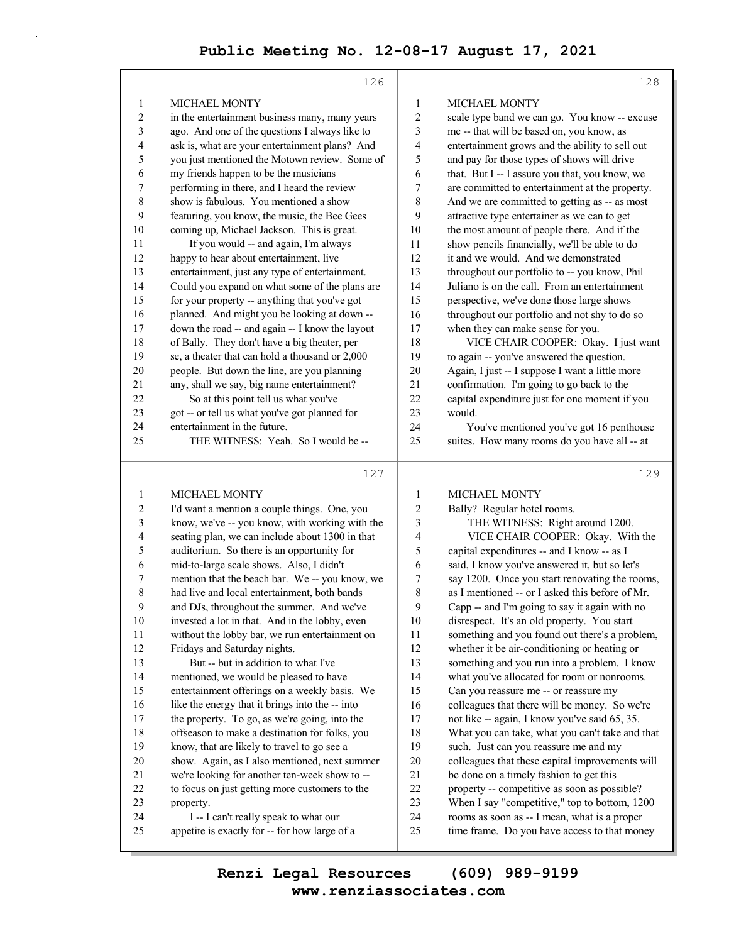|                         | 126                                             |                  | 128                                             |
|-------------------------|-------------------------------------------------|------------------|-------------------------------------------------|
| 1                       | <b>MICHAEL MONTY</b>                            | 1                | <b>MICHAEL MONTY</b>                            |
| 2                       | in the entertainment business many, many years  | $\overline{c}$   | scale type band we can go. You know -- excuse   |
| 3                       | ago. And one of the questions I always like to  | 3                | me -- that will be based on, you know, as       |
| 4                       | ask is, what are your entertainment plans? And  | 4                | entertainment grows and the ability to sell out |
| 5                       | you just mentioned the Motown review. Some of   | 5                | and pay for those types of shows will drive     |
| 6                       | my friends happen to be the musicians           | 6                | that. But I -- I assure you that, you know, we  |
| 7                       | performing in there, and I heard the review     | 7                | are committed to entertainment at the property. |
| $\,$ $\,$               | show is fabulous. You mentioned a show          | 8                | And we are committed to getting as -- as most   |
| 9                       | featuring, you know, the music, the Bee Gees    | 9                | attractive type entertainer as we can to get    |
| 10                      | coming up, Michael Jackson. This is great.      | 10               | the most amount of people there. And if the     |
| 11                      | If you would -- and again, I'm always           | 11               | show pencils financially, we'll be able to do   |
| 12                      | happy to hear about entertainment, live         | 12               | it and we would. And we demonstrated            |
| 13                      | entertainment, just any type of entertainment.  | 13               | throughout our portfolio to -- you know, Phil   |
| 14                      | Could you expand on what some of the plans are  | 14               | Juliano is on the call. From an entertainment   |
| 15                      | for your property -- anything that you've got   | 15               | perspective, we've done those large shows       |
| 16                      | planned. And might you be looking at down --    | 16               | throughout our portfolio and not shy to do so   |
| 17                      | down the road -- and again -- I know the layout | 17               | when they can make sense for you.               |
| 18                      | of Bally. They don't have a big theater, per    | 18               | VICE CHAIR COOPER: Okay. I just want            |
|                         |                                                 |                  |                                                 |
| 19                      | se, a theater that can hold a thousand or 2,000 | 19               | to again -- you've answered the question.       |
| 20                      | people. But down the line, are you planning     | 20               | Again, I just -- I suppose I want a little more |
| 21                      | any, shall we say, big name entertainment?      | 21               | confirmation. I'm going to go back to the       |
| 22                      | So at this point tell us what you've            | 22               | capital expenditure just for one moment if you  |
| 23                      | got -- or tell us what you've got planned for   | 23               | would.                                          |
| 24                      | entertainment in the future.                    | 24               | You've mentioned you've got 16 penthouse        |
| 25                      | THE WITNESS: Yeah. So I would be --             | 25               | suites. How many rooms do you have all -- at    |
|                         | 127                                             |                  | 129                                             |
| 1                       | <b>MICHAEL MONTY</b>                            | $\mathbf{1}$     | <b>MICHAEL MONTY</b>                            |
| $\overline{\mathbf{c}}$ | I'd want a mention a couple things. One, you    | $\overline{c}$   | Bally? Regular hotel rooms.                     |
| 3                       | know, we've -- you know, with working with the  | 3                | THE WITNESS: Right around 1200.                 |
| 4                       | seating plan, we can include about 1300 in that | 4                | VICE CHAIR COOPER: Okay. With the               |
| 5                       | auditorium. So there is an opportunity for      | 5                | capital expenditures -- and I know -- as I      |
| 6                       | mid-to-large scale shows. Also, I didn't        | 6                | said, I know you've answered it, but so let's   |
| 7                       | mention that the beach bar. We -- you know, we  | $\boldsymbol{7}$ | say 1200. Once you start renovating the rooms,  |
| 8                       | had live and local entertainment, both bands    | 8                | as I mentioned -- or I asked this before of Mr. |
| 9                       | and DJs, throughout the summer. And we've       | 9                | Capp -- and I'm going to say it again with no   |
| 10                      | invested a lot in that. And in the lobby, even  | 10               | disrespect. It's an old property. You start     |
| 11                      | without the lobby bar, we run entertainment on  | 11               | something and you found out there's a problem,  |
| 12                      | Fridays and Saturday nights.                    | 12               | whether it be air-conditioning or heating or    |
| 13                      | But -- but in addition to what I've             | 13               | something and you run into a problem. I know    |
| 14                      | mentioned, we would be pleased to have          | 14               | what you've allocated for room or nonrooms.     |
| 15                      | entertainment offerings on a weekly basis. We   | 15               | Can you reassure me -- or reassure my           |

16 colleagues that there will be money. So we're 17 not like -- again, I know you've said 65, 35. 18 What you can take, what you can't take and that

19 such. Just can you reassure me and my 20 colleagues that these capital improvements will

21 be done on a timely fashion to get this 22 property -- competitive as soon as possible? 23 When I say "competitive," top to bottom, 1200 24 rooms as soon as -- I mean, what is a proper 25 time frame. Do you have access to that money

16 like the energy that it brings into the -- into 17 the property. To go, as we're going, into the 18 offseason to make a destination for folks, you 19 know, that are likely to travel to go see a 20 show. Again, as I also mentioned, next summer 21 we're looking for another ten-week show to -- 22 to focus on just getting more customers to the

24 I -- I can't really speak to what our 25 appetite is exactly for -- for how large of a

23 property.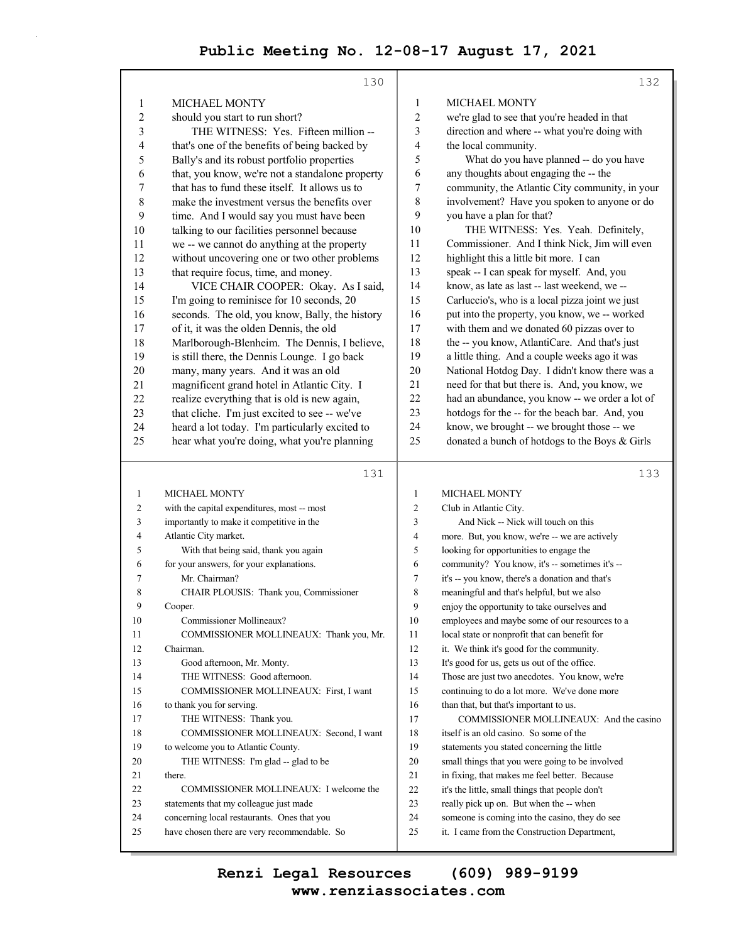|                | 130                                                                                         |                  | 132                                                                                            |
|----------------|---------------------------------------------------------------------------------------------|------------------|------------------------------------------------------------------------------------------------|
| 1              | <b>MICHAEL MONTY</b>                                                                        | 1                | MICHAEL MONTY                                                                                  |
| $\overline{c}$ | should you start to run short?                                                              | $\boldsymbol{2}$ | we're glad to see that you're headed in that                                                   |
| 3              | THE WITNESS: Yes. Fifteen million --                                                        | 3                | direction and where -- what you're doing with                                                  |
| 4              | that's one of the benefits of being backed by                                               | 4                | the local community.                                                                           |
| 5              | Bally's and its robust portfolio properties                                                 | 5                | What do you have planned -- do you have                                                        |
| 6              | that, you know, we're not a standalone property                                             | 6                | any thoughts about engaging the -- the                                                         |
| 7              | that has to fund these itself. It allows us to                                              | 7                | community, the Atlantic City community, in your                                                |
| 8              | make the investment versus the benefits over                                                | 8                | involvement? Have you spoken to anyone or do                                                   |
| 9              | time. And I would say you must have been                                                    | 9                | you have a plan for that?                                                                      |
| 10             | talking to our facilities personnel because                                                 | 10               | THE WITNESS: Yes. Yeah. Definitely,                                                            |
| 11             | we -- we cannot do anything at the property                                                 | 11               | Commissioner. And I think Nick, Jim will even                                                  |
|                |                                                                                             | 12               | highlight this a little bit more. I can                                                        |
| 12             | without uncovering one or two other problems                                                |                  |                                                                                                |
| 13             | that require focus, time, and money.                                                        | 13               | speak -- I can speak for myself. And, you                                                      |
| 14             | VICE CHAIR COOPER: Okay. As I said,                                                         | 14               | know, as late as last -- last weekend, we --                                                   |
| 15             | I'm going to reminisce for 10 seconds, 20                                                   | 15               | Carluccio's, who is a local pizza joint we just                                                |
| 16             | seconds. The old, you know, Bally, the history                                              | 16               | put into the property, you know, we -- worked                                                  |
| 17             | of it, it was the olden Dennis, the old                                                     | 17               | with them and we donated 60 pizzas over to                                                     |
| 18             | Marlborough-Blenheim. The Dennis, I believe,                                                | 18               | the -- you know, AtlantiCare. And that's just                                                  |
| 19             | is still there, the Dennis Lounge. I go back                                                | 19               | a little thing. And a couple weeks ago it was                                                  |
| 20             | many, many years. And it was an old                                                         | 20               | National Hotdog Day. I didn't know there was a                                                 |
| 21             | magnificent grand hotel in Atlantic City. I                                                 | 21               | need for that but there is. And, you know, we                                                  |
| 22             | realize everything that is old is new again,                                                | 22               | had an abundance, you know -- we order a lot of                                                |
| 23             | that cliche. I'm just excited to see -- we've                                               | 23               | hotdogs for the -- for the beach bar. And, you                                                 |
| 24             | heard a lot today. I'm particularly excited to                                              | 24               | know, we brought -- we brought those -- we                                                     |
| 25             | hear what you're doing, what you're planning                                                | 25               | donated a bunch of hotdogs to the Boys & Girls                                                 |
|                |                                                                                             |                  |                                                                                                |
|                |                                                                                             |                  |                                                                                                |
|                | 131                                                                                         |                  | 133                                                                                            |
| 1              | <b>MICHAEL MONTY</b>                                                                        | 1                | MICHAEL MONTY                                                                                  |
| 2              | with the capital expenditures, most -- most                                                 | 2                | Club in Atlantic City.                                                                         |
| 3              | importantly to make it competitive in the                                                   | 3                | And Nick -- Nick will touch on this                                                            |
| 4              | Atlantic City market.                                                                       | 4                | more. But, you know, we're -- we are actively                                                  |
| 5              | With that being said, thank you again                                                       | 5                | looking for opportunities to engage the                                                        |
| 6              | for your answers, for your explanations.                                                    | 6                | community? You know, it's -- sometimes it's --                                                 |
| 7              | Mr. Chairman?                                                                               | 7                | it's -- you know, there's a donation and that's                                                |
| 8              | CHAIR PLOUSIS: Thank you, Commissioner                                                      | 8                | meaningful and that's helpful, but we also                                                     |
| 9              | Cooper.                                                                                     | 9                | enjoy the opportunity to take ourselves and                                                    |
| 10             | Commissioner Mollineaux?                                                                    | 10               | employees and maybe some of our resources to a                                                 |
| 11             | COMMISSIONER MOLLINEAUX: Thank you, Mr.                                                     | 11               | local state or nonprofit that can benefit for                                                  |
| 12             | Chairman.                                                                                   | 12               |                                                                                                |
| 13             | Good afternoon, Mr. Monty.                                                                  |                  | it. We think it's good for the community.                                                      |
| 14             |                                                                                             | 13<br>14         | It's good for us, gets us out of the office.                                                   |
|                | THE WITNESS: Good afternoon.                                                                |                  | Those are just two anecdotes. You know, we're                                                  |
| 15             | COMMISSIONER MOLLINEAUX: First, I want                                                      | 15<br>16         | continuing to do a lot more. We've done more                                                   |
| 16             | to thank you for serving.                                                                   |                  | than that, but that's important to us.                                                         |
| 17             | THE WITNESS: Thank you.                                                                     | 17               | COMMISSIONER MOLLINEAUX: And the casino                                                        |
| $18\,$<br>19   | COMMISSIONER MOLLINEAUX: Second, I want                                                     | $18\,$           | itself is an old casino. So some of the                                                        |
|                | to welcome you to Atlantic County.                                                          | 19               | statements you stated concerning the little                                                    |
| 20             | THE WITNESS: I'm glad -- glad to be                                                         | 20               | small things that you were going to be involved                                                |
| 21             | there.                                                                                      | 21               | in fixing, that makes me feel better. Because                                                  |
| 22             | COMMISSIONER MOLLINEAUX: I welcome the                                                      | $22\,$           | it's the little, small things that people don't                                                |
| 23             | statements that my colleague just made                                                      | 23               | really pick up on. But when the -- when                                                        |
| 24<br>25       | concerning local restaurants. Ones that you<br>have chosen there are very recommendable. So | 24<br>25         | someone is coming into the casino, they do see<br>it. I came from the Construction Department, |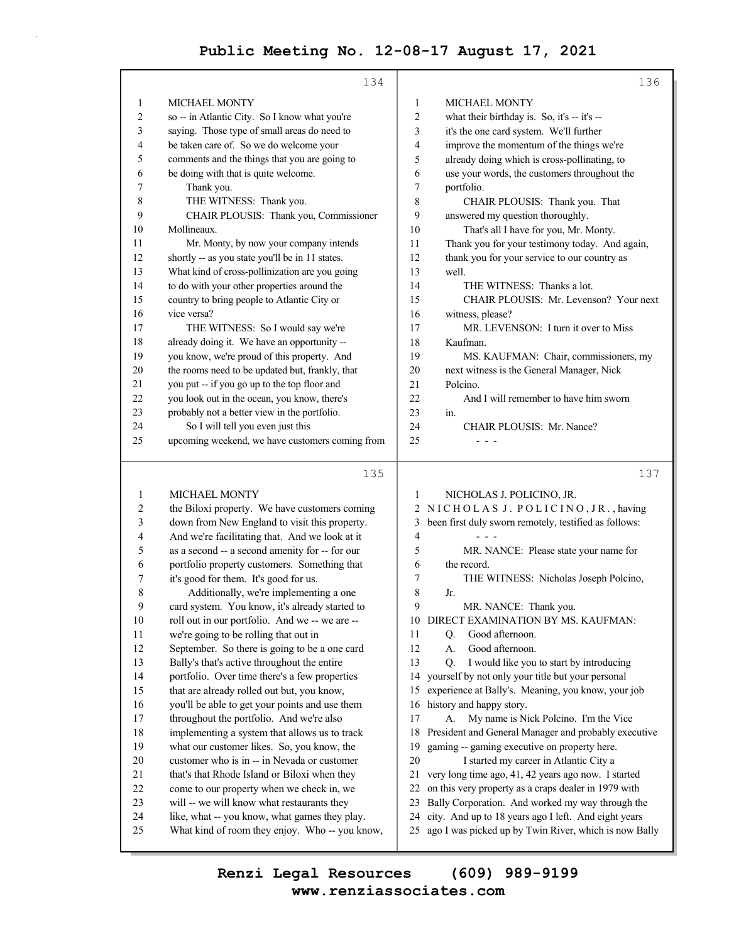|                         | 134                                                                                         |              | 136                                                                                                 |
|-------------------------|---------------------------------------------------------------------------------------------|--------------|-----------------------------------------------------------------------------------------------------|
| 1                       | <b>MICHAEL MONTY</b>                                                                        | 1            | <b>MICHAEL MONTY</b>                                                                                |
| 2                       | so -- in Atlantic City. So I know what you're                                               | 2            | what their birthday is. So, it's -- it's --                                                         |
| 3                       | saying. Those type of small areas do need to                                                | 3            | it's the one card system. We'll further                                                             |
| 4                       | be taken care of. So we do welcome your                                                     | 4            | improve the momentum of the things we're                                                            |
| 5                       | comments and the things that you are going to                                               | 5            | already doing which is cross-pollinating, to                                                        |
| 6                       | be doing with that is quite welcome.                                                        | 6            | use your words, the customers throughout the                                                        |
| 7                       | Thank you.                                                                                  | 7            | portfolio.                                                                                          |
| 8                       | THE WITNESS: Thank you.                                                                     | 8            | CHAIR PLOUSIS: Thank you. That                                                                      |
| 9                       | CHAIR PLOUSIS: Thank you, Commissioner                                                      | 9            | answered my question thoroughly.                                                                    |
| 10                      | Mollineaux.                                                                                 | 10           | That's all I have for you, Mr. Monty.                                                               |
| 11                      | Mr. Monty, by now your company intends                                                      | 11           | Thank you for your testimony today. And again,                                                      |
| 12                      | shortly -- as you state you'll be in 11 states.                                             | 12           | thank you for your service to our country as                                                        |
| 13                      | What kind of cross-pollinization are you going                                              | 13           | well.                                                                                               |
| 14                      | to do with your other properties around the                                                 | 14           | THE WITNESS: Thanks a lot.                                                                          |
| 15                      | country to bring people to Atlantic City or                                                 | 15           | CHAIR PLOUSIS: Mr. Levenson? Your next                                                              |
| 16                      | vice versa?                                                                                 | 16           | witness, please?                                                                                    |
| 17                      | THE WITNESS: So I would say we're                                                           | 17           | MR. LEVENSON: I turn it over to Miss                                                                |
| 18                      | already doing it. We have an opportunity --                                                 | 18           | Kaufman.                                                                                            |
| 19                      | you know, we're proud of this property. And                                                 | 19           | MS. KAUFMAN: Chair, commissioners, my                                                               |
| 20                      | the rooms need to be updated but, frankly, that                                             | 20           | next witness is the General Manager, Nick                                                           |
| 21                      | you put -- if you go up to the top floor and                                                | 21           | Polcino.                                                                                            |
| 22                      | you look out in the ocean, you know, there's                                                | 22           | And I will remember to have him sworn                                                               |
| 23                      | probably not a better view in the portfolio.                                                | 23           | in.                                                                                                 |
| 24                      | So I will tell you even just this                                                           | 24           | CHAIR PLOUSIS: Mr. Nance?                                                                           |
| 25                      | upcoming weekend, we have customers coming from                                             | 25           |                                                                                                     |
|                         |                                                                                             |              |                                                                                                     |
|                         | 135                                                                                         |              | 137                                                                                                 |
| 1                       | <b>MICHAEL MONTY</b>                                                                        | 1            | NICHOLAS J. POLICINO, JR.                                                                           |
| $\overline{\mathbf{c}}$ | the Biloxi property. We have customers coming                                               | $\mathbf{2}$ | NICHOLAS J. POLICINO, JR., having                                                                   |
| 3                       | down from New England to visit this property.                                               | 3            | been first duly sworn remotely, testified as follows:                                               |
| 4                       | And we're facilitating that. And we look at it                                              | 4            |                                                                                                     |
| 5                       | as a second -- a second amenity for -- for our                                              | 5            | MR. NANCE: Please state your name for                                                               |
| 6                       | portfolio property customers. Something that                                                | 6            | the record.                                                                                         |
| 7                       | it's good for them. It's good for us.                                                       | 7            | THE WITNESS: Nicholas Joseph Polcino,                                                               |
| 8                       | Additionally, we're implementing a one                                                      | 8            | Jr.                                                                                                 |
| $\boldsymbol{9}$        | card system. You know, it's already started to                                              | 9            | MR. NANCE: Thank you.                                                                               |
| $10\,$                  | roll out in our portfolio. And we -- we are --                                              |              | 10 DIRECT EXAMINATION BY MS. KAUFMAN:                                                               |
| 11                      | we're going to be rolling that out in                                                       | 11           | Good afternoon.<br>Q <sub>r</sub>                                                                   |
| 12                      | September. So there is going to be a one card                                               | 12           | Good afternoon.<br>А.                                                                               |
| 13                      | Bally's that's active throughout the entire                                                 | 13           | I would like you to start by introducing<br>O.                                                      |
| 14                      | portfolio. Over time there's a few properties                                               | 14           | yourself by not only your title but your personal                                                   |
| 15                      | that are already rolled out but, you know,                                                  | 15           | experience at Bally's. Meaning, you know, your job                                                  |
| 16                      | you'll be able to get your points and use them                                              | 16           | history and happy story.                                                                            |
| 17<br>18                | throughout the portfolio. And we're also                                                    | 17<br>18     | My name is Nick Polcino. I'm the Vice<br>A.<br>President and General Manager and probably executive |
| 19                      | implementing a system that allows us to track<br>what our customer likes. So, you know, the | 19           | gaming -- gaming executive on property here.                                                        |
|                         |                                                                                             |              |                                                                                                     |

20 I started my career in Atlantic City a

21 very long time ago, 41, 42 years ago now. I started

22 on this very property as a craps dealer in 1979 with

23 Bally Corporation. And worked my way through the

- 24 city. And up to 18 years ago I left. And eight years
- 25 ago I was picked up by Twin River, which is now Bally

**www.renziassociates.com Renzi Legal Resources (609) 989-9199**

20 customer who is in -- in Nevada or customer 21 that's that Rhode Island or Biloxi when they 22 come to our property when we check in, we 23 will -- we will know what restaurants they 24 like, what -- you know, what games they play. 25 What kind of room they enjoy. Who -- you know,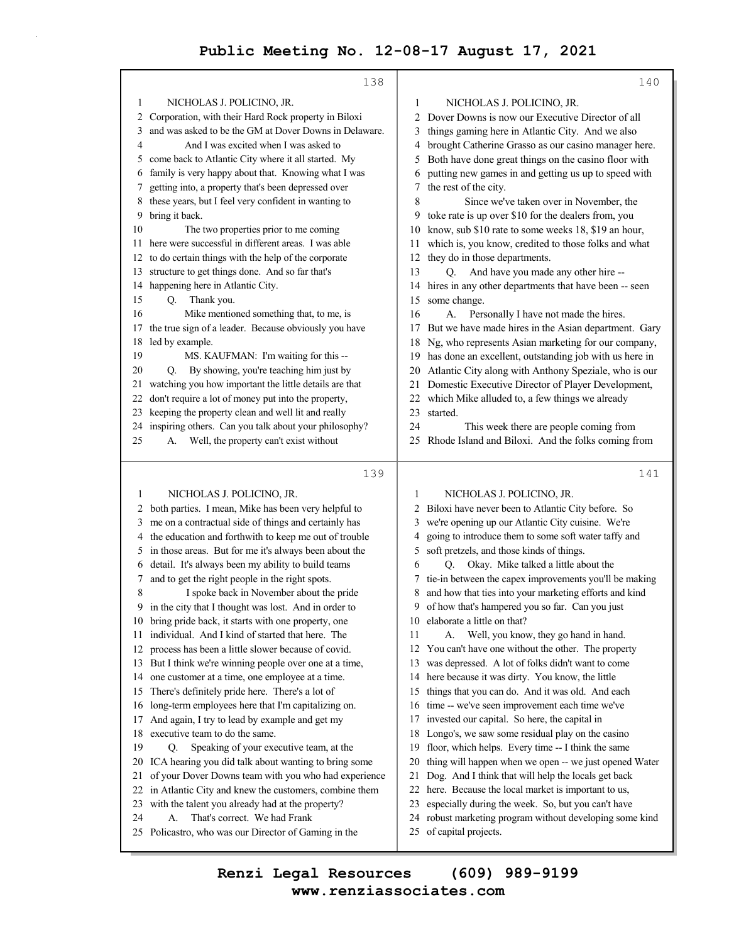|    | 138                                                                                        |          | 140                                                                           |
|----|--------------------------------------------------------------------------------------------|----------|-------------------------------------------------------------------------------|
| 1  | NICHOLAS J. POLICINO, JR.                                                                  | 1        | NICHOLAS J. POLICINO, JR.                                                     |
| 2  | Corporation, with their Hard Rock property in Biloxi                                       | 2        | Dover Downs is now our Executive Director of all                              |
| 3  | and was asked to be the GM at Dover Downs in Delaware.                                     | 3        | things gaming here in Atlantic City. And we also                              |
| 4  | And I was excited when I was asked to                                                      | 4        | brought Catherine Grasso as our casino manager here.                          |
| 5  | come back to Atlantic City where it all started. My                                        | 5        | Both have done great things on the casino floor with                          |
| 6  | family is very happy about that. Knowing what I was                                        | 6        | putting new games in and getting us up to speed with                          |
| 7  | getting into, a property that's been depressed over                                        | 7        | the rest of the city.                                                         |
| 8  | these years, but I feel very confident in wanting to                                       | 8        | Since we've taken over in November, the                                       |
| 9  | bring it back.                                                                             | 9        | toke rate is up over \$10 for the dealers from, you                           |
| 10 | The two properties prior to me coming                                                      | 10       | know, sub \$10 rate to some weeks 18, \$19 an hour,                           |
| 11 | here were successful in different areas. I was able                                        | 11       | which is, you know, credited to those folks and what                          |
| 12 | to do certain things with the help of the corporate                                        | 12       | they do in those departments.                                                 |
| 13 | structure to get things done. And so far that's                                            | 13       | Q. And have you made any other hire --                                        |
| 14 | happening here in Atlantic City.                                                           | 14       | hires in any other departments that have been -- seen                         |
| 15 | Thank you.<br>Q.                                                                           | 15       | some change.                                                                  |
| 16 | Mike mentioned something that, to me, is                                                   | 16       | Personally I have not made the hires.<br>А.                                   |
| 17 | the true sign of a leader. Because obviously you have                                      | 17       | But we have made hires in the Asian department. Gary                          |
| 18 | led by example.                                                                            | 18       | Ng, who represents Asian marketing for our company,                           |
| 19 | MS. KAUFMAN: I'm waiting for this --                                                       | 19       | has done an excellent, outstanding job with us here in                        |
| 20 | By showing, you're teaching him just by<br>O.                                              | 20       | Atlantic City along with Anthony Speziale, who is our                         |
| 21 | watching you how important the little details are that                                     | 21       | Domestic Executive Director of Player Development,                            |
| 22 | don't require a lot of money put into the property,                                        | 22       | which Mike alluded to, a few things we already                                |
| 23 | keeping the property clean and well lit and really                                         | 23       | started.                                                                      |
| 24 | inspiring others. Can you talk about your philosophy?                                      | 24       | This week there are people coming from                                        |
| 25 | Well, the property can't exist without<br>А.                                               | 25       | Rhode Island and Biloxi. And the folks coming from                            |
|    |                                                                                            |          |                                                                               |
|    | 139                                                                                        |          | 141                                                                           |
|    |                                                                                            |          |                                                                               |
|    |                                                                                            |          |                                                                               |
| 1  | NICHOLAS J. POLICINO, JR.                                                                  | 1        | NICHOLAS J. POLICINO, JR.                                                     |
| 2  | both parties. I mean, Mike has been very helpful to                                        | 2        | Biloxi have never been to Atlantic City before. So                            |
| 3  | me on a contractual side of things and certainly has                                       | 3        | we're opening up our Atlantic City cuisine. We're                             |
| 4  | the education and forthwith to keep me out of trouble                                      | 4        | going to introduce them to some soft water taffy and                          |
| 5  | in those areas. But for me it's always been about the                                      | 5        | soft pretzels, and those kinds of things.                                     |
| 6  | detail. It's always been my ability to build teams                                         | 6        | Okay. Mike talked a little about the<br>O.                                    |
| 7  | and to get the right people in the right spots.                                            | 7        | tie-in between the capex improvements you'll be making                        |
| 8  | I spoke back in November about the pride                                                   | 8        | and how that ties into your marketing efforts and kind                        |
|    | 9 in the city that I thought was lost. And in order to                                     |          | 9 of how that's hampered you so far. Can you just                             |
|    | 10 bring pride back, it starts with one property, one                                      |          | 10 elaborate a little on that?                                                |
| 11 | individual. And I kind of started that here. The                                           | 11       | Well, you know, they go hand in hand.<br>А.                                   |
| 12 | process has been a little slower because of covid.                                         | 12       | You can't have one without the other. The property                            |
|    | 13 But I think we're winning people over one at a time,                                    | 13       | was depressed. A lot of folks didn't want to come                             |
| 14 | one customer at a time, one employee at a time.                                            | 14       | here because it was dirty. You know, the little                               |
| 15 | There's definitely pride here. There's a lot of                                            | 15       | things that you can do. And it was old. And each                              |
| 16 | long-term employees here that I'm capitalizing on.                                         | 16       | time -- we've seen improvement each time we've                                |
| 17 | And again, I try to lead by example and get my                                             | 17       | invested our capital. So here, the capital in                                 |
| 18 | executive team to do the same.                                                             |          | 18 Longo's, we saw some residual play on the casino                           |
| 19 | Speaking of your executive team, at the<br>O.                                              | 19       | floor, which helps. Every time -- I think the same                            |
| 20 | ICA hearing you did talk about wanting to bring some                                       | 20       | thing will happen when we open -- we just opened Water                        |
| 21 | of your Dover Downs team with you who had experience                                       | 21       | Dog. And I think that will help the locals get back                           |
| 22 | in Atlantic City and knew the customers, combine them                                      | 22       | here. Because the local market is important to us,                            |
| 23 | with the talent you already had at the property?                                           | 23       | especially during the week. So, but you can't have                            |
| 24 | That's correct. We had Frank<br>А.<br>25 Policastro, who was our Director of Gaming in the | 24<br>25 | robust marketing program without developing some kind<br>of capital projects. |

**www.renziassociates.com Renzi Legal Resources (609) 989-9199**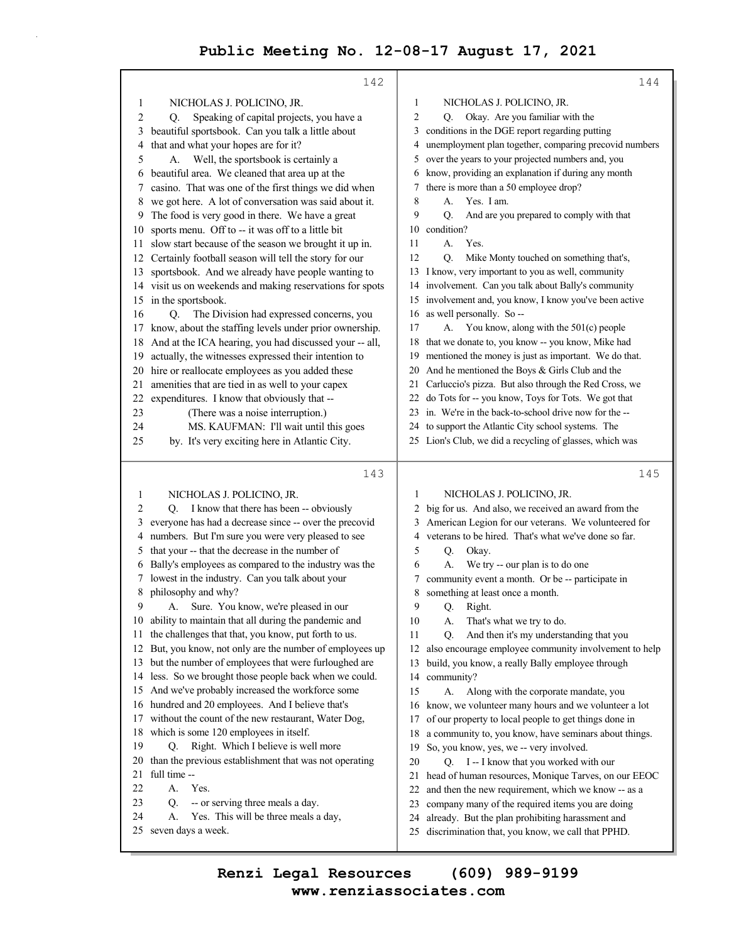|    | 142                                                                                                            |                | 144                                                                                                           |
|----|----------------------------------------------------------------------------------------------------------------|----------------|---------------------------------------------------------------------------------------------------------------|
| 1  | NICHOLAS J. POLICINO, JR.                                                                                      | 1              | NICHOLAS J. POLICINO, JR.                                                                                     |
| 2  | Speaking of capital projects, you have a<br>O.                                                                 | $\overline{c}$ | Q. Okay. Are you familiar with the                                                                            |
| 3  | beautiful sportsbook. Can you talk a little about                                                              | 3              | conditions in the DGE report regarding putting                                                                |
| 4  | that and what your hopes are for it?                                                                           | 4              | unemployment plan together, comparing precovid numbers                                                        |
| 5  | Well, the sportsbook is certainly a<br>А.                                                                      | 5              | over the years to your projected numbers and, you                                                             |
| 6  | beautiful area. We cleaned that area up at the                                                                 | 6              | know, providing an explanation if during any month                                                            |
| 7  | casino. That was one of the first things we did when                                                           | 7              | there is more than a 50 employee drop?                                                                        |
| 8  | we got here. A lot of conversation was said about it.                                                          | 8              | А.<br>Yes. I am.                                                                                              |
| 9  | The food is very good in there. We have a great                                                                | 9              | Q.<br>And are you prepared to comply with that                                                                |
| 10 | sports menu. Off to -- it was off to a little bit                                                              | 10             | condition?                                                                                                    |
| 11 | slow start because of the season we brought it up in.                                                          | 11             | А.<br>Yes.                                                                                                    |
| 12 | Certainly football season will tell the story for our                                                          | 12             | Mike Monty touched on something that's,<br>O.                                                                 |
| 13 | sportsbook. And we already have people wanting to                                                              |                | 13 I know, very important to you as well, community                                                           |
|    | 14 visit us on weekends and making reservations for spots                                                      | 14             | involvement. Can you talk about Bally's community                                                             |
| 15 | in the sportsbook.                                                                                             |                | 15 involvement and, you know, I know you've been active                                                       |
| 16 | The Division had expressed concerns, you<br>O.                                                                 | 16             | as well personally. So --                                                                                     |
| 17 | know, about the staffing levels under prior ownership.                                                         | 17             | A. You know, along with the 501(c) people                                                                     |
| 18 | And at the ICA hearing, you had discussed your -- all,                                                         | 18             | that we donate to, you know -- you know, Mike had                                                             |
| 19 | actually, the witnesses expressed their intention to                                                           | 19             | mentioned the money is just as important. We do that.                                                         |
| 20 | hire or reallocate employees as you added these                                                                |                | 20 And he mentioned the Boys & Girls Club and the                                                             |
| 21 | amenities that are tied in as well to your capex                                                               | 21             | Carluccio's pizza. But also through the Red Cross, we                                                         |
| 22 | expenditures. I know that obviously that --                                                                    | 22             | do Tots for -- you know, Toys for Tots. We got that                                                           |
| 23 | (There was a noise interruption.)                                                                              |                | 23 in. We're in the back-to-school drive now for the --                                                       |
| 24 | MS. KAUFMAN: I'll wait until this goes                                                                         |                | 24 to support the Atlantic City school systems. The                                                           |
| 25 | by. It's very exciting here in Atlantic City.                                                                  |                | 25 Lion's Club, we did a recycling of glasses, which was                                                      |
|    |                                                                                                                |                |                                                                                                               |
|    |                                                                                                                |                |                                                                                                               |
|    | 143                                                                                                            |                | 145                                                                                                           |
|    |                                                                                                                |                |                                                                                                               |
| 1  | NICHOLAS J. POLICINO, JR.                                                                                      | 1              | NICHOLAS J. POLICINO, JR.                                                                                     |
| 2  | I know that there has been -- obviously<br>O.                                                                  | 2              | big for us. And also, we received an award from the                                                           |
| 3  | everyone has had a decrease since -- over the precovid                                                         | 3              | American Legion for our veterans. We volunteered for                                                          |
| 4  | numbers. But I'm sure you were very pleased to see                                                             | 4              | veterans to be hired. That's what we've done so far.                                                          |
| 5  | that your -- that the decrease in the number of                                                                | 5              | Q.<br>Okay.                                                                                                   |
| 6  | Bally's employees as compared to the industry was the                                                          | 6              | We try -- our plan is to do one<br>А.                                                                         |
|    | lowest in the industry. Can you talk about your                                                                | 7              | community event a month. Or be -- participate in                                                              |
| 8  | philosophy and why?                                                                                            | 8<br>9         | something at least once a month.                                                                              |
| 9  | A. Sure. You know, we're pleased in our                                                                        | 10             | Q. Right.<br>А.                                                                                               |
| 11 | 10 ability to maintain that all during the pandemic and                                                        | 11             | That's what we try to do.                                                                                     |
| 12 | the challenges that that, you know, put forth to us.                                                           | 12             | And then it's my understanding that you<br>Q.                                                                 |
| 13 | But, you know, not only are the number of employees up<br>but the number of employees that were furloughed are | 13             | also encourage employee community involvement to help<br>build, you know, a really Bally employee through     |
| 14 | less. So we brought those people back when we could.                                                           | 14             | community?                                                                                                    |
| 15 | And we've probably increased the workforce some                                                                | 15             | А.                                                                                                            |
| 16 | hundred and 20 employees. And I believe that's                                                                 | 16             | Along with the corporate mandate, you                                                                         |
| 17 | without the count of the new restaurant, Water Dog,                                                            | 17             | know, we volunteer many hours and we volunteer a lot<br>of our property to local people to get things done in |
| 18 | which is some 120 employees in itself.                                                                         | 18             | a community to, you know, have seminars about things.                                                         |
| 19 | Right. Which I believe is well more<br>Q.                                                                      | 19             | So, you know, yes, we -- very involved.                                                                       |
| 20 | than the previous establishment that was not operating                                                         | 20             | Q. I -- I know that you worked with our                                                                       |
| 21 | full time --                                                                                                   | 21             | head of human resources, Monique Tarves, on our EEOC                                                          |
| 22 | Yes.<br>А.                                                                                                     | 22             | and then the new requirement, which we know -- as a                                                           |
| 23 | -- or serving three meals a day.<br>Q.                                                                         | 23             | company many of the required items you are doing                                                              |
| 24 | A.<br>Yes. This will be three meals a day,                                                                     | 24             | already. But the plan prohibiting harassment and                                                              |
| 25 | seven days a week.                                                                                             | 25             | discrimination that, you know, we call that PPHD.                                                             |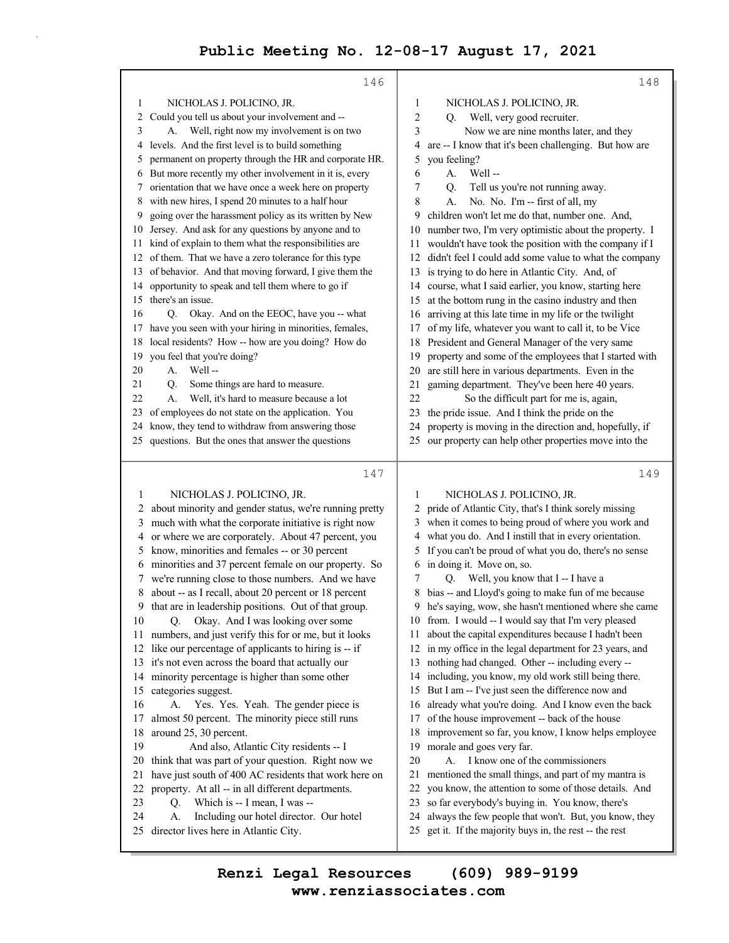|                | 146                                                                                                            | 148                                                                                                                        |
|----------------|----------------------------------------------------------------------------------------------------------------|----------------------------------------------------------------------------------------------------------------------------|
| 1              | NICHOLAS J. POLICINO, JR.                                                                                      | NICHOLAS J. POLICINO, JR.<br>1                                                                                             |
| $\overline{c}$ | Could you tell us about your involvement and --                                                                | 2<br>Well, very good recruiter.<br>O.                                                                                      |
| 3              | Well, right now my involvement is on two<br>А.                                                                 | 3<br>Now we are nine months later, and they                                                                                |
|                | 4 levels. And the first level is to build something                                                            | are -- I know that it's been challenging. But how are<br>4                                                                 |
| 5              | permanent on property through the HR and corporate HR.                                                         | 5<br>you feeling?                                                                                                          |
| 6              | But more recently my other involvement in it is, every                                                         | 6<br>Well-<br>А.                                                                                                           |
|                | 7 orientation that we have once a week here on property                                                        | 7<br>Tell us you're not running away.<br>Q.                                                                                |
| 8              | with new hires, I spend 20 minutes to a half hour                                                              | 8<br>No. No. I'm -- first of all, my<br>А.                                                                                 |
| 9              | going over the harassment policy as its written by New                                                         | children won't let me do that, number one. And,<br>9                                                                       |
| 10             | Jersey. And ask for any questions by anyone and to                                                             | 10 number two, I'm very optimistic about the property. I                                                                   |
|                | 11 kind of explain to them what the responsibilities are                                                       | 11 wouldn't have took the position with the company if I                                                                   |
|                | 12 of them. That we have a zero tolerance for this type                                                        | didn't feel I could add some value to what the company<br>12                                                               |
| 13             | of behavior. And that moving forward, I give them the                                                          | is trying to do here in Atlantic City. And, of<br>13                                                                       |
| 14             | opportunity to speak and tell them where to go if                                                              | course, what I said earlier, you know, starting here<br>14                                                                 |
| 15             | there's an issue.                                                                                              | at the bottom rung in the casino industry and then<br>15                                                                   |
| 16             | Q. Okay. And on the EEOC, have you -- what                                                                     | arriving at this late time in my life or the twilight<br>16                                                                |
| 17             | have you seen with your hiring in minorities, females,                                                         | of my life, whatever you want to call it, to be Vice<br>17                                                                 |
| 18             | local residents? How -- how are you doing? How do                                                              | President and General Manager of the very same<br>18                                                                       |
| 19             | you feel that you're doing?                                                                                    | property and some of the employees that I started with<br>19                                                               |
| 20             | Well-<br>А.                                                                                                    | are still here in various departments. Even in the<br>20                                                                   |
| 21             | Some things are hard to measure.<br>Q.                                                                         | gaming department. They've been here 40 years.<br>21                                                                       |
| 22             | Well, it's hard to measure because a lot<br>А.                                                                 | So the difficult part for me is, again,<br>22                                                                              |
|                | 23 of employees do not state on the application. You                                                           | the pride issue. And I think the pride on the<br>23                                                                        |
| 24             | know, they tend to withdraw from answering those                                                               | property is moving in the direction and, hopefully, if<br>24                                                               |
|                | 25 questions. But the ones that answer the questions                                                           | our property can help other properties move into the<br>25                                                                 |
|                |                                                                                                                |                                                                                                                            |
|                |                                                                                                                |                                                                                                                            |
|                | 147                                                                                                            | 149                                                                                                                        |
| 1              | NICHOLAS J. POLICINO, JR.                                                                                      | 1<br>NICHOLAS J. POLICINO, JR.                                                                                             |
| 2              |                                                                                                                | pride of Atlantic City, that's I think sorely missing<br>2                                                                 |
| 3              | about minority and gender status, we're running pretty<br>much with what the corporate initiative is right now | when it comes to being proud of where you work and<br>3                                                                    |
| 4              | or where we are corporately. About 47 percent, you                                                             | what you do. And I instill that in every orientation.<br>4                                                                 |
| 5              | know, minorities and females -- or 30 percent                                                                  | If you can't be proud of what you do, there's no sense<br>5                                                                |
| 6              | minorities and 37 percent female on our property. So                                                           | in doing it. Move on, so.<br>6                                                                                             |
| 7              | we're running close to those numbers. And we have                                                              | Q. Well, you know that I -- I have a<br>7                                                                                  |
| 8              | about -- as I recall, about 20 percent or 18 percent                                                           | bias -- and Lloyd's going to make fun of me because<br>8                                                                   |
|                | 9 that are in leadership positions. Out of that group.                                                         | 9 he's saying, wow, she hasn't mentioned where she came                                                                    |
| 10             | Okay. And I was looking over some<br>Q.                                                                        | 10 from. I would -- I would say that I'm very pleased                                                                      |
| 11             | numbers, and just verify this for or me, but it looks                                                          | about the capital expenditures because I hadn't been<br>11                                                                 |
| 12             | like our percentage of applicants to hiring is -- if                                                           | in my office in the legal department for 23 years, and<br>12                                                               |
| 13             | it's not even across the board that actually our                                                               | nothing had changed. Other -- including every --<br>13                                                                     |
| 14             | minority percentage is higher than some other                                                                  | including, you know, my old work still being there.<br>14                                                                  |
| 15             | categories suggest.                                                                                            | 15 But I am -- I've just seen the difference now and                                                                       |
| 16             | A. Yes. Yes. Yeah. The gender piece is                                                                         | already what you're doing. And I know even the back<br>16                                                                  |
| 17             | almost 50 percent. The minority piece still runs                                                               | of the house improvement -- back of the house<br>17                                                                        |
| 18             | around 25, 30 percent.                                                                                         | improvement so far, you know, I know helps employee<br>18                                                                  |
| 19             | And also, Atlantic City residents -- I                                                                         | morale and goes very far.<br>19                                                                                            |
| 20             | think that was part of your question. Right now we                                                             | I know one of the commissioners<br>20<br>А.                                                                                |
| 21             | have just south of 400 AC residents that work here on                                                          | mentioned the small things, and part of my mantra is<br>21                                                                 |
| 22             | property. At all -- in all different departments.                                                              | you know, the attention to some of those details. And<br>22                                                                |
| 23             | Which is -- I mean, I was --<br>Q.                                                                             | so far everybody's buying in. You know, there's<br>23                                                                      |
| 24<br>25       | Including our hotel director. Our hotel<br>А.<br>director lives here in Atlantic City.                         | always the few people that won't. But, you know, they<br>24<br>get it. If the majority buys in, the rest -- the rest<br>25 |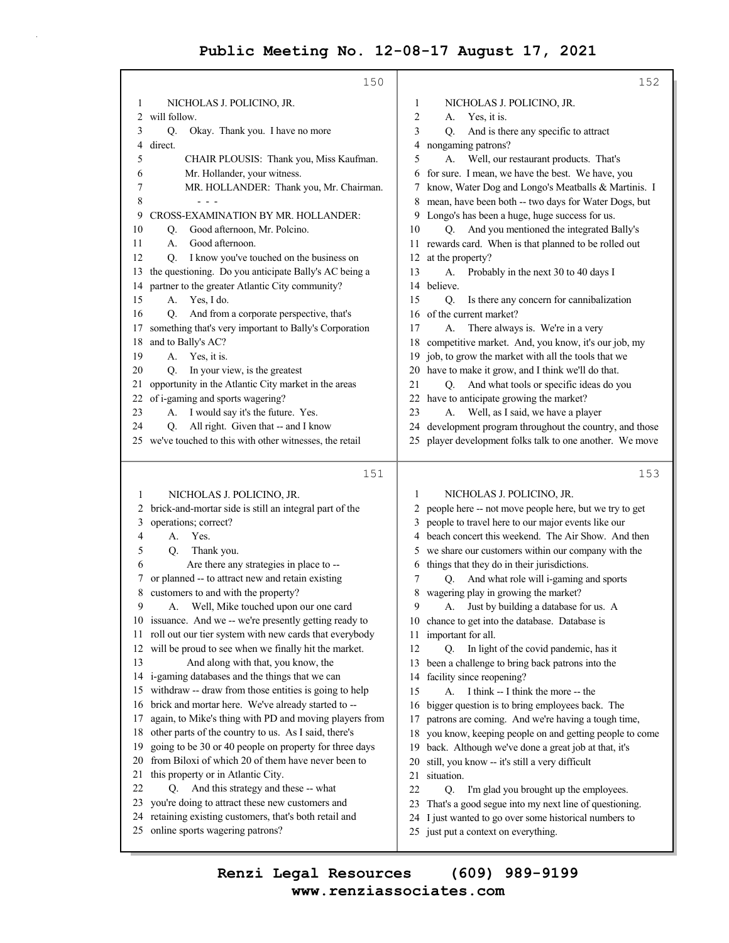|          | 150                                                                                                               | 152                                                                                                        |
|----------|-------------------------------------------------------------------------------------------------------------------|------------------------------------------------------------------------------------------------------------|
| 1        | NICHOLAS J. POLICINO, JR.                                                                                         | 1<br>NICHOLAS J. POLICINO, JR.                                                                             |
| 2        | will follow.                                                                                                      | $\overline{2}$<br>Yes, it is.<br>А.                                                                        |
| 3        | Okay. Thank you. I have no more<br>Q.                                                                             | 3<br>And is there any specific to attract<br>O.                                                            |
| 4        | direct.                                                                                                           | nongaming patrons?<br>4                                                                                    |
| 5        | CHAIR PLOUSIS: Thank you, Miss Kaufman.                                                                           | 5<br>Well, our restaurant products. That's<br>A.                                                           |
| 6        | Mr. Hollander, your witness.                                                                                      | for sure. I mean, we have the best. We have, you<br>6                                                      |
| 7        | MR. HOLLANDER: Thank you, Mr. Chairman.                                                                           | know, Water Dog and Longo's Meatballs & Martinis. I<br>7                                                   |
| 8<br>9   | $  -$<br>CROSS-EXAMINATION BY MR. HOLLANDER:                                                                      | mean, have been both -- two days for Water Dogs, but<br>8                                                  |
| 10       | Good afternoon, Mr. Polcino.<br>Q.                                                                                | Longo's has been a huge, huge success for us.<br>9<br>And you mentioned the integrated Bally's<br>10<br>Q. |
| 11       | Good afternoon.<br>А.                                                                                             | rewards card. When is that planned to be rolled out<br>11                                                  |
| 12       | I know you've touched on the business on<br>Q.                                                                    | at the property?<br>12                                                                                     |
| 13       | the questioning. Do you anticipate Bally's AC being a                                                             | 13<br>Probably in the next 30 to 40 days I<br>А.                                                           |
| 14       | partner to the greater Atlantic City community?                                                                   | believe.<br>14                                                                                             |
| 15       | Yes, I do.<br>А.                                                                                                  | Is there any concern for cannibalization<br>15<br>Q.                                                       |
| 16       | And from a corporate perspective, that's<br>Q.                                                                    | of the current market?<br>16                                                                               |
| 17       | something that's very important to Bally's Corporation                                                            | 17<br>There always is. We're in a very<br>A.                                                               |
| 18       | and to Bally's AC?                                                                                                | competitive market. And, you know, it's our job, my<br>18                                                  |
| 19       | Yes, it is.<br>А.                                                                                                 | job, to grow the market with all the tools that we<br>19                                                   |
| 20       | In your view, is the greatest<br>Q.                                                                               | 20 have to make it grow, and I think we'll do that.                                                        |
| 21       | opportunity in the Atlantic City market in the areas                                                              | 21<br>And what tools or specific ideas do you<br>Q.                                                        |
| 22       | of i-gaming and sports wagering?                                                                                  | 22 have to anticipate growing the market?                                                                  |
| 23       | I would say it's the future. Yes.<br>A.                                                                           | 23<br>Well, as I said, we have a player<br>А.                                                              |
| 24       | All right. Given that -- and I know<br>Q.                                                                         | development program throughout the country, and those<br>24                                                |
|          | 25 we've touched to this with other witnesses, the retail                                                         | player development folks talk to one another. We move<br>25                                                |
|          | 151                                                                                                               | 153                                                                                                        |
| 1        | NICHOLAS J. POLICINO, JR.                                                                                         | NICHOLAS J. POLICINO, JR.<br>1                                                                             |
| 2        | brick-and-mortar side is still an integral part of the                                                            | people here -- not move people here, but we try to get<br>2                                                |
| 3        | operations; correct?                                                                                              | people to travel here to our major events like our<br>3                                                    |
| 4        | Yes.<br>A.                                                                                                        | beach concert this weekend. The Air Show. And then<br>4                                                    |
| 5        | Thank you.<br>Q.                                                                                                  | we share our customers within our company with the<br>5                                                    |
| 6        | Are there any strategies in place to --                                                                           | things that they do in their jurisdictions.<br>6                                                           |
| 7        | or planned -- to attract new and retain existing                                                                  | And what role will i-gaming and sports<br>7<br>Q.                                                          |
| 8        | customers to and with the property?                                                                               | 8 wagering play in growing the market?                                                                     |
| 9        | Well, Mike touched upon our one card<br>А.                                                                        | 9<br>Just by building a database for us. A<br>А.                                                           |
|          | 10 issuance. And we -- we're presently getting ready to<br>roll out our tier system with new cards that everybody | 10 chance to get into the database. Database is                                                            |
| 11<br>12 | will be proud to see when we finally hit the market.                                                              | important for all.<br>11<br>12<br>In light of the covid pandemic, has it<br>O.                             |
| 13       | And along with that, you know, the                                                                                | 13 been a challenge to bring back patrons into the                                                         |
| 14       | i-gaming databases and the things that we can                                                                     | facility since reopening?<br>14                                                                            |
| 15       | withdraw -- draw from those entities is going to help                                                             | I think -- I think the more -- the<br>15<br>А.                                                             |
| 16       | brick and mortar here. We've already started to --                                                                | bigger question is to bring employees back. The<br>16                                                      |
| 17       | again, to Mike's thing with PD and moving players from                                                            | patrons are coming. And we're having a tough time,<br>17                                                   |
| 18       | other parts of the country to us. As I said, there's                                                              | you know, keeping people on and getting people to come<br>18                                               |
| 19       | going to be 30 or 40 people on property for three days                                                            | back. Although we've done a great job at that, it's<br>19                                                  |
| 20       | from Biloxi of which 20 of them have never been to                                                                | still, you know -- it's still a very difficult<br>20                                                       |
| 21       | this property or in Atlantic City.                                                                                | 21<br>situation.                                                                                           |
| 22       | And this strategy and these -- what<br>O.                                                                         | 22<br>I'm glad you brought up the employees.<br>Q.                                                         |
| 23       | you're doing to attract these new customers and                                                                   | That's a good segue into my next line of questioning.<br>23                                                |
| 24       | retaining existing customers, that's both retail and                                                              |                                                                                                            |
| 25       | online sports wagering patrons?                                                                                   | I just wanted to go over some historical numbers to<br>24<br>just put a context on everything.<br>25       |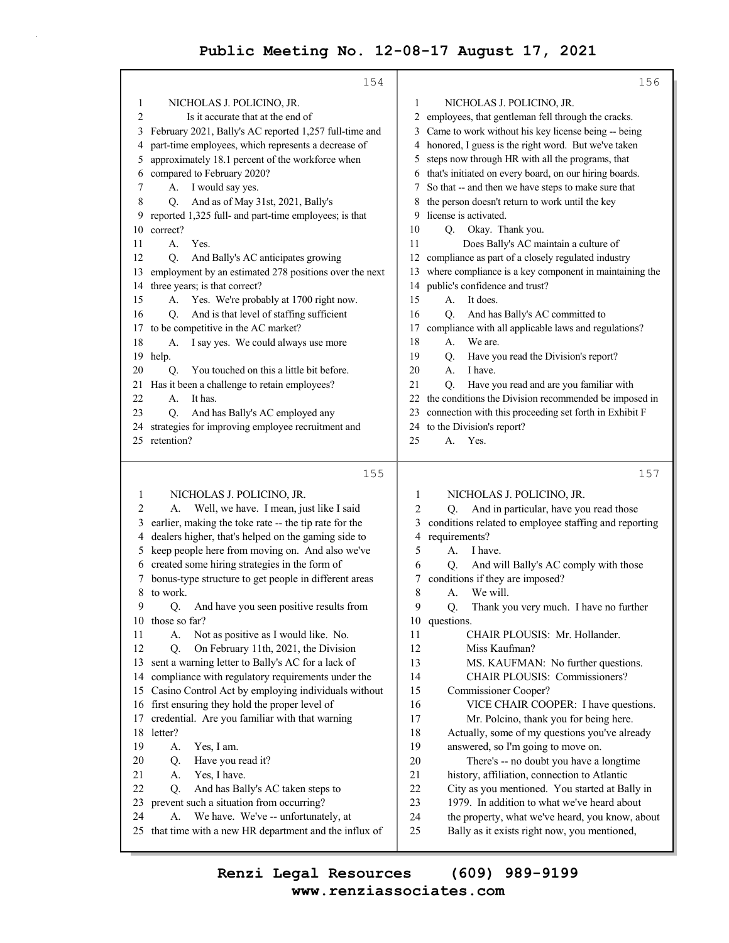|          | 154                                                                                               | 156                                                                                                         |
|----------|---------------------------------------------------------------------------------------------------|-------------------------------------------------------------------------------------------------------------|
| 1        | NICHOLAS J. POLICINO, JR.                                                                         | 1<br>NICHOLAS J. POLICINO, JR.                                                                              |
| 2        | Is it accurate that at the end of                                                                 | employees, that gentleman fell through the cracks.<br>2                                                     |
| 3        | February 2021, Bally's AC reported 1,257 full-time and                                            | Came to work without his key license being -- being<br>3                                                    |
| 4        | part-time employees, which represents a decrease of                                               | honored, I guess is the right word. But we've taken<br>4                                                    |
| 5        | approximately 18.1 percent of the workforce when                                                  | steps now through HR with all the programs, that<br>5                                                       |
| 6        | compared to February 2020?                                                                        | that's initiated on every board, on our hiring boards.<br>6                                                 |
| 7        | A.<br>I would say yes.                                                                            | So that -- and then we have steps to make sure that<br>7                                                    |
| 8        | And as of May 31st, 2021, Bally's<br>О.                                                           | the person doesn't return to work until the key<br>8                                                        |
| 9        | reported 1,325 full- and part-time employees; is that                                             | license is activated.<br>9                                                                                  |
| 10       | correct?                                                                                          | 10<br>Q. Okay. Thank you.                                                                                   |
| 11       | Yes.<br>А.                                                                                        | 11<br>Does Bally's AC maintain a culture of                                                                 |
| 12       | And Bally's AC anticipates growing<br>Q.                                                          | compliance as part of a closely regulated industry<br>12                                                    |
| 13       | employment by an estimated 278 positions over the next                                            | 13 where compliance is a key component in maintaining the                                                   |
| 14       | three years; is that correct?                                                                     | 14 public's confidence and trust?                                                                           |
| 15       | Yes. We're probably at 1700 right now.<br>А.                                                      | 15<br>A.<br>It does.                                                                                        |
| 16       | And is that level of staffing sufficient<br>Q <sub>r</sub>                                        | 16<br>And has Bally's AC committed to<br>Q.                                                                 |
| 17       | to be competitive in the AC market?                                                               | compliance with all applicable laws and regulations?<br>17                                                  |
| 18       | I say yes. We could always use more<br>А.                                                         | We are.<br>18<br>А.                                                                                         |
| 19       | help.                                                                                             | 19<br>Have you read the Division's report?<br>Q.                                                            |
| 20       | You touched on this a little bit before.<br>Q.                                                    | I have.<br>20<br>А.                                                                                         |
| 21       | Has it been a challenge to retain employees?                                                      | 21<br>Have you read and are you familiar with<br>Q.                                                         |
| 22       | It has.<br>А.                                                                                     | the conditions the Division recommended be imposed in<br>22                                                 |
| 23       | And has Bally's AC employed any<br>Q.                                                             | connection with this proceeding set forth in Exhibit F<br>23                                                |
| 24       | strategies for improving employee recruitment and                                                 | to the Division's report?<br>24                                                                             |
|          | 25 retention?                                                                                     | Yes.<br>25<br>A.                                                                                            |
|          |                                                                                                   |                                                                                                             |
|          | 155                                                                                               | 157                                                                                                         |
| 1        | NICHOLAS J. POLICINO, JR.                                                                         | 1<br>NICHOLAS J. POLICINO, JR.                                                                              |
| 2        | Well, we have. I mean, just like I said<br>А.                                                     | And in particular, have you read those<br>2<br>O.                                                           |
| 3        | earlier, making the toke rate -- the tip rate for the                                             | 3<br>conditions related to employee staffing and reporting                                                  |
| 4        | dealers higher, that's helped on the gaming side to                                               | 4<br>requirements?                                                                                          |
| 5        | keep people here from moving on. And also we've                                                   | 5<br>A.<br>I have.                                                                                          |
| 6        | created some hiring strategies in the form of                                                     | 6<br>O.<br>And will Bally's AC comply with those                                                            |
|          | bonus-type structure to get people in different areas                                             | conditions if they are imposed?<br>7                                                                        |
| 8        | to work.                                                                                          | 8<br>We will.<br>А.                                                                                         |
| 9        | And have you seen positive results from<br>Q.                                                     | 9<br>Thank you very much. I have no further<br>Q.                                                           |
| 10       | those so far?                                                                                     | 10<br>questions.                                                                                            |
| 11       | Not as positive as I would like. No.<br>А.                                                        | 11<br>CHAIR PLOUSIS: Mr. Hollander.                                                                         |
| 12       | Q.<br>On February 11th, 2021, the Division                                                        | 12<br>Miss Kaufman?                                                                                         |
| 13       | sent a warning letter to Bally's AC for a lack of                                                 | 13<br>MS. KAUFMAN: No further questions.                                                                    |
| 14       | compliance with regulatory requirements under the                                                 | 14<br>CHAIR PLOUSIS: Commissioners?                                                                         |
| 15       | Casino Control Act by employing individuals without                                               | 15<br>Commissioner Cooper?                                                                                  |
|          | 16 first ensuring they hold the proper level of                                                   | 16<br>VICE CHAIR COOPER: I have questions.                                                                  |
| 17       | credential. Are you familiar with that warning                                                    | 17<br>Mr. Polcino, thank you for being here.                                                                |
| 18       | letter?                                                                                           | 18<br>Actually, some of my questions you've already                                                         |
| 19       | Yes, I am.<br>А.                                                                                  | 19<br>answered, so I'm going to move on.                                                                    |
| 20       | Have you read it?<br>Q.                                                                           | 20<br>There's -- no doubt you have a longtime                                                               |
| 21       | Yes, I have.<br>А.                                                                                | 21<br>history, affiliation, connection to Atlantic                                                          |
| 22       | And has Bally's AC taken steps to<br>Q.                                                           | 22<br>City as you mentioned. You started at Bally in                                                        |
| 23       | prevent such a situation from occurring?                                                          | 23<br>1979. In addition to what we've heard about                                                           |
| 24<br>25 | We have. We've -- unfortunately, at<br>А.<br>that time with a new HR department and the influx of | 24<br>the property, what we've heard, you know, about<br>25<br>Bally as it exists right now, you mentioned, |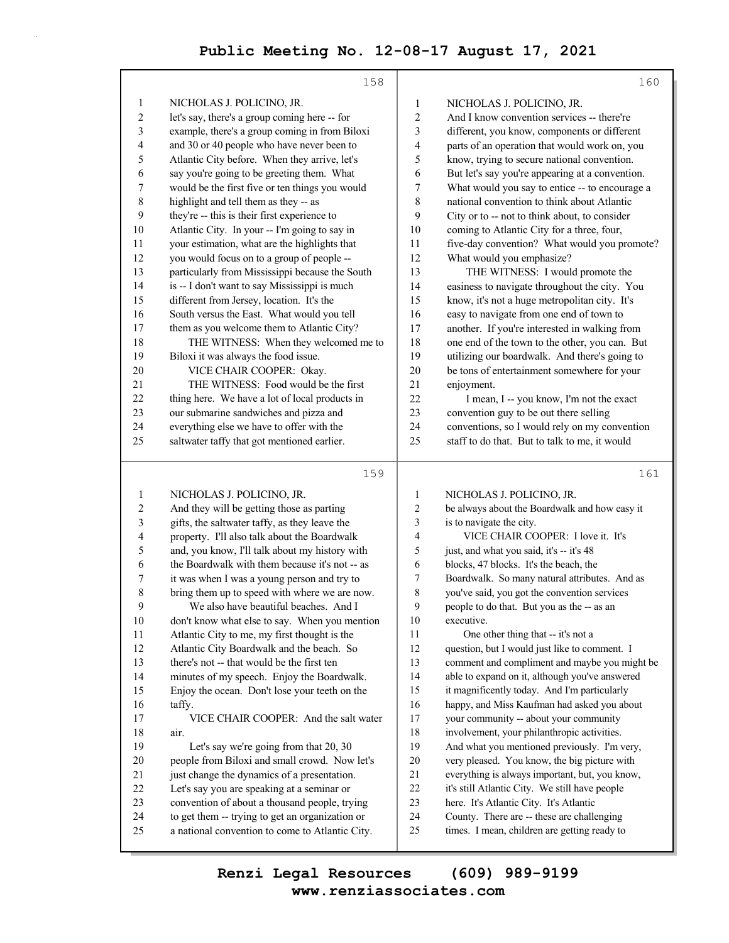|                         | 158                                                                                                |                         | 160                                                                                        |
|-------------------------|----------------------------------------------------------------------------------------------------|-------------------------|--------------------------------------------------------------------------------------------|
| $\mathbf{1}$            | NICHOLAS J. POLICINO, JR.                                                                          | 1                       | NICHOLAS J. POLICINO, JR.                                                                  |
| $\boldsymbol{2}$        | let's say, there's a group coming here -- for                                                      | $\boldsymbol{2}$        | And I know convention services -- there're                                                 |
| 3                       | example, there's a group coming in from Biloxi                                                     | 3                       | different, you know, components or different                                               |
| 4                       | and 30 or 40 people who have never been to                                                         | 4                       | parts of an operation that would work on, you                                              |
| 5                       | Atlantic City before. When they arrive, let's                                                      | 5                       | know, trying to secure national convention.                                                |
| 6                       | say you're going to be greeting them. What                                                         | 6                       | But let's say you're appearing at a convention.                                            |
| 7                       | would be the first five or ten things you would                                                    | $\overline{7}$          | What would you say to entice -- to encourage a                                             |
| 8                       | highlight and tell them as they -- as                                                              | 8                       | national convention to think about Atlantic                                                |
| 9                       | they're -- this is their first experience to                                                       | 9                       | City or to -- not to think about, to consider                                              |
| 10                      | Atlantic City. In your -- I'm going to say in                                                      | 10                      | coming to Atlantic City for a three, four,                                                 |
| 11                      | your estimation, what are the highlights that                                                      | 11                      | five-day convention? What would you promote?                                               |
| 12                      | you would focus on to a group of people --                                                         | 12                      | What would you emphasize?                                                                  |
| 13                      | particularly from Mississippi because the South                                                    | 13                      | THE WITNESS: I would promote the                                                           |
| 14                      | is -- I don't want to say Mississippi is much                                                      | 14                      | easiness to navigate throughout the city. You                                              |
| 15                      | different from Jersey, location. It's the                                                          | 15                      | know, it's not a huge metropolitan city. It's                                              |
| 16                      | South versus the East. What would you tell                                                         | 16                      | easy to navigate from one end of town to                                                   |
| 17                      | them as you welcome them to Atlantic City?                                                         | 17                      | another. If you're interested in walking from                                              |
| 18                      | THE WITNESS: When they welcomed me to                                                              | 18                      | one end of the town to the other, you can. But                                             |
| 19                      | Biloxi it was always the food issue.                                                               | 19                      | utilizing our boardwalk. And there's going to                                              |
| $20\,$                  | VICE CHAIR COOPER: Okay.                                                                           | 20                      | be tons of entertainment somewhere for your                                                |
| 21                      | THE WITNESS: Food would be the first                                                               | 21                      | enjoyment.                                                                                 |
| 22                      | thing here. We have a lot of local products in                                                     | 22                      | I mean, I -- you know, I'm not the exact                                                   |
| 23                      | our submarine sandwiches and pizza and                                                             | 23                      | convention guy to be out there selling                                                     |
| 24                      | everything else we have to offer with the                                                          | 24                      | conventions, so I would rely on my convention                                              |
| 25                      | saltwater taffy that got mentioned earlier.                                                        | 25                      | staff to do that. But to talk to me, it would                                              |
|                         |                                                                                                    |                         |                                                                                            |
|                         |                                                                                                    |                         |                                                                                            |
|                         | 159                                                                                                |                         | 161                                                                                        |
| $\mathbf{1}$            | NICHOLAS J. POLICINO, JR.                                                                          | $\mathbf{1}$            | NICHOLAS J. POLICINO, JR.                                                                  |
| $\overline{\mathbf{c}}$ | And they will be getting those as parting                                                          | $\overline{\mathbf{c}}$ | be always about the Boardwalk and how easy it                                              |
| 3                       | gifts, the saltwater taffy, as they leave the                                                      | 3                       | is to navigate the city.                                                                   |
| 4                       | property. I'll also talk about the Boardwalk                                                       | 4                       | VICE CHAIR COOPER: I love it. It's                                                         |
| 5                       | and, you know, I'll talk about my history with                                                     | 5                       | just, and what you said, it's -- it's 48                                                   |
| 6                       | the Boardwalk with them because it's not -- as                                                     | 6                       | blocks, 47 blocks. It's the beach, the                                                     |
| 7                       | it was when I was a young person and try to                                                        | 7                       | Boardwalk. So many natural attributes. And as                                              |
| $\,$ 8 $\,$             | bring them up to speed with where we are now.                                                      | 8                       | you've said, you got the convention services                                               |
| 9                       | We also have beautiful beaches. And I                                                              | 9                       | people to do that. But you as the -- as an                                                 |
| 10                      | don't know what else to say. When you mention                                                      | 10                      | executive.                                                                                 |
| 11                      | Atlantic City to me, my first thought is the                                                       | 11                      | One other thing that -- it's not a                                                         |
| 12                      | Atlantic City Boardwalk and the beach. So                                                          | 12                      | question, but I would just like to comment. I                                              |
| 13                      | there's not -- that would be the first ten                                                         | 13                      | comment and compliment and maybe you might be                                              |
| 14                      | minutes of my speech. Enjoy the Boardwalk.                                                         | 14                      | able to expand on it, although you've answered                                             |
| 15                      | Enjoy the ocean. Don't lose your teeth on the                                                      | 15                      | it magnificently today. And I'm particularly                                               |
| 16                      | taffy.                                                                                             | 16                      | happy, and Miss Kaufman had asked you about                                                |
| 17                      | VICE CHAIR COOPER: And the salt water                                                              | 17                      | your community -- about your community                                                     |
| 18                      | air.                                                                                               | 18                      | involvement, your philanthropic activities.                                                |
| 19                      | Let's say we're going from that 20, 30                                                             | 19                      | And what you mentioned previously. I'm very,                                               |
| $20\,$                  | people from Biloxi and small crowd. Now let's                                                      | $20\,$                  | very pleased. You know, the big picture with                                               |
| 21                      | just change the dynamics of a presentation.                                                        | 21                      | everything is always important, but, you know,                                             |
| 22                      | Let's say you are speaking at a seminar or                                                         | 22                      | it's still Atlantic City. We still have people                                             |
| 23                      | convention of about a thousand people, trying                                                      | 23                      | here. It's Atlantic City. It's Atlantic                                                    |
| 24<br>25                | to get them -- trying to get an organization or<br>a national convention to come to Atlantic City. | 24<br>25                | County. There are -- these are challenging<br>times. I mean, children are getting ready to |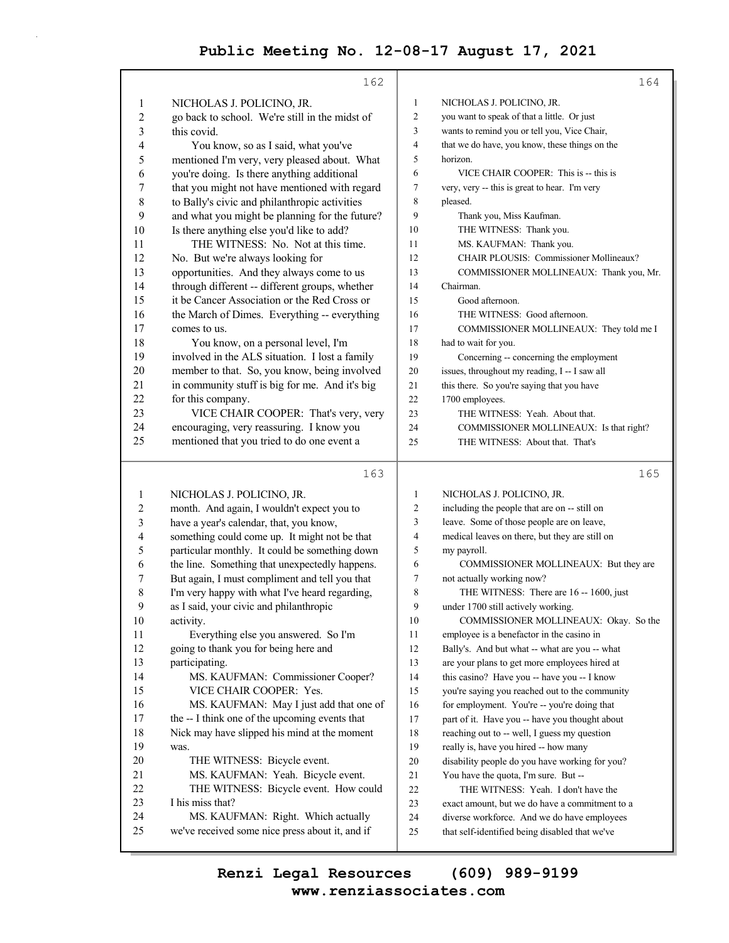|        | 162                                             |                | 164                                            |
|--------|-------------------------------------------------|----------------|------------------------------------------------|
| 1      | NICHOLAS J. POLICINO, JR.                       | 1              | NICHOLAS J. POLICINO, JR.                      |
| 2      | go back to school. We're still in the midst of  | $\overline{c}$ | you want to speak of that a little. Or just    |
| 3      | this covid.                                     | 3              | wants to remind you or tell you, Vice Chair,   |
| 4      | You know, so as I said, what you've             | 4              | that we do have, you know, these things on the |
| 5      | mentioned I'm very, very pleased about. What    | 5              | horizon.                                       |
| 6      | you're doing. Is there anything additional      | 6              | VICE CHAIR COOPER: This is -- this is          |
| 7      | that you might not have mentioned with regard   | 7              | very, very -- this is great to hear. I'm very  |
| 8      | to Bally's civic and philanthropic activities   | 8              | pleased.                                       |
| 9      | and what you might be planning for the future?  | 9              | Thank you, Miss Kaufman.                       |
| 10     | Is there anything else you'd like to add?       | 10             | THE WITNESS: Thank you.                        |
| 11     | THE WITNESS: No. Not at this time.              | 11             | MS. KAUFMAN: Thank you.                        |
| 12     | No. But we're always looking for                | 12             | CHAIR PLOUSIS: Commissioner Mollineaux?        |
| 13     | opportunities. And they always come to us       | 13             | COMMISSIONER MOLLINEAUX: Thank you, Mr.        |
| 14     | through different -- different groups, whether  | 14             | Chairman.                                      |
| 15     | it be Cancer Association or the Red Cross or    | 15             | Good afternoon.                                |
| 16     | the March of Dimes. Everything -- everything    | 16             | THE WITNESS: Good afternoon.                   |
| 17     | comes to us.                                    | 17             | COMMISSIONER MOLLINEAUX: They told me I        |
| 18     | You know, on a personal level, I'm              | 18             | had to wait for you.                           |
| 19     | involved in the ALS situation. I lost a family  | 19             | Concerning -- concerning the employment        |
| 20     | member to that. So, you know, being involved    | $20\,$         | issues, throughout my reading, I -- I saw all  |
| 21     | in community stuff is big for me. And it's big  | 21             | this there. So you're saying that you have     |
| 22     | for this company.                               | 22             | 1700 employees.                                |
| 23     | VICE CHAIR COOPER: That's very, very            | 23             | THE WITNESS: Yeah. About that.                 |
| 24     | encouraging, very reassuring. I know you        | 24             | COMMISSIONER MOLLINEAUX: Is that right?        |
| 25     | mentioned that you tried to do one event a      | 25             | THE WITNESS: About that. That's                |
|        |                                                 |                |                                                |
|        |                                                 |                |                                                |
|        | 163                                             |                | 165                                            |
| 1      | NICHOLAS J. POLICINO, JR.                       | 1              | NICHOLAS J. POLICINO, JR.                      |
| 2      | month. And again, I wouldn't expect you to      | 2              | including the people that are on -- still on   |
| 3      | have a year's calendar, that, you know,         | 3              | leave. Some of those people are on leave,      |
| 4      | something could come up. It might not be that   | 4              | medical leaves on there, but they are still on |
| 5      | particular monthly. It could be something down  | 5              | my payroll.                                    |
| 6      | the line. Something that unexpectedly happens.  | 6              | COMMISSIONER MOLLINEAUX: But they are          |
| 7      | But again, I must compliment and tell you that  | 7              | not actually working now?                      |
| 8      | I'm very happy with what I've heard regarding,  | 8              | THE WITNESS: There are 16 -- 1600, just        |
| 9      | as I said, your civic and philanthropic         | 9              | under 1700 still actively working.             |
| 10     | activity.                                       | 10             | COMMISSIONER MOLLINEAUX: Okay. So the          |
| 11     | Everything else you answered. So I'm            | 11             | employee is a benefactor in the casino in      |
| 12     | going to thank you for being here and           | 12             | Bally's. And but what -- what are you -- what  |
| 13     | participating.                                  | 13             | are your plans to get more employees hired at  |
| 14     | MS. KAUFMAN: Commissioner Cooper?               | 14             | this casino? Have you -- have you -- I know    |
| 15     | VICE CHAIR COOPER: Yes.                         | 15             | you're saying you reached out to the community |
| 16     | MS. KAUFMAN: May I just add that one of         | 16             | for employment. You're -- you're doing that    |
| 17     | the -- I think one of the upcoming events that  | $17$           | part of it. Have you -- have you thought about |
| 18     | Nick may have slipped his mind at the moment    | 18             | reaching out to -- well, I guess my question   |
| 19     | was.                                            | 19             | really is, have you hired -- how many          |
| $20\,$ | THE WITNESS: Bicycle event.                     | $20\,$         | disability people do you have working for you? |
| 21     | MS. KAUFMAN: Yeah. Bicycle event.               | $21\,$         | You have the quota, I'm sure. But --           |
| 22     | THE WITNESS: Bicycle event. How could           | $22\,$         | THE WITNESS: Yeah. I don't have the            |
| 23     | I his miss that?                                | 23             | exact amount, but we do have a commitment to a |
| 24     | MS. KAUFMAN: Right. Which actually              | 24             | diverse workforce. And we do have employees    |
| 25     | we've received some nice press about it, and if | 25             | that self-identified being disabled that we've |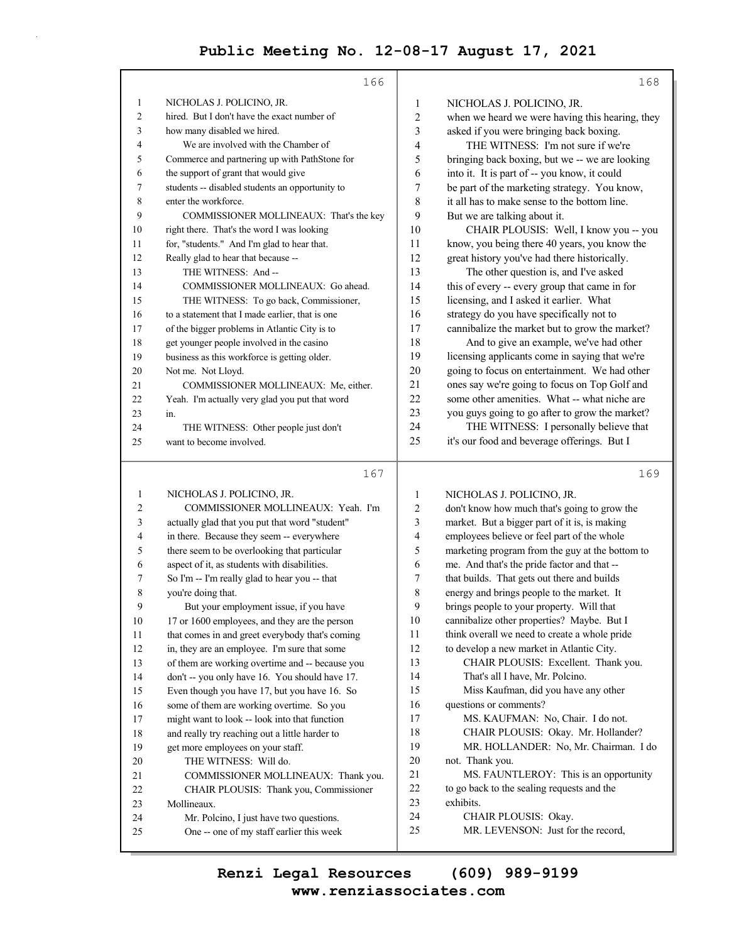|                | 166                                                                                             |                | 168                                                                                     |
|----------------|-------------------------------------------------------------------------------------------------|----------------|-----------------------------------------------------------------------------------------|
| 1              | NICHOLAS J. POLICINO, JR.                                                                       | $\mathbf{1}$   | NICHOLAS J. POLICINO, JR.                                                               |
| $\overline{c}$ | hired. But I don't have the exact number of                                                     | $\overline{c}$ | when we heard we were having this hearing, they                                         |
| 3              | how many disabled we hired.                                                                     | $\mathfrak{Z}$ | asked if you were bringing back boxing.                                                 |
| 4              | We are involved with the Chamber of                                                             | 4              | THE WITNESS: I'm not sure if we're                                                      |
| 5              | Commerce and partnering up with PathStone for                                                   | 5              | bringing back boxing, but we -- we are looking                                          |
| 6              | the support of grant that would give                                                            | 6              | into it. It is part of -- you know, it could                                            |
| 7              | students -- disabled students an opportunity to                                                 | 7              | be part of the marketing strategy. You know,                                            |
| 8              | enter the workforce.                                                                            | 8              | it all has to make sense to the bottom line.                                            |
| 9              | COMMISSIONER MOLLINEAUX: That's the key                                                         | 9              | But we are talking about it.                                                            |
| 10             | right there. That's the word I was looking                                                      | 10             | CHAIR PLOUSIS: Well, I know you -- you                                                  |
| 11             | for, "students." And I'm glad to hear that.                                                     | 11             | know, you being there 40 years, you know the                                            |
| 12             | Really glad to hear that because --                                                             | 12             | great history you've had there historically.                                            |
| 13             | THE WITNESS: And-                                                                               | 13             | The other question is, and I've asked                                                   |
| 14             | COMMISSIONER MOLLINEAUX: Go ahead.                                                              | 14             | this of every -- every group that came in for                                           |
| 15             | THE WITNESS: To go back, Commissioner,                                                          | 15             | licensing, and I asked it earlier. What                                                 |
| 16             | to a statement that I made earlier, that is one                                                 | 16             | strategy do you have specifically not to                                                |
| 17             | of the bigger problems in Atlantic City is to                                                   | 17             | cannibalize the market but to grow the market?                                          |
| 18             | get younger people involved in the casino                                                       | 18             | And to give an example, we've had other                                                 |
| 19             | business as this workforce is getting older.                                                    | 19             | licensing applicants come in saying that we're                                          |
| 20             | Not me. Not Lloyd.                                                                              | 20             | going to focus on entertainment. We had other                                           |
| 21             | COMMISSIONER MOLLINEAUX: Me, either.                                                            | 21             | ones say we're going to focus on Top Golf and                                           |
| 22             | Yeah. I'm actually very glad you put that word                                                  | 22             | some other amenities. What -- what niche are                                            |
| 23             | in.                                                                                             | 23             | you guys going to go after to grow the market?                                          |
| 24             | THE WITNESS: Other people just don't                                                            | 24             | THE WITNESS: I personally believe that                                                  |
| 25             | want to become involved.                                                                        | 25             | it's our food and beverage offerings. But I                                             |
|                |                                                                                                 |                |                                                                                         |
|                |                                                                                                 |                | 169                                                                                     |
|                | 167                                                                                             |                |                                                                                         |
| 1              | NICHOLAS J. POLICINO, JR.                                                                       | $\mathbf{1}$   | NICHOLAS J. POLICINO, JR.                                                               |
| 2              | COMMISSIONER MOLLINEAUX: Yeah. I'm                                                              | 2              | don't know how much that's going to grow the                                            |
| 3              | actually glad that you put that word "student"                                                  | 3              | market. But a bigger part of it is, is making                                           |
| 4              | in there. Because they seem -- everywhere                                                       | 4              | employees believe or feel part of the whole                                             |
| 5              | there seem to be overlooking that particular                                                    | 5              | marketing program from the guy at the bottom to                                         |
| 6              | aspect of it, as students with disabilities.                                                    | 6              | me. And that's the pride factor and that --                                             |
| 7<br>8         | So I'm -- I'm really glad to hear you -- that                                                   | 7              | that builds. That gets out there and builds                                             |
|                | you're doing that.                                                                              | 8<br>9         | energy and brings people to the market. It<br>brings people to your property. Will that |
| 9<br>10        | But your employment issue, if you have<br>17 or 1600 employees, and they are the person         | 10             | cannibalize other properties? Maybe. But I                                              |
| 11             |                                                                                                 | 11             | think overall we need to create a whole pride                                           |
| 12             | that comes in and greet everybody that's coming<br>in, they are an employee. I'm sure that some | 12             | to develop a new market in Atlantic City.                                               |
| 13             | of them are working overtime and -- because you                                                 | 13             | CHAIR PLOUSIS: Excellent. Thank you.                                                    |
| 14             | don't -- you only have 16. You should have 17.                                                  | 14             | That's all I have, Mr. Polcino.                                                         |
| 15             | Even though you have 17, but you have 16. So                                                    | 15             | Miss Kaufman, did you have any other                                                    |
| 16             | some of them are working overtime. So you                                                       | 16             | questions or comments?                                                                  |
| 17             | might want to look -- look into that function                                                   | 17             | MS. KAUFMAN: No, Chair. I do not.                                                       |
| 18             | and really try reaching out a little harder to                                                  | 18             | CHAIR PLOUSIS: Okay. Mr. Hollander?                                                     |
| 19             | get more employees on your staff.                                                               | 19             | MR. HOLLANDER: No, Mr. Chairman. I do                                                   |
| 20             | THE WITNESS: Will do.                                                                           | 20             | not. Thank you.                                                                         |
| 21             | COMMISSIONER MOLLINEAUX: Thank you.                                                             | 21             | MS. FAUNTLEROY: This is an opportunity                                                  |
| 22             | CHAIR PLOUSIS: Thank you, Commissioner                                                          | 22             | to go back to the sealing requests and the                                              |
| 23             | Mollineaux.                                                                                     | 23             | exhibits.                                                                               |
| 24<br>25       | Mr. Polcino, I just have two questions.<br>One -- one of my staff earlier this week             | 24<br>25       | CHAIR PLOUSIS: Okay.<br>MR. LEVENSON: Just for the record,                              |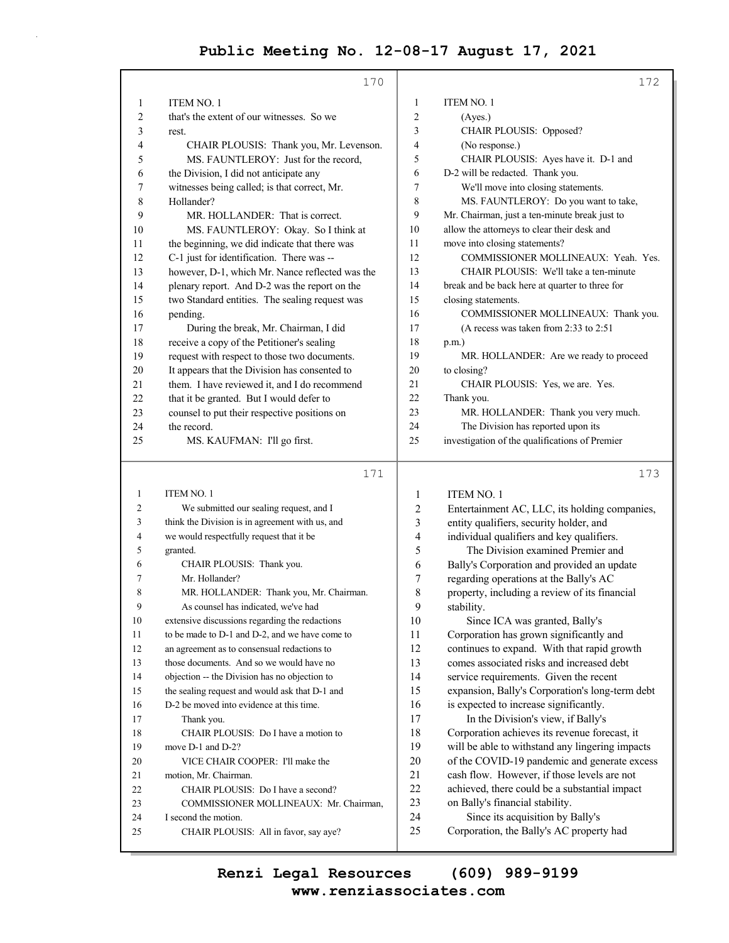|                   | 170                                                                                         |                     | 172                                                                                  |
|-------------------|---------------------------------------------------------------------------------------------|---------------------|--------------------------------------------------------------------------------------|
| 1                 | <b>ITEM NO. 1</b>                                                                           | 1                   | <b>ITEM NO. 1</b>                                                                    |
| $\overline{c}$    | that's the extent of our witnesses. So we                                                   | $\overline{c}$      | (Ayes.)                                                                              |
| 3                 | rest.                                                                                       | 3                   | CHAIR PLOUSIS: Opposed?                                                              |
| 4                 | CHAIR PLOUSIS: Thank you, Mr. Levenson.                                                     | 4                   | (No response.)                                                                       |
| 5                 | MS. FAUNTLEROY: Just for the record,                                                        | 5                   | CHAIR PLOUSIS: Ayes have it. D-1 and                                                 |
| 6                 | the Division, I did not anticipate any                                                      | 6                   | D-2 will be redacted. Thank you.                                                     |
| 7                 | witnesses being called; is that correct, Mr.                                                | 7                   | We'll move into closing statements.                                                  |
| 8                 | Hollander?                                                                                  | 8                   | MS. FAUNTLEROY: Do you want to take,                                                 |
| 9                 | MR. HOLLANDER: That is correct.                                                             | 9                   | Mr. Chairman, just a ten-minute break just to                                        |
| 10                | MS. FAUNTLEROY: Okay. So I think at                                                         | 10                  | allow the attorneys to clear their desk and                                          |
| 11                | the beginning, we did indicate that there was                                               | 11                  | move into closing statements?                                                        |
| 12                | C-1 just for identification. There was --                                                   | 12                  | COMMISSIONER MOLLINEAUX: Yeah. Yes.                                                  |
| 13                | however, D-1, which Mr. Nance reflected was the                                             | 13                  | CHAIR PLOUSIS: We'll take a ten-minute                                               |
| 14                | plenary report. And D-2 was the report on the                                               | 14                  | break and be back here at quarter to three for                                       |
| 15                | two Standard entities. The sealing request was                                              | 15                  | closing statements.                                                                  |
| 16                | pending.                                                                                    | 16                  | COMMISSIONER MOLLINEAUX: Thank you.                                                  |
| 17                | During the break, Mr. Chairman, I did                                                       | 17                  | (A recess was taken from 2:33 to 2:51)                                               |
| 18                | receive a copy of the Petitioner's sealing                                                  | 18                  | $p.m.$ )                                                                             |
| 19                | request with respect to those two documents.                                                | 19                  | MR. HOLLANDER: Are we ready to proceed                                               |
| 20                | It appears that the Division has consented to                                               | 20                  | to closing?                                                                          |
| 21                | them. I have reviewed it, and I do recommend                                                | 21                  | CHAIR PLOUSIS: Yes, we are. Yes.                                                     |
| 22                | that it be granted. But I would defer to                                                    | 22                  | Thank you.                                                                           |
| 23                | counsel to put their respective positions on                                                | 23                  | MR. HOLLANDER: Thank you very much.                                                  |
| 24                | the record.                                                                                 | 24                  | The Division has reported upon its                                                   |
| 25                | MS. KAUFMAN: I'll go first.                                                                 | 25                  | investigation of the qualifications of Premier                                       |
|                   |                                                                                             |                     |                                                                                      |
|                   | 171                                                                                         |                     | 173                                                                                  |
|                   |                                                                                             |                     |                                                                                      |
| $\mathbf{1}$<br>2 | <b>ITEM NO. 1</b>                                                                           | 1                   | <b>ITEM NO. 1</b>                                                                    |
| 3                 | We submitted our sealing request, and I                                                     | 2                   | Entertainment AC, LLC, its holding companies,                                        |
| 4                 | think the Division is in agreement with us, and<br>we would respectfully request that it be | 3<br>$\overline{4}$ | entity qualifiers, security holder, and                                              |
| 5                 | granted.                                                                                    | 5                   | individual qualifiers and key qualifiers.<br>The Division examined Premier and       |
| 6                 | CHAIR PLOUSIS: Thank you.                                                                   | 6                   |                                                                                      |
| 7                 | Mr. Hollander?                                                                              | 7                   | Bally's Corporation and provided an update<br>regarding operations at the Bally's AC |
| 8                 | MR. HOLLANDER: Thank you, Mr. Chairman.                                                     | 8                   | property, including a review of its financial                                        |
| 9                 | As counsel has indicated, we've had                                                         | 9                   | stability.                                                                           |
| $10\,$            | extensive discussions regarding the redactions                                              | 10                  | Since ICA was granted, Bally's                                                       |
| 11                | to be made to D-1 and D-2, and we have come to                                              | 11                  | Corporation has grown significantly and                                              |
| 12                | an agreement as to consensual redactions to                                                 | 12                  | continues to expand. With that rapid growth                                          |
| 13                | those documents. And so we would have no                                                    | 13                  | comes associated risks and increased debt                                            |
| 14                | objection -- the Division has no objection to                                               | 14                  | service requirements. Given the recent                                               |
| 15                | the sealing request and would ask that D-1 and                                              | 15                  | expansion, Bally's Corporation's long-term debt                                      |
| 16                | D-2 be moved into evidence at this time.                                                    | 16                  | is expected to increase significantly.                                               |
| 17                | Thank you.                                                                                  | 17                  | In the Division's view, if Bally's                                                   |
| 18                | CHAIR PLOUSIS: Do I have a motion to                                                        | 18                  | Corporation achieves its revenue forecast, it                                        |
| 19                | move D-1 and D-2?                                                                           | 19                  | will be able to withstand any lingering impacts                                      |
| 20                | VICE CHAIR COOPER: I'll make the                                                            | 20                  | of the COVID-19 pandemic and generate excess                                         |
| 21                | motion, Mr. Chairman.                                                                       | 21                  | cash flow. However, if those levels are not                                          |
| $22\,$            | CHAIR PLOUSIS: Do I have a second?                                                          | 22                  | achieved, there could be a substantial impact                                        |
| 23                | COMMISSIONER MOLLINEAUX: Mr. Chairman,                                                      | 23                  | on Bally's financial stability.                                                      |
| 24<br>25          | I second the motion.<br>CHAIR PLOUSIS: All in favor, say aye?                               | 24<br>25            | Since its acquisition by Bally's<br>Corporation, the Bally's AC property had         |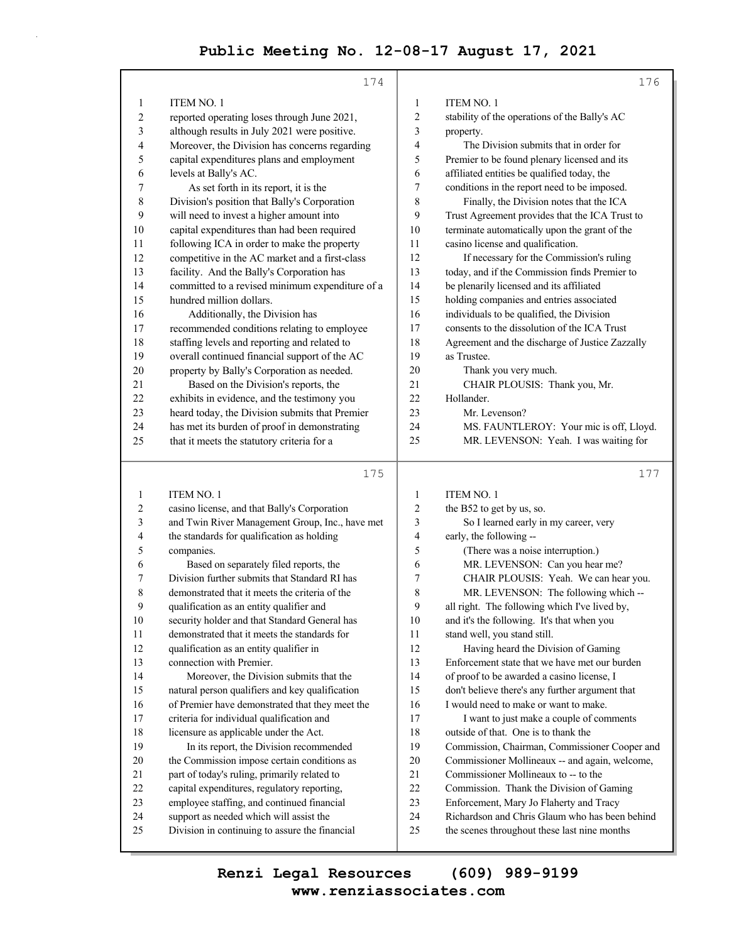|    | 174                                             |    | 176                                             |
|----|-------------------------------------------------|----|-------------------------------------------------|
| 1  | <b>ITEM NO. 1</b>                               | 1  | <b>ITEM NO. 1</b>                               |
| 2  | reported operating loses through June 2021,     | 2  | stability of the operations of the Bally's AC   |
| 3  | although results in July 2021 were positive.    | 3  | property.                                       |
| 4  | Moreover, the Division has concerns regarding   | 4  | The Division submits that in order for          |
| 5  | capital expenditures plans and employment       | 5  | Premier to be found plenary licensed and its    |
| 6  | levels at Bally's AC.                           | 6  | affiliated entities be qualified today, the     |
| 7  | As set forth in its report, it is the           | 7  | conditions in the report need to be imposed.    |
| 8  | Division's position that Bally's Corporation    | 8  | Finally, the Division notes that the ICA        |
| 9  | will need to invest a higher amount into        | 9  | Trust Agreement provides that the ICA Trust to  |
| 10 | capital expenditures than had been required     | 10 | terminate automatically upon the grant of the   |
| 11 | following ICA in order to make the property     | 11 | casino license and qualification.               |
| 12 | competitive in the AC market and a first-class  | 12 | If necessary for the Commission's ruling        |
| 13 | facility. And the Bally's Corporation has       | 13 | today, and if the Commission finds Premier to   |
| 14 | committed to a revised minimum expenditure of a | 14 | be plenarily licensed and its affiliated        |
| 15 | hundred million dollars.                        | 15 | holding companies and entries associated        |
| 16 | Additionally, the Division has                  | 16 | individuals to be qualified, the Division       |
| 17 | recommended conditions relating to employee     | 17 | consents to the dissolution of the ICA Trust    |
| 18 | staffing levels and reporting and related to    | 18 | Agreement and the discharge of Justice Zazzally |
| 19 | overall continued financial support of the AC   | 19 | as Trustee.                                     |
| 20 | property by Bally's Corporation as needed.      | 20 | Thank you very much.                            |
| 21 | Based on the Division's reports, the            | 21 | CHAIR PLOUSIS: Thank you, Mr.                   |
| 22 | exhibits in evidence, and the testimony you     | 22 | Hollander.                                      |
| 23 | heard today, the Division submits that Premier  | 23 | Mr. Levenson?                                   |
| 24 | has met its burden of proof in demonstrating    | 24 | MS. FAUNTLEROY: Your mic is off, Lloyd.         |
| 25 | that it meets the statutory criteria for a      | 25 | MR. LEVENSON: Yeah. I was waiting for           |
|    | 175                                             |    | 177                                             |
|    |                                                 |    |                                                 |

| 1              | <b>ITEM NO. 1</b>                               | 1              | <b>ITEM NO. 1</b>                               |
|----------------|-------------------------------------------------|----------------|-------------------------------------------------|
| 2              | casino license, and that Bally's Corporation    | $\overline{c}$ | the B52 to get by us, so.                       |
| 3              | and Twin River Management Group, Inc., have met | 3              | So I learned early in my career, very           |
| $\overline{4}$ | the standards for qualification as holding      | 4              | early, the following --                         |
| 5              | companies.                                      | 5              | (There was a noise interruption.)               |
| 6              | Based on separately filed reports, the          | 6              | MR. LEVENSON: Can you hear me?                  |
| 7              | Division further submits that Standard RI has   | 7              | CHAIR PLOUSIS: Yeah. We can hear you.           |
| 8              | demonstrated that it meets the criteria of the  | 8              | MR. LEVENSON: The following which --            |
| 9              | qualification as an entity qualifier and        | 9              | all right. The following which I've lived by,   |
| 10             | security holder and that Standard General has   | 10             | and it's the following. It's that when you      |
| 11             | demonstrated that it meets the standards for    | 11             | stand well, you stand still.                    |
| 12             | qualification as an entity qualifier in         | 12             | Having heard the Division of Gaming             |
| 13             | connection with Premier.                        | 13             | Enforcement state that we have met our burden   |
| 14             | Moreover, the Division submits that the         | 14             | of proof to be awarded a casino license, I      |
| 15             | natural person qualifiers and key qualification | 15             | don't believe there's any further argument that |
| 16             | of Premier have demonstrated that they meet the | 16             | I would need to make or want to make.           |
| 17             | criteria for individual qualification and       | 17             | I want to just make a couple of comments        |
| 18             | licensure as applicable under the Act.          | 18             | outside of that. One is to thank the            |
| 19             | In its report, the Division recommended         | 19             | Commission, Chairman, Commissioner Cooper and   |
| 20             | the Commission impose certain conditions as     | 20             | Commissioner Mollineaux -- and again, welcome,  |
| 21             | part of today's ruling, primarily related to    | 21             | Commissioner Mollineaux to -- to the            |
| 22             | capital expenditures, regulatory reporting,     | 22             | Commission. Thank the Division of Gaming        |
| 23             | employee staffing, and continued financial      | 23             | Enforcement, Mary Jo Flaherty and Tracy         |
| 24             | support as needed which will assist the         | 24             | Richardson and Chris Glaum who has been behind  |
| 25             | Division in continuing to assure the financial  | 25             | the scenes throughout these last nine months    |
|                |                                                 |                |                                                 |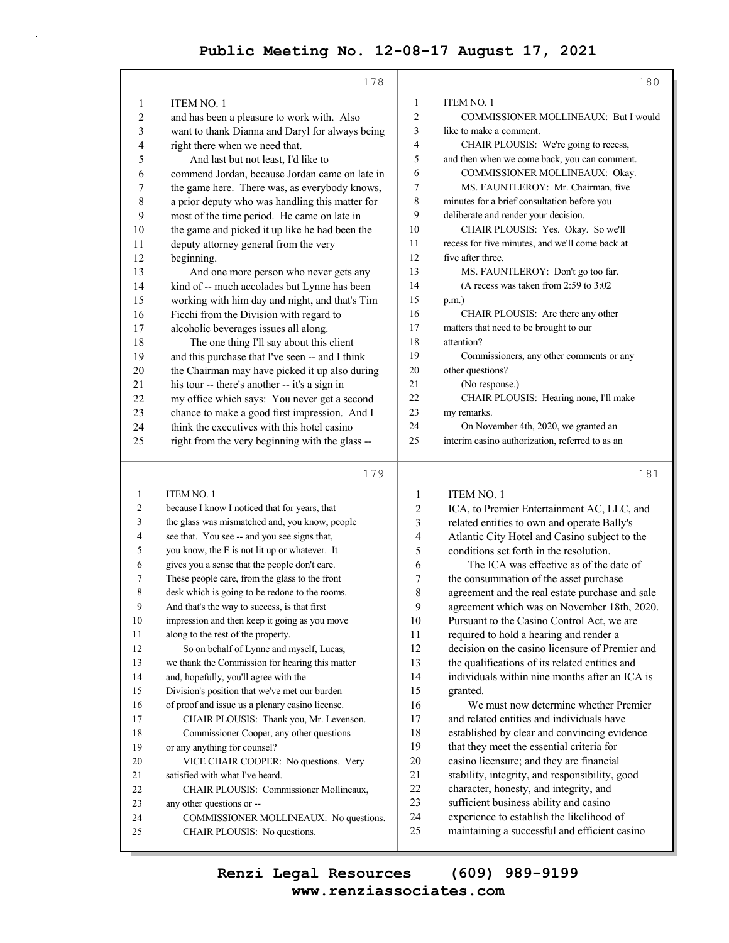|    | 178                                             |    | 180                                             |
|----|-------------------------------------------------|----|-------------------------------------------------|
| 1  | <b>ITEM NO. 1</b>                               | 1  | <b>ITEM NO. 1</b>                               |
| 2  | and has been a pleasure to work with. Also      | 2  | COMMISSIONER MOLLINEAUX: But I would            |
| 3  | want to thank Dianna and Daryl for always being | 3  | like to make a comment.                         |
| 4  | right there when we need that.                  | 4  | CHAIR PLOUSIS: We're going to recess,           |
| 5  | And last but not least, I'd like to             | 5  | and then when we come back, you can comment.    |
| 6  | commend Jordan, because Jordan came on late in  | 6  | COMMISSIONER MOLLINEAUX: Okay.                  |
| 7  | the game here. There was, as everybody knows,   | 7  | MS. FAUNTLEROY: Mr. Chairman, five              |
| 8  | a prior deputy who was handling this matter for | 8  | minutes for a brief consultation before you     |
| 9  | most of the time period. He came on late in     | 9  | deliberate and render your decision.            |
| 10 | the game and picked it up like he had been the  | 10 | CHAIR PLOUSIS: Yes. Okay. So we'll              |
| 11 | deputy attorney general from the very           | 11 | recess for five minutes, and we'll come back at |
| 12 | beginning.                                      | 12 | five after three.                               |
| 13 | And one more person who never gets any          | 13 | MS. FAUNTLEROY: Don't go too far.               |
| 14 | kind of -- much accolades but Lynne has been    | 14 | (A recess was taken from $2:59$ to $3:02$       |
| 15 | working with him day and night, and that's Tim  | 15 | $p.m.$ )                                        |
| 16 | Ficchi from the Division with regard to         | 16 | CHAIR PLOUSIS: Are there any other              |
| 17 | alcoholic beverages issues all along.           | 17 | matters that need to be brought to our          |
| 18 | The one thing I'll say about this client        | 18 | attention?                                      |
| 19 | and this purchase that I've seen -- and I think | 19 | Commissioners, any other comments or any        |
| 20 | the Chairman may have picked it up also during  | 20 | other questions?                                |
| 21 | his tour -- there's another -- it's a sign in   | 21 | (No response.)                                  |
| 22 | my office which says: You never get a second    | 22 | CHAIR PLOUSIS: Hearing none, I'll make          |
| 23 | chance to make a good first impression. And I   | 23 | my remarks.                                     |
| 24 | think the executives with this hotel casino     | 24 | On November 4th, 2020, we granted an            |
| 25 | right from the very beginning with the glass -- | 25 | interim casino authorization, referred to as an |
|    |                                                 |    |                                                 |

179

| 1              | ITEM NO. 1                                      | 1  | <b>ITEM NO. 1</b>                               |
|----------------|-------------------------------------------------|----|-------------------------------------------------|
| $\overline{c}$ | because I know I noticed that for years, that   | 2  | ICA, to Premier Entertainment AC, LLC, and      |
| 3              | the glass was mismatched and, you know, people  | 3  | related entities to own and operate Bally's     |
| 4              | see that. You see -- and you see signs that,    | 4  | Atlantic City Hotel and Casino subject to the   |
| 5              | you know, the E is not lit up or whatever. It   | 5  | conditions set forth in the resolution.         |
| 6              | gives you a sense that the people don't care.   | 6  | The ICA was effective as of the date of         |
| 7              | These people care, from the glass to the front  | 7  | the consummation of the asset purchase          |
| 8              | desk which is going to be redone to the rooms.  | 8  | agreement and the real estate purchase and sale |
| 9              | And that's the way to success, is that first    | 9  | agreement which was on November 18th, 2020.     |
| 10             | impression and then keep it going as you move   | 10 | Pursuant to the Casino Control Act, we are      |
| 11             | along to the rest of the property.              | 11 | required to hold a hearing and render a         |
| 12             | So on behalf of Lynne and myself, Lucas,        | 12 | decision on the casino licensure of Premier and |
| 13             | we thank the Commission for hearing this matter | 13 | the qualifications of its related entities and  |
| 14             | and, hopefully, you'll agree with the           | 14 | individuals within nine months after an ICA is  |
| 15             | Division's position that we've met our burden   | 15 | granted.                                        |
| 16             | of proof and issue us a plenary casino license. | 16 | We must now determine whether Premier           |
| 17             | CHAIR PLOUSIS: Thank you, Mr. Levenson.         | 17 | and related entities and individuals have       |
| 18             | Commissioner Cooper, any other questions        | 18 | established by clear and convincing evidence    |
| 19             | or any anything for counsel?                    | 19 | that they meet the essential criteria for       |
| 20             | VICE CHAIR COOPER: No questions. Very           | 20 | casino licensure; and they are financial        |
| 21             | satisfied with what I've heard.                 | 21 | stability, integrity, and responsibility, good  |
| 22             | CHAIR PLOUSIS: Commissioner Mollineaux.         | 22 | character, honesty, and integrity, and          |
| 23             | any other questions or --                       | 23 | sufficient business ability and casino          |
| 24             | COMMISSIONER MOLLINEAUX: No questions.          | 24 | experience to establish the likelihood of       |
| 25             | CHAIR PLOUSIS: No questions.                    | 25 | maintaining a successful and efficient casino   |
|                |                                                 |    |                                                 |

#### 180

181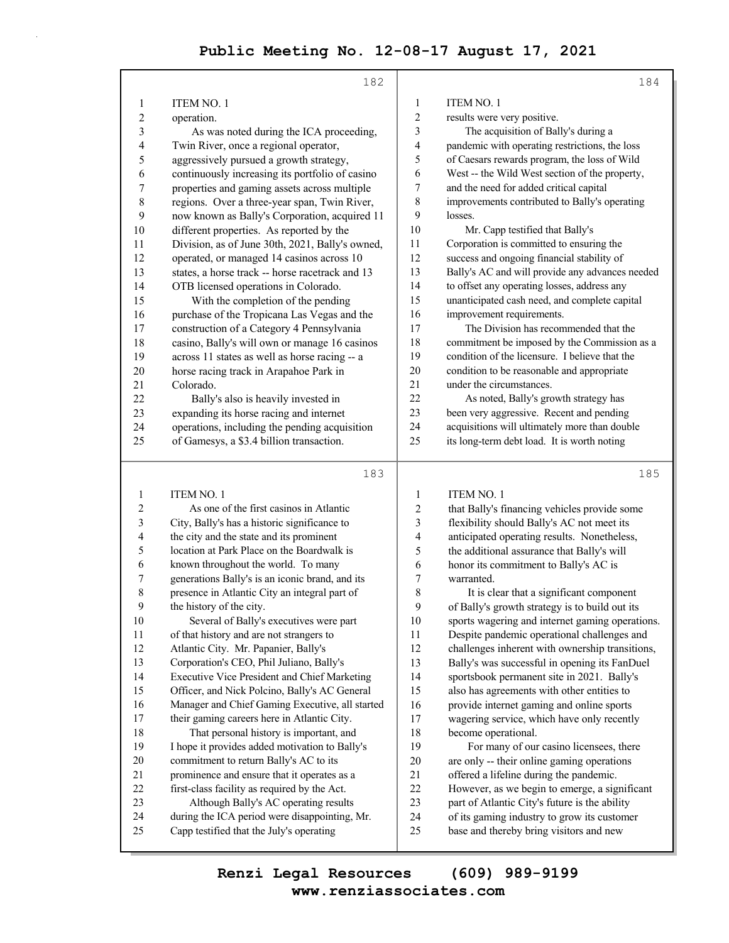|                         | 182                                                                                       |                         | 184                                                                                    |
|-------------------------|-------------------------------------------------------------------------------------------|-------------------------|----------------------------------------------------------------------------------------|
| $\mathbf{1}$            | ITEM NO. 1                                                                                | $\mathbf{1}$            | <b>ITEM NO. 1</b>                                                                      |
| 2                       | operation.                                                                                | 2                       | results were very positive.                                                            |
| 3                       | As was noted during the ICA proceeding,                                                   | 3                       | The acquisition of Bally's during a                                                    |
| 4                       | Twin River, once a regional operator,                                                     | 4                       | pandemic with operating restrictions, the loss                                         |
| 5                       | aggressively pursued a growth strategy,                                                   | 5                       | of Caesars rewards program, the loss of Wild                                           |
| 6                       | continuously increasing its portfolio of casino                                           | 6                       | West -- the Wild West section of the property,                                         |
| 7                       | properties and gaming assets across multiple                                              | 7                       | and the need for added critical capital                                                |
| 8                       | regions. Over a three-year span, Twin River,                                              | 8                       | improvements contributed to Bally's operating                                          |
| 9                       | now known as Bally's Corporation, acquired 11                                             | 9                       | losses.                                                                                |
| 10                      | different properties. As reported by the                                                  | 10                      | Mr. Capp testified that Bally's                                                        |
| 11                      | Division, as of June 30th, 2021, Bally's owned,                                           | 11                      | Corporation is committed to ensuring the                                               |
| 12                      | operated, or managed 14 casinos across 10                                                 | 12                      | success and ongoing financial stability of                                             |
| 13                      | states, a horse track -- horse racetrack and 13                                           | 13                      | Bally's AC and will provide any advances needed                                        |
| 14                      | OTB licensed operations in Colorado.                                                      | 14                      | to offset any operating losses, address any                                            |
| 15                      | With the completion of the pending                                                        | 15                      | unanticipated cash need, and complete capital                                          |
| 16                      | purchase of the Tropicana Las Vegas and the                                               | 16                      | improvement requirements.                                                              |
| 17                      | construction of a Category 4 Pennsylvania                                                 | 17                      | The Division has recommended that the                                                  |
| 18                      | casino, Bally's will own or manage 16 casinos                                             | 18                      | commitment be imposed by the Commission as a                                           |
| 19                      | across 11 states as well as horse racing -- a                                             | 19                      | condition of the licensure. I believe that the                                         |
| 20                      | horse racing track in Arapahoe Park in                                                    | 20                      | condition to be reasonable and appropriate                                             |
| 21                      | Colorado.                                                                                 | 21                      | under the circumstances.                                                               |
| 22                      | Bally's also is heavily invested in                                                       | 22                      | As noted, Bally's growth strategy has                                                  |
| 23                      | expanding its horse racing and internet                                                   | 23                      | been very aggressive. Recent and pending                                               |
| 24                      | operations, including the pending acquisition                                             | 24                      | acquisitions will ultimately more than double                                          |
| 25                      | of Gamesys, a \$3.4 billion transaction.                                                  | 25                      | its long-term debt load. It is worth noting                                            |
|                         |                                                                                           |                         |                                                                                        |
|                         |                                                                                           |                         |                                                                                        |
|                         | 183                                                                                       |                         | 185                                                                                    |
| 1                       | <b>ITEM NO. 1</b>                                                                         | 1                       | <b>ITEM NO. 1</b>                                                                      |
| $\overline{\mathbf{c}}$ | As one of the first casinos in Atlantic                                                   | 2                       | that Bally's financing vehicles provide some                                           |
| 3                       | City, Bally's has a historic significance to                                              | $\overline{\mathbf{3}}$ | flexibility should Bally's AC not meet its                                             |
| 4                       | the city and the state and its prominent                                                  | 4                       | anticipated operating results. Nonetheless,                                            |
| 5                       | location at Park Place on the Boardwalk is                                                | 5                       | the additional assurance that Bally's will                                             |
| 6                       | known throughout the world. To many                                                       | 6                       | honor its commitment to Bally's AC is                                                  |
| 7                       | generations Bally's is an iconic brand, and its                                           | $\boldsymbol{7}$        | warranted.                                                                             |
| 8                       | presence in Atlantic City an integral part of                                             | 8                       | It is clear that a significant component                                               |
| 9                       | the history of the city.                                                                  | 9                       | of Bally's growth strategy is to build out its                                         |
| $10\,$                  | Several of Bally's executives were part                                                   | $10\,$                  | sports wagering and internet gaming operations.                                        |
| 11                      | of that history and are not strangers to                                                  | 11                      | Despite pandemic operational challenges and                                            |
| 12                      | Atlantic City. Mr. Papanier, Bally's                                                      | 12                      | challenges inherent with ownership transitions,                                        |
| 13                      | Corporation's CEO, Phil Juliano, Bally's                                                  | 13                      | Bally's was successful in opening its FanDuel                                          |
| 14                      | Executive Vice President and Chief Marketing                                              | 14                      | sportsbook permanent site in 2021. Bally's                                             |
| 15                      | Officer, and Nick Polcino, Bally's AC General                                             | 15                      | also has agreements with other entities to                                             |
| 16                      | Manager and Chief Gaming Executive, all started                                           | 16                      | provide internet gaming and online sports                                              |
| 17                      | their gaming careers here in Atlantic City.                                               | 17                      | wagering service, which have only recently                                             |
| 18                      | That personal history is important, and                                                   | 18                      | become operational.                                                                    |
| 19                      | I hope it provides added motivation to Bally's                                            | 19                      | For many of our casino licensees, there                                                |
| 20                      | commitment to return Bally's AC to its                                                    | $20\,$                  | are only -- their online gaming operations                                             |
| 21                      | prominence and ensure that it operates as a                                               | 21                      | offered a lifeline during the pandemic.                                                |
| 22                      | first-class facility as required by the Act.                                              | 22                      | However, as we begin to emerge, a significant                                          |
| 23                      | Although Bally's AC operating results                                                     | 23                      | part of Atlantic City's future is the ability                                          |
| 24<br>25                | during the ICA period were disappointing, Mr.<br>Capp testified that the July's operating | 24<br>25                | of its gaming industry to grow its customer<br>base and thereby bring visitors and new |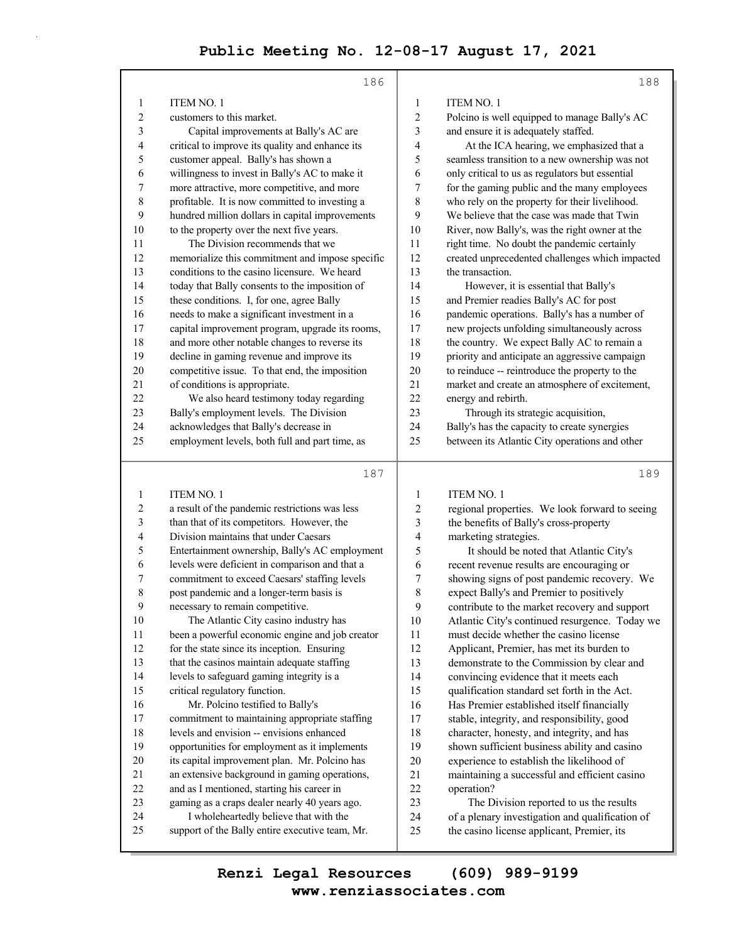|                | 186                                             |              | 188                                             |
|----------------|-------------------------------------------------|--------------|-------------------------------------------------|
| 1              | <b>ITEM NO. 1</b>                               | $\mathbf{1}$ | <b>ITEM NO. 1</b>                               |
| $\overline{2}$ | customers to this market.                       | 2            | Polcino is well equipped to manage Bally's AC   |
| 3              | Capital improvements at Bally's AC are          | 3            | and ensure it is adequately staffed.            |
| $\overline{4}$ | critical to improve its quality and enhance its | 4            | At the ICA hearing, we emphasized that a        |
| 5              | customer appeal. Bally's has shown a            | 5            | seamless transition to a new ownership was not  |
| 6              | willingness to invest in Bally's AC to make it  | 6            | only critical to us as regulators but essential |
| 7              | more attractive, more competitive, and more     | 7            | for the gaming public and the many employees    |
| 8              | profitable. It is now committed to investing a  | 8            | who rely on the property for their livelihood.  |
| 9              | hundred million dollars in capital improvements | 9            | We believe that the case was made that Twin     |
| 10             | to the property over the next five years.       | 10           | River, now Bally's, was the right owner at the  |
| 11             | The Division recommends that we                 | 11           | right time. No doubt the pandemic certainly     |
| 12             | memorialize this commitment and impose specific | 12           | created unprecedented challenges which impacted |
| 13             | conditions to the casino licensure. We heard    | 13           | the transaction.                                |
| 14             | today that Bally consents to the imposition of  | 14           | However, it is essential that Bally's           |
| 15             | these conditions. I, for one, agree Bally       | 15           | and Premier readies Bally's AC for post         |
| 16             | needs to make a significant investment in a     | 16           | pandemic operations. Bally's has a number of    |
| 17             | capital improvement program, upgrade its rooms, | 17           | new projects unfolding simultaneously across    |
| 18             | and more other notable changes to reverse its   | 18           | the country. We expect Bally AC to remain a     |
| 19             | decline in gaming revenue and improve its       | 19           | priority and anticipate an aggressive campaign  |
| 20             | competitive issue. To that end, the imposition  | 20           | to reinduce -- reintroduce the property to the  |
| 21             | of conditions is appropriate.                   | 21           | market and create an atmosphere of excitement,  |
| 22             | We also heard testimony today regarding         | 22           | energy and rebirth.                             |
| 23             | Bally's employment levels. The Division         | 23           | Through its strategic acquisition,              |
| 24             | acknowledges that Bally's decrease in           | 24           | Bally's has the capacity to create synergies    |
| 25             | employment levels, both full and part time, as  | 25           | between its Atlantic City operations and other  |
|                | 187                                             |              | 189                                             |
| 1              | <b>ITEM NO. 1</b>                               | $\mathbf{1}$ | <b>ITEM NO. 1</b>                               |

| -1 | TIEM NO. I                                      | $\mathbf{I}$ | TTEM NO. I                                      |
|----|-------------------------------------------------|--------------|-------------------------------------------------|
| 2  | a result of the pandemic restrictions was less  | 2            | regional properties. We look forward to seeing  |
| 3  | than that of its competitors. However, the      | 3            | the benefits of Bally's cross-property          |
| 4  | Division maintains that under Caesars           | 4            | marketing strategies.                           |
| 5  | Entertainment ownership, Bally's AC employment  | 5            | It should be noted that Atlantic City's         |
| 6  | levels were deficient in comparison and that a  | 6            | recent revenue results are encouraging or       |
| 7  | commitment to exceed Caesars' staffing levels   | 7            | showing signs of post pandemic recovery. We     |
| 8  | post pandemic and a longer-term basis is        | 8            | expect Bally's and Premier to positively        |
| 9  | necessary to remain competitive.                | 9            | contribute to the market recovery and support   |
| 10 | The Atlantic City casino industry has           | 10           | Atlantic City's continued resurgence. Today we  |
| 11 | been a powerful economic engine and job creator | 11           | must decide whether the casino license          |
| 12 | for the state since its inception. Ensuring     | 12           | Applicant, Premier, has met its burden to       |
| 13 | that the casinos maintain adequate staffing     | 13           | demonstrate to the Commission by clear and      |
| 14 | levels to safeguard gaming integrity is a       | 14           | convincing evidence that it meets each          |
| 15 | critical regulatory function.                   | 15           | qualification standard set forth in the Act.    |
| 16 | Mr. Polcino testified to Bally's                | 16           | Has Premier established itself financially      |
| 17 | commitment to maintaining appropriate staffing  | 17           | stable, integrity, and responsibility, good     |
| 18 | levels and envision -- envisions enhanced       | 18           | character, honesty, and integrity, and has      |
| 19 | opportunities for employment as it implements   | 19           | shown sufficient business ability and casino    |
| 20 | its capital improvement plan. Mr. Polcino has   | 20           | experience to establish the likelihood of       |
| 21 | an extensive background in gaming operations,   | 21           | maintaining a successful and efficient casino   |
| 22 | and as I mentioned, starting his career in      | 22           | operation?                                      |
| 23 | gaming as a craps dealer nearly 40 years ago.   | 23           | The Division reported to us the results         |
| 24 | I wholeheartedly believe that with the          | 24           | of a plenary investigation and qualification of |
| 25 | support of the Bally entire executive team, Mr. | 25           | the casino license applicant, Premier, its      |
|    |                                                 |              |                                                 |

**www.renziassociates.com Renzi Legal Resources (609) 989-9199**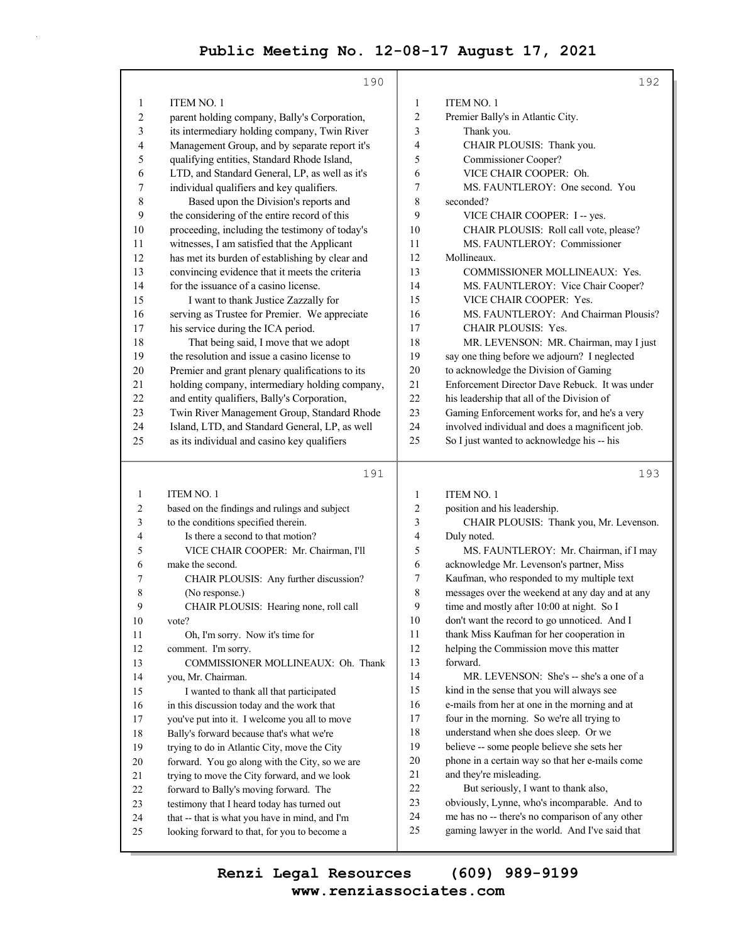|                          | 190                                                                                           |                         | 192                                                                                             |
|--------------------------|-----------------------------------------------------------------------------------------------|-------------------------|-------------------------------------------------------------------------------------------------|
| $\mathbf{1}$             | <b>ITEM NO. 1</b>                                                                             | $\mathbf{1}$            | <b>ITEM NO. 1</b>                                                                               |
| $\overline{c}$           | parent holding company, Bally's Corporation,                                                  | $\overline{c}$          | Premier Bally's in Atlantic City.                                                               |
| 3                        | its intermediary holding company, Twin River                                                  | 3                       | Thank you.                                                                                      |
| $\overline{\mathcal{L}}$ | Management Group, and by separate report it's                                                 | 4                       | CHAIR PLOUSIS: Thank you.                                                                       |
| 5                        | qualifying entities, Standard Rhode Island,                                                   | 5                       | Commissioner Cooper?                                                                            |
| 6                        | LTD, and Standard General, LP, as well as it's                                                | 6                       | VICE CHAIR COOPER: Oh.                                                                          |
| 7                        | individual qualifiers and key qualifiers.                                                     | 7                       | MS. FAUNTLEROY: One second. You                                                                 |
| $\,$ $\,$                | Based upon the Division's reports and                                                         | 8                       | seconded?                                                                                       |
| 9                        | the considering of the entire record of this                                                  | 9                       | VICE CHAIR COOPER: I -- yes.                                                                    |
| 10                       | proceeding, including the testimony of today's                                                | 10                      | CHAIR PLOUSIS: Roll call vote, please?                                                          |
| 11                       | witnesses, I am satisfied that the Applicant                                                  | 11                      | MS. FAUNTLEROY: Commissioner                                                                    |
| 12                       | has met its burden of establishing by clear and                                               | 12                      | Mollineaux.                                                                                     |
| 13                       | convincing evidence that it meets the criteria                                                | 13                      | COMMISSIONER MOLLINEAUX: Yes.                                                                   |
| 14                       | for the issuance of a casino license.                                                         | 14                      | MS. FAUNTLEROY: Vice Chair Cooper?                                                              |
| 15                       | I want to thank Justice Zazzally for                                                          | 15                      | VICE CHAIR COOPER: Yes.                                                                         |
| 16                       | serving as Trustee for Premier. We appreciate                                                 | 16                      | MS. FAUNTLEROY: And Chairman Plousis?                                                           |
| 17                       | his service during the ICA period.                                                            | 17                      | <b>CHAIR PLOUSIS: Yes.</b>                                                                      |
| 18                       | That being said, I move that we adopt                                                         | 18                      | MR. LEVENSON: MR. Chairman, may I just                                                          |
| 19                       | the resolution and issue a casino license to                                                  | 19                      | say one thing before we adjourn? I neglected                                                    |
| 20                       | Premier and grant plenary qualifications to its                                               | 20                      | to acknowledge the Division of Gaming                                                           |
| 21                       | holding company, intermediary holding company,                                                | 21                      | Enforcement Director Dave Rebuck. It was under                                                  |
| 22                       | and entity qualifiers, Bally's Corporation,                                                   | 22                      | his leadership that all of the Division of                                                      |
| 23                       | Twin River Management Group, Standard Rhode                                                   | 23                      | Gaming Enforcement works for, and he's a very                                                   |
| 24                       | Island, LTD, and Standard General, LP, as well                                                | 24                      | involved individual and does a magnificent job.                                                 |
| 25                       | as its individual and casino key qualifiers                                                   | 25                      | So I just wanted to acknowledge his -- his                                                      |
|                          | 191                                                                                           |                         | 193                                                                                             |
|                          |                                                                                               |                         |                                                                                                 |
| 1                        | <b>ITEM NO. 1</b>                                                                             | $\mathbf{1}$            | <b>ITEM NO. 1</b>                                                                               |
| 2                        | based on the findings and rulings and subject                                                 | $\overline{\mathbf{c}}$ | position and his leadership.                                                                    |
| 3                        | to the conditions specified therein.                                                          | 3                       | CHAIR PLOUSIS: Thank you, Mr. Levenson.                                                         |
| 4                        | Is there a second to that motion?                                                             | 4                       | Duly noted.                                                                                     |
| 5                        | VICE CHAIR COOPER: Mr. Chairman, I'll                                                         | 5                       | MS. FAUNTLEROY: Mr. Chairman, if I may                                                          |
| 6                        | make the second.                                                                              | 6                       | acknowledge Mr. Levenson's partner, Miss                                                        |
| 7                        | CHAIR PLOUSIS: Any further discussion?                                                        | 7                       | Kaufman, who responded to my multiple text                                                      |
| 8                        | (No response.)                                                                                | 8                       | messages over the weekend at any day and at any                                                 |
| 9                        | CHAIR PLOUSIS: Hearing none, roll call                                                        | 9                       | time and mostly after 10:00 at night. So I                                                      |
| 10                       | vote?                                                                                         | 10                      | don't want the record to go unnoticed. And I                                                    |
| 11                       | Oh, I'm sorry. Now it's time for                                                              | 11                      | thank Miss Kaufman for her cooperation in                                                       |
| 12                       | comment. I'm sorry.                                                                           | 12                      | helping the Commission move this matter                                                         |
| 13                       | COMMISSIONER MOLLINEAUX: Oh. Thank                                                            | 13                      | forward.                                                                                        |
| 14                       | you, Mr. Chairman.                                                                            | 14                      | MR. LEVENSON: She's -- she's a one of a                                                         |
| 15                       | I wanted to thank all that participated                                                       | 15                      | kind in the sense that you will always see                                                      |
| 16                       | in this discussion today and the work that                                                    | 16                      | e-mails from her at one in the morning and at                                                   |
| 17                       | you've put into it. I welcome you all to move                                                 | 17                      | four in the morning. So we're all trying to                                                     |
| $18\,$                   | Bally's forward because that's what we're                                                     | 18                      | understand when she does sleep. Or we                                                           |
| 19                       | trying to do in Atlantic City, move the City                                                  | 19                      | believe -- some people believe she sets her                                                     |
| 20                       | forward. You go along with the City, so we are                                                | 20                      | phone in a certain way so that her e-mails come                                                 |
| 21                       | trying to move the City forward, and we look                                                  | 21                      | and they're misleading.                                                                         |
| 22                       | forward to Bally's moving forward. The                                                        | 22                      | But seriously, I want to thank also,                                                            |
| 23<br>24                 | testimony that I heard today has turned out<br>that -- that is what you have in mind, and I'm | 23<br>24                | obviously, Lynne, who's incomparable. And to<br>me has no -- there's no comparison of any other |

**www.renziassociates.com Renzi Legal Resources (609) 989-9199**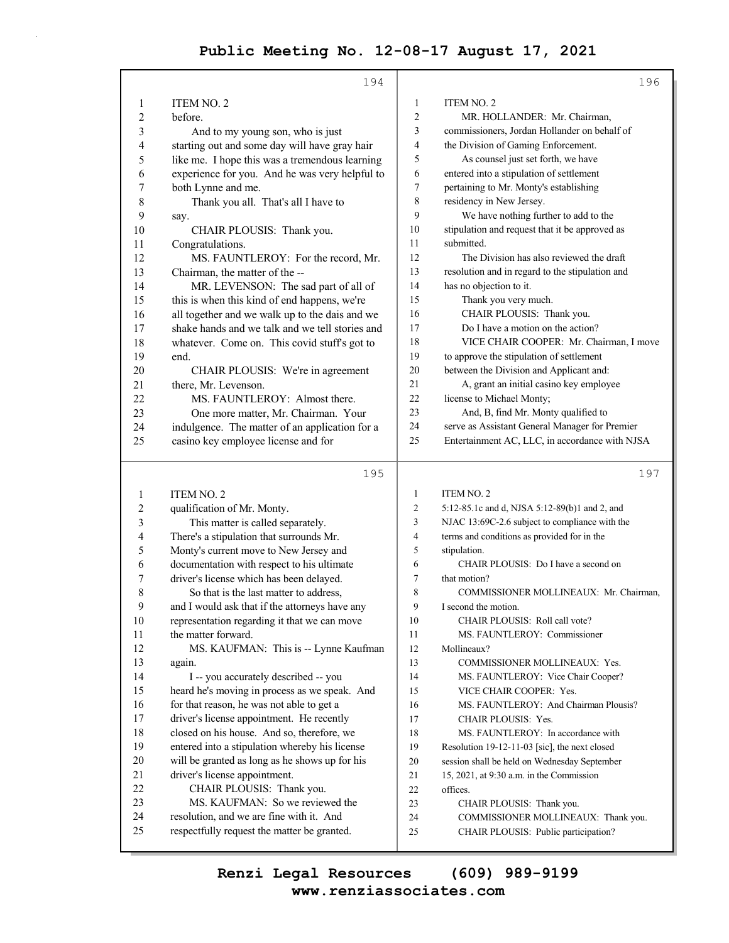|              | 194                                             |                | 196                                             |
|--------------|-------------------------------------------------|----------------|-------------------------------------------------|
| 1            | ITEM NO. 2                                      | 1              | <b>ITEM NO. 2</b>                               |
| 2            | before.                                         | 2              | MR. HOLLANDER: Mr. Chairman,                    |
| 3            | And to my young son, who is just                | 3              | commissioners, Jordan Hollander on behalf of    |
| 4            | starting out and some day will have gray hair   | 4              | the Division of Gaming Enforcement.             |
| 5            | like me. I hope this was a tremendous learning  | 5              | As counsel just set forth, we have              |
| 6            | experience for you. And he was very helpful to  | 6              | entered into a stipulation of settlement        |
| 7            | both Lynne and me.                              | $\tau$         | pertaining to Mr. Monty's establishing          |
| 8            | Thank you all. That's all I have to             | 8              | residency in New Jersey.                        |
| 9            | say.                                            | 9              | We have nothing further to add to the           |
| 10           | CHAIR PLOUSIS: Thank you.                       | 10             | stipulation and request that it be approved as  |
| 11           | Congratulations.                                | 11             | submitted.                                      |
| 12           | MS. FAUNTLEROY: For the record, Mr.             | 12             | The Division has also reviewed the draft        |
| 13           | Chairman, the matter of the --                  | 13             | resolution and in regard to the stipulation and |
| 14           | MR. LEVENSON: The sad part of all of            | 14             | has no objection to it.                         |
| 15           | this is when this kind of end happens, we're    | 15             | Thank you very much.                            |
| 16           | all together and we walk up to the dais and we  | 16             | CHAIR PLOUSIS: Thank you.                       |
| 17           | shake hands and we talk and we tell stories and | 17             | Do I have a motion on the action?               |
| 18           | whatever. Come on. This covid stuff's got to    | 18             | VICE CHAIR COOPER: Mr. Chairman, I move         |
| 19           | end.                                            | 19             | to approve the stipulation of settlement        |
| 20           | CHAIR PLOUSIS: We're in agreement               | 20             | between the Division and Applicant and:         |
| 21           | there, Mr. Levenson.                            | 21             | A, grant an initial casino key employee         |
| 22           | MS. FAUNTLEROY: Almost there.                   | 22             | license to Michael Monty;                       |
| 23           | One more matter, Mr. Chairman. Your             | 23             | And, B, find Mr. Monty qualified to             |
| 24           | indulgence. The matter of an application for a  | 24             | serve as Assistant General Manager for Premier  |
| 25           | casino key employee license and for             | 25             | Entertainment AC, LLC, in accordance with NJSA  |
|              | 195                                             |                | 197                                             |
| 1            | ITEM NO. 2                                      | $\mathbf{1}$   | <b>ITEM NO. 2</b>                               |
| 2            | qualification of Mr. Monty.                     | $\overline{2}$ | 5:12-85.1c and d, NJSA 5:12-89(b)1 and 2, and   |
| 3            | This matter is called separately.               | 3              | NJAC 13:69C-2.6 subject to compliance with the  |
| 4            | There's a stipulation that surrounds Mr.        | $\overline{4}$ | terms and conditions as provided for in the     |
| 5            | Monty's current move to New Jersey and          | 5              | stipulation.                                    |
| 6            | documentation with respect to his ultimate      | 6              | CHAIR PLOUSIS: Do I have a second on            |
| 7            | driver's license which has been delayed.        | 7              | that motion?                                    |
| 8            | So that is the last matter to address,          | 8              | COMMISSIONER MOLLINEAUX: Mr. Chairman,          |
| $\mathbf{9}$ | and I would ask that if the attorneys have any  | 9              | I second the motion.                            |
| 10           | representation regarding it that we can move    | 10             | CHAIR PLOUSIS: Roll call vote?                  |
| 11           | the matter forward.                             | 11             | MS. FAUNTLEROY: Commissioner                    |
| 12           | MS. KAUFMAN: This is -- Lynne Kaufman           | 12             | Mollineaux?                                     |
| 13           | again.                                          | 13             | COMMISSIONER MOLLINEAUX: Yes.                   |
| 14           | I -- you accurately described -- you            | 14             | MS. FAUNTLEROY: Vice Chair Cooper?              |
| 15           | heard he's moving in process as we speak. And   | 15             | VICE CHAIR COOPER: Yes.                         |
| 16           | for that reason, he was not able to get a       | 16             | MS. FAUNTLEROY: And Chairman Plousis?           |
| 17           | driver's license appointment. He recently       | 17             | CHAIR PLOUSIS: Yes.                             |
| 18           | closed on his house. And so, therefore, we      | 18             | MS. FAUNTLEROY: In accordance with              |
| 19           | entered into a stipulation whereby his license  | 19             | Resolution 19-12-11-03 [sic], the next closed   |
| $20\,$       | will be granted as long as he shows up for his  | 20             | session shall be held on Wednesday September    |
| 21           | driver's license appointment.                   | 21             | 15, 2021, at 9:30 a.m. in the Commission        |
| 22           | CHAIR PLOUSIS: Thank you.                       | 22             | offices.                                        |

22 offices.

- 23 CHAIR PLOUSIS: Thank you. 24 COMMISSIONER MOLLINEAUX: Thank you.
	-
- 25 CHAIR PLOUSIS: Public participation?

**www.renziassociates.com Renzi Legal Resources (609) 989-9199**

23 MS. KAUFMAN: So we reviewed the 24 resolution, and we are fine with it. And 25 respectfully request the matter be granted.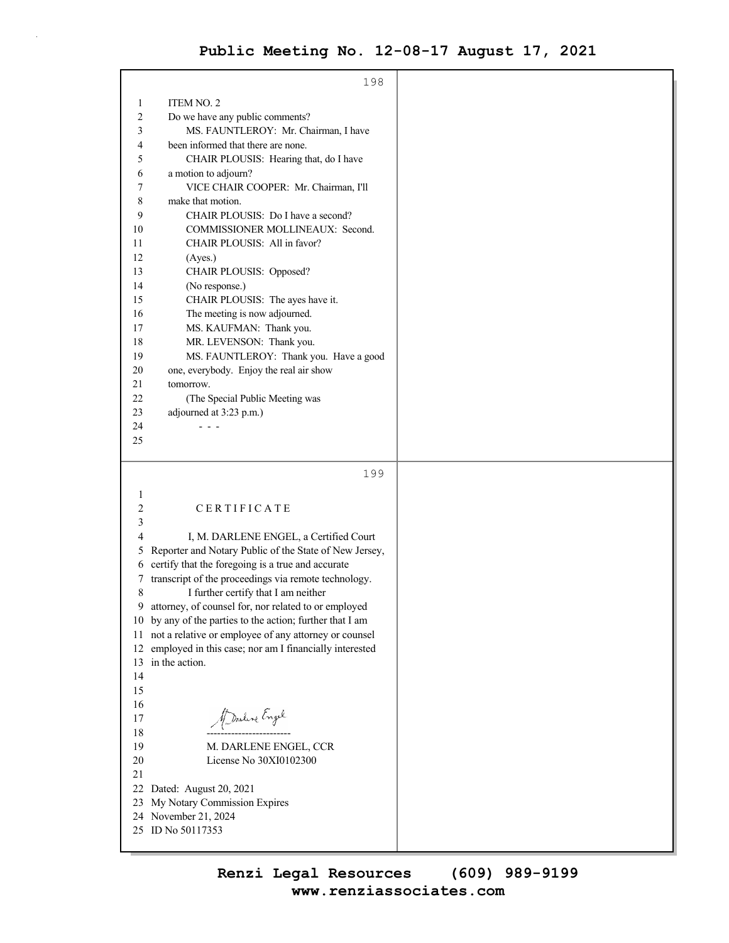|                | 198                                                              |  |
|----------------|------------------------------------------------------------------|--|
|                |                                                                  |  |
| 1              | ITEM NO. 2                                                       |  |
| 2              | Do we have any public comments?                                  |  |
| 3              | MS. FAUNTLEROY: Mr. Chairman, I have                             |  |
| 4              | been informed that there are none.                               |  |
| 5              | CHAIR PLOUSIS: Hearing that, do I have                           |  |
| 6              | a motion to adjourn?                                             |  |
| 7              | VICE CHAIR COOPER: Mr. Chairman, I'll                            |  |
| 8              | make that motion.                                                |  |
| 9              | CHAIR PLOUSIS: Do I have a second?                               |  |
| 10<br>11       | COMMISSIONER MOLLINEAUX: Second.<br>CHAIR PLOUSIS: All in favor? |  |
| 12             |                                                                  |  |
| 13             | (Ayes.)<br>CHAIR PLOUSIS: Opposed?                               |  |
| 14             | (No response.)                                                   |  |
| 15             | CHAIR PLOUSIS: The ayes have it.                                 |  |
| 16             | The meeting is now adjourned.                                    |  |
| 17             | MS. KAUFMAN: Thank you.                                          |  |
| 18             | MR. LEVENSON: Thank you.                                         |  |
| 19             | MS. FAUNTLEROY: Thank you. Have a good                           |  |
| 20             | one, everybody. Enjoy the real air show                          |  |
| 21             | tomorrow.                                                        |  |
| 22             | (The Special Public Meeting was                                  |  |
| 23             | adjourned at 3:23 p.m.)                                          |  |
| 24             |                                                                  |  |
| 25             |                                                                  |  |
|                |                                                                  |  |
|                | 199                                                              |  |
| $\mathbf{1}$   |                                                                  |  |
| $\overline{c}$ | CERTIFICATE                                                      |  |
| 3              |                                                                  |  |
| 4              | I, M. DARLENE ENGEL, a Certified Court                           |  |
| 5              | Reporter and Notary Public of the State of New Jersey,           |  |
| 6              | certify that the foregoing is a true and accurate                |  |
| 7              | transcript of the proceedings via remote technology.             |  |
| 8              | I further certify that I am neither                              |  |
| 9              | attorney, of counsel for, nor related to or employed             |  |
| 10             | by any of the parties to the action; further that I am           |  |
| 11             | not a relative or employee of any attorney or counsel            |  |
| 12             | employed in this case; nor am I financially interested           |  |
| 13             | in the action.                                                   |  |
| 14             |                                                                  |  |
| 15<br>16       |                                                                  |  |
| 17             | Marline Engel                                                    |  |
| 18             |                                                                  |  |
| 19             | M. DARLENE ENGEL, CCR                                            |  |
| 20             | License No 30XI0102300                                           |  |
| 21             |                                                                  |  |
| 22             | Dated: August 20, 2021                                           |  |
| 23             | My Notary Commission Expires                                     |  |
| 24             | November 21, 2024                                                |  |
| 25             | ID No 50117353                                                   |  |
|                |                                                                  |  |
|                |                                                                  |  |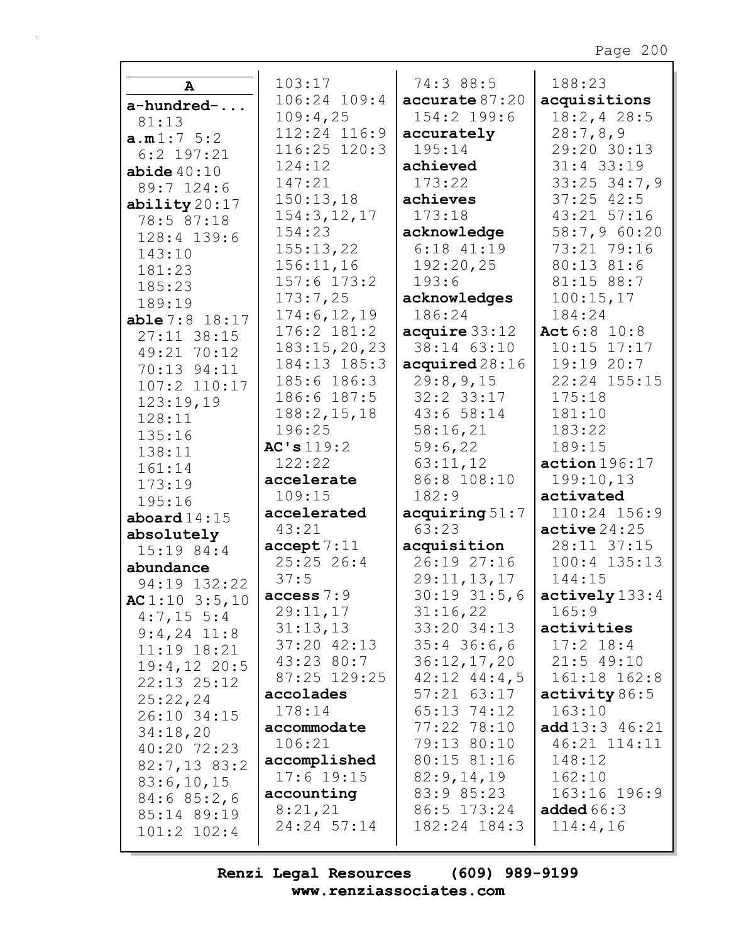| A                         | 103:17                  | 74:3 88:5                    | 188:23                      |
|---------------------------|-------------------------|------------------------------|-----------------------------|
| a-hundred-                | 106:24 109:4            | accurate 87:20               | acquisitions                |
| 81:13                     | 109:4,25                | 154:2 199:6                  | 18:2, 428:5                 |
| a.m1:7 5:2                | 112:24 116:9            | accurately                   | 28:7,8,9                    |
| $6:2$ 197:21              | 116:25 120:3            | 195:14                       | 29:20 30:13                 |
| abide $40:10$             | 124:12                  | achieved                     | $31:4$ 33:19                |
| 89:7 124:6                | 147:21                  | 173:22                       | $33:25$ $34:7,9$            |
| ability20:17              | 150:13,18               | achieves                     | $37:25$ 42:5                |
| 78:5 87:18                | 154:3, 12, 17           | 173:18                       | 43:21 57:16                 |
| 128:4 139:6               | 154:23                  | acknowledge                  | 58:7,9 60:20                |
| 143:10                    | 155:13,22               | $6:18$ $41:19$               | 73:21 79:16                 |
| 181:23                    | 156:11,16               | 192:20,25                    | 80:13 81:6                  |
| 185:23                    | $157:6$ $173:2$         | 193:6                        | 81:15 88:7                  |
| 189:19                    | 173:7,25                | acknowledges                 | 100:15,17                   |
| $able 7:8$ 18:17          | 174:6, 12, 19           | 186:24                       | 184:24                      |
| $27:11$ 38:15             | 176:2 181:2             | acquire 33:12                | Act 6:8 10:8                |
| 49:21 70:12               | 183:15,20,23            | 38:14 63:10                  | $10:15$ $17:17$             |
| 70:13 94:11               | 184:13 185:3            | acquired28:16                | 19:19 20:7                  |
| 107:2 110:17              | 185:6 186:3             | 29:8,9,15                    | 22:24 155:15                |
| 123:19,19                 | 186:6 187:5             | $32:2$ $33:17$               | 175:18                      |
| 128:11                    | 188:2, 15, 18           | 43:658:14                    | 181:10                      |
| 135:16                    | 196:25                  | 58:16,21                     | 183:22                      |
| 138:11                    | AC's 119:2              | 59:6,22                      | 189:15                      |
| 161:14                    | 122:22                  | 63:11,12                     | action 196:17               |
| 173:19                    | accelerate              | 86:8 108:10                  | 199:10,13                   |
| 195:16                    | 109:15                  | 182:9                        | activated                   |
| aboard $14:15$            | accelerated             | acquiring 51:7               | 110:24 156:9                |
| absolutely                | 43:21                   | 63:23                        | $active\,24:25$             |
| $15:19$ 84:4              | accept 7:11             | acquisition                  | 28:11 37:15                 |
| abundance                 | 25:2526:4               | 26:1927:16                   | $100:4$ $135:13$            |
| 94:19 132:22              | 37:5                    | 29:11,13,17                  | 144:15                      |
| $AC 1:10$ 3:5,10          | access $7:9$            | 30:19 31:5,6                 | $\texttt{actively}$ 133:4   |
| $4:7,15 \ 5:4$            | 29:11,17                | 31:16,22                     | 165:9                       |
| $9:4,24$ 11:8             | 31:13,13<br>37:20 42:13 | 33:20 34:13<br>$35:4$ 36:6,6 | activities<br>$17:2$ $18:4$ |
| $11:19$ $18:21$           | 43:23 80:7              | 36:12,17,20                  | $21:5$ 49:10                |
| $19:4,12$ 20:5            | 87:25 129:25            | $42:12$ $44:4,5$             | 161:18 162:8                |
| $22:13$ $25:12$           | accolades               | $57:21$ $63:17$              | activity 86:5               |
| 25:22,24                  | 178:14                  | 65:13 74:12                  | 163:10                      |
| 26:10 34:15               | accommodate             | 77:22 78:10                  | <b>add</b> $13:3$ $46:21$   |
| 34:18,20                  | 106:21                  | 79:13 80:10                  | 46:21 114:11                |
| 40:20 72:23               | accomplished            | 80:15 81:16                  | 148:12                      |
| $82:7,13$ $83:2$          | $17:6$ 19:15            | 82:9,14,19                   | 162:10                      |
| 83:6,10,15                | accounting              | 83:9 85:23                   | 163:16 196:9                |
| 84:685:2,6<br>85:14 89:19 | 8:21,21                 | 86:5 173:24                  | added $66:3$                |
| $101:2$ $102:4$           | 24:24 57:14             | 182:24 184:3                 | 114:4,16                    |
|                           |                         |                              |                             |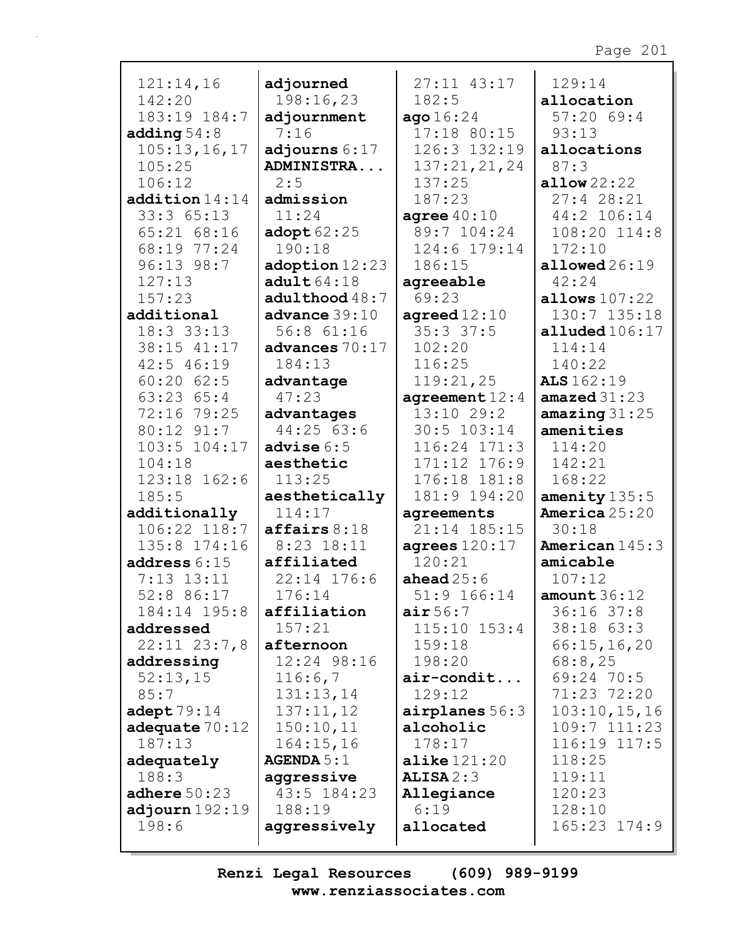| 121:14,16        | adjourned                 | 27:11 43:17            | 129:14                |
|------------------|---------------------------|------------------------|-----------------------|
| 142:20           | 198:16,23                 | 182:5                  | allocation            |
| 183:19 184:7     | adjournment               | ago16:24               | 57:2069:4             |
| adding $54:8$    | 7:16                      | $17:18$ 80:15          | 93:13                 |
| 105:13,16,17     | adjourns $6:17$           | 126:3 132:19           | allocations           |
| 105:25           | <b>ADMINISTRA</b>         | 137:21,21,24           | 87:3                  |
| 106:12           | 2:5                       | 137:25                 | allow $22:22$         |
| addition14:14    | admission                 | 187:23                 | 27:428:21             |
| 33:365:13        | 11:24                     | agree $40:10$          | 44:2 106:14           |
| $65:21$ $68:16$  | $\texttt{adopt} 62:25$    | 89:7 104:24            | 108:20 114:8          |
| 68:19 77:24      | 190:18                    | 124:6 179:14           | 172:10                |
| 96:13 98:7       | $\texttt{adoption} 12:23$ | 186:15                 | $all$ owed $26:19$    |
| 127:13           | $\texttt{adult}64:18$     | agreeable              | 42:24                 |
| 157:23           | adulthood $48:7$          | 69:23                  | allows $107:22$       |
| additional       | advance 39:10             | $\texttt{agreed12:10}$ | 130:7 135:18          |
| 18:3 33:13       | 56:8 61:16                | $35:3$ 37:5            | alluded $106:17$      |
| 38:15 41:17      | advances $70:17$          | 102:20                 | 114:14                |
| $42:5$ $46:19$   | 184:13                    | 116:25                 | 140:22                |
| $60:20$ $62:5$   | advantage                 | 119:21,25              | ALS 162:19            |
| 63:23 65:4       | 47:23                     | agreement $12:4$       | amazed $31:23$        |
| 72:16 79:25      | advantages                | $13:10$ 29:2           | amazing $31:25$       |
| 80:12 91:7       | 44:25 63:6                | 30:5 103:14            | amenities             |
| 103:5 104:17     | advise $6:5$              | $116:24$ 171:3         | 114:20                |
| 104:18           | aesthetic                 | $171:12$ $176:9$       | 142:21                |
| 123:18 162:6     | 113:25                    | 176:18 181:8           | 168:22                |
| 185:5            | aesthetically             | 181:9 194:20           | amenity $135:5$       |
| additionally     | 114:17                    | agreements             | <b>America</b> 25:20  |
| 106:22 118:7     | affairs 8:18              | 21:14 185:15           | 30:18                 |
| 135:8 174:16     | 8:23 18:11                | agrees $120:17$        | <b>American</b> 145:3 |
| address $6:15$   | affiliated                | 120:21                 | amicable              |
| $7:13$ $13:11$   | 22:14 176:6               | ahead $25:6$           | 107:12                |
| 52:8 86:17       | 176:14                    | 51:9 166:14            | amount $36:12$        |
| 184:14 195:8     | affiliation               | $\texttt{air}~56:7$    | $36:16$ $37:8$        |
| addressed        | 157:21                    | $115:10$ $153:4$       | 38:18 63:3            |
| $22:11$ $23:7,8$ | afternoon                 | 159:18                 | 66:15,16,20           |
| addressing       | 12:24 98:16               | 198:20                 | 68:8,25               |
| 52:13,15         | 116:6,7                   | $air$ -condit          | 69:24 70:5            |
| 85:7             | 131:13,14                 | 129:12                 | 71:23 72:20           |
| adept $79:14$    | 137:11,12                 | airplanes $56:3$       | 103:10, 15, 16        |
| adequate $70:12$ | 150:10,11                 | alcoholic              | $109:7$ $111:23$      |
| 187:13           | 164:15,16                 | 178:17                 | 116:19 117:5          |
| adequately       | AGENDA 5:1                | alike $121:20$         | 118:25                |
| 188:3            | aggressive                | ALISA2:3               | 119:11                |
| adhere $50:23$   | 43:5 184:23               | Allegiance             | 120:23                |
| adjourn $192:19$ | 188:19                    | 6:19                   | 128:10                |
| 198:6            | aggressively              | allocated              | 165:23 174:9          |
|                  |                           |                        |                       |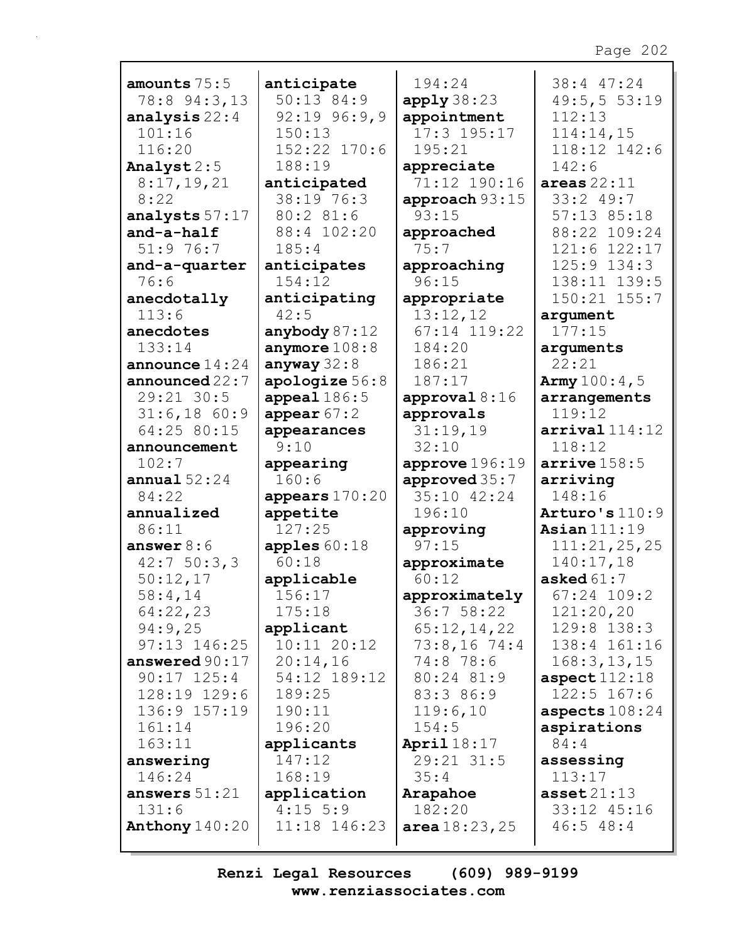|                           |                            |                            | 38:4 47:24                  |
|---------------------------|----------------------------|----------------------------|-----------------------------|
| amounts 75:5              | anticipate<br>$50:13$ 84:9 | 194:24                     |                             |
| 78:8 94:3,13              |                            | apply38:23                 | 49:5, 55:3:19<br>112:13     |
| analysis $22:4$<br>101:16 | $92:19$ $96:9,9$<br>150:13 | appointment<br>17:3 195:17 | 114:14,15                   |
|                           | 152:22 170:6               |                            | 118:12 142:6                |
| 116:20                    |                            | 195:21                     |                             |
| Analyst 2:5               | 188:19                     | appreciate                 | 142:6                       |
| 8:17,19,21                | anticipated                | 71:12 190:16               | areas $22:11$               |
| 8:22                      | 38:19 76:3                 | approach 93:15             | 33:249:7                    |
| analysts 57:17            | 80:2 81:6                  | 93:15                      | 57:13 85:18                 |
| and-a-half                | 88:4 102:20                | approached                 | 88:22 109:24                |
| 51:976:7                  | 185:4                      | 75:7                       | 121:6 122:17                |
| and-a-quarter             | anticipates                | approaching                | 125:9 134:3                 |
| 76:6                      | 154:12                     | 96:15                      | 138:11 139:5                |
| anecdotally               | anticipating               | appropriate                | 150:21 155:7                |
| 113:6                     | 42:5                       | 13:12,12                   | argument                    |
| anecdotes                 | anybody $87:12$            | 67:14 119:22               | 177:15                      |
| 133:14                    | anymore $108:8$            | 184:20                     | arguments                   |
| announce $14:24$          | anyway $32:8$              | 186:21                     | 22:21                       |
| announced $22:7$          | apologize $56:8$           | 187:17                     | <b>Army</b> $100:4$ , 5     |
| 29:21 30:5                | appeal $186:5$             | approval $8:16$            | arrangements                |
| $31:6,18$ 60:9            | appear $67:2$              | approvals                  | 119:12                      |
| 64:25 80:15               | appearances                | 31:19,19                   | $\texttt{arrival}$ $114:12$ |
| announcement              | 9:10                       | 32:10                      | 118:12                      |
| 102:7                     |                            |                            | $\arrive 158:5$             |
|                           | appearing                  | approve $196:19$           |                             |
| annual $52:24$            | 160:6                      | approved 35:7              | arriving                    |
| 84:22                     | appears 170:20             | 35:10 42:24                | 148:16                      |
| annualized                | appetite                   | 196:10                     | Arturo's $110:9$            |
| 86:11                     | 127:25                     | approving                  | Asian $111:19$              |
| answer $8:6$              | apples $60:18$             | 97:15                      | 111:21,25,25                |
| 42:750:3,3                | 60:18                      | approximate                | 140:17,18                   |
| 50:12,17                  | applicable                 | 60:12                      | asked $61:7$                |
| 58:4,14                   | 156:17                     | approximately              | $67:24$ 109:2               |
| 64:22,23                  | 175:18                     | $36:7$ 58:22               | 121:20,20                   |
| 94:9,25                   | applicant                  | 65:12,14,22                | 129:8 138:3                 |
| $97:13$ $146:25$          | $10:11$ $20:12$            | $73:8,16$ 74:4             | 138:4 161:16                |
| answered $90:17$          | 20:14,16                   | 74:8 78:6                  | 168:3, 13, 15               |
| $90:17$ $125:4$           | 54:12 189:12               | 80:24 81:9                 | aspect $112:18$             |
| 128:19 129:6              | 189:25                     | 83:3 86:9                  | $122:5$ 167:6               |
| 136:9 157:19              | 190:11                     | 119:6,10                   | aspects $108:24$            |
| 161:14                    | 196:20                     | 154:5                      | aspirations                 |
| 163:11                    | applicants                 | April $18:17$              | 84:4                        |
| answering                 | 147:12                     | 29:21 31:5                 | assessing                   |
| 146:24                    | 168:19                     | 35:4                       | 113:17                      |
| answers $51:21$           | application                | Arapahoe                   | $\texttt{asset21:13}$       |
| 131:6                     | $4:15$ 5:9                 | 182:20                     | 33:12 45:16                 |
| Anthony $140:20$          | 11:18 146:23               | area $18:23,25$            | 46:548:4                    |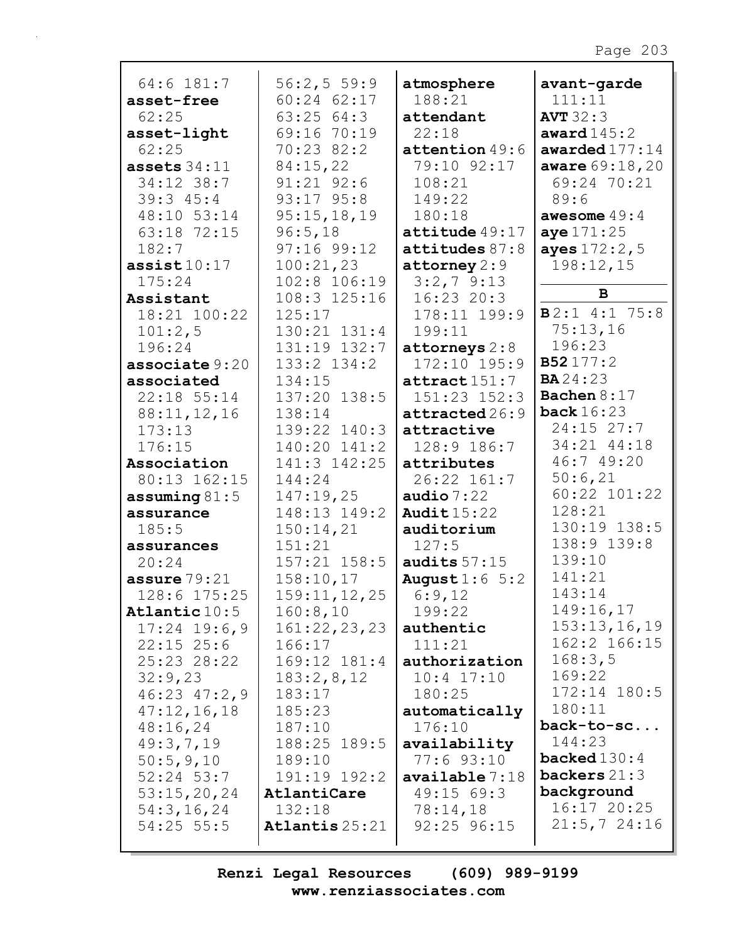| 64:6 181:7                 | 56:2, 559:9            | atmosphere               | avant-garde           |
|----------------------------|------------------------|--------------------------|-----------------------|
| asset-free                 | $60:24$ $62:17$        | 188:21                   | 111:11                |
| 62:25                      | 63:2564:3              | attendant                | <b>AVT</b> 32:3       |
| asset-light                | 69:16 70:19            | 22:18                    | award $145:2$         |
| 62:25                      | 70:23 82:2             | attention $49:6$         | awarded $177:14$      |
| assets $34:11$             | 84:15,22               | 79:10 92:17              | aware 69:18,20        |
| 34:12 38:7                 | $91:21$ $92:6$         | 108:21                   | 69:24 70:21           |
| 39:345:4                   | 93:17 95:8             | 149:22                   | 89:6                  |
| 48:10 53:14                | 95:15,18,19            | 180:18                   | awesome $49:4$        |
| 63:18 72:15                | 96:5,18                | attitude 49:17           | aye 171:25            |
| 182:7                      | 97:16 99:12            | attitudes 87:8           | ayes 172:2,5          |
| $\texttt{assist10:17}$     | 100:21,23              | attorney $2:9$           | 198:12,15             |
| 175:24                     | 102:8 106:19           | $3:2,7$ 9:13             |                       |
| Assistant                  | 108:3 125:16           | $16:23$ 20:3             | B                     |
| 18:21 100:22               | 125:17                 | 178:11 199:9             | $B2:1$ 4:1 75:8       |
| 101:2,5                    | $130:21$ $131:4$       | 199:11                   | 75:13,16              |
| 196:24                     | 131:19 132:7           | attorneys $2:8$          | 196:23                |
| associate 9:20             | 133:2 134:2            | 172:10 195:9             | B52177:2              |
| associated                 | 134:15                 | $\texttt{attract}$ 151:7 | <b>BA</b> 24:23       |
| 22:18 55:14                | 137:20 138:5           | 151:23 152:3             | Bachen $8:17$         |
| 88:11,12,16                | 138:14                 | attracted 26:9           | back $16:23$          |
| 173:13                     | 139:22 140:3           | attractive               | 24:15 27:7            |
| 176:15                     | 140:20 141:2           | 128:9 186:7              | 34:21 44:18           |
| Association                | 141:3 142:25           | attributes               | 46:7 49:20            |
| 80:13 162:15               | 144:24                 | 26:22 161:7              | 50:6,21               |
| assuming $81:5$            | 147:19,25              | audio $7:22$             | 60:22 101:22          |
| assurance                  | 148:13 149:2           | Audit $15:22$            | 128:21                |
| 185:5                      | 150:14,21              | auditorium               | 130:19 138:5          |
| assurances                 | 151:21                 | 127:5                    | 138:9 139:8           |
| 20:24                      | $157:21$ $158:5$       | audits $57:15$           | 139:10                |
| assure $79:21$             | 158:10,17              | August $1:6$ 5:2         | 141:21                |
| 128:6 175:25               | 159:11, 12, 25         | 6:9,12                   | 143:14                |
| Atlantic 10:5              | 160:8,10               | 199:22                   | 149:16,17             |
| $17:24$ 19:6,9             | 161:22,23,23           | authentic                | 153:13,16,19          |
| $22:15$ $25:6$             | 166:17                 | 111:21                   | 162:2 166:15          |
| 25:23 28:22                | 169:12 181:4           | authorization            | 168:3,5               |
| 32:9,23                    | 183:2,8,12             | $10:4$ $17:10$           | 169:22                |
| $46:23$ $47:2,9$           | 183:17                 | 180:25                   | 172:14 180:5          |
|                            | 185:23                 |                          | 180:11                |
| 47:12,16,18<br>48:16,24    |                        | automatically<br>176:10  | back-to-sc            |
|                            | 187:10                 | availability             | 144:23                |
| 49:3,7,19                  | 188:25 189:5<br>189:10 | $77:6$ 93:10             | <b>backed</b> $130:4$ |
| 50:5,9,10<br>$52:24$ 53:7  | 191:19 192:2           | available 7:18           | backers $21:3$        |
|                            | AtlantiCare            | 49:1569:3                | background            |
| 53:15,20,24                | 132:18                 |                          | 16:17 20:25           |
| 54:3, 16, 24<br>54:25 55:5 |                        | 78:14,18                 | $21:5, 7$ 24:16       |
|                            | Atlantis $25:21$       | 92:25 96:15              |                       |
|                            |                        |                          |                       |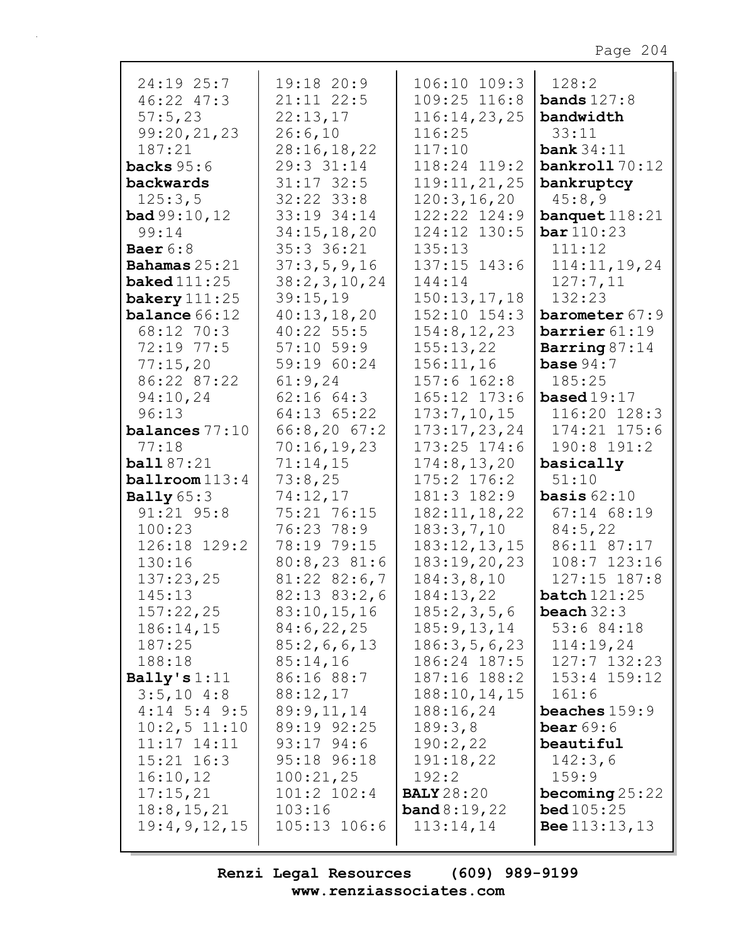| 24:19 25:7                                                      | 19:18 20:9                                                | 106:10 109:3                                | 128:2                                                       |
|-----------------------------------------------------------------|-----------------------------------------------------------|---------------------------------------------|-------------------------------------------------------------|
| 46:22 47:3                                                      | $21:11$ $22:5$                                            | 109:25 116:8                                | <b>bands</b> $127:8$                                        |
| 57:5,23                                                         | 22:13,17                                                  | 116:14,23,25                                | bandwidth                                                   |
| 99:20,21,23                                                     | 26:6,10                                                   | 116:25                                      | 33:11                                                       |
| 187:21                                                          | 28:16,18,22                                               | 117:10                                      | bank $34:11$                                                |
| <b>backs</b> $95:6$                                             | 29:3 31:14                                                | 118:24 119:2                                | bankroll 70:12                                              |
| backwards                                                       | $31:17$ 32:5                                              | 119:11,21,25                                | bankruptcy                                                  |
| 125:3,5                                                         | $32:22$ $33:8$                                            | 120:3, 16, 20                               | 45:8,9                                                      |
| <b>bad</b> $99:10, 12$                                          | 33:19 34:14                                               | 122:22 124:9                                | banquet $118:21$                                            |
| 99:14                                                           | 34:15, 18, 20                                             | 124:12 130:5                                | bar 110:23                                                  |
| Baer $6:8$                                                      | 35:3 36:21                                                | 135:13                                      | 111:12                                                      |
| Bahamas 25:21                                                   | 37:3,5,9,16                                               | $137:15$ $143:6$                            | 114:11, 19, 24                                              |
| $\texttt{background}\,111:25$                                   | 38:2, 3, 10, 24                                           | 144:14                                      | 127:7,11                                                    |
| bakery $111:25$<br><b>balance</b> 66:12                         | 39:15,19<br>40:13,18,20                                   | 150:13,17,18<br>$152:10$ $154:3$            | 132:23<br>barometer 67:9<br>barrier 61:19                   |
| 68:12 70:3<br>72:19 77:5<br>77:15,20                            | 40:22 55:5<br>$57:10$ 59:9<br>59:19 60:24                 | 154:8, 12, 23<br>155:13,22<br>156:11,16     | Barring $87:14$<br>base $94:7$                              |
| 86:22 87:22                                                     | 61:9,24                                                   | $157:6$ $162:8$                             | 185:25                                                      |
| 94:10,24                                                        | $62:16$ $64:3$                                            | 165:12 173:6                                | based $19:17$                                               |
| 96:13                                                           | 64:13 65:22                                               | 173:7,10,15                                 | 116:20 128:3                                                |
| balances 77:10                                                  | 66:8,2067:2                                               | 173:17,23,24                                | $174:21$ $175:6$                                            |
| 77:18                                                           | 70:16,19,23                                               | $173:25$ $174:6$                            | 190:8 191:2                                                 |
| ball 87:21                                                      | 71:14,15                                                  | 174:8, 13, 20                               | basically                                                   |
| $ballroom$ 113:4                                                | 73:8,25                                                   | $175:2$ $176:2$                             | 51:10                                                       |
| Bally $65:3$                                                    | 74:12,17                                                  | 181:3 182:9                                 | <b>basis</b> $62:10$                                        |
| $91:21$ $95:8$                                                  | 75:21 76:15                                               | 182:11, 18, 22                              | $67:14$ $68:19$                                             |
| 100:23                                                          | 76:23 78:9                                                | 183:3,7,10                                  | 84:5,22                                                     |
| 126:18 129:2                                                    | 78:19 79:15                                               | 183:12,13,15                                | 86:11 87:17                                                 |
| 130:16                                                          | 80:8,2381:6                                               | 183:19,20,23                                | 108:7 123:16                                                |
| 137:23,25                                                       | $81:22$ $82:6,7$                                          | 184:3,8,10                                  | $127:15$ $187:8$                                            |
| 145:13                                                          | $82:13$ $83:2,6$                                          | 184:13,22                                   | batch 121:25                                                |
| 157:22,25                                                       | 83:10,15,16                                               | 185:2,3,5,6                                 | beach $32:3$                                                |
| 186:14,15                                                       | 84:6,22,25                                                | 185:9, 13, 14                               | 53:684:18                                                   |
| 187:25                                                          | 85:2,6,6,13                                               | 186:3,5,6,23                                | 114:19,24                                                   |
| 188:18                                                          | 85:14,16                                                  | 186:24 187:5                                | $127:7$ $132:23$                                            |
| Bally's $1:11$<br>$3:5,10$ 4:8<br>$4:14$ 5:4 9:5                | 86:16 88:7<br>88:12,17<br>89:9,11,14                      | 187:16 188:2<br>188:10, 14, 15<br>188:16,24 | $153:4$ $159:12$<br>161:6<br>beaches $159:9$<br>bear $69:6$ |
| $10:2,5$ 11:10<br>$11:17$ $14:11$<br>$15:21$ $16:3$<br>16:10,12 | 89:19 92:25<br>$93:17$ $94:6$<br>95:18 96:18<br>100:21,25 | 189:3,8<br>190:2,22<br>191:18,22<br>192:2   | beautiful<br>142:3,6<br>159:9                               |
| 17:15,21                                                        | 101:2 102:4                                               | <b>BALY</b> 28:20                           | becoming $25:22$                                            |
| 18:8, 15, 21                                                    | 103:16                                                    | <b>band</b> $8:19,22$                       | <b>bed</b> $105:25$                                         |
| 19:4,9,12,15                                                    | 105:13 106:6                                              | 113:14,14                                   | <b>Bee</b> $113:13,13$                                      |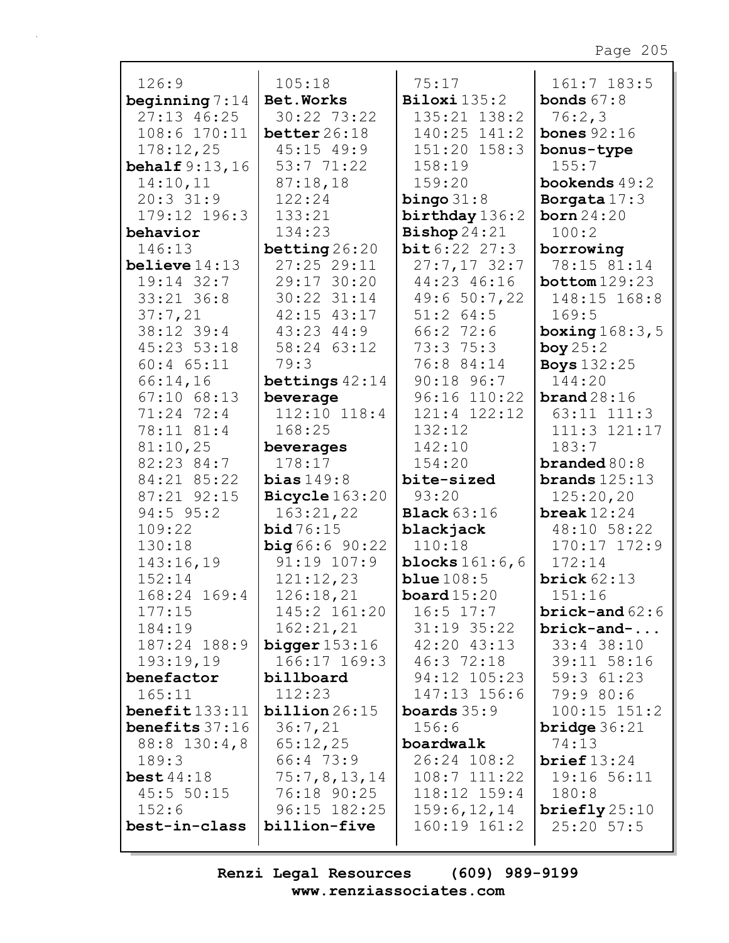| 126:9                    | 105:18                      | 75:17                        | $161:7$ 183:5              |
|--------------------------|-----------------------------|------------------------------|----------------------------|
| beginning $7:14$         | Bet. Works                  | $\texttt{Biloxi}$ 135:2      | <b>bonds</b> $67:8$        |
| $27:13$ 46:25            | 30:22 73:22                 | 135:21 138:2                 | 76:2,3                     |
| $108:6$ $170:11$         | better $26:18$              | 140:25 141:2                 | bones $92:16$              |
| 178:12,25                | $45:15$ $49:9$              | 151:20 158:3                 | bonus-type                 |
| behalf $9:13,16$         | 53:771:22                   | 158:19                       | 155:7                      |
| 14:10,11                 | 87:18,18                    | 159:20                       | bookends $49:2$            |
| $20:3$ 31:9              | 122:24                      | bingo $31:8$                 | Borgata $17:3$             |
| 179:12 196:3             | 133:21                      | birthday 136:2               | born 24:20                 |
| behavior                 | 134:23                      | Bishop $24:21$               | 100:2                      |
| 146:13                   | betting $26:20$             | bit6:222:27:3                | borrowing                  |
| believe $14:13$          | 27:25 29:11                 | $27:7,17$ 32:7               | 78:15 81:14                |
| 19:14 32:7               | 29:17 30:20                 | 44:23 46:16                  | bottom 129:23              |
| 33:21 36:8               | 30:22 31:14                 | 49:6 50:7,22                 | 148:15 168:8               |
| 37:7,21                  | 42:15 43:17                 | $51:2$ 64:5                  | 169:5                      |
| 38:12 39:4               | $43:23$ $44:9$              | 66:2 72:6                    | boxing $168:3,5$           |
| 45:23 53:18              | 58:24 63:12                 | 73:3 75:3                    | boy $25:2$                 |
| $60:4$ $65:11$           | 79:3                        | 76:8 84:14                   | <b>Boys</b> 132:25         |
| 66:14,16                 | bettings $42:14$            | 90:18 96:7                   | 144:20                     |
| $67:10$ $68:13$          | beverage                    | 96:16 110:22                 | brand28:16                 |
| 71:24 72:4               | 112:10 118:4                | 121:4 122:12                 | 63:11 111:3                |
| 78:11 81:4               | 168:25                      | 132:12                       | 111:3 121:17               |
| 81:10,25                 | beverages                   | 142:10                       | 183:7                      |
| 82:23 84:7               | 178:17                      | 154:20                       | branded $80:8$             |
| 84:21 85:22              | bias $149:8$                | bite-sized                   | brands $125:13$            |
| 87:21 92:15              | Bicycle 163:20              | 93:20                        | 125:20,20                  |
| $94:5$ 95:2              | 163:21,22                   | <b>Black</b> 63:16           | break $12:24$              |
| 109:22                   | bid76:15                    | blackjack                    | 48:10 58:22                |
| 130:18                   | big66:690:22                | 110:18                       | 170:17 172:9               |
| 143:16,19                | 91:19 107:9                 | blocks $161:6, 6$            | 172:14                     |
| 152:14                   | 121:12,23                   | blue $108:5$                 | brick $62:13$              |
| 168:24 169:4             | 126:18,21                   | board $15:20$                | 151:16                     |
| 177:15                   | 145:2 161:20                | $16:5$ $17:7$                | $brick-and 62:6$           |
| 184:19                   | 162:21,21                   | $31:19$ $35:22$              | $brick-and-$               |
| 187:24 188:9             | bigger 153:16               | $42:20$ $43:13$              | $33:4$ 38:10               |
| 193:19,19                | 166:17 169:3                | 46:372:18                    | 39:11 58:16                |
| benefactor               | billboard                   | 94:12 105:23                 | $59:3$ $61:23$             |
| 165:11                   | 112:23                      | 147:13 156:6                 | 79:9 80:6                  |
| $\texttt{benefit}133:11$ | $b$ illion $26:15$          | <b>boards</b> $35:9$         | $100:15$ $151:2$           |
| benefits 37:16           | 36:7,21                     | 156:6                        | <b>bridge</b> $36:21$      |
| $88:8$ 130:4,8           | 65:12,25                    | boardwalk<br>$26:24$ $108:2$ | 74:13                      |
| 189:3<br>best44:18       | $66:4$ 73:9<br>75:7,8,13,14 | $108:7$ $111:22$             | brief 13:24<br>19:16 56:11 |
| 45:5 50:15               | 76:18 90:25                 | $118:12$ $159:4$             | 180:8                      |
| 152:6                    | 96:15 182:25                | 159:6, 12, 14                | briefly $25:10$            |
|                          |                             |                              |                            |
|                          |                             |                              |                            |
| best-in-class            | billion-five                | 160:19 161:2                 | $25:20$ 57:5               |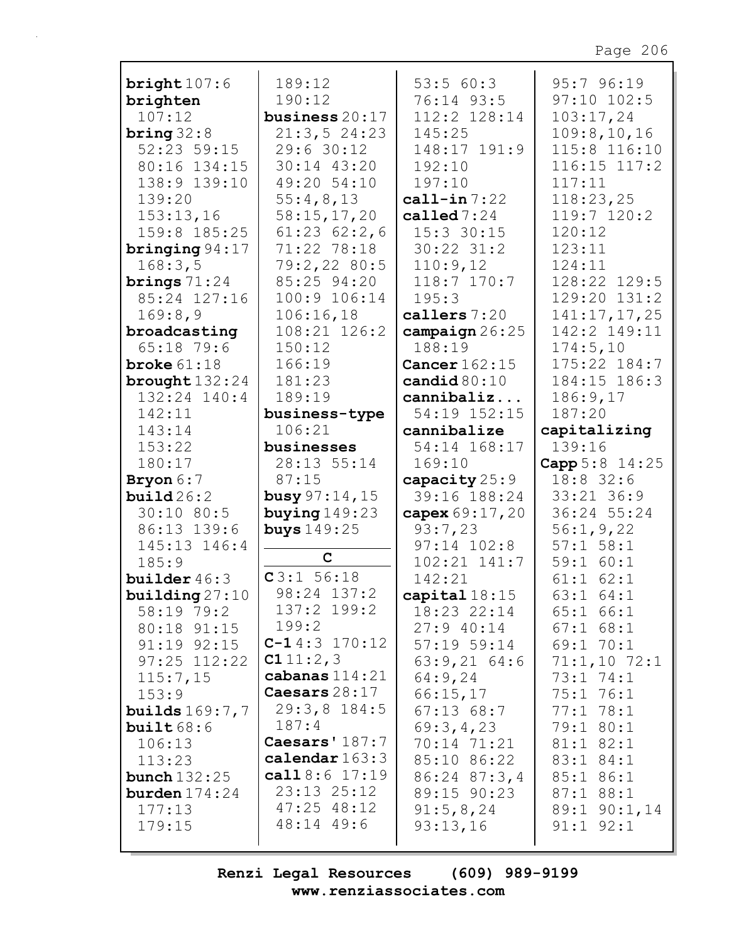| bright $107:6$                       | 189:12                      | 53:560:3                   | 95:796:19             |
|--------------------------------------|-----------------------------|----------------------------|-----------------------|
| brighten                             | 190:12                      | 76:14 93:5                 | $97:10$ $102:5$       |
| 107:12                               | business $20:17$            | 112:2 128:14               | 103:17,24             |
| bring $32:8$                         | 21:3,524:23                 | 145:25                     | 109:8, 10, 16         |
| $52:23$ 59:15                        | 29:630:12                   | 148:17 191:9               | 115:8 116:10          |
| 80:16 134:15                         | $30:14$ 43:20               | 192:10                     | $116:15$ $117:2$      |
| 138:9 139:10                         | 49:20 54:10                 | 197:10                     | 117:11                |
| 139:20                               | 55:4,8,13                   | call-in $7:22$             | 118:23,25             |
| 153:13,16                            | 58:15,17,20                 | called $7:24$              | 119:7 120:2           |
| 159:8 185:25                         | $61:23$ $62:2,6$            | $15:3$ 30:15               | 120:12                |
| bringing $94:17$                     | 71:22 78:18                 | $30:22$ $31:2$             | 123:11                |
| 168:3,5                              | 79:2,2280:5                 | 110:9,12                   | 124:11                |
| brings $71:24$                       | 85:25 94:20                 | 118:7 170:7                | 128:22 129:5          |
| 85:24 127:16                         | 100:9 106:14                | 195:3                      | 129:20 131:2          |
| 169:8,9                              | 106:16,18                   | callers $7:20$             | 141:17,17,25          |
| broadcasting                         | 108:21 126:2                | $\texttt{campalign}$ 26:25 | 142:2 149:11          |
| $65:18$ 79:6                         | 150:12                      | 188:19                     | 174:5,10              |
| broke $61:18$                        | 166:19                      | Cancer $162:15$            | 175:22 184:7          |
| brought $132:24$                     | 181:23                      | candid $80:10$             | 184:15 186:3          |
| 132:24 140:4                         | 189:19                      | cannibaliz                 | 186:9,17              |
| 142:11                               | business-type               | 54:19 152:15               | 187:20                |
| 143:14                               | 106:21                      | cannibalize                | capitalizing          |
| 153:22                               | businesses                  | 54:14 168:17               | 139:16                |
| 180:17                               | 28:13 55:14                 | 169:10                     | Capp 5:8 14:25        |
|                                      |                             |                            |                       |
| Bryon 6:7                            | 87:15                       | capacity 25:9              | $18:8$ 32:6           |
| build26:2                            | <b>busy</b> $97:14, 15$     | 39:16 188:24               | 33:21 36:9            |
| 30:10 80:5                           | buying $149:23$             | capex 69:17,20             | 36:24 55:24           |
| 86:13 139:6                          | <b>buys</b> 149:25          | 93:7,23                    | 56:1, 9, 22           |
| 145:13 146:4                         |                             | $97:14$ $102:8$            | $57:1$ $58:1$         |
| 185:9                                | $\mathbf{C}$                | $102:21$ $141:7$           | 59:1 60:1             |
| builder $46:3$                       | C3:1 56:18                  | 142:21                     | $61:1$ $62:1$         |
| building $27:10$                     | 98:24 137:2                 | capital $18:15$            | 63:1 64:1             |
| 58:19 79:2                           | 137:2 199:2                 | $18:23$ $22:14$            | $65:1$ $66:1$         |
| 80:18 91:15                          | 199:2                       | $27:9$ 40:14               | $67:1$ $68:1$         |
| $91:19$ $92:15$                      | $C-14:3$ 170:12<br>C111:2,3 | $57:19$ $59:14$            | $69:1$ $70:1$         |
| $97:25$ $112:22$                     | cabanas $114:21$            | $63:9,21$ 64:6             | $71:1,10$ $72:1$      |
| 115:7,15                             | Caesars $28:17$             | 64:9,24                    | 73:174:1              |
| 153:9                                | $29:3,8$ 184:5              | 66:15,17                   | 75:1 76:1<br>77:178:1 |
| <b>builds</b> $169:7,7$<br>built68:6 | 187:4                       | $67:13$ $68:7$             | 79:1 80:1             |
| 106:13                               | Caesars' 187:7              | 69:3,4,23<br>70:14 71:21   | $81:1$ $82:1$         |
| 113:23                               | calendar $163:3$            | 85:10 86:22                | $83:1$ $84:1$         |
| <b>bunch</b> $132:25$                | call $8:6$ 17:19            | 86:24 87:3,4               | 85:1 86:1             |
| burden 174:24                        | $23:13$ $25:12$             | 89:15 90:23                | $87:1$ $88:1$         |
| 177:13                               | $47:25$ $48:12$             | 91:5,8,24                  | $89:1$ $90:1,14$      |
| 179:15                               | 48:14 49:6                  | 93:13,16                   | $91:1$ $92:1$         |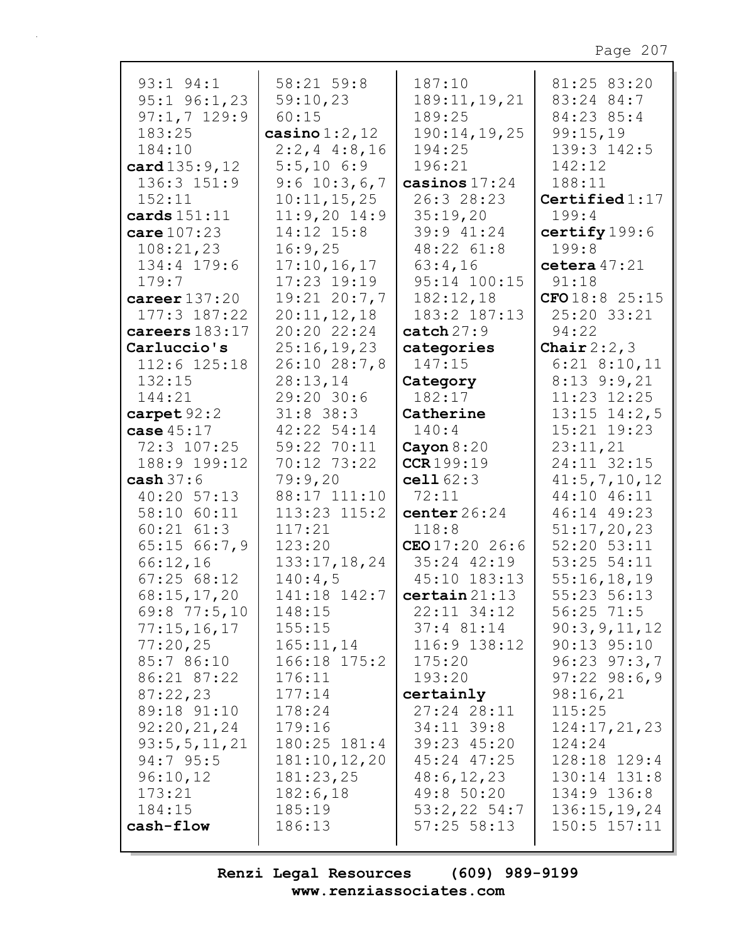| $93:1$ $94:1$    | 58:21 59:8       | 187:10                           | 81:25 83:20      |
|------------------|------------------|----------------------------------|------------------|
| $95:1$ $96:1,23$ | 59:10,23         | 189:11, 19, 21                   | 83:24 84:7       |
| $97:1,7$ 129:9   | 60:15            | 189:25                           | 84:23 85:4       |
| 183:25           | casino $1:2,12$  | 190:14,19,25                     | 99:15,19         |
| 184:10           | $2:2, 4$ 4:8,16  | 194:25                           | 139:3 142:5      |
| card 135:9, 12   | $5:5,10$ 6:9     | 196:21                           | 142:12           |
| 136:3 151:9      | $9:6$ 10:3,6,7   | casinos $17:24$                  | 188:11           |
| 152:11           | 10:11,15,25      | 26:3 28:23                       | Certified $1:17$ |
| cards $151:11$   | $11:9,20$ 14:9   | 35:19,20                         | 199:4            |
| care $107:23$    | $14:12$ $15:8$   | 39:9 41:24                       | certify 199:6    |
| 108:21,23        | 16:9,25          | 48:22 61:8                       | 199:8            |
| 134:4 179:6      | 17:10, 16, 17    | 63:4,16                          | cetera $47:21$   |
| 179:7            | 17:23 19:19      | 95:14 100:15                     | 91:18            |
| career $137:20$  | $19:21$ $20:7,7$ | 182:12,18                        | CFO18:825:15     |
| $177:3$ $187:22$ | 20:11,12,18      | 183:2 187:13                     | 25:20 33:21      |
| careers 183:17   | 20:20 22:24      | $\texttt{catch}27:9$             | 94:22            |
| Carluccio's      | 25:16,19,23      | categories                       | Chair $2:2,3$    |
| 112:6 125:18     | 26:10 28:7,8     | 147:15                           | $6:21$ $8:10,11$ |
| 132:15           | 28:13,14         | Category                         | $8:13$ 9:9,21    |
| 144:21           | 29:20 30:6       | 182:17                           | $11:23$ $12:25$  |
| carpet $92:2$    | $31:8$ 38:3      | Catherine                        | $13:15$ $14:2,5$ |
| case $45:17$     | 42:22 54:14      | 140:4                            | 15:21 19:23      |
| 72:3 107:25      | 59:22 70:11      | Cayon $8:20$                     | 23:11,21         |
| 188:9 199:12     | 70:12 73:22      | CCR199:19                        | 24:11 32:15      |
| cash $37:6$      | 79:9,20          | cell62:3                         | 41:5, 7, 10, 12  |
| $40:20$ 57:13    | 88:17 111:10     | 72:11                            | 44:10 46:11      |
| 58:10 60:11      | $113:23$ $115:2$ | center $26:24$                   | 46:14 49:23      |
| $60:21$ $61:3$   | 117:21           | 118:8                            | 51:17,20,23      |
| 65:15 66:7,9     | 123:20           | CEO17:2026:6                     | 52:20 53:11      |
| 66:12,16         | 133:17,18,24     | $35:24$ $42:19$                  | 53:25 54:11      |
| 67:2568:12       | 140:4,5          | 45:10 183:13                     | 55:16,18,19      |
| 68:15,17,20      |                  | $141:18$ $142:7$ certain $21:13$ | 55:23 56:13      |
| $69:8$ 77:5,10   | 148:15           | 22:11 34:12                      | $56:25$ $71:5$   |
| 77:15,16,17      | 155:15           | $37:4$ $81:14$                   | 90:3, 9, 11, 12  |
| 77:20,25         | 165:11,14        | 116:9 138:12                     | $90:13$ $95:10$  |
| 85:7 86:10       | 166:18 175:2     | 175:20                           | $96:23$ $97:3,7$ |
| 86:21 87:22      | 176:11           | 193:20                           | $97:22$ $98:6,9$ |
| 87:22,23         | 177:14           | certainly                        | 98:16,21         |
| 89:18 91:10      | 178:24           | 27:24 28:11                      | 115:25           |
| 92:20,21,24      | 179:16           | $34:11$ $39:8$                   | 124:17,21,23     |
| 93:5, 5, 11, 21  | 180:25 181:4     | 39:23 45:20                      | 124:24           |
| $94:7$ 95:5      | 181:10, 12, 20   | 45:24 47:25                      | 128:18 129:4     |
| 96:10,12         | 181:23,25        | 48:6, 12, 23                     | 130:14 131:8     |
| 173:21           | 182:6,18         | 49:8 50:20                       | 134:9 136:8      |
| 184:15           | 185:19           | $53:2,22$ 54:7                   | 136:15,19,24     |
| cash-flow        | 186:13           | $57:25$ $58:13$                  | $150:5$ $157:11$ |
|                  |                  |                                  |                  |
|                  |                  |                                  |                  |

Г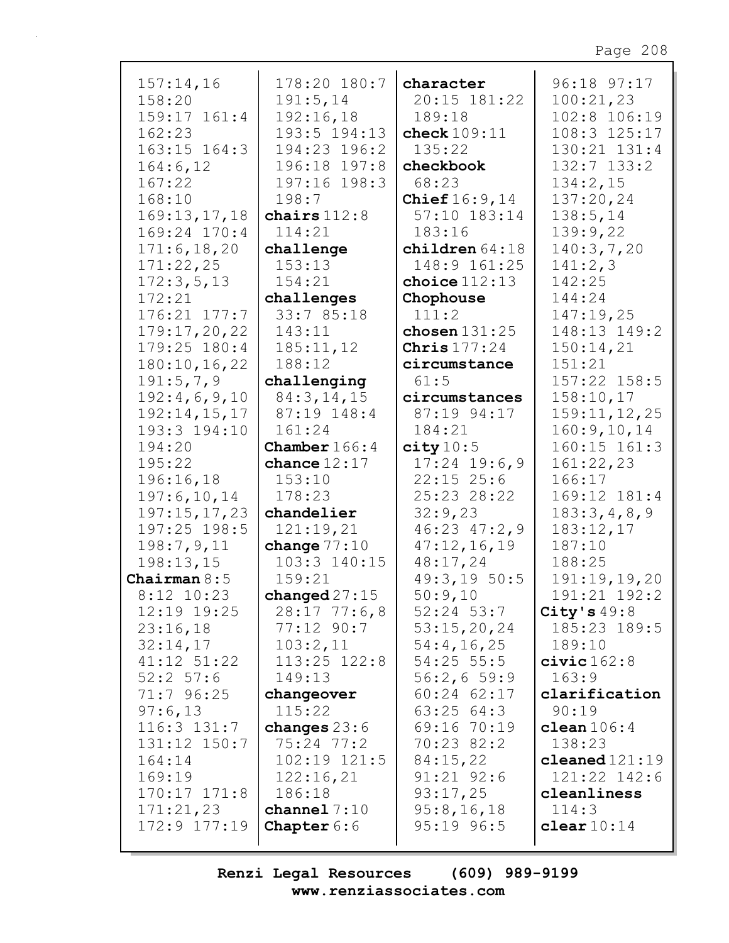| 157:14,16        | 178:20 180:7           | character        | 96:18 97:17     |
|------------------|------------------------|------------------|-----------------|
| 158:20           | 191:5,14               | 20:15 181:22     | 100:21,23       |
|                  |                        | 189:18           | 102:8 106:19    |
| 159:17 161:4     | 192:16,18              |                  |                 |
| 162:23           | 193:5 194:13           | check $109:11$   | 108:3 125:17    |
| 163:15 164:3     | 194:23 196:2           | 135:22           | 130:21 131:4    |
| 164:6, 12        | 196:18 197:8           | checkbook        | $132:7$ $133:2$ |
|                  |                        |                  |                 |
| 167:22           | 197:16 198:3           | 68:23            | 134:2,15        |
| 168:10           | 198:7                  | Chief $16:9,14$  | 137:20,24       |
| 169:13,17,18     | chairs $112:8$         | 57:10 183:14     | 138:5,14        |
| 169:24 170:4     | 114:21                 | 183:16           | 139:9,22        |
| 171:6, 18, 20    | challenge              | children $64:18$ | 140:3,7,20      |
|                  |                        |                  |                 |
| 171:22,25        | 153:13                 | 148:9 161:25     | 141:2,3         |
| 172:3,5,13       | 154:21                 | choice $112:13$  | 142:25          |
| 172:21           | challenges             | Chophouse        | 144:24          |
| 176:21 177:7     | 33:7 85:18             | 111:2            | 147:19,25       |
| 179:17,20,22     | 143:11                 | chosen $131:25$  | 148:13 149:2    |
|                  |                        |                  |                 |
| 179:25 180:4     | 185:11,12              | Chris $177:24$   | 150:14,21       |
| 180:10, 16, 22   | 188:12                 | circumstance     | 151:21          |
| 191:5,7,9        | challenging            | 61:5             | 157:22 158:5    |
| 192:4,6,9,10     | 84:3,14,15             | circumstances    | 158:10,17       |
| 192:14,15,17     | 87:19 148:4            | 87:19 94:17      | 159:11, 12, 25  |
| 193:3 194:10     | 161:24                 | 184:21           | 160:9, 10, 14   |
| 194:20           | <b>Chamber</b> $166:4$ | city 10:5        | 160:15 161:3    |
|                  |                        |                  |                 |
| 195:22           | chance $12:17$         | $17:24$ 19:6,9   | 161:22,23       |
| 196:16,18        | 153:10                 | $22:15$ $25:6$   | 166:17          |
| 197:6, 10, 14    | 178:23                 | 25:23 28:22      | 169:12 181:4    |
| 197:15,17,23     | chandelier             | 32:9,23          | 183:3,4,8,9     |
| 197:25 198:5     | 121:19,21              | 46:23 47:2,9     | 183:12,17       |
| 198:7,9,11       | change $77:10$         | 47:12,16,19      | 187:10          |
| 198:13,15        | 103:3 140:15           | 48:17,24         | 188:25          |
|                  |                        |                  |                 |
| Chairman $8:5$   | 159:21                 | 49:3,19 50:5     | 191:19,19,20    |
| 8:12 10:23       | changed $27:15$        | 50:9,10          | 191:21 192:2    |
| 12:19 19:25      | $28:17$ 77:6,8         | $52:24$ $53:7$   | City's $49:8$   |
| 23:16,18         | $77:12$ 90:7           | 53:15,20,24      | 185:23 189:5    |
| 32:14,17         | 103:2,11               | 54:4,16,25       | 189:10          |
| 41:12 51:22      | $113:25$ $122:8$       | $54:25$ 55:5     | civic162:8      |
| $52:2$ 57:6      | 149:13                 | 56:2,659:9       | 163:9           |
|                  |                        |                  |                 |
| 71:7 96:25       | changeover             | $60:24$ $62:17$  | clarification   |
| 97:6,13          | 115:22                 | 63:2564:3        | 90:19           |
| $116:3$ $131:7$  | changes $23:6$         | 69:16 70:19      | clean $106:4$   |
| 131:12 150:7     | $75:24$ $77:2$         | $70:23$ 82:2     | 138:23          |
| 164:14           | $102:19$ $121:5$       | 84:15,22         | $cleaned121:19$ |
| 169:19           | 122:16,21              | $91:21$ $92:6$   | 121:22 142:6    |
| $170:17$ $171:8$ | 186:18                 | 93:17,25         | cleanliness     |
| 171:21,23        | channel $7:10$         | 95:8,16,18       | 114:3           |
|                  |                        |                  |                 |
| $172:9$ $177:19$ | <b>Chapter</b> $6:6$   | $95:19$ $96:5$   | clear $10:14$   |
|                  |                        |                  |                 |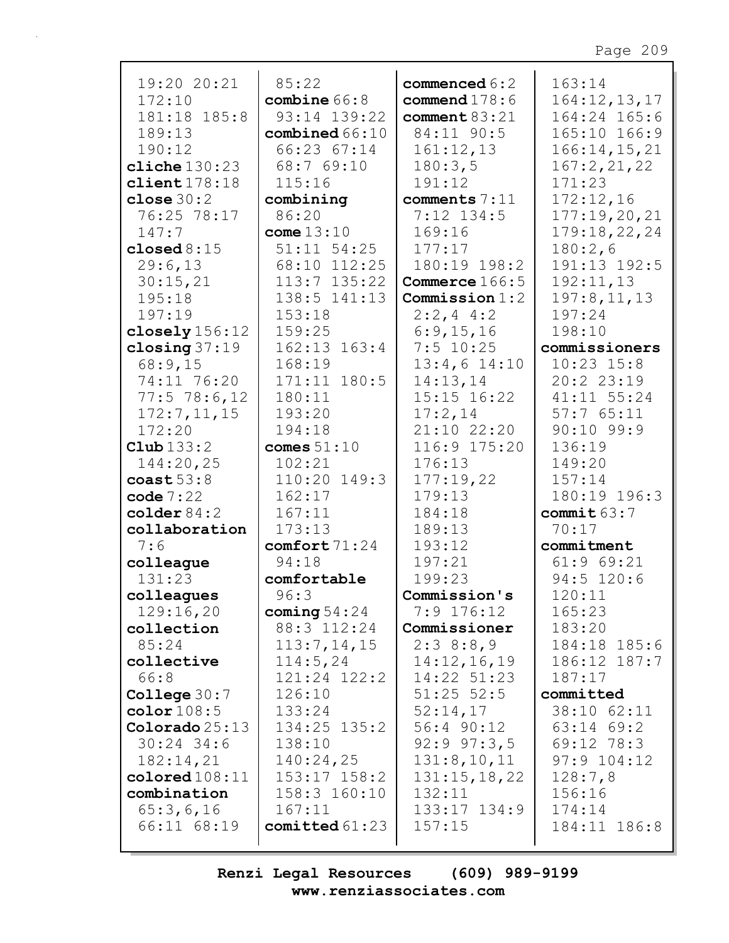| 19:20 20:21             | 85:22             | commenced $6:2$ | 163:14         |
|-------------------------|-------------------|-----------------|----------------|
| 172:10                  | combine $66:8$    | commend $178:6$ | 164:12,13,17   |
| 181:18 185:8            | 93:14 139:22      | comment $83:21$ | 164:24 165:6   |
| 189:13                  | combined 66:10    | 84:11 90:5      | 165:10 166:9   |
| 190:12                  | 66:23 67:14       | 161:12,13       | 166:14, 15, 21 |
| cliche $130:23$         | 68:7 69:10        | 180:3,5         | 167:2,21,22    |
| client178:18            | 115:16            | 191:12          | 171:23         |
| close $30:2$            | combining         | comments 7:11   | 172:12,16      |
| 76:25 78:17             | 86:20             | $7:12$ 134:5    | 177:19,20,21   |
| 147:7                   | come $13:10$      | 169:16          | 179:18,22,24   |
| closed $8:15$           | $51:11$ $54:25$   | 177:17          | 180:2,6        |
| 29:6,13                 | 68:10 112:25      | 180:19 198:2    | 191:13 192:5   |
| 30:15,21                | 113:7 135:22      | Commerce 166:5  | 192:11,13      |
| 195:18                  | 138:5 141:13      | Commission 1:2  | 197:8, 11, 13  |
| 197:19                  | 153:18            | $2:2,4$ 4:2     | 197:24         |
| closely $156:12$        | 159:25            | 6:9,15,16       | 198:10         |
| closing $37:19$         | $162:13$ $163:4$  | $7:5$ 10:25     | commissioners  |
| 68:9,15                 | 168:19            | $13:4,6$ 14:10  | $10:23$ $15:8$ |
| 74:11 76:20             | 171:11 180:5      | 14:13,14        | 20:2 23:19     |
| $77:5$ $78:6$ , 12      | 180:11            | 15:15 16:22     | 41:11 55:24    |
| 172:7, 11, 15           | 193:20            | 17:2,14         | 57:765:11      |
| 172:20                  | 194:18            | 21:10 22:20     | $90:10$ 99:9   |
| $\texttt{Club} 133:2$   | comes $51:10$     | 116:9 175:20    | 136:19         |
| 144:20,25               | 102:21            | 176:13          | 149:20         |
| $\cosh 53:8$            | 110:20 149:3      | 177:19,22       | 157:14         |
| code $7:22$             | 162:17            | 179:13          | 180:19 196:3   |
| $\text{colder} 84:2$    | 167:11            | 184:18          | commit $63:7$  |
| collaboration           | 173:13            | 189:13          | 70:17          |
| 7:6                     | comfort71:24      | 193:12          | commitment     |
| colleague               | 94:18             | 197:21          | 61:969:21      |
| 131:23                  | comfortable       | 199:23          | $94:5$ 120:6   |
| colleagues              | 96:3              | Commission's    | 120:11         |
| 129:16,20               | coming $54:24$    | $7:9$ 176:12    | 165:23         |
| collection              | 88:3 112:24       | Commissioner    | 183:20         |
| 85:24                   | 113:7, 14, 15     | 2:38:8,9        | 184:18 185:6   |
| collective              | 114:5,24          | 14:12,16,19     | 186:12 187:7   |
| 66:8                    | 121:24 122:2      | 14:22 51:23     | 187:17         |
| College $30:7$          | 126:10            | $51:25$ $52:5$  | committed      |
| color108:5              | 133:24            | 52:14,17        | 38:10 62:11    |
| $\text{Colorado} 25:13$ | 134:25 135:2      | $56:4$ 90:12    | $63:14$ $69:2$ |
| $30:24$ 34:6            | 138:10            | $92:9$ $97:3,5$ | $69:12$ 78:3   |
| 182:14,21               | 140:24,25         | 131:8,10,11     | $97:9$ 104:12  |
| colored 108:11          | $153:17$ $158:2$  | 131:15,18,22    | 128:7,8        |
| combination             | 158:3 160:10      | 132:11          | 156:16         |
| 65:3,6,16               | 167:11            | 133:17 134:9    | 174:14         |
| 66:11 68:19             | $comitted\,61:23$ | 157:15          | 184:11 186:8   |
|                         |                   |                 |                |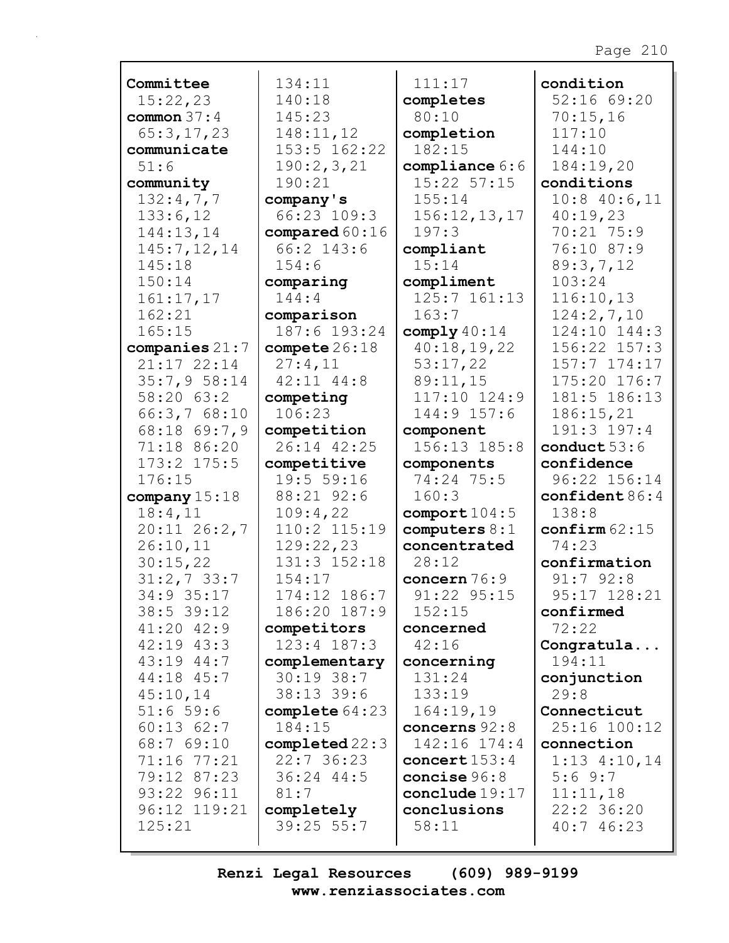| Committee                 | 134:11                    | 111:17                          | condition                       |
|---------------------------|---------------------------|---------------------------------|---------------------------------|
| 15:22,23                  | 140:18                    | completes                       | 52:1669:20                      |
| common $37:4$             | 145:23                    | 80:10                           | 70:15,16                        |
| 65:3,17,23                | 148:11,12                 | completion                      | 117:10                          |
| communicate               | 153:5 162:22              | 182:15                          | 144:10                          |
| 51:6                      | 190:2,3,21                | compliance 6:6                  | 184:19,20                       |
| community                 | 190:21                    | $15:22$ $57:15$                 | conditions                      |
| 132:4,7,7                 | company's                 | 155:14                          | $10:8$ 40:6,11                  |
| 133:6,12                  | 66:23 109:3               | 156:12, 13, 17                  | 40:19,23                        |
| 144:13,14                 | compared 60:16            | 197:3                           | 70:21 75:9                      |
| 145:7, 12, 14             | 66:2 143:6                | compliant                       | 76:10 87:9                      |
| 145:18                    | 154:6                     | 15:14                           | 89:3,7,12                       |
| 150:14                    | comparing                 | compliment                      | 103:24                          |
| 161:17,17                 | 144:4                     | $125:7$ $161:13$                | 116:10,13                       |
| 162:21                    | comparison                | 163:7                           | 124:2,7,10                      |
| 165:15                    | 187:6 193:24              | comply $40:14$                  | 124:10 144:3                    |
| companies $21:7$          | compete $26:18$           | 40:18,19,22                     | 156:22 157:3                    |
| 21:17 22:14               | 27:4,11                   | 53:17,22                        | $157:7$ $174:17$                |
| 35:7,958:14               | $42:11$ $44:8$            | 89:11,15                        | 175:20 176:7                    |
| 58:20 63:2                | competing                 | 117:10 124:9                    | 181:5 186:13                    |
| 66:3,768:10               | 106:23                    | 144:9 157:6                     | 186:15,21                       |
| 68:18 69:7,9              | competition               | component                       | 191:3 197:4                     |
| 71:18 86:20               | 26:14 42:25               | 156:13 185:8                    | conduct 53:6                    |
| $173:2$ $175:5$           | competitive               | components                      | confidence                      |
| 176:15                    |                           |                                 |                                 |
|                           |                           |                                 |                                 |
|                           | 19:5 59:16                | 74:24 75:5                      | 96:22 156:14                    |
| company $15:18$           | 88:21 92:6                | 160:3                           | confident $86:4$                |
| 18:4,11                   | 109:4,22                  | comport $104:5$                 | 138:8                           |
| $20:11$ $26:2,7$          | 110:2 115:19              | computers $8:1$<br>concentrated | $\text{confirm }62:15$<br>74:23 |
| 26:10,11                  | 129:22,23<br>131:3 152:18 | 28:12                           | confirmation                    |
| 30:15,22<br>$31:2,7$ 33:7 | 154:17                    | concern 76:9                    | $91:7$ $92:8$                   |
| 34:9 35:17                | 174:12 186:7              | 91:22 95:15                     | 95:17 128:21                    |
| $38:5$ 39:12              | 186:20 187:9              | 152:15                          | confirmed                       |
| $41:20$ $42:9$            | competitors               | concerned                       | 72:22                           |
| $42:19$ $43:3$            | 123:4 187:3               | 42:16                           | Congratula                      |
| 43:19 44:7                | complementary             | concerning                      | 194:11                          |
| 44:18 45:7                | $30:19$ 38:7              | 131:24                          | conjunction                     |
| 45:10,14                  | 38:13 39:6                | 133:19                          | 29:8                            |
| 51:659:6                  | complete $64:23$          | 164:19,19                       | Connecticut                     |
| $60:13$ $62:7$            | 184:15                    | concerns 92:8                   | 25:16 100:12                    |
| 68:7 69:10                | $\texttt{completed}22:3$  | 142:16 174:4                    | connection                      |
| 71:16 77:21               | 22:736:23                 | concert $153:4$                 | $1:13$ 4:10,14                  |
| 79:12 87:23               | $36:24$ 44:5              | concise $96:8$                  | 5:69:7                          |
| 93:22 96:11               | 81:7                      | conclude 19:17                  | 11:11,18                        |
| 96:12 119:21              | completely                | conclusions                     | 22:2 36:20                      |
| 125:21                    | 39:25 55:7                | 58:11                           | 40:746:23                       |

Г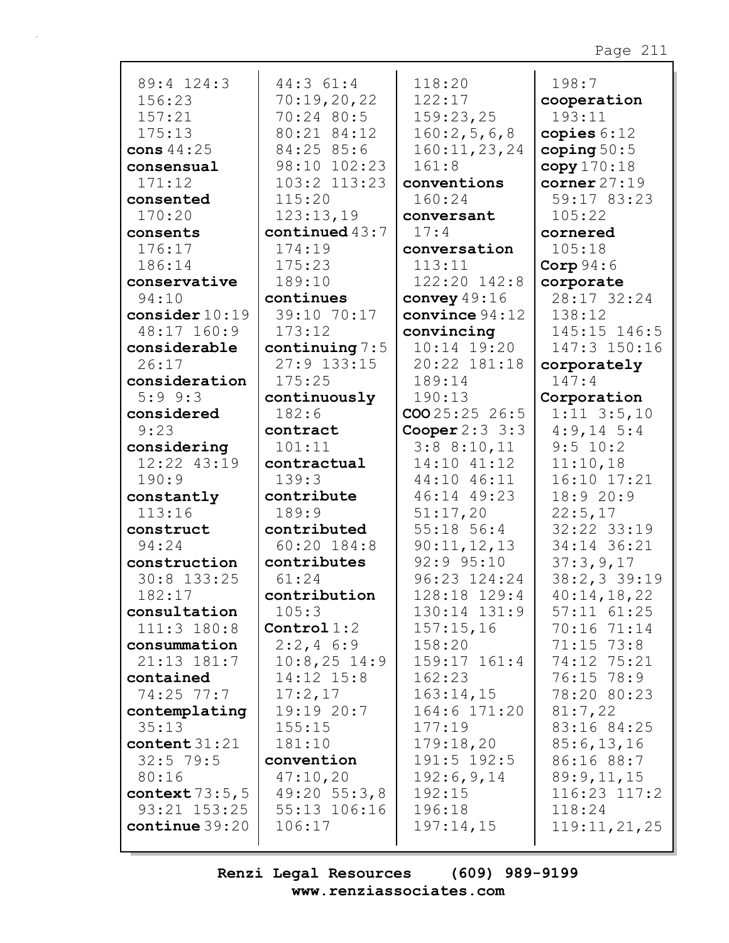| 89:4 124:3<br>156:23<br>157:21<br>175:13<br>cons $44:25$<br>consensual<br>171:12<br>consented<br>170:20<br>consents | 44:3 61:4<br>70:19,20,22<br>70:24 80:5<br>80:21 84:12<br>84:25 85:6<br>98:10 102:23<br>103:2 113:23<br>115:20<br>123:13,19<br>continued $43:7$ | 118:20<br>122:17<br>159:23,25<br>160:2,5,6,8<br>160:11,23,24<br>161:8<br>conventions<br>160:24<br>conversant<br>17:4 | 198:7<br>cooperation<br>193:11<br>copies $6:12$<br>coping $50:5$<br>copy170:18<br>corner $27:19$<br>59:17 83:23<br>105:22<br>cornered |
|---------------------------------------------------------------------------------------------------------------------|------------------------------------------------------------------------------------------------------------------------------------------------|----------------------------------------------------------------------------------------------------------------------|---------------------------------------------------------------------------------------------------------------------------------------|
| 176:17<br>186:14                                                                                                    | 174:19<br>175:23                                                                                                                               | conversation<br>113:11                                                                                               | 105:18<br>Corp $94:6$                                                                                                                 |
| conservative                                                                                                        | 189:10                                                                                                                                         | 122:20 142:8                                                                                                         | corporate                                                                                                                             |
| 94:10                                                                                                               | continues                                                                                                                                      | convey $49:16$                                                                                                       | 28:17 32:24                                                                                                                           |
| consider $10:19$                                                                                                    | 39:10 70:17                                                                                                                                    | convince $94:12$                                                                                                     | 138:12                                                                                                                                |
| 48:17 160:9                                                                                                         | 173:12                                                                                                                                         | convincing                                                                                                           | 145:15 146:5                                                                                                                          |
| considerable                                                                                                        | continuing $7:5$                                                                                                                               | 10:14 19:20                                                                                                          | 147:3 150:16                                                                                                                          |
| 26:17                                                                                                               | 27:9 133:15                                                                                                                                    | 20:22 181:18                                                                                                         | corporately                                                                                                                           |
| consideration                                                                                                       | 175:25                                                                                                                                         | 189:14                                                                                                               | 147:4                                                                                                                                 |
| $5:9$ $9:3$<br>considered                                                                                           | continuously<br>182:6                                                                                                                          | 190:13<br>$\textbf{COO} 25:25 \quad 26:5$                                                                            | Corporation<br>$1:11$ $3:5,10$                                                                                                        |
| 9:23                                                                                                                | contract                                                                                                                                       | Cooper $2:3:3:3$                                                                                                     | $4:9,14$ 5:4                                                                                                                          |
| considering                                                                                                         | 101:11                                                                                                                                         | 3:88:10,11                                                                                                           | 9:5 10:2                                                                                                                              |
| 12:22 43:19                                                                                                         | contractual                                                                                                                                    | 14:10 41:12                                                                                                          | 11:10,18                                                                                                                              |
| 190:9                                                                                                               | 139:3                                                                                                                                          | 44:10 46:11                                                                                                          | 16:10 17:21                                                                                                                           |
| constantly                                                                                                          | contribute                                                                                                                                     | 46:14 49:23                                                                                                          | 18:9 20:9                                                                                                                             |
| 113:16                                                                                                              | 189:9                                                                                                                                          | 51:17,20                                                                                                             | 22:5,17                                                                                                                               |
| construct                                                                                                           | contributed                                                                                                                                    | $55:18$ 56:4                                                                                                         | 32:22 33:19                                                                                                                           |
| 94:24                                                                                                               | $60:20$ 184:8                                                                                                                                  | 90:11,12,13                                                                                                          | 34:14 36:21                                                                                                                           |
| construction                                                                                                        | contributes                                                                                                                                    | 92:9 95:10                                                                                                           | 37:3,9,17                                                                                                                             |
| 30:8 133:25                                                                                                         | 61:24                                                                                                                                          | 96:23 124:24                                                                                                         | 38:2,3 39:19                                                                                                                          |
| 182:17                                                                                                              | contribution                                                                                                                                   | 128:18 129:4                                                                                                         | 40:14,18,22                                                                                                                           |
| consultation<br>111:3 180:8                                                                                         | 105:3<br>Control $1:2$                                                                                                                         | 130:14 131:9<br>157:15,16                                                                                            | $57:11$ $61:25$<br>70:16 71:14                                                                                                        |
| consummation                                                                                                        | $2:2,4$ 6:9                                                                                                                                    | 158:20                                                                                                               | $71:15$ $73:8$                                                                                                                        |
| 21:13 181:7                                                                                                         | $10:8,25$ 14:9                                                                                                                                 | 159:17 161:4                                                                                                         | 74:12 75:21                                                                                                                           |
| contained                                                                                                           | 14:12 15:8                                                                                                                                     | 162:23                                                                                                               | 76:15 78:9                                                                                                                            |
| 74:25 77:7                                                                                                          | 17:2,17                                                                                                                                        | 163:14,15                                                                                                            | 78:20 80:23                                                                                                                           |
| contemplating                                                                                                       | 19:1920:7                                                                                                                                      | 164:6 171:20                                                                                                         | 81:7,22                                                                                                                               |
| 35:13                                                                                                               | 155:15                                                                                                                                         | 177:19                                                                                                               | 83:16 84:25                                                                                                                           |
| content $31:21$                                                                                                     | 181:10                                                                                                                                         | 179:18,20                                                                                                            | 85:6,13,16                                                                                                                            |
| $32:5$ 79:5                                                                                                         | convention                                                                                                                                     | 191:5 192:5                                                                                                          | 86:16 88:7                                                                                                                            |
| 80:16                                                                                                               | 47:10,20                                                                                                                                       | 192:6,9,14                                                                                                           | 89:9,11,15                                                                                                                            |
| context $73:5,5$                                                                                                    | $49:20$ 55:3,8                                                                                                                                 | 192:15                                                                                                               | 116:23 117:2                                                                                                                          |
| $93:21$ $153:25$                                                                                                    | 55:13 106:16                                                                                                                                   | 196:18                                                                                                               | 118:24                                                                                                                                |
| $\text{continue } 39:20$                                                                                            | 106:17                                                                                                                                         | 197:14,15                                                                                                            | 119:11,21,25                                                                                                                          |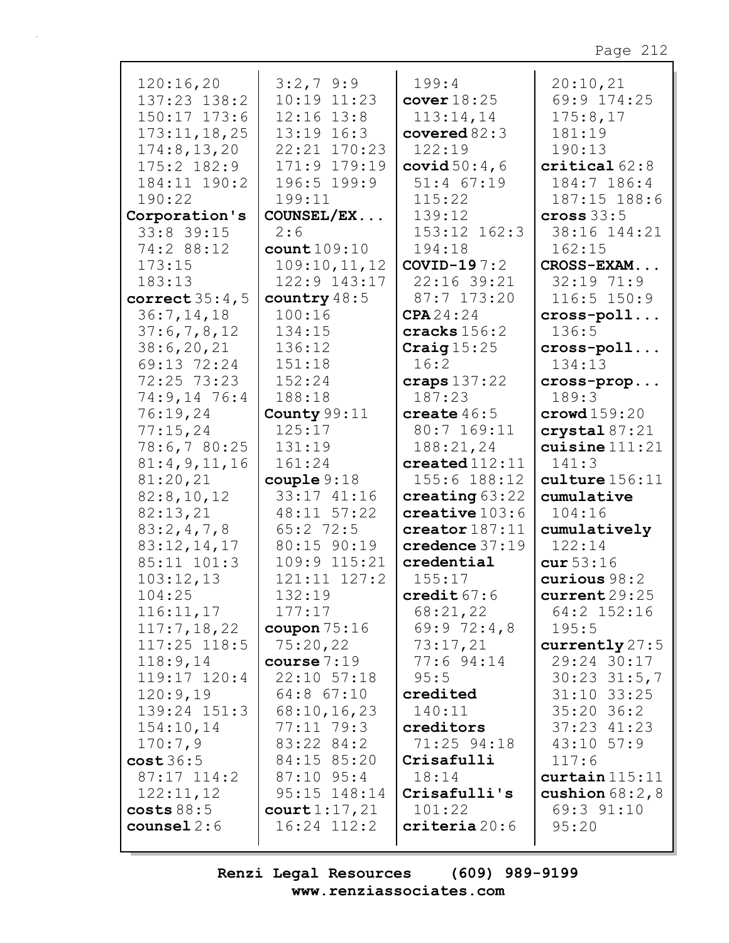| 120:16,20        | $3:2,7$ 9:9            | 199:4                      | 20:10,21                |
|------------------|------------------------|----------------------------|-------------------------|
| 137:23 138:2     | 10:19 11:23            | cover $18:25$              | 69:9 174:25             |
| 150:17 173:6     | $12:16$ $13:8$         | 113:14,14                  | 175:8,17                |
| 173:11, 18, 25   | $13:19$ $16:3$         | covered $82:3$             | 181:19                  |
| 174:8, 13, 20    | 22:21 170:23           | 122:19                     | 190:13                  |
| $175:2$ $182:9$  | 171:9 179:19           | covid $50:4$ , 6           | critical 62:8           |
| 184:11 190:2     | 196:5 199:9            | $51:4$ $67:19$             | 184:7 186:4             |
|                  |                        |                            |                         |
| 190:22           | 199:11                 | 115:22                     | 187:15 188:6            |
| Corporation's    | COUNSEL/EX             | 139:12                     | cross $33:5$            |
| $33:8$ 39:15     | 2:6                    | 153:12 162:3               | 38:16 144:21            |
| 74:2 88:12       | count109:10            | 194:18                     | 162:15                  |
| 173:15           | 109:10, 11, 12         | COVID-19 $7:2$             | CROSS-EXAM              |
| 183:13           | 122:9 143:17           | 22:16 39:21                | $32:19$ 71:9            |
| correct $35:4,5$ | country 48:5           | 87:7 173:20                | 116:5 150:9             |
| 36:7, 14, 18     | 100:16                 | CPA24:24                   | $cross-poll$            |
| 37:6,7,8,12      | 134:15                 | cracks $156:2$             | 136:5                   |
| 38:6,20,21       | 136:12                 | Craig $15:25$              |                         |
|                  |                        | 16:2                       | $cross-poll$            |
| 69:13 72:24      | 151:18                 |                            | 134:13                  |
| 72:25 73:23      | 152:24                 | craps $137:22$             | cross-prop              |
| 74:9,14 76:4     | 188:18                 | 187:23                     | 189:3                   |
| 76:19,24         | County 99:11           | create $46:5$              | $\texttt{crowd} 159:20$ |
| 77:15,24         | 125:17                 | 80:7 169:11                | crystal 87:21           |
| 78:6,7 80:25     | 131:19                 | 188:21,24                  | cuisine $111:21$        |
| 81:4,9,11,16     | 161:24                 | created $112:11$           | 141:3                   |
| 81:20,21         | $\texttt{couple} 9:18$ | 155:6 188:12               | culture 156:11          |
| 82:8,10,12       | 33:17 41:16            | creating $63:22$           | cumulative              |
| 82:13,21         | 48:11 57:22            | $\texttt{createive}$ 103:6 | 104:16                  |
| 83:2,4,7,8       | $65:2$ 72:5            | $\texttt{creation}$ 187:11 | cumulatively            |
| 83:12,14,17      | 80:15 90:19            | credence $37:19$           | 122:14                  |
| 85:11 101:3      | 109:9 115:21           | credential                 | cur53:16                |
|                  | $121:11$ $127:2$       |                            | curious 98:2            |
| 103:12,13        |                        | 155:17                     |                         |
| 104:25           | 132:19                 | credit $67:6$              | current29:25            |
| 116:11,17        | 177:17                 | 68:21,22                   | 64:2 152:16             |
| 117:7,18,22      | coupon $75:16$         | 69:972:4,8                 | 195:5                   |
| $117:25$ $118:5$ | 75:20,22               | 73:17,21                   | currently $27:5$        |
| 118:9,14         | course 7:19            | 77:6 94:14                 | 29:24 30:17             |
| $119:17$ $120:4$ | 22:10 57:18            | 95:5                       | $30:23$ $31:5,7$        |
| 120:9,19         | 64:8 67:10             | credited                   | $31:10$ $33:25$         |
| 139:24 151:3     | 68:10, 16, 23          | 140:11                     | $35:20$ 36:2            |
| 154:10,14        | $77:11$ $79:3$         | creditors                  | $37:23$ $41:23$         |
| 170:7,9          | 83:22 84:2             | 71:25 94:18                | $43:10$ 57:9            |
| cost36:5         | 84:15 85:20            | Crisafulli                 | 117:6                   |
| $87:17$ 114:2    | $87:10$ 95:4           | 18:14                      |                         |
|                  |                        |                            | curtain 115:11          |
| 122:11,12        | 95:15 148:14           | Crisafulli's               | cushion $68:2,8$        |
| costs 88:5       | count1:17,21           | 101:22                     | 69:3 91:10              |
| counsel $2:6$    | $16:24$ $112:2$        | criteria20:6               | 95:20                   |
|                  |                        |                            |                         |

 $\overline{\phantom{a}}$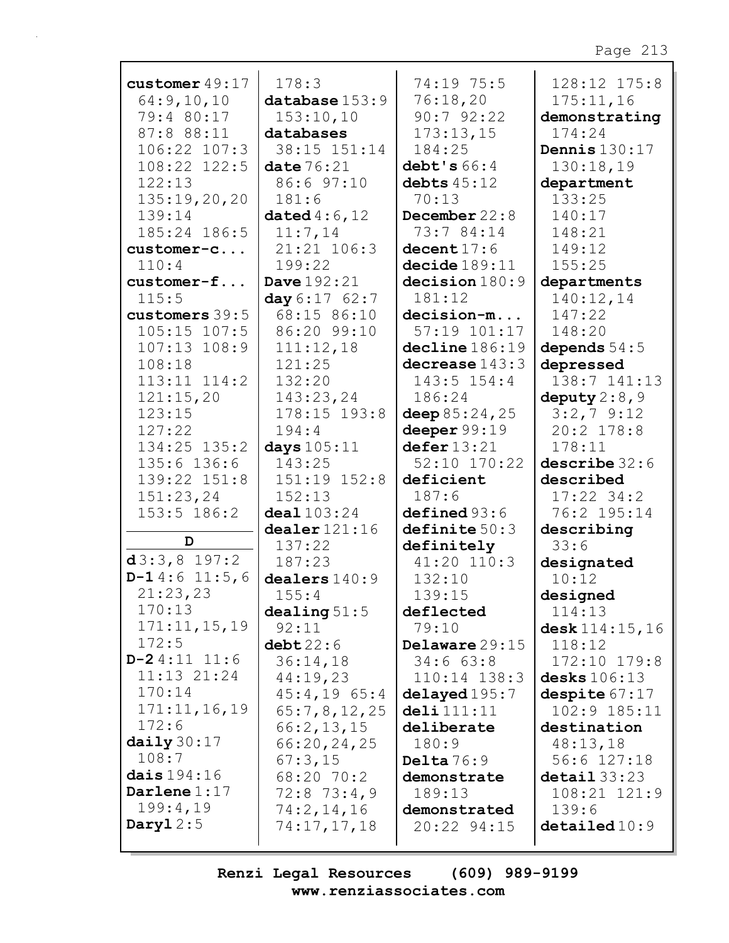| customer $49:17$      | 178:3                     | 74:19 75:5                 | 128:12 175:8            |
|-----------------------|---------------------------|----------------------------|-------------------------|
| 64:9,10,10            | $\mathtt{database}$ 153:9 | 76:18,20                   | 175:11,16               |
| 79:4 80:17            | 153:10,10                 | 90:792:22                  | demonstrating           |
| 87:8 88:11            | databases                 | 173:13,15                  | 174:24                  |
| 106:22 107:3          | 38:15 151:14              | 184:25                     | Dennis $130:17$         |
| 108:22 122:5          | date $76:21$              | debt's $66:4$              | 130:18,19               |
| 122:13                | 86:6 97:10                | debts $45:12$              | department              |
| 135:19,20,20          | 181:6                     | 70:13                      | 133:25                  |
| 139:14                | dated $4:6,12$            | December $22:8$            | 140:17                  |
| 185:24 186:5          | 11:7,14                   | 73:7 84:14                 | 148:21                  |
| customer-c            | 21:21 106:3               | decent $17:6$              | 149:12                  |
| 110:4                 | 199:22                    | decide189:11               | 155:25                  |
| customer-f            | Dave $192:21$             | decision 180:9             | departments             |
| 115:5                 | day 6:17 62:7             | 181:12                     | 140:12,14               |
| customers 39:5        | 68:15 86:10               | decision-m                 | 147:22                  |
| $105:15$ $107:5$      | 86:20 99:10               | 57:19 101:17               | 148:20                  |
| $107:13$ $108:9$      | 111:12,18                 | decline 186:19             | depends $54:5$          |
| 108:18                | 121:25                    | decrease $143:3$           | depressed               |
| $113:11$ $114:2$      | 132:20                    | 143:5 154:4                | 138:7 141:13            |
| 121:15,20             | 143:23,24                 | 186:24                     | deputy $2:8$ , 9        |
| 123:15                | 178:15 193:8              | deep $85:24,25$            | $3:2,7$ 9:12            |
| 127:22                | 194:4                     | deeper $99:19$             | 20:2 178:8              |
| $134:25$ $135:2$      | days $105:11$             | defer 13:21                | 178:11                  |
| 135:6 136:6           | 143:25                    | 52:10 170:22               | describe 32:6           |
| 139:22 151:8          | $151:19$ $152:8$          | deficient                  | described               |
| 151:23,24             | 152:13                    | 187:6                      | $17:22$ 34:2            |
| 153:5 186:2           | deal $103:24$             | defined 93:6               | 76:2 195:14             |
| D                     | $\text{dealer} 121:16$    | definite 50:3              | describing              |
|                       | 137:22                    | definitely                 | 33:6                    |
| $d3:3,8$ 197:2        | 187:23                    | 41:20 110:3                | designated              |
| $D-14:611:5,6$        | dealers $140:9$           | 132:10                     | 10:12                   |
| 21:23,23<br>170:13    | 155:4                     | 139:15                     | designed                |
| 171:11,15,19          | dealing $51:5$            | deflected                  | 114:13                  |
| 172:5                 | 92:11                     | 79:10                      | desk 114:15, 16         |
| $D-24:11$ 11:6        | debt22:6<br>36:14,18      | Delaware 29:15<br>34:663:8 | 118:12<br>172:10 179:8  |
| $11:13$ $21:24$       | 44:19,23                  | 110:14 138:3               | desks $106:13$          |
| 170:14                | $45:4,19$ 65:4            | delayed 195:7              | despite $67:17$         |
| 171:11,16,19          | 65:7,8,12,25              | deli 111:11                | 102:9 185:11            |
| 172:6                 | 66:2,13,15                | deliberate                 | destination             |
| $\texttt{daily}30:17$ | 66:20,24,25               | 180:9                      | 48:13,18                |
| 108:7                 | 67:3,15                   | Delta $76:9$               | $56:6$ $127:18$         |
| dais $194:16$         | 68:20 70:2                | demonstrate                | $\texttt{detail} 33:23$ |
| Darlene $1:17$        | $72:8$ $73:4,9$           | 189:13                     | 108:21 121:9            |
| 199:4,19              | 74:2,14,16                | demonstrated               | 139:6                   |
| Daryl $2:5$           | 74:17,17,18               | 20:22 94:15                | $\texttt{detailed10:9}$ |
|                       |                           |                            |                         |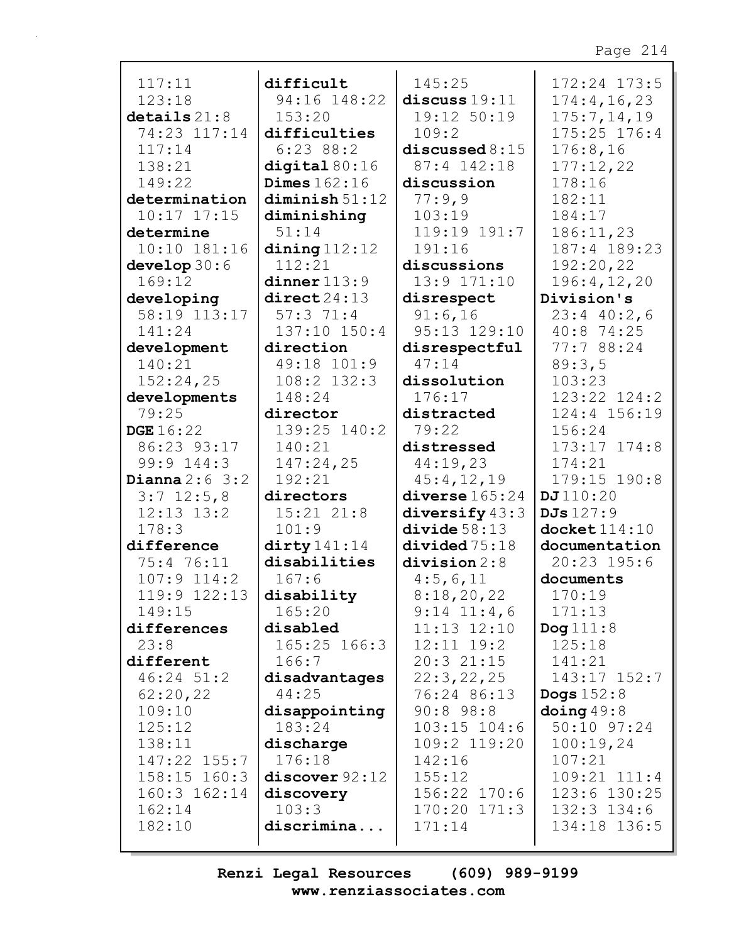| 117:11           | difficult               | 145:25            | 172:24 173:5       |
|------------------|-------------------------|-------------------|--------------------|
| 123:18           | 94:16 148:22            | discuss $19:11$   | 174:4, 16, 23      |
| $details$ $21:8$ | 153:20                  | 19:12 50:19       | 175:7, 14, 19      |
| 74:23 117:14     | difficulties            | 109:2             | 175:25 176:4       |
| 117:14           | 6:23 88:2               | discussed $8:15$  | 176:8,16           |
| 138:21           | digital $80:16$         | 87:4 142:18       | 177:12,22          |
| 149:22           | Dimes $162:16$          | discussion        | 178:16             |
| determination    | diminish 51:12          | 77:9,9            | 182:11             |
| $10:17$ $17:15$  | diminishing             | 103:19            | 184:17             |
| determine        | 51:14                   | 119:19 191:7      | 186:11,23          |
| $10:10$ $181:16$ | $\dim\mathbf{g}$ 112:12 | 191:16            | 187:4 189:23       |
| develop $30:6$   | 112:21                  | discussions       | 192:20,22          |
| 169:12           | dinner 113:9            | 13:9 171:10       | 196:4,12,20        |
| developing       | direct24:13             | disrespect        | Division's         |
| 58:19 113:17     | 57:371:4                | 91:6,16           | $23:4$ 40:2,6      |
| 141:24           | 137:10 150:4            | 95:13 129:10      | 40:8 74:25         |
| development      | direction               | disrespectful     | 77:7 88:24         |
| 140:21           | 49:18 101:9             | 47:14             | 89:3,5             |
| 152:24,25        | 108:2 132:3             | dissolution       | 103:23             |
| developments     | 148:24                  | 176:17            | 123:22 124:2       |
| 79:25            | director                | distracted        | 124:4 156:19       |
| <b>DGE</b> 16:22 | 139:25 140:2            | 79:22             | 156:24             |
| 86:23 93:17      | 140:21                  | distressed        | $173:17$ $174:8$   |
| 99:9 144:3       | 147:24,25               | 44:19,23          | 174:21             |
| Dianna $2:6$ 3:2 | 192:21                  | 45:4,12,19        | 179:15 190:8       |
| $3:7$ 12:5,8     | directors               | diverse $165:24$  | DJ110:20           |
| $12:13$ $13:2$   | $15:21$ $21:8$          | diversify $43:3$  | DJs 127:9          |
| 178:3            | 101:9                   | divide 58:13      | $d$ ocket $114:10$ |
| difference       | $\text{dirty}141:14$    | divided75:18      | documentation      |
| 75:4 76:11       | disabilities            | division $2:8$    | 20:23 195:6        |
| 107:9 114:2      | 167:6                   | 4:5,6,11          | documents          |
| $119:9$ $122:13$ | disability              | 8:18,20,22        | 170:19             |
| 149:15           | 165:20                  | $9:14$ $11:4$ , 6 | 171:13             |
| differences      | disabled                | $11:13$ $12:10$   | Dog $111:8$        |
| 23:8             | 165:25 166:3            | $12:11$ $19:2$    | 125:18             |
| different        | 166:7                   | $20:3$ $21:15$    | 141:21             |
| 46:24 51:2       | disadvantages           | 22:3,22,25        | 143:17 152:7       |
| 62:20,22         | 44:25                   | 76:24 86:13       | Dogs $152:8$       |
| 109:10           | disappointing           | $90:8$ 98:8       | $\frac{1}{3}$ 49:8 |
| 125:12           | 183:24                  | $103:15$ $104:6$  | 50:10 97:24        |
| 138:11           | discharge               | 109:2 119:20      | 100:19,24          |
| 147:22 155:7     | 176:18                  | 142:16            | 107:21             |
| 158:15 160:3     | discover 92:12          | 155:12            | 109:21 111:4       |
| $160:3$ $162:14$ | discovery               | 156:22 170:6      | 123:6 130:25       |
| 162:14           | 103:3                   | $170:20$ $171:3$  | $132:3$ $134:6$    |
| 182:10           | discrimina              | 171:14            | 134:18 136:5       |
|                  |                         |                   |                    |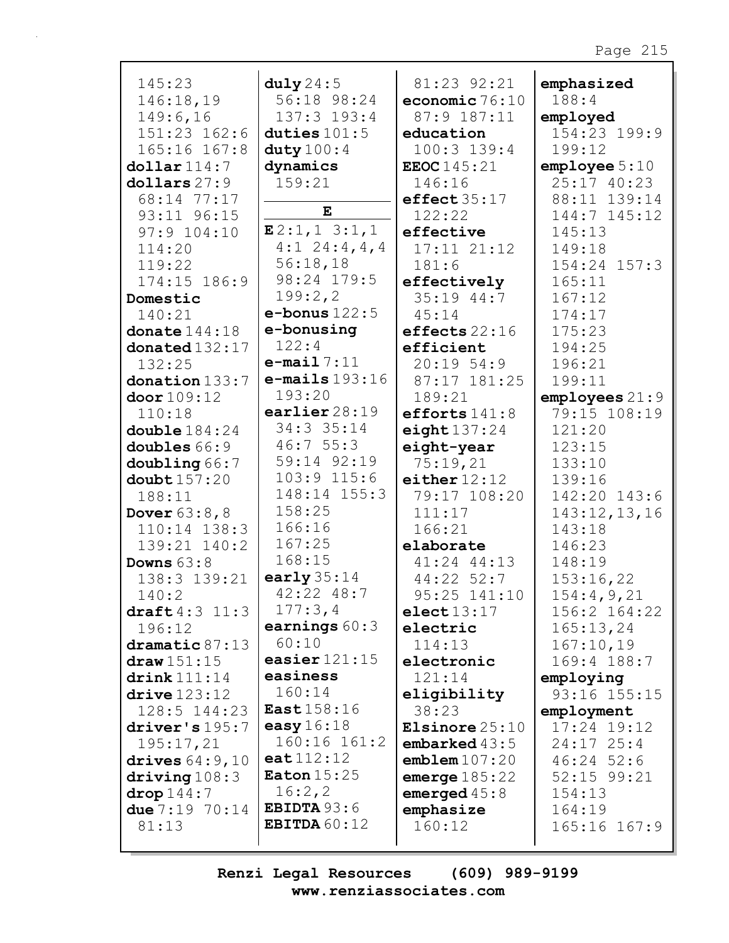| 145:23                 | duly 24:5           | 81:23 92:21        | emphasized       |
|------------------------|---------------------|--------------------|------------------|
| 146:18,19              | 56:18 98:24         | economic $76:10$   | 188:4            |
| 149:6,16               | 137:3 193:4         | 87:9 187:11        | employed         |
| 151:23 162:6           | duties $101:5$      | education          | 154:23 199:9     |
| 165:16 167:8           | duty $100:4$        | $100:3$ 139:4      | 199:12           |
| $\text{dollar}\,114:7$ | dynamics            | <b>EEOC</b> 145:21 | emplope 5:10     |
| dollars 27:9           | 159:21              | 146:16             | 25:17 40:23      |
| 68:14 77:17            |                     | effect35:17        | 88:11 139:14     |
| 93:11 96:15            | ${\bf E}$           | 122:22             | 144:7 145:12     |
| 97:9 104:10            | E2:1,13:1,1         | effective          | 145:13           |
| 114:20                 | $4:1$ 24:4,4,4      | $17:11$ $21:12$    | 149:18           |
| 119:22                 | 56:18,18            | 181:6              | $154:24$ $157:3$ |
| 174:15 186:9           | 98:24 179:5         | effectively        | 165:11           |
| Domestic               | 199:2,2             | 35:19 44:7         | 167:12           |
| 140:21                 | $e$ -bonus $122:5$  | 45:14              | 174:17           |
| donate $144:18$        | e-bonusing          | effects $22:16$    | 175:23           |
| donated132:17          | 122:4               | efficient          | 194:25           |
| 132:25                 | $e$ -mail $7:11$    | $20:19$ 54:9       | 196:21           |
| donation 133:7         | $e$ -mails $193:16$ | 87:17 181:25       | 199:11           |
| door 109:12            | 193:20              | 189:21             | employes 21:9    |
| 110:18                 | earlier $28:19$     | efforts $141:8$    | 79:15 108:19     |
| double $184:24$        | 34:3 35:14          | eight $137:24$     | 121:20           |
| doubles 66:9           | 46:755:3            | eight-year         | 123:15           |
| doubling 66:7          | 59:14 92:19         | 75:19,21           | 133:10           |
| doubt157:20            | $103:9$ $115:6$     | either $12:12$     | 139:16           |
| 188:11                 | 148:14 155:3        | 79:17 108:20       | 142:20 143:6     |
| <b>Dover</b> $63:8, 8$ | 158:25              | 111:17             | 143:12,13,16     |
| $110:14$ $138:3$       | 166:16              | 166:21             | 143:18           |
| 139:21 140:2           | 167:25              | elaborate          | 146:23           |
| Downs $63:8$           | 168:15              | 41:24 44:13        | 148:19           |
| 138:3 139:21           | early $35:14$       | 44:22 52:7         | 153:16,22        |
| 140:2                  | 42:22 48:7          | 95:25 141:10       | 154:4,9,21       |
| draff 4:3 11:3         | 177:3,4             | elect 13:17        | 156:2 164:22     |
| 196:12                 | earnings $60:3$     | electric           | 165:13,24        |
| dramatic 87:13         | 60:10               | 114:13             | 167:10,19        |
| draw 151:15            | easier $121:15$     | electronic         | 169:4 188:7      |
| $\texttt{drink111:14}$ | easiness            | 121:14             | employing        |
| $\text{drive}$ 123:12  | 160:14              | eligibility        | 93:16 155:15     |
| $128:5$ $144:23$       | <b>East</b> 158:16  | 38:23              | employment       |
| driver's 195:7         | easy $16:18$        | Elsinore $25:10$   | 17:24 19:12      |
| 195:17,21              | 160:16 161:2        | embarked $43:5$    | $24:17$ $25:4$   |
| drives $64:9,10$       | ext112:12           | emblem107:20       | $46:24$ 52:6     |
| driving $108:3$        | Eaton $15:25$       | emerge $185:22$    | 52:15 99:21      |
| drop 144:7             | 16:2,2              | emerged $45:8$     | 154:13           |
| due $7:19$ $70:14$     | EBIDTA $93:6$       | emphasize          | 164:19           |
| 81:13                  | EBITDA $60:12$      | 160:12             | 165:16 167:9     |
|                        |                     |                    |                  |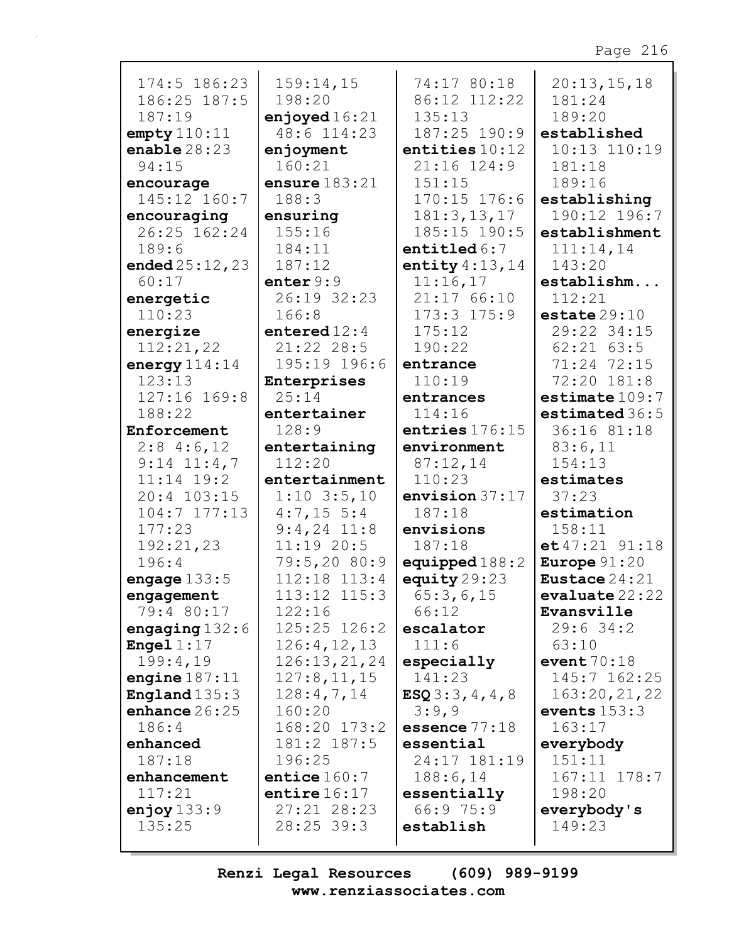| 174:5 186:23           | 159:14,15       | 74:17 80:18      | 20:13,15,18               |
|------------------------|-----------------|------------------|---------------------------|
| 186:25 187:5           | 198:20          | 86:12 112:22     | 181:24                    |
| 187:19                 | enjoyed $16:21$ | 135:13           | 189:20                    |
| empty 110:11           | 48:6 114:23     | 187:25 190:9     | established               |
| enable $28:23$         | enjoyment       | entities $10:12$ | 10:13 110:19              |
| 94:15                  | 160:21          | 21:16 124:9      | 181:18                    |
| encourage              | ensure $183:21$ | 151:15           | 189:16                    |
| 145:12 160:7           | 188:3           | 170:15 176:6     | establishing              |
| encouraging            | ensuring        | 181:3, 13, 17    | 190:12 196:7              |
| 26:25 162:24           | 155:16          | 185:15 190:5     | establishment             |
| 189:6                  | 184:11          | entitled $6:7$   | 111:14,14                 |
| ended $25:12,23$       | 187:12          | entity $4:13,14$ | 143:20                    |
| 60:17                  | enter $9:9$     | 11:16,17         | establishm                |
| energetic              | 26:19 32:23     | 21:17 66:10      | 112:21                    |
| 110:23                 | 166:8           | $173:3$ $175:9$  | $\texttt{estimate} 29:10$ |
|                        | entered $12:4$  | 175:12           | 29:22 34:15               |
| energize               |                 |                  |                           |
| 112:21,22              | 21:22 28:5      | 190:22           | $62:21$ $63:5$            |
| energy $114:14$        | 195:19 196:6    | entrance         | 71:24 72:15               |
| 123:13                 | Enterprises     | 110:19           | 72:20 181:8               |
| 127:16 169:8           | 25:14           | entrances        | $\texttt{estimate}$ 109:7 |
| 188:22                 | entertainer     | 114:16           | estimated 36:5            |
| Enforcement            | 128:9           | entries $176:15$ | 36:16 81:18               |
| $2:8$ 4:6,12           | entertaining    | environment      | 83:6,11                   |
| $9:14$ $11:4,7$        | 112:20          | 87:12,14         | 154:13                    |
| $11:14$ 19:2           | entertainment   | 110:23           | estimates                 |
| 20:4 103:15            | $1:10$ 3:5,10   | envision $37:17$ | 37:23                     |
| $104:7$ $177:13$       | $4:7,15 \ 5:4$  | 187:18           | estimation                |
| 177:23                 | $9:4,24$ 11:8   | envisions        | 158:11                    |
| 192:21,23              | $11:19$ 20:5    | 187:18           | $et 47:21$ 91:18          |
| 196:4                  | 79:5,20 80:9    | equipped $188:2$ | Europe $91:20$            |
| engage $133:5$         | 112:18 113:4    | equity $29:23$   | Eustace 24:21             |
| engagement             | 113:12 115:3    | 65:3,6,15        | evaluate 22:22            |
| 79:4 80:17             | 122:16          | 66:12            | Evansville                |
| engaging $132:6$       | 125:25 126:2    | escalator        | $29:6$ 34:2               |
| <b>Engel</b> $1:17$    | 126:4, 12, 13   | 111:6            | 63:10                     |
| 199:4,19               | 126:13,21,24    | especially       | event $70:18$             |
| engine $187:11$        | 127:8, 11, 15   | 141:23           | 145:7 162:25              |
| <b>England</b> $135:3$ | 128:4,7,14      | ESQ3:3,4,4,8     | 163:20,21,22              |
| enhance $26:25$        | 160:20          | 3:9,9            | events $153:3$            |
| 186:4                  | 168:20 173:2    | essence $77:18$  | 163:17                    |
| enhanced               | 181:2 187:5     | essential        | everybody                 |
| 187:18                 | 196:25          | 24:17 181:19     | 151:11                    |
| enhancement            | entice $160:7$  | 188:6,14         | 167:11 178:7              |
| 117:21                 | entire $16:17$  | essentially      | 198:20                    |
| enjoy $133:9$          | 27:21 28:23     | 66:975:9         | everybody's               |
| 135:25                 | $28:25$ 39:3    | establish        | 149:23                    |
|                        |                 |                  |                           |
|                        |                 |                  |                           |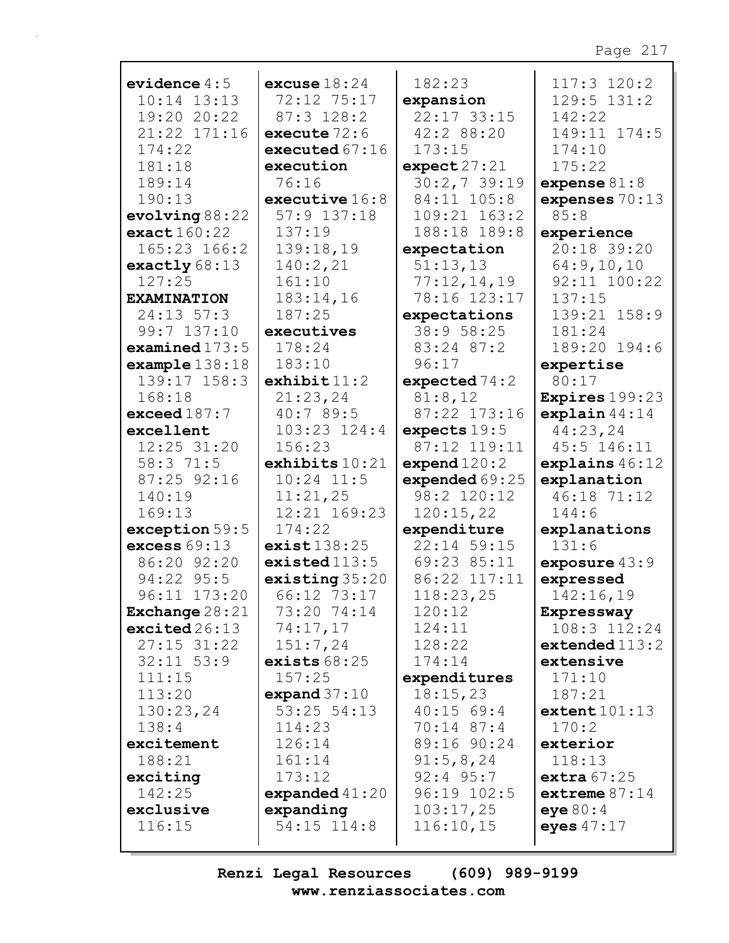| evidence $4:5$          | excuse $18:24$   | 182:23           | 117:3 120:2                |
|-------------------------|------------------|------------------|----------------------------|
| $10:14$ $13:13$         | 72:12 75:17      | expansion        | 129:5 131:2                |
| 19:20 20:22             | $87:3$ 128:2     | 22:17 33:15      | 142:22                     |
| 21:22 171:16            | execute $72:6$   | 42:2 88:20       | 149:11 174:5               |
| 174:22                  | executed $67:16$ | 173:15           | 174:10                     |
| 181:18                  | execution        | expect27:21      | 175:22                     |
| 189:14                  | 76:16            | 30:2,739:19      | expense $81:8$             |
| 190:13                  | executive $16:8$ | 84:11 105:8      | expenses $70:13$           |
| evolving 88:22          | $57:9$ $137:18$  | 109:21 163:2     | 85:8                       |
| exact160:22             | 137:19           | 188:18 189:8     |                            |
| 165:23 166:2            |                  |                  | experience<br>20:18 39:20  |
|                         | 139:18,19        | expectation      |                            |
| exactly $68:13$         | 140:2,21         | 51:13,13         | 64:9,10,10<br>92:11 100:22 |
| 127:25                  | 161:10           | 77:12,14,19      |                            |
| <b>EXAMINATION</b>      | 183:14,16        | 78:16 123:17     | 137:15                     |
| $24:13$ 57:3            | 187:25           | expectations     | 139:21 158:9               |
| 99:7 137:10             | executives       | 38:9 58:25       | 181:24                     |
| examined $173:5$        | 178:24           | 83:24 87:2       | 189:20 194:6               |
| example138:18           | 183:10           | 96:17            | expertise                  |
| 139:17 158:3            | exhibit 11:2     | expected $74:2$  | 80:17                      |
| 168:18                  | 21:23,24         | 81:8,12          | <b>Expires</b> 199:23      |
| exceed $187:7$          | 40:7 89:5        | 87:22 173:16     | explain $44:14$            |
| excellent               | $103:23$ $124:4$ | expects $19:5$   | 44:23,24                   |
| 12:25 31:20             | 156:23           | 87:12 119:11     | 45:5 146:11                |
| 58:3 71:5               | exhibits $10:21$ | expend $120:2$   | explains $46:12$           |
| 87:25 92:16             | $10:24$ 11:5     | expended $69:25$ | explanation                |
| 140:19                  | 11:21,25         | 98:2 120:12      | 46:18 71:12                |
| 169:13                  | 12:21 169:23     | 120:15,22        | 144:6                      |
| exception 59:5          | 174:22           | expenditure      | explanations               |
| excess $69:13$          | $exist$ $138:25$ | 22:14 59:15      | 131:6                      |
| 86:20 92:20             | existed $113:5$  | 69:23 85:11      | exposure $43:9$            |
| 94:22 95:5              | existing $35:20$ | 86:22 117:11     | expressed                  |
| 96:11 173:20            | 66:12 73:17      | 118:23,25        | 142:16,19                  |
| <b>Exchange</b> $28:21$ | 73:20 74:14      | 120:12           | Expressway                 |
| excited26:13            | 74:17,17         | 124:11           | $108:3$ $112:24$           |
| $27:15$ 31:22           | 151:7,24         | 128:22           | extended 113:2             |
| $32:11$ $53:9$          | exists $68:25$   | 174:14           | extensive                  |
| 111:15                  | 157:25           | expenditures     | 171:10                     |
| 113:20                  | expand $37:10$   | 18:15,23         | 187:21                     |
| 130:23,24               | $53:25$ $54:13$  | 40:1569:4        | extent101:13               |
| 138:4                   | 114:23           | $70:14$ 87:4     | 170:2                      |
| excitement              | 126:14           | 89:16 90:24      | exterior                   |
| 188:21                  | 161:14           | 91:5,8,24        | 118:13                     |
| exciting                | 173:12           | $92:4$ 95:7      | extra $67:25$              |
| 142:25                  | expanded $41:20$ | 96:19 102:5      | extreme $87:14$            |
| exclusive               | expanding        | 103:17,25        | eye80:4                    |
| 116:15                  | 54:15 114:8      | 116:10,15        | eyes $47:17$               |
|                         |                  |                  |                            |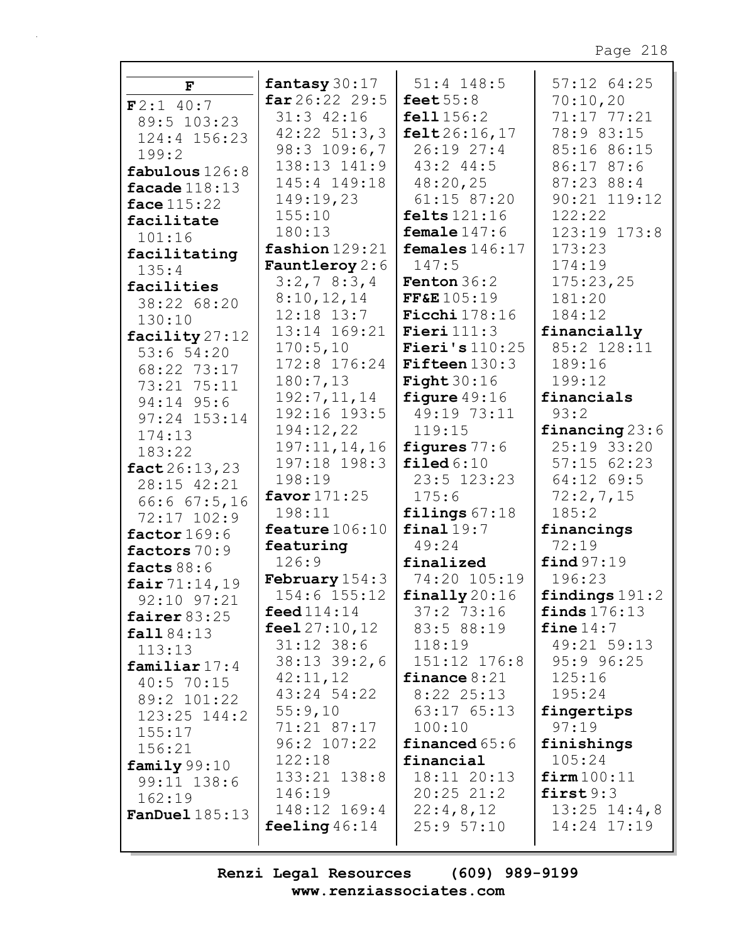| $\mathbf{F}$             | fantasy 30:17                       | $51:4$ 148:5             | $57:12$ $64:25$                 |
|--------------------------|-------------------------------------|--------------------------|---------------------------------|
| F2:1 40:7                | $far26:22$ 29:5                     | feet $55:8$              | 70:10,20                        |
| 89:5 103:23              | $31:3$ $42:16$                      | fell1 156:2              | 71:17 77:21                     |
| 124:4 156:23             | $42:22$ 51:3,3                      | felt 26:16, 17           | 78:9 83:15                      |
| 199:2                    | $98:3$ 109:6,7                      | 26:1927:4                | 85:16 86:15                     |
| fabulous $126:8$         | 138:13 141:9                        | $43:2$ $44:5$            | 86:17 87:6                      |
| facade $118:13$          | 145:4 149:18                        | 48:20,25                 | 87:23 88:4                      |
| face $115:22$            | 149:19,23                           | 61:15 87:20              | 90:21 119:12                    |
| facilitate               | 155:10                              | felts $121:16$           | 122:22                          |
| 101:16                   | 180:13                              | female $147:6$           | 123:19 173:8                    |
| facilitating             | fashion 129:21                      | females $146:17$         | 173:23                          |
| 135:4                    | Fauntleroy 2:6                      | 147:5                    | 174:19                          |
| facilities               | 3:2,78:3,4                          | <b>Fenton</b> $36:2$     | 175:23,25                       |
| 38:22 68:20              | 8:10,12,14                          | FF&E 105:19              | 181:20                          |
| 130:10                   | $12:18$ $13:7$                      | Ficchi $178:16$          | 184:12                          |
| facility 27:12           | 13:14 169:21                        | Fieri $111:3$            | financially                     |
| 53:654:20                | 170:5,10                            | Fieri's $110:25$         | 85:2 128:11                     |
| 68:22 73:17              | 172:8 176:24                        | <b>Fifteen</b> $130:3$   | 189:16                          |
| 73:21 75:11              | 180:7,13                            | <b>Fight</b> $30:16$     | 199:12                          |
| 94:14 95:6               | 192:7,11,14                         | figure $49:16$           | financials                      |
| $97:24$ $153:14$         | 192:16 193:5                        | 49:19 73:11              | 93:2                            |
| 174:13                   | 194:12,22                           | 119:15                   | financing $23:6$                |
| 183:22                   | 197:11,14,16                        | figures 77:6             | 25:19 33:20                     |
| fact 26:13,23            | 197:18 198:3                        | filed $6:10$             | $57:15$ $62:23$                 |
| 28:15 42:21              | 198:19                              | 23:5 123:23              | 64:12 69:5                      |
| 66:667:5,16              | favor $171:25$                      | 175:6                    | 72:2,7,15                       |
| 72:17 102:9              | 198:11                              | filings $67:18$          | 185:2                           |
| factor $169:6$           | feature $106:10$                    | final19:7                | financings                      |
| factors 70:9             | featuring                           | 49:24                    | 72:19                           |
| facts $88:6$             | 126:9                               | finalized                | find 97:19                      |
| fair 71:14,19            | <b>February</b> $154:3$             | 74:20 105:19             | 196:23                          |
| $92:10$ $97:21$          | 154:6 155:12                        | $\texttt{finally}$ 20:16 | findings $191:2$                |
| fairer $83:25$           | $\mathop{\mathsf{feed}} 114$ : $14$ | 37:273:16                | finds $176:13$                  |
| fall 84:13               | feel $27:10,12$                     | 83:5 88:19               | fine 14:7                       |
| 113:13                   | $31:12$ $38:6$                      | 118:19                   | 49:21 59:13                     |
| familiar $17:4$          | $38:13$ $39:2$ , 6                  | 151:12 176:8             | $95:9$ $96:25$                  |
| $40:5$ 70:15             | 42:11,12                            | finance $8:21$           | 125:16                          |
| 89:2 101:22              | 43:24 54:22                         | $8:22$ 25:13             | 195:24                          |
| $123:25$ $144:2$         | 55:9,10                             | 63:17 65:13              | fingertips                      |
| 155:17                   | 71:21 87:17                         | 100:10                   | 97:19                           |
| 156:21                   | 96:2 107:22                         | financed $65:6$          | finishings                      |
| family $99:10$           | 122:18                              | financial                | 105:24                          |
| 99:11 138:6              | 133:21 138:8                        | 18:11 20:13              | firm100:11                      |
| 162:19                   | 146:19                              | $20:25$ $21:2$           | first9:3                        |
| $\texttt{FanDue1185:13}$ | 148:12 169:4<br>feeling $46:14$     | 22:4,8,12<br>25:957:10   | $13:25$ $14:4,8$<br>14:24 17:19 |
|                          |                                     |                          |                                 |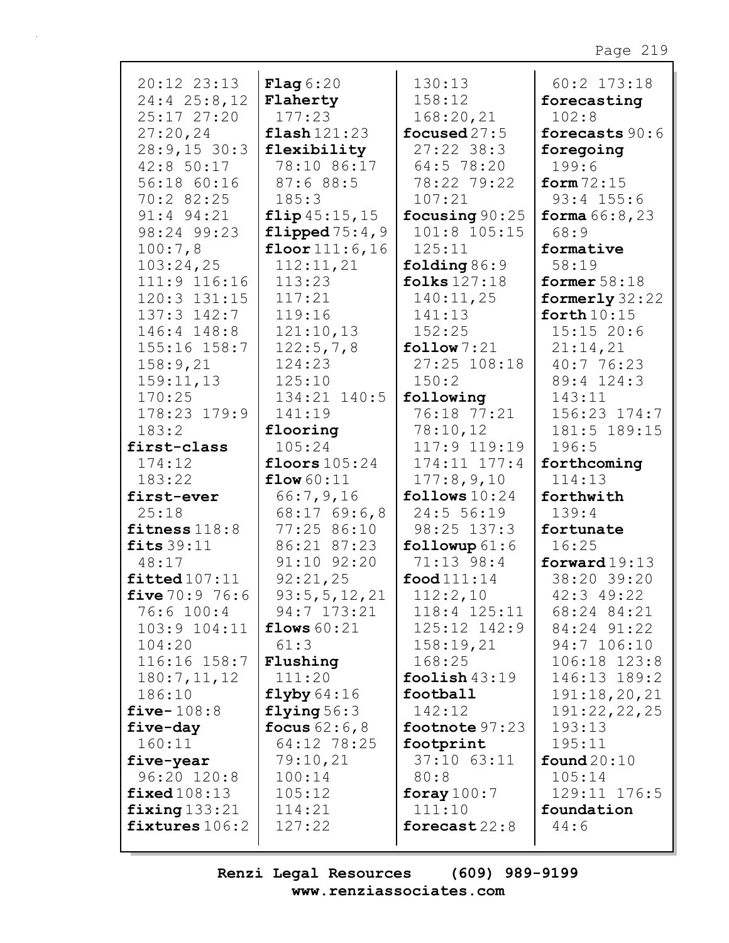| $20:12$ $23:13$  | Flag6:20               | 130:13                 | 60:2 173:18            |
|------------------|------------------------|------------------------|------------------------|
| $24:4$ $25:8,12$ | Flaherty               | 158:12                 | forecasting            |
| 25:17 27:20      | 177:23                 | 168:20,21              | 102:8                  |
| 27:20,24         | $\texttt{flash}121:23$ | focused $27:5$         | forecasts 90:6         |
| 28:9,1530:3      | flexibility            | $27:22$ 38:3           | foregoing              |
| 42:8 50:17       | 78:10 86:17            | 64:5 78:20             | 199:6                  |
| 56:18 60:16      | 87:688:5               | 78:22 79:22            | form $72:15$           |
| 70:2 82:25       | 185:3                  | 107:21                 | $93:4$ 155:6           |
| 91:4 94:21       | flip 45:15, 15         | focusing 90:25         | <b>forma</b> $66:8,23$ |
| 98:24 99:23      | flipped $75:4,9$       | 101:8 105:15           | 68:9                   |
| 100:7,8          | floor $111:6, 16$      | 125:11                 | formative              |
| 103:24,25        | 112:11,21              | folding $86:9$         | 58:19                  |
| 111:9 116:16     | 113:23                 | folks $127:18$         | former $58:18$         |
| $120:3$ $131:15$ | 117:21                 | 140:11,25              | formerly $32:22$       |
| 137:3 142:7      | 119:16                 | 141:13                 | forth $10:15$          |
| 146:4 148:8      | 121:10,13              | 152:25                 | 15:1520:6              |
| $155:16$ $158:7$ | 122:5,7,8              | $\texttt{follow} 7:21$ | 21:14,21               |
| 158:9,21         | 124:23                 | 27:25 108:18           | 40:776:23              |
| 159:11,13        | 125:10                 | 150:2                  | 89:4 124:3             |
| 170:25           | 134:21 140:5           | following              | 143:11                 |
| 178:23 179:9     | 141:19                 | 76:18 77:21            | 156:23 174:7           |
| 183:2            | flooring               | 78:10,12               | 181:5 189:15           |
| first-class      | 105:24                 | 117:9 119:19           | 196:5                  |
| 174:12           | floors $105:24$        | $174:11$ $177:4$       | forthcoming            |
| 183:22           | flow $60:11$           | 177:8,9,10             | 114:13                 |
| first-ever       | 66:7,9,16              | follows $10:24$        | forthwith              |
| 25:18            | $68:17$ 69:6,8         | 24:5 56:19             | 139:4                  |
| fitness $118:8$  | 77:25 86:10            | 98:25 137:3            | fortunate              |
| fits $39:11$     | 86:21 87:23            | followup $61:6$        | 16:25                  |
| 48:17            | 91:10 92:20            | 71:13 98:4             | forward $19:13$        |
| fitted107:11     | 92:21,25               | food $111:14$          | 38:20 39:20            |
| five $70:9$ 76:6 | 93:5, 5, 12, 21        | 112:2,10               | 42:3 49:22             |
| 76:6 100:4       | 94:7 173:21            | 118:4 125:11           | 68:24 84:21            |
| 103:9 104:11     | flows $60:21$          | $125:12$ $142:9$       | 84:24 91:22            |
| 104:20           | 61:3                   | 158:19,21              | 94:7 106:10            |
| 116:16 158:7     | Flushing               | 168:25                 | 106:18 123:8           |
| 180:7, 11, 12    | 111:20                 | foolish $43:19$        | 146:13 189:2           |
| 186:10           | flyby 64:16            | football               | 191:18,20,21           |
| five- $108:8$    | flying $56:3$          | 142:12                 | 191:22,22,25           |
| five-day         | focus $62:6,8$         | footnote $97:23$       | 193:13                 |
| 160:11           | 64:12 78:25            | footprint              | 195:11                 |
| five-year        | 79:10,21               | $37:10$ $63:11$        | found $20:10$          |
| 96:20 120:8      | 100:14                 | 80:8                   | 105:14                 |
| fixed108:13      | 105:12                 | foray $100:7$          | 129:11 176:5           |
| fixing133:21     | 114:21                 | 111:10                 | foundation             |
| fixtures 106:2   | 127:22                 | forecast $22:8$        | 44:6                   |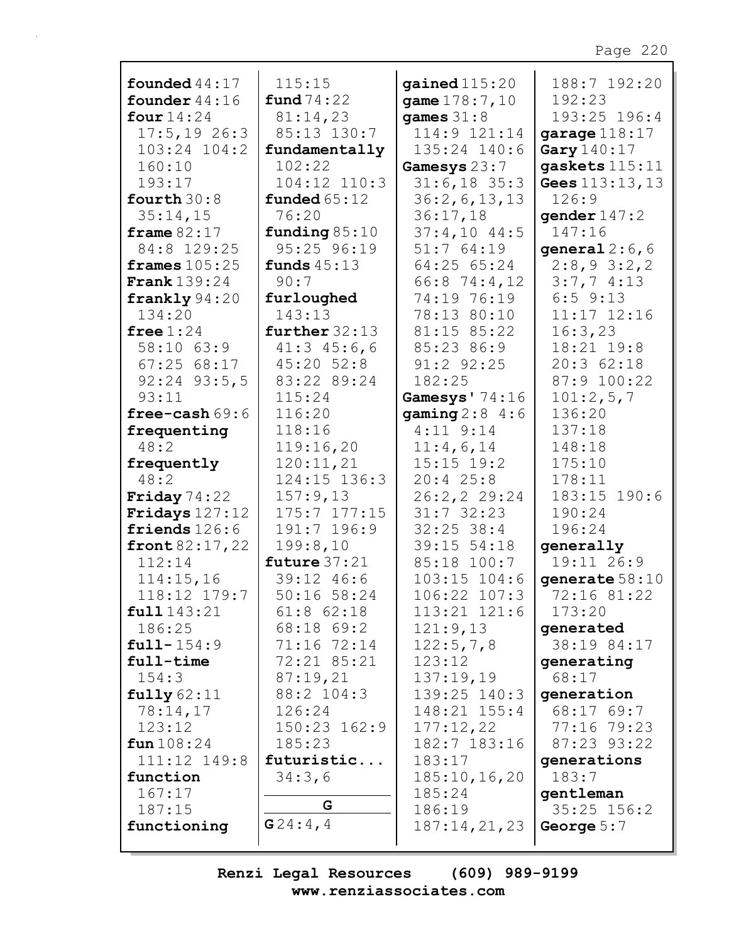| founded $44:17$     | 115:15            | gained $115:20$  | 188:7 192:20    |
|---------------------|-------------------|------------------|-----------------|
| founder $44:16$     | fund $74:22$      | game $178:7,10$  | 192:23          |
| four $14:24$        | 81:14,23          | games $31:8$     | 193:25 196:4    |
| $17:5, 19$ 26:3     | 85:13 130:7       | 114:9 121:14     | garage $118:17$ |
| $103:24$ $104:2$    | fundamentally     | 135:24 140:6     | Gary 140:17     |
| 160:10              | 102:22            | Gamesys 23:7     | qaskets 115:11  |
| 193:17              | 104:12 110:3      | $31:6, 18$ 35:3  | Gees 113:13, 13 |
| fourth $30:8$       | funded $65:12$    | 36:2, 6, 13, 13  | 126:9           |
| 35:14,15            | 76:20             | 36:17,18         | gender $147:2$  |
| frame $82:17$       | funding $85:10$   | $37:4,10$ 44:5   | 147:16          |
| 84:8 129:25         | 95:25 96:19       | 51:764:19        | general $2:6,6$ |
| frames $105:25$     | funds $45:13$     | 64:25 65:24      | 2:8,93:2,2      |
| <b>Frank</b> 139:24 | 90:7              | 66:8 74:4,12     | 3:7,74:13       |
| frankly $94:20$     | furloughed        | 74:19 76:19      | $6:5$ $9:13$    |
| 134:20              | 143:13            | 78:13 80:10      | $11:17$ $12:16$ |
| free $1:24$         | further $32:13$   | 81:15 85:22      | 16:3,23         |
| 58:10 63:9          | $41:3$ $45:6$ , 6 | 85:23 86:9       | 18:21 19:8      |
| 67:2568:17          | $45:20$ $52:8$    | 91:2 92:25       | 20:362:18       |
| $92:24$ $93:5,5$    | 83:22 89:24       | 182:25           | 87:9 100:22     |
| 93:11               | 115:24            | Gamesys' 74:16   | 101:2,5,7       |
| free-cash $69:6$    | 116:20            | gaming $2:8$ 4:6 | 136:20          |
| frequenting         | 118:16            | $4:11$ $9:14$    | 137:18          |
| 48:2                | 119:16,20         | 11:4,6,14        | 148:18          |
| frequently          | 120:11,21         | $15:15$ $19:2$   | 175:10          |
| 48:2                | 124:15 136:3      | $20:4$ 25:8      | 178:11          |
| Friday $74:22$      | 157:9,13          | 26:2,2 29:24     | 183:15 190:6    |
| Fridays $127:12$    | 175:7 177:15      | $31:7$ 32:23     | 190:24          |
| friends 126:6       | 191:7 196:9       | $32:25$ 38:4     | 196:24          |
| front $82:17,22$    | 199:8,10          | 39:15 54:18      | generally       |
| 112:14              | future $37:21$    | 85:18 100:7      | 19:11 26:9      |
| 114:15,16           | 39:12 46:6        | $103:15$ $104:6$ | generate 58:10  |
| 118:12 179:7        | 50:16 58:24       | 106:22 107:3     | 72:16 81:22     |
| full143:21          | $61:8$ $62:18$    | 113:21 121:6     | 173:20          |
| 186:25              | 68:18 69:2        | 121:9,13         | generated       |
| $full-154:9$        | 71:16 72:14       | 122:5,7,8        | 38:19 84:17     |
| full-time           | 72:21 85:21       | 123:12           | generating      |
| 154:3               | 87:19,21          | 137:19,19        | 68:17           |
| fully 62:11         | 88:2 104:3        | 139:25 140:3     | qeneration      |
| 78:14,17            | 126:24            | 148:21 155:4     | 68:17 69:7      |
| 123:12              | $150:23$ $162:9$  | 177:12,22        | 77:16 79:23     |
| fun 108:24          | 185:23            | 182:7 183:16     | 87:23 93:22     |
| 111:12 149:8        | futuristic        | 183:17           | generations     |
| function            | 34:3,6            | 185:10, 16, 20   | 183:7           |
| 167:17              |                   | 185:24           | gentleman       |
| 187:15              | G                 | 186:19           | 35:25 156:2     |
| functioning         | G24:4,4           | 187:14,21,23     | George $5:7$    |
|                     |                   |                  |                 |

 $\overline{\phantom{a}}$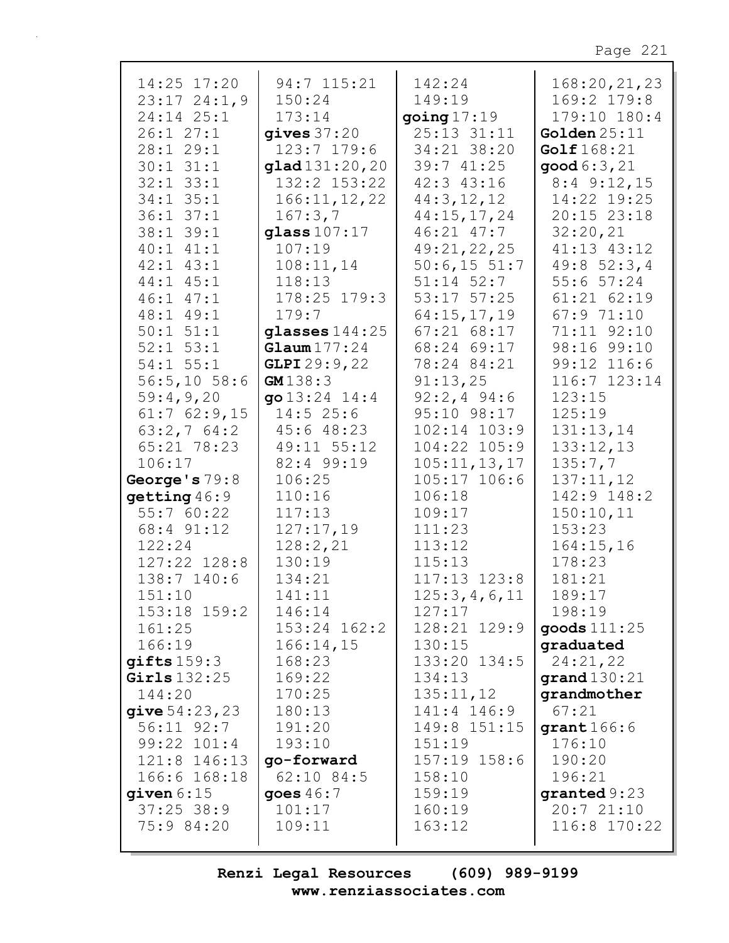| 14:25 17:20      | 94:7 115:21       | 142:24           | 168:20,21,23              |
|------------------|-------------------|------------------|---------------------------|
| $23:17$ $24:1,9$ | 150:24            | 149:19           | 169:2 179:8               |
| 24:14 25:1       | 173:14            | going $17:19$    | 179:10 180:4              |
| 26:127:1         | gives $37:20$     | 25:13 31:11      | Golden $25:11$            |
| 28:1 29:1        | 123:7 179:6       | 34:21 38:20      | Golf 168:21               |
| $30:1$ $31:1$    | glad131:20,20     | 39:741:25        | $\mathsf{good}\,6:3$ , 21 |
| $32:1$ $33:1$    | 132:2 153:22      | 42:3 43:16       | $8:4$ 9:12, 15            |
| $34:1$ $35:1$    | 166:11, 12, 22    | 44:3,12,12       | 14:22 19:25               |
| $36:1$ $37:1$    | 167:3,7           | 44:15,17,24      | 20:15 23:18               |
| 38:1 39:1        | glass $107:17$    | $46:21$ $47:7$   | 32:20,21                  |
| $40:1$ $41:1$    | 107:19            | 49:21,22,25      | 41:13 43:12               |
| $42:1$ $43:1$    | 108:11,14         | 50:6, 1551:7     | 49:852:3,4                |
| 44:1 45:1        | 118:13            | $51:14$ $52:7$   | $55:6$ $57:24$            |
| $46:1$ $47:1$    | 178:25 179:3      | 53:17 57:25      | $61:21$ $62:19$           |
| 48:1 49:1        | 179:7             | 64:15,17,19      | 67:9 71:10                |
| $50:1$ $51:1$    | glasses $144:25$  | 67:2168:17       | 71:11 92:10               |
| $52:1$ $53:1$    | Glawn 177:24      | 68:24 69:17      | 98:16 99:10               |
| $54:1$ $55:1$    | GLPI 29:9,22      | 78:24 84:21      | 99:12 116:6               |
| 56:5,1058:6      | GM138:3           | 91:13,25         | 116:7 123:14              |
| 59:4,9,20        | go $13:24$ $14:4$ | $92:2,4$ 94:6    | 123:15                    |
| $61:7$ $62:9,15$ | 14:525:6          | 95:10 98:17      | 125:19                    |
| 63:2,764:2       | 45:6 48:23        | $102:14$ $103:9$ | 131:13,14                 |
| 65:21 78:23      | 49:11 55:12       | 104:22 105:9     | 133:12,13                 |
| 106:17           | 82:4 99:19        | 105:11, 13, 17   | 135:7,7                   |
| George's 79:8    | 106:25            | $105:17$ $106:6$ | 137:11,12                 |
| getting 46:9     | 110:16            | 106:18           | 142:9 148:2               |
| 55:7 60:22       | 117:13            | 109:17           | 150:10,11                 |
| 68:4 91:12       | 127:17,19         | 111:23           | 153:23                    |
| 122:24           | 128:2,21          | 113:12           | 164:15,16                 |
| 127:22 128:8     | 130:19            | 115:13           | 178:23                    |
| 138:7 140:6      | 134:21            | $117:13$ $123:8$ | 181:21                    |
| 151:10           | 141:11            | 125:3,4,6,11     | 189:17                    |
| $153:18$ $159:2$ | 146:14            | 127:17           | 198:19                    |
| 161:25           | $153:24$ $162:2$  | 128:21 129:9     | goods 111:25              |
| 166:19           | 166:14,15         | 130:15           | graduated                 |
| giffts159:3      | 168:23            | 133:20 134:5     | 24:21,22                  |
| Girls $132:25$   | 169:22            | 134:13           | grand $130:21$            |
| 144:20           | 170:25            | 135:11,12        | grandmother               |
| give $54:23,23$  | 180:13            | 141:4 146:9      | 67:21                     |
| 56:11 92:7       | 191:20            | 149:8 151:15     | grant166:6                |
| 99:22 101:4      | 193:10            | 151:19           | 176:10                    |
| 121:8 146:13     | go-forward        | 157:19 158:6     | 190:20                    |
| 166:6 168:18     | 62:10 84:5        | 158:10           | 196:21                    |
| given $6:15$     | goes $46:7$       | 159:19           | granted $9:23$            |
| $37:25$ 38:9     | 101:17            | 160:19           | 20:721:10                 |
| 75:9 84:20       | 109:11            | 163:12           | 116:8 170:22              |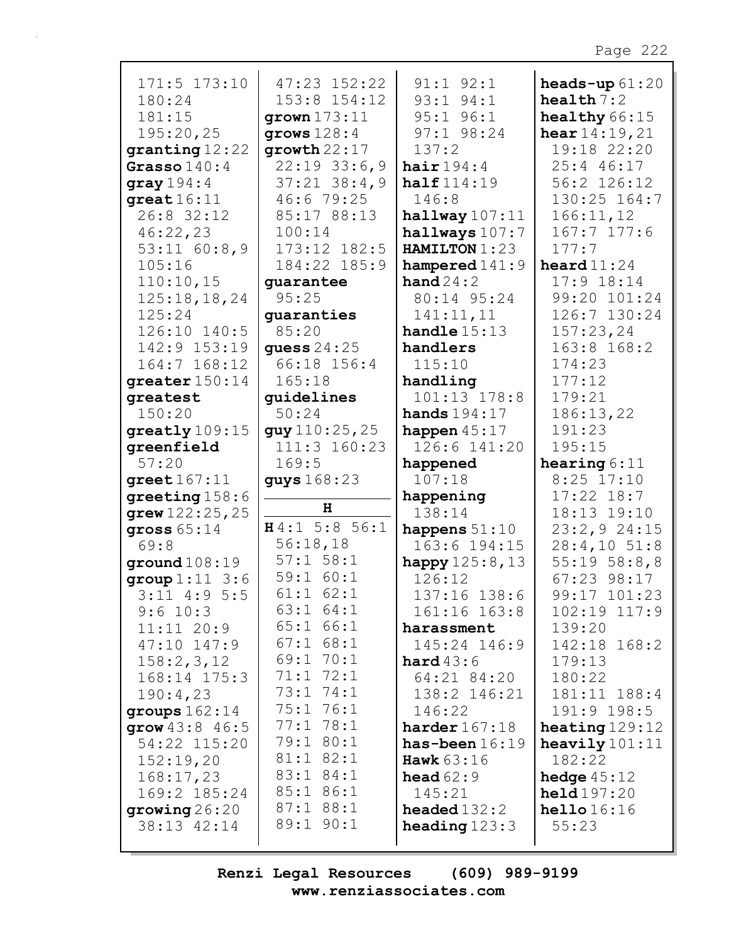| 171:5 173:10<br>180:24    | $47:23$ $152:22$<br>153:8 154:12 | $91:1$ $92:1$<br>$93:1$ $94:1$         | heads-up $61:20$              |
|---------------------------|----------------------------------|----------------------------------------|-------------------------------|
| 181:15                    | qrown 173:11                     | $95:1$ $96:1$                          | health $7:2$<br>healthy 66:15 |
| 195:20,25                 | qrows 128:4                      | 97:1 98:24                             | hear $14:19,21$               |
| granting 12:22            | growth22:17                      | 137:2                                  | 19:18 22:20                   |
| Grasso $140:4$            | $22:19$ 33:6,9                   | hair $194:4$                           | 25:4 46:17                    |
| gray $194:4$              | $37:21$ $38:4,9$                 | half $114:19$                          | 56:2 126:12                   |
| $great 16:11$             | 46:6 79:25                       | 146:8                                  | 130:25 164:7                  |
| 26:8 32:12                | 85:17 88:13                      | halfway107:11                          | 166:11,12                     |
| 46:22,23                  | 100:14                           | hallways 107:7                         | $167:7$ 177:6                 |
| $53:11$ 60:8,9            | 173:12 182:5                     | HAMILTON 1:23                          | 177:7                         |
| 105:16                    | 184:22 185:9                     | hampered $141:9$                       | heard $11:24$                 |
| 110:10,15                 | quarantee                        | hand $24:2$                            | $17:9$ $18:14$                |
| 125:18,18,24              | 95:25                            | 80:14 95:24                            | 99:20 101:24                  |
| 125:24                    | guaranties                       | 141:11,11                              | 126:7 130:24                  |
| 126:10 140:5              | 85:20                            | handle $15:13$                         | 157:23,24                     |
| 142:9 153:19              | quess $24:25$                    | handlers                               | 163:8 168:2                   |
| 164:7 168:12              | 66:18 156:4                      | 115:10                                 | 174:23                        |
| greater 150:14            | 165:18                           | handling                               | 177:12                        |
| greatest                  | guidelines                       | 101:13 178:8                           | 179:21                        |
| 150:20                    | 50:24                            | hands $194:17$                         | 186:13,22                     |
| greatly 109:15            | guy110:25,25                     | happen $45:17$                         | 191:23                        |
| greenfield                | 111:3 160:23                     | 126:6 141:20                           | 195:15                        |
| 57:20                     | 169:5                            | happened                               | hearing $6:11$                |
|                           |                                  |                                        |                               |
| greet $167:11$            | guys 168:23                      | 107:18                                 | $8:25$ 17:10                  |
| greeting $158:6$          |                                  | happening                              | $17:22$ $18:7$                |
| grew $122:25$ , $25$      | н                                | 138:14                                 | 18:13 19:10                   |
| gross $65:14$             | H4:1 5:8 56:1                    | happens $51:10$                        | 23:2,924:15                   |
| 69:8                      | 56:18,18                         | 163:6 194:15                           | $28:4,10$ 51:8                |
| ground108:19              | $57:1$ $58:1$                    | happy $125:8,13$                       | 55:1958:8,8                   |
| group 1:11 3:6            | 59:1 60:1                        | 126:12                                 | 67:23 98:17                   |
| $3:11$ 4:9 5:5            | $61:1$ $62:1$                    | 137:16 138:6                           | 99:17 101:23                  |
| $9:6$ 10:3                | 63:1 64:1                        | 161:16 163:8                           | $102:19$ $117:9$              |
| 11:11 20:9                | 65:1 66:1                        | harassment                             | 139:20                        |
| $47:10$ $147:9$           | $67:1$ $68:1$                    | 145:24 146:9                           | 142:18 168:2                  |
| 158:2,3,12                | 69:1 70:1                        | <b>hard</b> $43:6$                     | 179:13                        |
| 168:14 175:3              | 71:1 72:1                        | 64:21 84:20                            | 180:22                        |
| 190:4,23                  | 73:1 74:1                        | 138:2 146:21                           | 181:11 188:4                  |
| groups $162:14$           | 75:1 76:1                        | 146:22                                 | 191:9 198:5                   |
| grow $43:8$ 46:5          | 77:178:1                         | harder $167:18$                        | heating $129:12$              |
| 54:22 115:20              | 79:1 80:1                        | has-been $16:19$                       | heavily $101:11$              |
| 152:19,20                 | 81:1 82:1                        | Hawk $63:16$                           | 182:22                        |
| 168:17,23                 | $83:1$ $84:1$                    | head $62:9$                            | hedge $45:12$                 |
| 169:2 185:24              | 85:1 86:1                        | 145:21                                 | $\text{held} 197:20$          |
| group26:20<br>38:13 42:14 | $87:1$ $88:1$<br>89:1 90:1       | $\bf{headed}$ 132:2<br>heading $123:3$ | hello16:16<br>55:23           |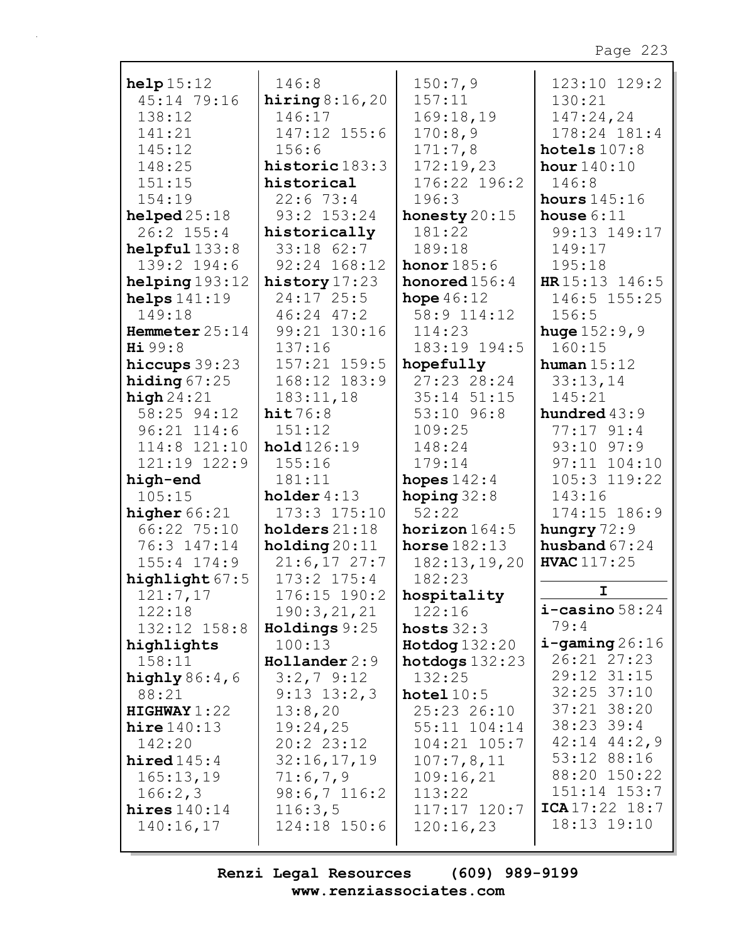| help15:12         | 146:8            | 150:7,9              | 123:10 129:2           |
|-------------------|------------------|----------------------|------------------------|
| 45:14 79:16       | hiring $8:16,20$ | 157:11               | 130:21                 |
| 138:12            | 146:17           | 169:18,19            | 147:24,24              |
| 141:21            | 147:12 155:6     | 170:8,9              | 178:24 181:4           |
| 145:12            | 156:6            | 171:7,8              | hotels $107:8$         |
| 148:25            | historic 183:3   | 172:19,23            | hour $140:10$          |
| 151:15            | historical       | 176:22 196:2         | 146:8                  |
|                   |                  |                      |                        |
| 154:19            | 22:673:4         | 196:3                | hours $145:16$         |
| helped25:18       | 93:2 153:24      | honesty $20:15$      | house $6:11$           |
| 26:2 155:4        | historically     | 181:22               | 99:13 149:17           |
| helpful133:8      | $33:18$ $62:7$   | 189:18               | 149:17                 |
| 139:2 194:6       | $92:24$ $168:12$ | honor $185:6$        | 195:18                 |
| helping193:12     | history $17:23$  | honored $156:4$      | HR 15:13 146:5         |
| helps $141:19$    | $24:17$ 25:5     | hope $46:12$         | 146:5 155:25           |
| 149:18            | $46:24$ $47:2$   | 58:9 114:12          | 156:5                  |
| Hemmeter $25:14$  | 99:21 130:16     | 114:23               | <b>huge</b> $152:9, 9$ |
| Hi 99:8           | 137:16           | 183:19 194:5         | 160:15                 |
| hiccups $39:23$   | 157:21 159:5     | hopefully            | human $15:12$          |
| hiding $67:25$    | 168:12 183:9     | 27:23 28:24          | 33:13,14               |
| high24:21         | 183:11,18        | 35:14 51:15          | 145:21                 |
| 58:25 94:12       | hit76:8          | $53:10$ $96:8$       | hundred 43:9           |
|                   |                  |                      |                        |
| $96:21$ $114:6$   | 151:12           | 109:25               | 77:17 91:4             |
| 114:8 121:10      | hold 126:19      | 148:24               | 93:10 97:9             |
| 121:19 122:9      | 155:16           | 179:14               | 97:11 104:10           |
| high-end          | 181:11           | hopes $142:4$        | 105:3 119:22           |
| 105:15            | holder $4:13$    | hoping $32:8$        | 143:16                 |
| higher $66:21$    | 173:3 175:10     | 52:22                | 174:15 186:9           |
| 66:22 75:10       | holders $21:18$  | horizon $164:5$      | hungry $72:9$          |
| 76:3 147:14       | holding20:11     | horse $182:13$       | husband $67:24$        |
| 155:4 174:9       | $21:6,17$ 27:7   | 182:13,19,20         | <b>HVAC</b> 117:25     |
| highlight 67:5    | $173:2$ $175:4$  | 182:23               |                        |
| 121:7,17          | 176:15 190:2     | hospitality          | I                      |
| 122:18            | 190:3,21,21      | 122:16               | $i$ -casino 58:24      |
| 132:12 158:8      | Holdings 9:25    | hosts $32:3$         | 79:4                   |
| highlights        | 100:13           | <b>Hotdog</b> 132:20 | $i$ -gaming 26:16      |
| 158:11            | $H$ ollander 2:9 | hotdogs $132:23$     | 26:21 27:23            |
|                   | $3:2,7$ 9:12     | 132:25               | 29:12 31:15            |
| highly $86:4$ , 6 |                  |                      | $32:25$ $37:10$        |
| 88:21             | $9:13$ $13:2,3$  | $hotel$ 10:5         | 37:21 38:20            |
| HIGHWAY1:22       | 13:8,20          | 25:23 26:10          | $38:23$ 39:4           |
| hire $140:13$     | 19:24,25         | $55:11$ $104:14$     |                        |
| 142:20            | 20:223:12        | $104:21$ $105:7$     | $42:14$ $44:2,9$       |
| hired $145:4$     | 32:16,17,19      | 107:7,8,11           | 53:12 88:16            |
| 165:13,19         | 71:6,7,9         | 109:16,21            | 88:20 150:22           |
| 166:2,3           | $98:6,7$ 116:2   | 113:22               | $151:14$ $153:7$       |
| hires $140:14$    |                  |                      |                        |
|                   | 116:3,5          | $117:17$ $120:7$     | ICA17:22 18:7          |
| 140:16,17         | 124:18 150:6     | 120:16,23            | 18:13 19:10            |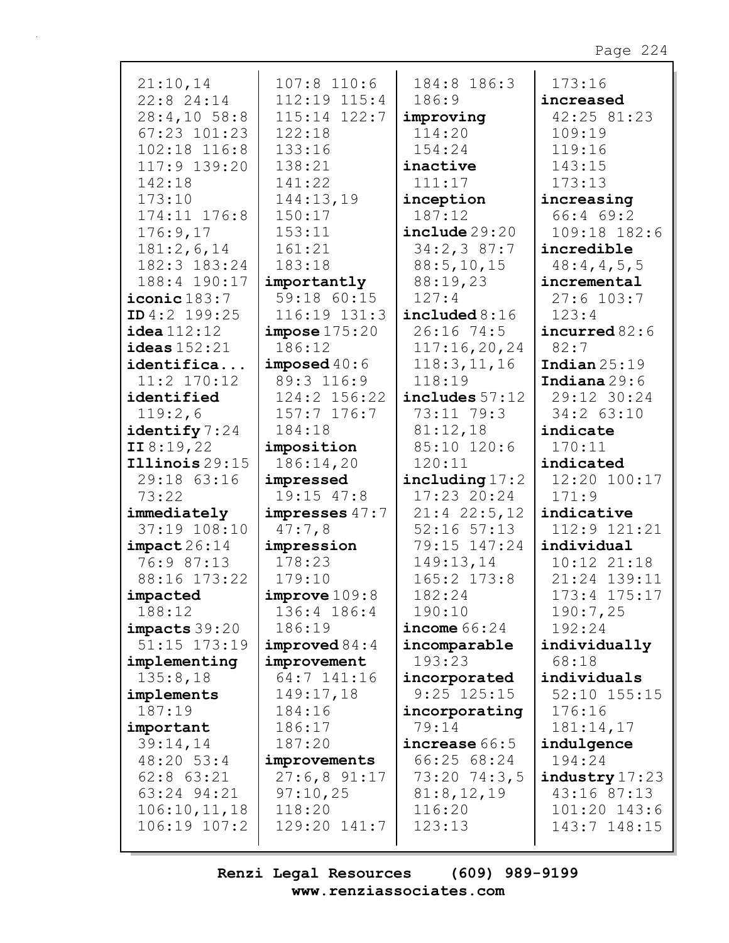| 21:10,14                  | $107:8$ 110:6    | 184:8 186:3      | 173:16                    |
|---------------------------|------------------|------------------|---------------------------|
| 22:8 24:14                | 112:19 115:4     | 186:9            | increased                 |
| $28:4,10$ 58:8            | $115:14$ $122:7$ | improving        | 42:25 81:23               |
| $67:23$ $101:23$          | 122:18           | 114:20           | 109:19                    |
| 102:18 116:8              | 133:16           | 154:24           | 119:16                    |
| 117:9 139:20              | 138:21           | inactive         | 143:15                    |
| 142:18                    | 141:22           | 111:17           | 173:13                    |
| 173:10                    | 144:13,19        | inception        | increasing                |
| 174:11 176:8              | 150:17           | 187:12           | 66:4 69:2                 |
| 176:9,17                  | 153:11           | include 29:20    | 109:18 182:6              |
| 181:2,6,14                | 161:21           | 34:2,387:7       | incredible                |
| 182:3 183:24              | 183:18           | 88:5, 10, 15     | 48:4,4,5,5                |
| 188:4 190:17              | importantly      | 88:19,23         | incremental               |
| $iconic$ <sup>183:7</sup> | 59:18 60:15      | 127:4            | $27:6$ 103:7              |
| ID4:2 199:25              | 116:19 131:3     | include 8:16     | 123:4                     |
| idea 112:12               | impose 175:20    | $26:16$ 74:5     | incurred $82:6$           |
| ideas $152:21$            | 186:12           | 117:16,20,24     | 82:7                      |
|                           | imposed $40:6$   |                  |                           |
| identifica                |                  | 118:3, 11, 16    | Indian $25:19$            |
| 11:2 170:12               | 89:3 116:9       | 118:19           | Indiana $29:6$            |
| identified                | 124:2 156:22     | $includes$ 57:12 | 29:12 30:24               |
| 119:2,6                   | $157:7$ 176:7    | 73:11 79:3       | $34:2$ 63:10              |
| identify 7:24             | 184:18           | 81:12,18         | indicate                  |
| II8:19,22                 | imposition       | 85:10 120:6      | 170:11                    |
| $\texttt{Illinois} 29:15$ | 186:14,20        | 120:11           | indicated                 |
| 29:18 63:16               | impressed        | including $17:2$ | 12:20 100:17              |
| 73:22                     | $19:15$ $47:8$   | $17:23$ 20:24    | 171:9                     |
| immediately               | impresses $47:7$ | $21:4$ $22:5,12$ | indicative                |
| 37:19 108:10              | 47:7,8           | $52:16$ $57:13$  | 112:9 121:21              |
| impact 26:14              | impression       | 79:15 147:24     | individual                |
| 76:9 87:13                | 178:23           | 149:13,14        | $10:12$ $21:18$           |
| 88:16 173:22              | 179:10           | 165:2 173:8      | 21:24 139:11              |
| impacted                  | improve109:8     | 182:24           | 173:4 175:17              |
| 188:12                    | 136:4 186:4      | 190:10           | 190:7,25                  |
| $impacks$ 39:20           | 186:19           | income $66:24$   | 192:24                    |
| 51:15 173:19              | improved 84:4    | incomparable     | individually              |
| implementing              | improvement      | 193:23           | 68:18                     |
| 135:8,18                  | 64:7 141:16      | incorporated     | individuals               |
| implements                | 149:17,18        | $9:25$ $125:15$  | $52:10$ $155:15$          |
| 187:19                    | 184:16           | incorporating    | 176:16                    |
| important                 | 186:17           | 79:14            | 181:14,17                 |
| 39:14,14                  | 187:20           | increase 66:5    | indulgence                |
| 48:20 53:4                | improvements     | 66:25 68:24      | 194:24                    |
| $62:8$ $63:21$            | $27:6,8$ 91:17   | 73:20 74:3,5     | $\texttt{industry}$ 17:23 |
| 63:24 94:21               | 97:10,25         | 81:8,12,19       | 43:16 87:13               |
| 106:10,11,18              | 118:20           | 116:20           | 101:20 143:6              |
| 106:19 107:2              | 129:20 141:7     | 123:13           | 143:7 148:15              |
|                           |                  |                  |                           |
|                           |                  |                  |                           |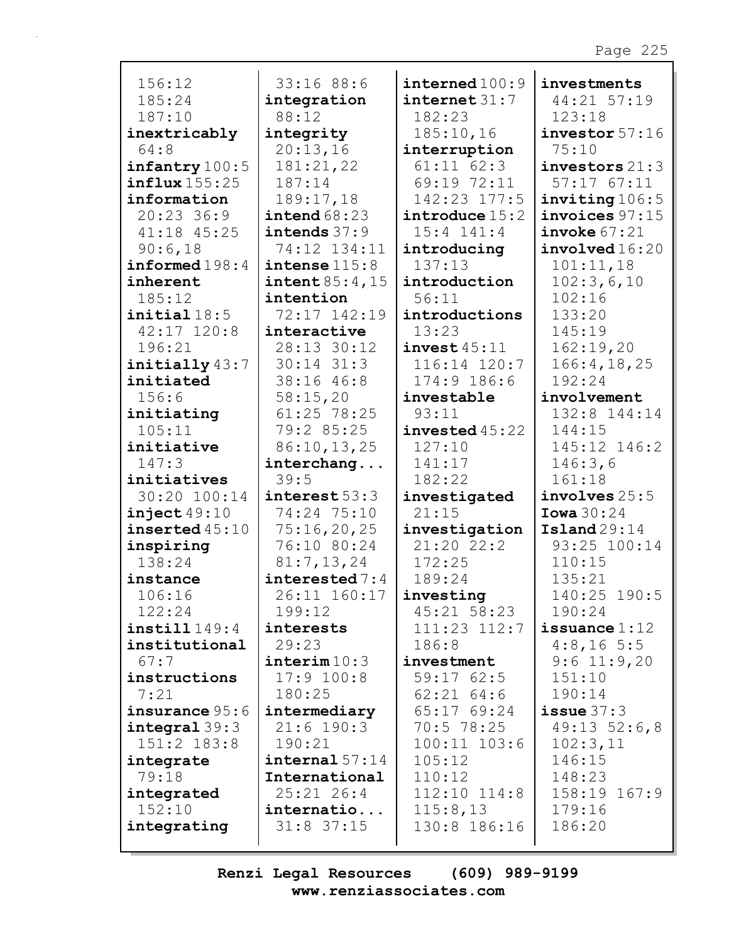| 156:12                  | 33:16 88:6                | interval 100:9          | investments        |
|-------------------------|---------------------------|-------------------------|--------------------|
| 185:24                  | integration               | $\texttt{internet31:7}$ | 44:21 57:19        |
| 187:10                  | 88:12                     | 182:23                  | 123:18             |
| inextricably            | integrity                 | 185:10,16               | investor 57:16     |
| 64:8                    | 20:13,16                  | interruption            | 75:10              |
| infantry 100:5          | 181:21,22                 | $61:11$ $62:3$          | investors $21:3$   |
| influx155:25            | 187:14                    | 69:19 72:11             | $57:17$ $67:11$    |
| information             | 189:17,18                 | 142:23 177:5            | inviting 106:5     |
| $20:23$ 36:9            | intend $68:23$            | introduce 15:2          | $invoices$ $97:15$ |
| 41:18 45:25             | intends $37:9$            | $15:4$ $141:4$          | invoke 67:21       |
| 90:6,18                 | 74:12 134:11              | introducing             | involved16:20      |
| informed198:4           | intense 115:8             | 137:13                  | 101:11,18          |
| inherent                | $\texttt{intent} 85:4,15$ | introduction            | 102:3,6,10         |
| 185:12                  | intention                 | 56:11                   | 102:16             |
| initial18:5             | 72:17 142:19              | introductions           | 133:20             |
| $42:17$ $120:8$         | interactive               | 13:23                   | 145:19             |
| 196:21                  | 28:13 30:12               | invest45:11             | 162:19,20          |
| initially 43:7          | $30:14$ $31:3$            | 116:14 120:7            | 166:4, 18, 25      |
| initiated               | 38:16 46:8                | 174:9 186:6             | 192:24             |
| 156:6                   | 58:15,20                  | investable              | involvement        |
| initiating              | 61:25 78:25               | 93:11                   | 132:8 144:14       |
| 105:11                  | 79:2 85:25                | invested45:22           | 144:15             |
| initiative              | 86:10,13,25               | 127:10                  | 145:12 146:2       |
| 147:3                   | interchang                | 141:17                  | 146:3,6            |
| initiatives             | 39:5                      | 182:22                  | 161:18             |
| 30:20 100:14            | $\texttt{interest} 53:3$  | investigated            | involves 25:5      |
| inject49:10             | 74:24 75:10               | 21:15                   | Iowa $30:24$       |
| inserted $45:10$        | 75:16,20,25               | investigation           | Island29:14        |
| inspiring               | 76:10 80:24               | 21:2022:2               | 93:25 100:14       |
| 138:24                  | 81:7,13,24                | 172:25                  | 110:15             |
| instance                | interested $7:4$          | 189:24                  | 135:21             |
| 106:16                  | 26:11 160:17              | investing               | 140:25 190:5       |
| 122:24                  | 199:12                    | 45:21 58:23             | 190:24             |
| $\texttt{instill149:4}$ | interests                 | 111:23 112:7            | issuance $1:12$    |
| institutional           | 29:23                     | 186:8                   | 4:8,165:5          |
| 67:7                    | $\texttt{interim} 10:3$   | investment              | $9:6$ 11:9,20      |
| instructions            | $17:9$ 100:8              | 59:1762:5               | 151:10             |
| 7:21                    | 180:25                    | $62:21$ $64:6$          | 190:14             |
| insurance 95:6          | intermediary              | 65:17 69:24             | $i$ ssue $37:3$    |
| integral 39:3           | $21:6$ 190:3              | 70:5 78:25              | $49:13\ 52:6,8$    |
| 151:2 183:8             | 190:21                    | $100:11$ $103:6$        | 102:3,11           |
| integrate               | interval 57:14            | 105:12                  | 146:15             |
| 79:18                   | International             | 110:12                  | 148:23             |
| integrated              | 25:21 26:4                | 112:10 114:8            | 158:19 167:9       |
| 152:10                  | internatio                | 115:8,13                | 179:16             |
| integrating             | $31:8$ 37:15              | 130:8 186:16            | 186:20             |
|                         |                           |                         |                    |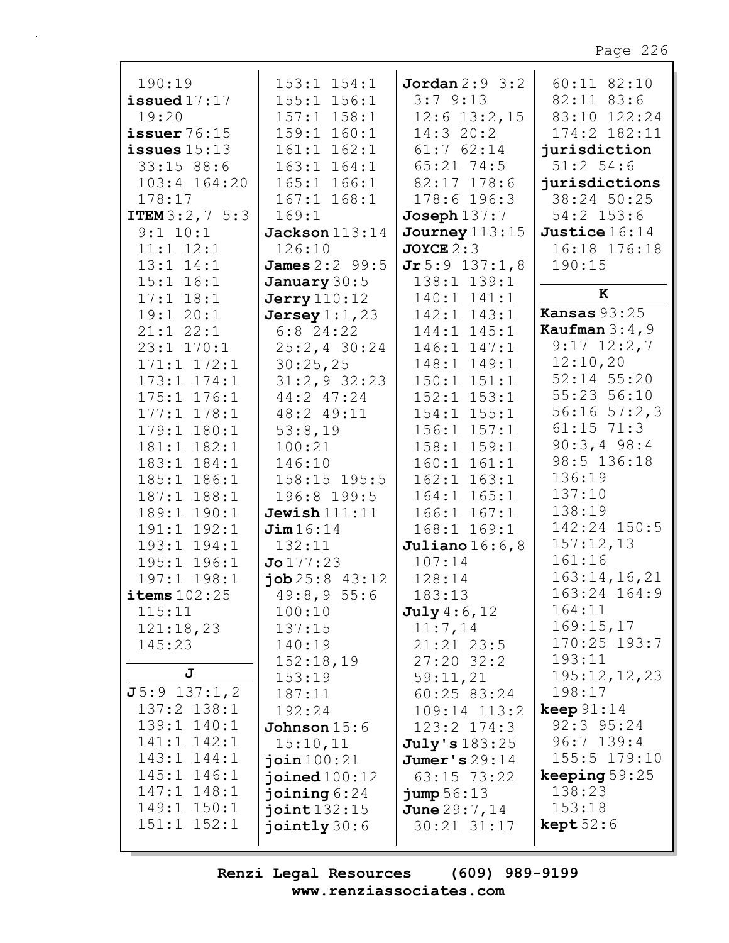| 190:19                   | $153:1$ $154:1$       | Jordan $2:9$ 3:2 | $60:11$ 82:10       |
|--------------------------|-----------------------|------------------|---------------------|
| issued $17:17$           | $155:1$ $156:1$       | 3:79:13          | 82:11 83:6          |
| 19:20                    | $157:1$ $158:1$       | $12:6$ 13:2, 15  | 83:10 122:24        |
| issuer $76:15$           | 159:1 160:1           | 14:3 20:2        | 174:2 182:11        |
| issues $15:13$           | $161:1$ $162:1$       | $61:7$ $62:14$   | jurisdiction        |
| 33:1588:6                | $163:1$ $164:1$       | $65:21$ 74:5     | $51:2$ 54:6         |
| $103:4$ $164:20$         | $165:1$ $166:1$       | 82:17 178:6      | jurisdictions       |
| 178:17                   | $167:1$ $168:1$       | 178:6 196:3      | 38:24 50:25         |
| <b>ITEM</b> $3:2, 7$ 5:3 | 169:1                 | $Joseph$ $137:7$ | $54:2$ 153:6        |
| 9:1 10:1                 | Jackson $113:14$      | Journey $113:15$ | Justice 16:14       |
| $11:1$ $12:1$            | 126:10                | $JOYCE$ 2:3      | 16:18 176:18        |
| $13:1$ $14:1$            | <b>James</b> 2:2 99:5 | Jr 5:9 137:1,8   | 190:15              |
| $15:1$ $16:1$            |                       | 138:1 139:1      |                     |
|                          | January 30:5          |                  | $\mathbf K$         |
| $17:1$ $18:1$            | <b>Jerry</b> 110:12   | 140:1 141:1      | <b>Kansas 93:25</b> |
| 19:120:1                 | Jersey $1:1,23$       | 142:1 143:1      | Kaufman $3:4$ , 9   |
| $21:1$ $22:1$            | $6:8$ 24:22           | 144:1 145:1      |                     |
| 23:1 170:1               | $25:2, 4$ 30:24       | 146:1 147:1      | $9:17$ $12:2,7$     |
| $171:1$ $172:1$          | 30:25,25              | 148:1 149:1      | 12:10,20            |
| $173:1$ $174:1$          | $31:2,9$ 32:23        | $150:1$ $151:1$  | 52:14 55:20         |
| 175:1 176:1              | 44:2 47:24            | $152:1$ $153:1$  | 55:23 56:10         |
| 178:1<br>177:1           | 48:2 49:11            | 154:1 155:1      | $56:16$ $57:2,3$    |
| 179:1 180:1              | 53:8,19               | $156:1$ $157:1$  | $61:15$ 71:3        |
| 181:1 182:1              | 100:21                | $158:1$ $159:1$  | $90:3,4$ 98:4       |
| 183:1 184:1              | 146:10                | $160:1$ $161:1$  | 98:5 136:18         |
| 185:1 186:1              | 158:15 195:5          | $162:1$ $163:1$  | 136:19              |
| 187:1<br>188:1           | 196:8 199:5           | 164:1 165:1      | 137:10              |
| 189:1<br>190:1           | Jewish $111:11$       | $166:1$ $167:1$  | 138:19              |
| 191:1<br>192:1           | Jim16:14              | 168:1 169:1      | 142:24 150:5        |
| 193:1 194:1              | 132:11                | Juliano $16:6,8$ | 157:12,13           |
| 195:1 196:1              | Jo 177:23             | 107:14           | 161:16              |
| 197:1 198:1              | job 25:843:12         | 128:14           | 163:14, 16, 21      |
| items $102:25$           | 49:8,955:6            | 183:13           | 163:24 164:9        |
| 115:11                   | 100:10                | July 4:6, 12     | 164:11              |
| 121:18,23                | 137:15                | 11:7,14          | 169:15,17           |
| 145:23                   | 140:19                | $21:21$ $23:5$   | 170:25 193:7        |
|                          |                       | $27:20$ 32:2     | 193:11              |
| J                        | 152:18,19             |                  | 195:12,12,23        |
| $J5:9$ 137:1,2           | 153:19                | 59:11,21         | 198:17              |
|                          | 187:11                | 60:25 83:24      |                     |
| 137:2 138:1              | 192:24                | 109:14 113:2     | keep $91:14$        |
| 139:1 140:1              | Johnson $15:6$        | $123:2$ $174:3$  | 92:3 95:24          |
| $141:1$ $142:1$          | 15:10,11              | July's 183:25    | $96:7$ 139:4        |
| 143:1 144:1              | join $100:21$         | Jumer's $29:14$  | 155:5 179:10        |
| 145:1 146:1              | joined $100:12$       | 63:15 73:22      | keeping $59:25$     |
| 147:1 148:1              | joining $6:24$        | $jump\,56:13$    | 138:23              |
| 149:1 150:1              | joint $132:15$        | June 29:7, 14    | 153:18              |
| $151:1$ $152:1$          | jointly $30:6$        | 30:21 31:17      | $\text{kept }52:6$  |
|                          |                       |                  |                     |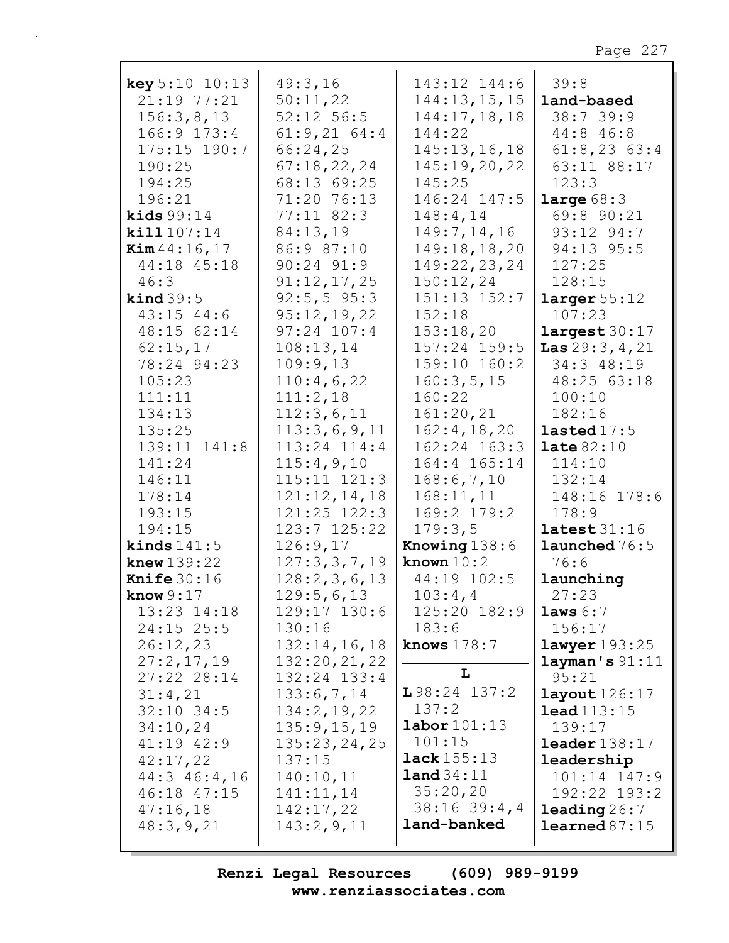| <b>key</b> $5:10$ $10:13$<br>21:19 77:21<br>156:3,8,13<br>166:9 173:4 | 49:3,16<br>50:11,22<br>$52:12$ 56:5<br>$61:9,21$ $64:4$               | 143:12 144:6<br>144:13,15,15<br>144:17,18,18<br>144:22             | 39:8<br>land-based<br>38:739:9<br>44:8 46:8                            |
|-----------------------------------------------------------------------|-----------------------------------------------------------------------|--------------------------------------------------------------------|------------------------------------------------------------------------|
| $175:15$ 190:7<br>190:25<br>194:25<br>196:21<br>kids $99:14$          | 66:24,25<br>67:18,22,24<br>68:13 69:25<br>71:20 76:13<br>$77:11$ 82:3 | 145:13,16,18<br>145:19,20,22<br>145:25<br>146:24 147:5<br>148:4,14 | $61:8,23$ $63:4$<br>63:11 88:17<br>123:3<br>large $68:3$<br>69:8 90:21 |
| kill 107:14                                                           | 84:13,19                                                              | 149:7,14,16                                                        | 93:12 94:7                                                             |
| <b>Kim</b> $44:16, 17$                                                | 86:9 87:10                                                            | 149:18,18,20                                                       | 94:13 95:5                                                             |
| 44:18 45:18                                                           | $90:24$ $91:9$                                                        | 149:22,23,24                                                       | 127:25                                                                 |
| 46:3                                                                  | 91:12,17,25                                                           | 150:12,24                                                          | 128:15                                                                 |
| $\text{kind } 39:5$                                                   | $92:5, 5$ 95:3                                                        | 151:13 152:7                                                       | larger $55:12$                                                         |
| 43:15 44:6                                                            | 95:12,19,22                                                           | 152:18                                                             | 107:23                                                                 |
| 48:15 62:14                                                           | $97:24$ 107:4                                                         | 153:18,20                                                          | largest 30:17                                                          |
| 62:15,17<br>78:24 94:23                                               | 108:13,14<br>109:9,13                                                 | 157:24 159:5<br>159:10 160:2                                       | Las $29:3, 4, 21$<br>34:3 48:19                                        |
| 105:23                                                                | 110:4,6,22                                                            | 160:3,5,15                                                         | 48:25 63:18                                                            |
| 111:11                                                                | 111:2,18                                                              | 160:22                                                             | 100:10                                                                 |
| 134:13                                                                | 112:3,6,11                                                            | 161:20,21                                                          | 182:16                                                                 |
| 135:25                                                                | 113:3,6,9,11                                                          | 162:4, 18, 20                                                      | lasted $17:5$                                                          |
| 139:11 141:8                                                          | 113:24 114:4                                                          | 162:24 163:3                                                       | $\texttt{late} 82:10$                                                  |
| 141:24                                                                | 115:4,9,10                                                            | 164:4 165:14                                                       | 114:10                                                                 |
| 146:11                                                                | 115:11 121:3                                                          | 168:6,7,10                                                         | 132:14                                                                 |
| 178:14                                                                | 121:12,14,18                                                          | 168:11,11                                                          | 148:16 178:6                                                           |
| 193:15                                                                | $121:25$ $122:3$                                                      | 169:2 179:2                                                        | 178:9                                                                  |
| 194:15                                                                | $123:7$ $125:22$                                                      | 179:3,5                                                            | lates t 31:16                                                          |
| kinds $141:5$                                                         | 126:9,17                                                              | Knowing $138:6$                                                    | launched 76:5                                                          |
| knew $139:22$                                                         | 127:3,3,7,19                                                          | known $10:2$                                                       | 76:6                                                                   |
| <b>Knife</b> $30:16$                                                  | 128:2,3,6,13                                                          | 44:19 102:5                                                        | launching                                                              |
| know $9:17$                                                           | 129:5,6,13                                                            | 103:4,4                                                            | 27:23                                                                  |
| 13:23 14:18<br>$24:15$ 25:5                                           | 129:17 130:6<br>130:16                                                | 125:20 182:9<br>183:6                                              | laws $6:7$<br>156:17                                                   |
| 26:12,23                                                              | 132:14,16,18                                                          | knows $178:7$                                                      | lawyer 193:25                                                          |
| 27:2,17,19                                                            | 132:20, 21, 22                                                        |                                                                    | layman's 91:11                                                         |
| 27:22 28:14                                                           | 132:24 133:4                                                          | L                                                                  | 95:21                                                                  |
| 31:4,21                                                               | 133:6,7,14                                                            | $L98:24$ 137:2                                                     | $\texttt{layout}126:17$                                                |
| $32:10$ 34:5                                                          | 134:2, 19, 22                                                         | 137:2                                                              | lead113:15                                                             |
| 34:10,24                                                              | 135:9, 15, 19                                                         | $\texttt{labor}101:13$                                             | 139:17                                                                 |
| 41:19 42:9                                                            | 135:23,24,25                                                          | 101:15                                                             | $\texttt{leader}138:17$                                                |
| 42:17,22                                                              | 137:15                                                                | <b>lack</b> $155:13$                                               | leadership                                                             |
| 44:3 46:4,16                                                          | 140:10,11                                                             | land 34:11                                                         | $101:14$ $147:9$                                                       |
| 46:18 47:15                                                           | 141:11,14                                                             | 35:20,20                                                           | 192:22 193:2                                                           |
| 47:16,18                                                              | 142:17,22                                                             | $38:16$ $39:4$ , 4<br>land-banked                                  | leading $26:7$                                                         |
| 48:3,9,21                                                             | 143:2,9,11                                                            |                                                                    | $\text{learned } 87:15$                                                |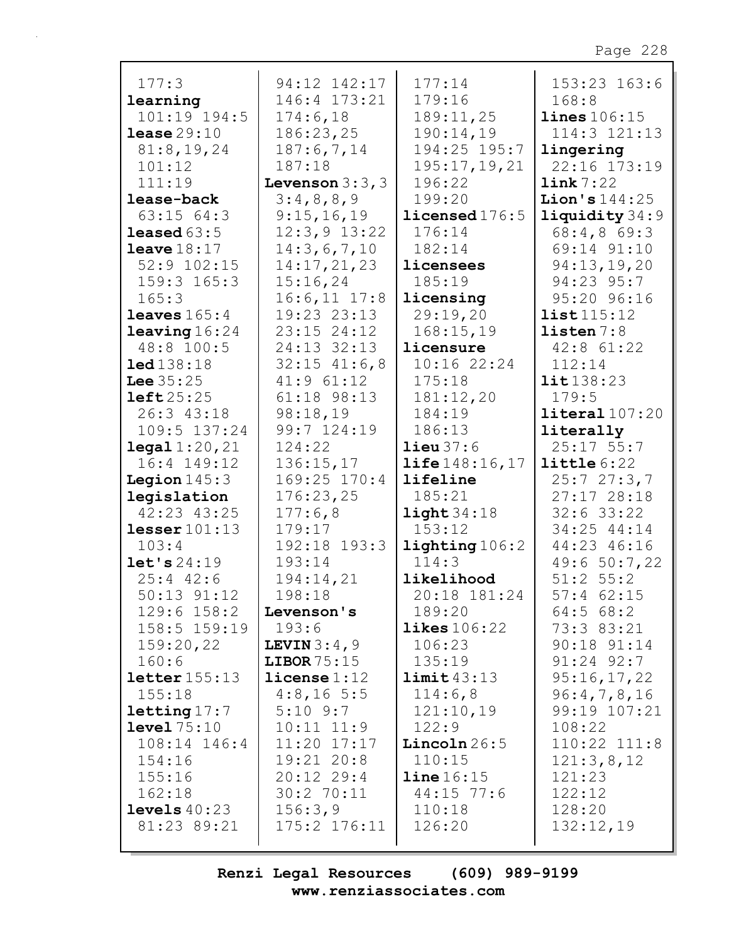| 177:3                           | 94:12 142:17                    | 177:14                  | 153:23 163:6               |
|---------------------------------|---------------------------------|-------------------------|----------------------------|
| learning                        | 146:4 173:21                    | 179:16                  | 168:8                      |
| 101:19 194:5                    | 174:6,18                        | 189:11,25               | lines 106:15               |
| lense 29:10                     | 186:23,25                       | 190:14,19               | $114:3$ $121:13$           |
| 81:8, 19, 24                    | 187:6,7,14                      | 194:25 195:7            | lingering                  |
| 101:12                          | 187:18                          | 195:17,19,21            | 22:16 173:19               |
| 111:19                          | Levenson $3:3$ , $3$            | 196:22                  | link 7:22                  |
| lease-back                      | 3:4,8,8,9                       | 199:20                  | <b>Lion's</b> $144:25$     |
| $63:15$ $64:3$                  | 9:15,16,19                      | licensed 176:5          | liquidity 34:9             |
| leased $63:5$                   | $12:3,9$ 13:22                  | 176:14                  | 68:4,869:3                 |
| leave 18:17                     | 14:3,6,7,10                     | 182:14                  | 69:14 91:10                |
| $52:9$ $102:15$                 | 14:17,21,23                     | licensees               | 94:13,19,20                |
| $159:3$ $165:3$                 | 15:16,24                        | 185:19                  | 94:23 95:7                 |
| 165:3                           | $16:6, 11$ $17:8$               | licensing               | 95:20 96:16                |
| <b>leaves</b> $165:4$           | $19:23$ $23:13$                 | 29:19,20                | list115:12                 |
| <b>leaving</b> $16:24$          | $23:15$ $24:12$                 | 168:15,19               | listen $7:8$               |
| 48:8 100:5                      | 24:13 32:13                     | licensure               | $42:8$ $61:22$             |
| 1ed138:18                       | $32:15$ 41:6,8                  | 10:16 22:24             | 112:14                     |
| <b>Lee</b> $35:25$              | $41:9$ $61:12$                  | 175:18                  | lit 138:23                 |
| left25:25                       | 61:18 98:13                     | 181:12,20               | 179:5                      |
| 26:3 43:18                      | 98:18,19                        | 184:19                  | $\texttt{literal}$ 107:20  |
| 109:5 137:24                    | 99:7 124:19                     | 186:13                  | literally                  |
| $\texttt{legal } 1:20,21$       | 124:22                          | $\text{lieu}~37:6$      | $25:17$ 55:7               |
| 16:4 149:12                     | 136:15,17                       | <b>life</b> $148:16,17$ | $l$ ittle $6:22$           |
| <b>Legion</b> $145:3$           | 169:25 170:4                    | lifeline                | 25:727:3,7                 |
| legislation                     | 176:23,25                       | 185:21                  | 27:17 28:18                |
| 42:23 43:25                     | 177:6,8                         | light34:18              | $32:6$ 33:22               |
| lesser $101:13$                 | 179:17                          | 153:12                  | 34:25 44:14                |
| 103:4                           | 192:18 193:3                    | lighting 106:2          | 44:23 46:16                |
| let's 24:19                     | 193:14                          | 114:3                   | 49:6 50:7,22               |
| $25:4$ 42:6                     | 194:14,21                       | likelihood              | $51:2$ $55:2$              |
| $50:13$ $91:12$                 | 198:18                          | 20:18 181:24            | $57:4$ 62:15               |
| $129:6$ $158:2$                 | Levenson's                      | 189:20                  | $64:5$ $68:2$              |
| 158:5 159:19                    | 193:6                           | $\texttt{likes} 106:22$ | 73:3 83:21                 |
| 159:20,22                       | LEVIN $3:4,9$                   | 106:23                  | 90:18 91:14                |
| 160:6                           | LIBOR $75:15$                   | 135:19                  | $91:24$ $92:7$             |
| $\texttt{letter}$ 155:13        | $l$ icense $1:12$<br>4:8,165:5  | limit 43:13<br>114:6,8  | 95:16,17,22<br>96:4,7,8,16 |
| 155:18                          |                                 |                         | 99:19 107:21               |
| letting 17:7                    | $5:10$ $9:7$                    | 121:10,19               |                            |
| level 75:10<br>$108:14$ $146:4$ | $10:11$ $11:9$<br>$11:20$ 17:17 | 122:9<br>Lincoln26:5    | 108:22<br>$110:22$ $111:8$ |
| 154:16                          | $19:21$ $20:8$                  | 110:15                  | 121:3,8,12                 |
| 155:16                          | $20:12$ 29:4                    | $line 16:15$            | 121:23                     |
| 162:18                          | 30:2 70:11                      | $44:15$ 77:6            | 122:12                     |
| levels $40:23$                  | 156:3,9                         | 110:18                  | 128:20                     |
| 81:23 89:21                     | 175:2 176:11                    | 126:20                  | 132:12,19                  |
|                                 |                                 |                         |                            |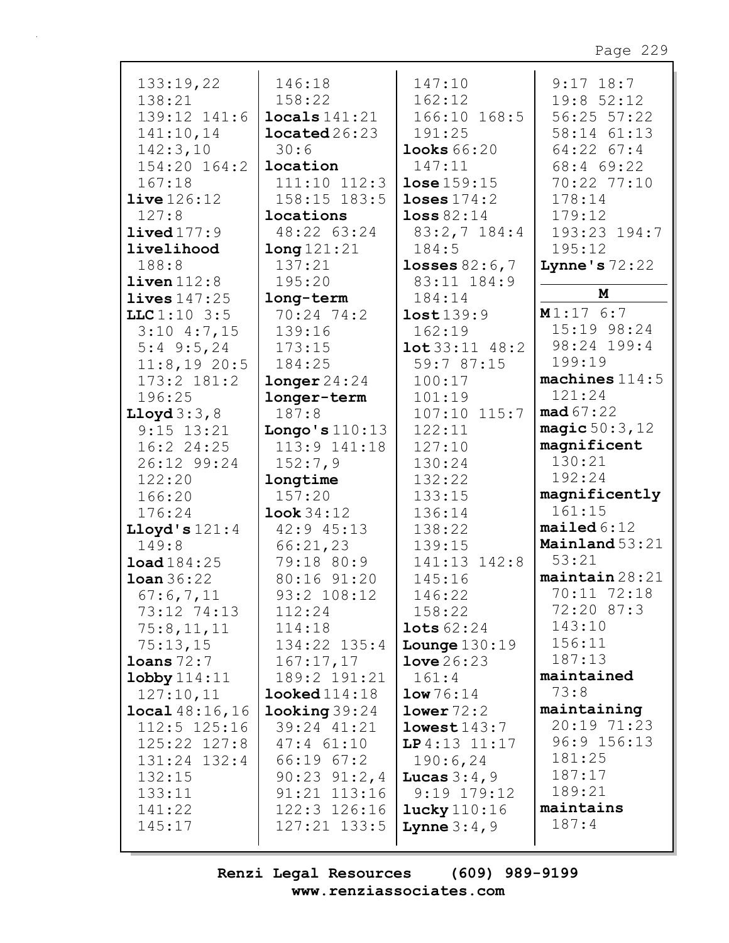| 133:19,22              | 146:18                   | 147:10                             | $9:17$ 18:7            |
|------------------------|--------------------------|------------------------------------|------------------------|
| 138:21                 | 158:22                   | 162:12                             | 19:8 52:12             |
| 139:12 141:6           | $\texttt{locals}$ 141:21 | 166:10 168:5                       | 56:25 57:22            |
| 141:10,14              | located26:23             | 191:25                             | 58:14 61:13            |
|                        |                          |                                    |                        |
| 142:3,10               | 30:6                     | <b>looks</b> 66:20                 | $64:22$ $67:4$         |
| 154:20 164:2           | location                 | 147:11                             | 68:4 69:22             |
| 167:18                 | 111:10 112:3             | <b>lose</b> $159:15$               | 70:22 77:10            |
| live126:12             | 158:15 183:5             | loses $174:2$                      | 178:14                 |
| 127:8                  | locations                | loss $82:14$                       | 179:12                 |
| $\text{lived}$ 177:9   | 48:22 63:24              | $83:2,7$ 184:4                     | 193:23 194:7           |
| livelihood             | long 121:21              | 184:5                              | 195:12                 |
| 188:8                  | 137:21                   | losses $82:6,7$                    | Lynne's $72:22$        |
| $liven$ $112:8$        | 195:20                   | 83:11 184:9                        |                        |
|                        |                          |                                    | M                      |
| lives 147:25           | long-term                | 184:14                             |                        |
| LLC1:103:5             | 70:24 74:2               | lost139:9                          | M1:176:7               |
| $3:10$ 4:7,15          | 139:16                   | 162:19                             | 15:19 98:24            |
| $5:4$ 9:5,24           | 173:15                   | $\texttt{lot} 33:11 \text{ } 48:2$ | 98:24 199:4            |
| 11:8,1920:5            | 184:25                   | 59:7 87:15                         | 199:19                 |
| 173:2 181:2            | longer 24:24             | 100:17                             | machines $114:5$       |
| 196:25                 | longer-term              | 101:19                             | 121:24                 |
| Lloyd $3:3,8$          | 187:8                    | 107:10 115:7                       | mad 67:22              |
| $9:15$ $13:21$         | Longo's $110:13$         | 122:11                             | magic50:3,12           |
|                        |                          |                                    | magnificent            |
| 16:2 24:25             | 113:9 141:18             | 127:10                             | 130:21                 |
| 26:12 99:24            | 152:7,9                  | 130:24                             |                        |
| 122:20                 | longtime                 | 132:22                             | 192:24                 |
| 166:20                 | 157:20                   | 133:15                             | magnificently          |
| 176:24                 | Look 34:12               | 136:14                             | 161:15                 |
| Lloyd's $121:4$        | 42:9 45:13               | 138:22                             | mailed 6:12            |
| 149:8                  | 66:21,23                 | 139:15                             | Mainland 53:21         |
| load184:25             | 79:18 80:9               | 141:13 142:8                       | 53:21                  |
| $\text{Ioan } 36:22$   | 80:16 91:20              | 145:16                             | $main$ aintain $28:21$ |
| 67:6,7,11              | 93:2 108:12              | 146:22                             | 70:11 72:18            |
| 73:12 74:13            | 112:24                   | 158:22                             | 72:20 87:3             |
|                        |                          |                                    | 143:10                 |
| 75:8,11,11             | 114:18                   | lots $62:24$                       | 156:11                 |
| 75:13,15               | 134:22 135:4             | <b>Lounge</b> $130:19$             |                        |
| $\texttt{loans}\,72:7$ | 167:17,17                | $1$ ove $26:23$                    | 187:13                 |
| $\text{lobby}\,114:11$ | 189:2 191:21             | 161:4                              | maintained             |
| 127:10,11              | $\texttt{looked114:18}$  | low 76:14                          | 73:8                   |
| local48:16,16          | $\texttt{looking} 39:24$ | lower72:2                          | maintaining            |
| $112:5$ $125:16$       | 39:24 41:21              | lowest143:7                        | 20:19 71:23            |
| $125:22$ $127:8$       | $47:4$ $61:10$           | $LP4:13$ $11:17$                   | 96:9 156:13            |
| $131:24$ $132:4$       | $66:19$ $67:2$           | 190:6,24                           | 181:25                 |
| 132:15                 | $90:23$ $91:2,4$         | Lucas $3:4,9$                      | 187:17                 |
| 133:11                 | 91:21 113:16             | $9:19$ $179:12$                    | 189:21                 |
|                        |                          |                                    | maintains              |
| 141:22                 | 122:3 126:16             | $lucky$ $110:16$                   |                        |
| 145:17                 | $127:21$ $133:5$         | Lynne $3:4,9$                      | 187:4                  |
|                        |                          |                                    |                        |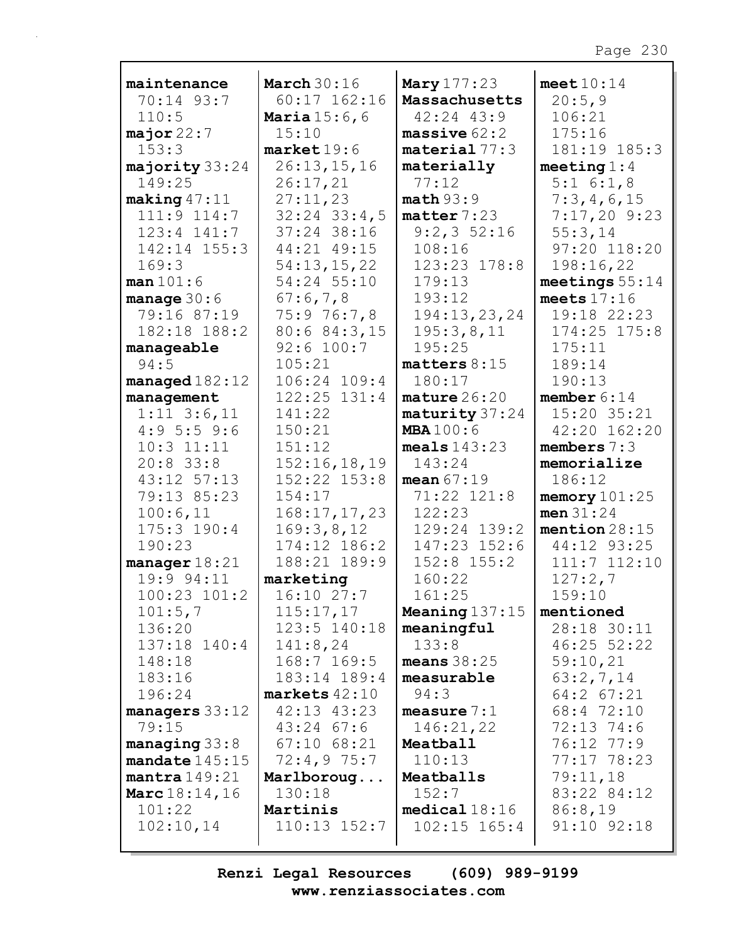| maintenance                | March $30:16$                    | <b>Mary</b> 177:23       | meet $10:14$          |
|----------------------------|----------------------------------|--------------------------|-----------------------|
| 70:14 93:7                 | $60:17$ 162:16                   | Massachusetts            | 20:5,9                |
| 110:5                      | <b>Maria</b> $15:6, 6$           | 42:24 43:9               | 106:21                |
| major $22:7$               | 15:10                            | massive $62:2$           | 175:16                |
| 153:3                      | $\texttt{market}$ 19:6           | $\texttt{material}$ 77:3 | 181:19 185:3          |
| majority 33:24             | 26:13,15,16                      | materially               | meeting $1:4$         |
| 149:25                     | 26:17,21                         | 77:12                    | 5:1 6:1,8             |
| making $47:11$             | 27:11,23                         | math>5:9                 | 7:3,4,6,15            |
| 111:9 114:7                | $32:24$ $33:4,5$                 | matter 7:23              | $7:17,20$ 9:23        |
| $123:4$ $141:7$            | 37:24 38:16                      | $9:2,3$ 52:16            | 55:3,14               |
| 142:14 155:3               | 44:21 49:15                      | 108:16                   | 97:20 118:20          |
| 169:3                      | 54:13,15,22                      | 123:23 178:8             | 198:16,22             |
| man 101:6                  | 54:24 55:10                      | 179:13                   | meetings $55:14$      |
| manage $30:6$              | 67:6,7,8                         | 193:12                   | meets $17:16$         |
| 79:16 87:19                | 75:976:7,8                       | 194:13,23,24             | 19:18 22:23           |
| 182:18 188:2               | 80:6 84:3,15                     | 195:3,8,11               | $174:25$ $175:8$      |
| manageable                 | 92:6 100:7                       | 195:25                   | 175:11                |
| 94:5                       | 105:21                           | matters $8:15$           | 189:14                |
| $managed 182:12$           | 106:24 109:4                     | 180:17                   | 190:13                |
| management                 | $122:25$ $131:4$                 | $\texttt{mature} 26:20$  | member $6:14$         |
| $1:11$ $3:6,11$            | 141:22                           | maturity 37:24           | 15:20 35:21           |
| 4:95:59:6                  | 150:21                           | <b>MBA</b> 100:6         | 42:20 162:20          |
| $10:3$ $11:11$             | 151:12                           | meals $143:23$<br>143:24 | members $7:3$         |
| $20:8$ 33:8<br>43:12 57:13 | 152:16,18,19<br>$152:22$ $153:8$ | mean $67:19$             | memorialize<br>186:12 |
| 79:13 85:23                | 154:17                           | 71:22 121:8              | memory $101:25$       |
| 100:6,11                   | 168:17,17,23                     | 122:23                   | men 31:24             |
| 175:3 190:4                | 169:3,8,12                       | 129:24 139:2             | mention $28:15$       |
| 190:23                     | 174:12 186:2                     | 147:23 152:6             | 44:12 93:25           |
| manager $18:21$            | 188:21 189:9                     | $152:8$ $155:2$          | 111:7 112:10          |
| 19:9 94:11                 | marketing                        | 160:22                   | 127:2,7               |
| $100:23$ $101:2$           | 16:10 27:7                       | 161:25                   | 159:10                |
| 101:5,7                    | 115:17,17                        | <b>Meaning</b> $137:15$  | mentioned             |
| 136:20                     | $123:5$ $140:18$                 | meaningful               | 28:18 30:11           |
| 137:18 140:4               | 141:8,24                         | 133:8                    | 46:25 52:22           |
| 148:18                     | 168:7 169:5                      | means $38:25$            | 59:10,21              |
| 183:16                     | 183:14 189:4                     | measurable               | 63:2,7,14             |
| 196:24                     | $markets 42:10$                  | 94:3                     | 64:2 67:21            |
| managers $33:12$           | 42:13 43:23                      | measure $7:1$            | 68:4 72:10            |
| 79:15                      | $43:24$ 67:6                     | 146:21,22                | 72:13 74:6            |
| managing $33:8$            | $67:10$ $68:21$                  | Meatball                 | 76:12 77:9            |
| mandate $145:15$           | 72:4,975:7                       | 110:13                   | 77:17 78:23           |
| mantra149:21               | Marlboroug                       | Meatballs                | 79:11,18              |
| <b>Marc</b> $18:14, 16$    | 130:18                           | 152:7                    | 83:22 84:12           |
| 101:22                     | Martinis                         | medical18:16             | 86:8,19               |
| 102:10,14                  | $110:13$ $152:7$                 | $102:15$ $165:4$         | 91:10 92:18           |
|                            |                                  |                          |                       |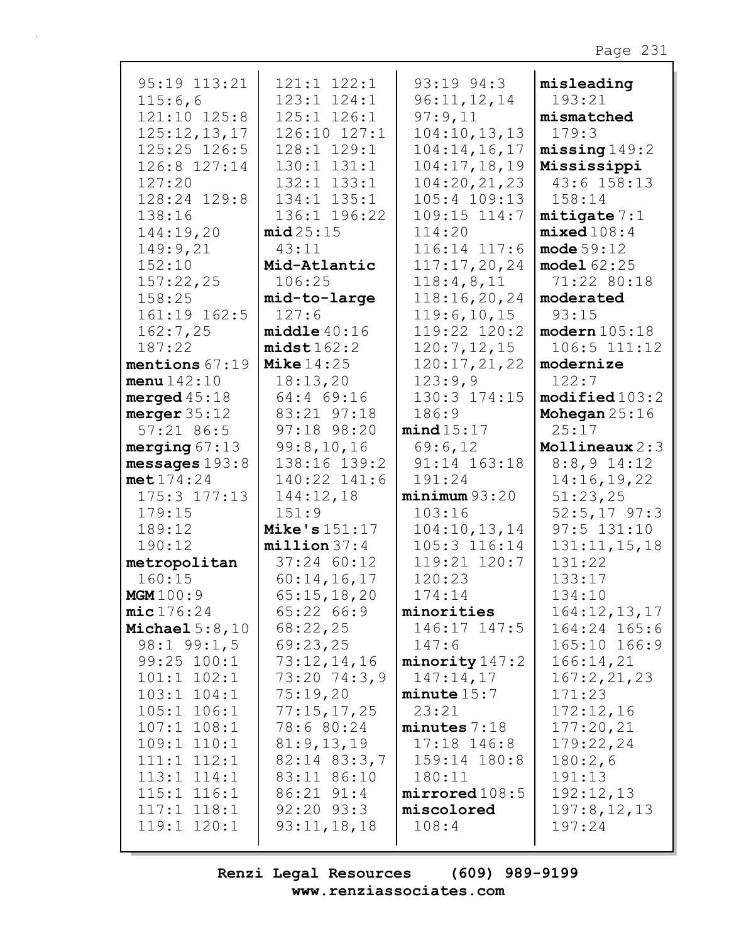| 95:19 113:21<br>115:6,6<br>121:10 125:8<br>125:12,13,17<br>125:25 126:5<br>126:8 127:14<br>127:20<br>128:24 129:8<br>138:16<br>144:19,20<br>149:9,21<br>152:10<br>157:22,25<br>158:25<br>161:19 162:5<br>162:7,25<br>187:22 | 121:1 122:1<br>123:1 124:1<br>125:1 126:1<br>126:10 127:1<br>128:1 129:1<br>130:1 131:1<br>132:1 133:1<br>134:1 135:1<br>136:1 196:22<br>mid25:15<br>43:11<br>Mid-Atlantic<br>106:25<br>mid-to-large<br>127:6<br>middle 40:16<br>midst162:2 | 93:19 94:3<br>96:11,12,14<br>97:9,11<br>104:10, 13, 13<br>104:14, 16, 17<br>104:17, 18, 19<br>104:20, 21, 23<br>$105:4$ $109:13$<br>109:15 114:7<br>114:20<br>116:14 117:6<br>117:17,20,24<br>118:4,8,11<br>118:16,20,24<br>119:6, 10, 15<br>119:22 120:2<br>120:7, 12, 15 | misleading<br>193:21<br>mismatched<br>179:3<br>missing 149:2<br>Mississippi<br>43:6 158:13<br>158:14<br>mitigate 7:1<br>mixed108:4<br>mode $59:12$<br>model62:25<br>71:22 80:18<br>moderated<br>93:15<br>modern 105:18<br>106:5 111:12 |
|-----------------------------------------------------------------------------------------------------------------------------------------------------------------------------------------------------------------------------|---------------------------------------------------------------------------------------------------------------------------------------------------------------------------------------------------------------------------------------------|----------------------------------------------------------------------------------------------------------------------------------------------------------------------------------------------------------------------------------------------------------------------------|----------------------------------------------------------------------------------------------------------------------------------------------------------------------------------------------------------------------------------------|
| mentions 67:19                                                                                                                                                                                                              | Mike $14:25$                                                                                                                                                                                                                                | 120:17,21,22                                                                                                                                                                                                                                                               | modernize                                                                                                                                                                                                                              |
| menu142:10                                                                                                                                                                                                                  | 18:13,20                                                                                                                                                                                                                                    | 123:9,9                                                                                                                                                                                                                                                                    | 122:7                                                                                                                                                                                                                                  |
| merged $45:18$                                                                                                                                                                                                              | 64:4 69:16                                                                                                                                                                                                                                  | 130:3 174:15                                                                                                                                                                                                                                                               | $\texttt{modified}103:2$                                                                                                                                                                                                               |
| merger 35:12                                                                                                                                                                                                                | 83:21 97:18                                                                                                                                                                                                                                 | 186:9                                                                                                                                                                                                                                                                      | Mohegan $25:16$                                                                                                                                                                                                                        |
| $57:21$ 86:5                                                                                                                                                                                                                | 97:18 98:20                                                                                                                                                                                                                                 | mind15:17                                                                                                                                                                                                                                                                  | 25:17                                                                                                                                                                                                                                  |
| merging $67:13$                                                                                                                                                                                                             | 99:8,10,16                                                                                                                                                                                                                                  | 69:6,12                                                                                                                                                                                                                                                                    | Mollineaux 2:3                                                                                                                                                                                                                         |
| messages $193:8$                                                                                                                                                                                                            | 138:16 139:2                                                                                                                                                                                                                                | 91:14 163:18                                                                                                                                                                                                                                                               | $8:8,9$ 14:12                                                                                                                                                                                                                          |
| met174:24                                                                                                                                                                                                                   | 140:22 141:6                                                                                                                                                                                                                                | 191:24                                                                                                                                                                                                                                                                     | 14:16,19,22                                                                                                                                                                                                                            |
| $175:3$ $177:13$                                                                                                                                                                                                            | 144:12,18                                                                                                                                                                                                                                   | minimum93:20                                                                                                                                                                                                                                                               | 51:23,25                                                                                                                                                                                                                               |
| 179:15                                                                                                                                                                                                                      | 151:9                                                                                                                                                                                                                                       | 103:16                                                                                                                                                                                                                                                                     | $52:5, 17$ 97:3                                                                                                                                                                                                                        |
| 189:12                                                                                                                                                                                                                      | Mike's $151:17$                                                                                                                                                                                                                             | 104:10, 13, 14                                                                                                                                                                                                                                                             | $97:5$ 131:10                                                                                                                                                                                                                          |
| 190:12                                                                                                                                                                                                                      | $million$ 37:4                                                                                                                                                                                                                              | 105:3 116:14                                                                                                                                                                                                                                                               | 131:11, 15, 18                                                                                                                                                                                                                         |
| metropolitan                                                                                                                                                                                                                | 37:24 60:12                                                                                                                                                                                                                                 | 119:21 120:7                                                                                                                                                                                                                                                               | 131:22                                                                                                                                                                                                                                 |
| 160:15                                                                                                                                                                                                                      | 60:14,16,17                                                                                                                                                                                                                                 | 120:23                                                                                                                                                                                                                                                                     | 133:17                                                                                                                                                                                                                                 |
| <b>MGM</b> 100:9                                                                                                                                                                                                            | 65:15,18,20                                                                                                                                                                                                                                 | 174:14                                                                                                                                                                                                                                                                     | 134:10                                                                                                                                                                                                                                 |
| mic176:24                                                                                                                                                                                                                   | 65:22 66:9                                                                                                                                                                                                                                  | minorities                                                                                                                                                                                                                                                                 | 164:12,13,17                                                                                                                                                                                                                           |
| Michael $5:8,10$                                                                                                                                                                                                            | 68:22,25                                                                                                                                                                                                                                    | 146:17 147:5                                                                                                                                                                                                                                                               | 164:24 165:6                                                                                                                                                                                                                           |
| $98:1$ $99:1,5$                                                                                                                                                                                                             | 69:23,25                                                                                                                                                                                                                                    | 147:6                                                                                                                                                                                                                                                                      | 165:10 166:9                                                                                                                                                                                                                           |
| 99:25 100:1                                                                                                                                                                                                                 | 73:12,14,16                                                                                                                                                                                                                                 | minority147:2                                                                                                                                                                                                                                                              | 166:14,21                                                                                                                                                                                                                              |
| $101:1$ $102:1$                                                                                                                                                                                                             | 73:20 74:3,9                                                                                                                                                                                                                                | 147:14,17                                                                                                                                                                                                                                                                  | 167:2,21,23                                                                                                                                                                                                                            |
| $103:1$ $104:1$                                                                                                                                                                                                             | 75:19,20                                                                                                                                                                                                                                    | minute 15:7                                                                                                                                                                                                                                                                | 171:23                                                                                                                                                                                                                                 |
| $105:1$ $106:1$                                                                                                                                                                                                             | 77:15,17,25                                                                                                                                                                                                                                 | 23:21                                                                                                                                                                                                                                                                      | 172:12,16                                                                                                                                                                                                                              |
| $107:1$ $108:1$                                                                                                                                                                                                             | 78:6 80:24                                                                                                                                                                                                                                  | minutes $7:18$                                                                                                                                                                                                                                                             | 177:20,21                                                                                                                                                                                                                              |
| $109:1$ $110:1$                                                                                                                                                                                                             | 81:9,13,19                                                                                                                                                                                                                                  | $17:18$ 146:8                                                                                                                                                                                                                                                              | 179:22,24                                                                                                                                                                                                                              |
| $111:1$ $112:1$                                                                                                                                                                                                             | $82:14$ $83:3,7$                                                                                                                                                                                                                            | 159:14 180:8                                                                                                                                                                                                                                                               | 180:2,6                                                                                                                                                                                                                                |
| $113:1$ $114:1$                                                                                                                                                                                                             | 83:11 86:10                                                                                                                                                                                                                                 | 180:11                                                                                                                                                                                                                                                                     | 191:13                                                                                                                                                                                                                                 |
| $115:1$ $116:1$                                                                                                                                                                                                             | $86:21$ $91:4$                                                                                                                                                                                                                              | mirrored108:5                                                                                                                                                                                                                                                              | 192:12,13                                                                                                                                                                                                                              |
| $117:1$ $118:1$                                                                                                                                                                                                             | $92:20$ $93:3$                                                                                                                                                                                                                              | miscolored                                                                                                                                                                                                                                                                 | 197:8, 12, 13                                                                                                                                                                                                                          |
| 119:1 120:1                                                                                                                                                                                                                 | 93:11,18,18                                                                                                                                                                                                                                 | 108:4                                                                                                                                                                                                                                                                      | 197:24                                                                                                                                                                                                                                 |
|                                                                                                                                                                                                                             |                                                                                                                                                                                                                                             |                                                                                                                                                                                                                                                                            |                                                                                                                                                                                                                                        |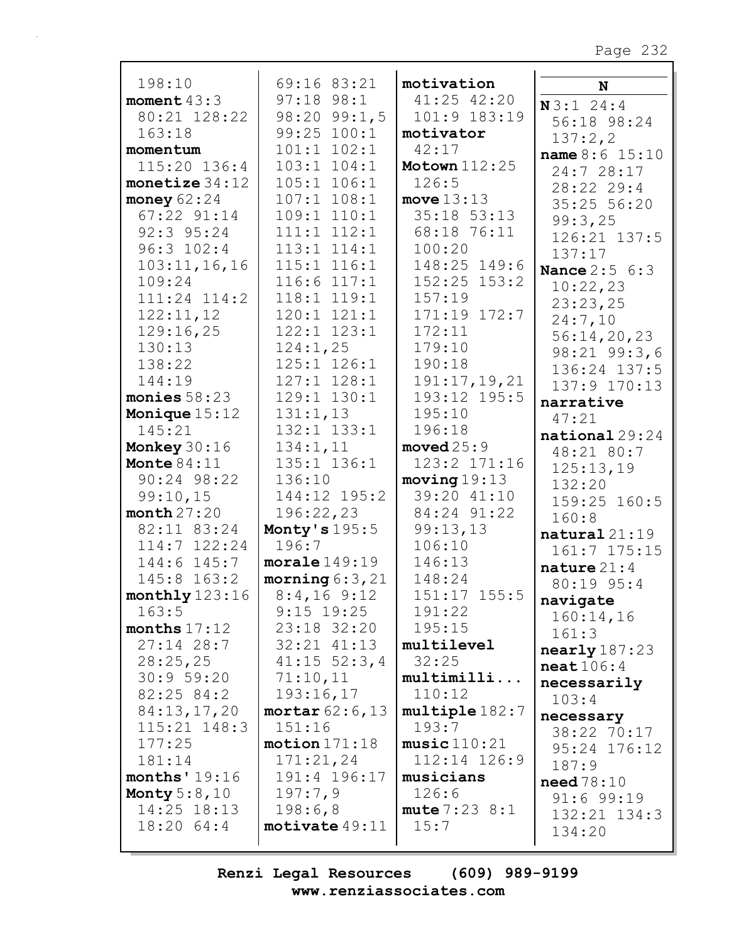| 198:10           | 69:16 83:21               | motivation           |                                |
|------------------|---------------------------|----------------------|--------------------------------|
| moment $43:3$    | $97:18$ $98:1$            | 41:25 42:20          | N                              |
| 80:21 128:22     | $98:20$ $99:1,5$          | 101:9 183:19         | N3:124:4                       |
| 163:18           | 99:25 100:1               | motivator            | 56:18 98:24                    |
| momentum         | $101:1$ $102:1$           | 42:17                | 137:2,2                        |
| $115:20$ $136:4$ | $103:1$ $104:1$           | <b>Motown</b> 112:25 | name 8:6 15:10                 |
| monetize $34:12$ | $105:1$ $106:1$           | 126:5                | 24:7 28:17                     |
| money $62:24$    | $107:1$ $108:1$           | move $13:13$         | 28:22 29:4                     |
| 67:22 91:14      | 109:1 110:1               | 35:18 53:13          | 35:25 56:20                    |
| 92:3 95:24       | $111:1$ $112:1$           |                      | 99:3,25                        |
|                  |                           | 68:18 76:11          | 126:21 137:5                   |
| 96:3 102:4       | $113:1$ $114:1$           | 100:20               | 137:17                         |
| 103:11, 16, 16   | $115:1$ $116:1$           | 148:25 149:6         | <b>Nance 2:5 6:3</b>           |
| 109:24           | $116:6$ $117:1$           | $152:25$ $153:2$     | 10:22,23                       |
| 111:24 114:2     | 118:1 119:1               | 157:19               | 23:23,25                       |
| 122:11,12        | $120:1$ $121:1$           | 171:19 172:7         | 24:7,10                        |
| 129:16,25        | 122:1 123:1               | 172:11               | 56:14,20,23                    |
| 130:13           | 124:1,25                  | 179:10               | 98:21 99:3,6                   |
| 138:22           | 125:1 126:1               | 190:18               | 136:24 137:5                   |
| 144:19           | 127:1 128:1               | 191:17, 19, 21       | 137:9 170:13                   |
| monies $58:23$   | 129:1 130:1               | 193:12 195:5         | narrative                      |
| Monique 15:12    | 131:1,13                  | 195:10               | 47:21                          |
| 145:21           | 132:1 133:1               | 196:18               | $\mathtt{national}\,29\!:\!24$ |
| Monkey $30:16$   | 134:1,11                  | $\texttt{moved25:9}$ | 48:21 80:7                     |
| Monte $84:11$    | 135:1 136:1               | 123:2 171:16         | 125:13,19                      |
| 90:24 98:22      | 136:10                    | moving 19:13         | 132:20                         |
| 99:10,15         | 144:12 195:2              | 39:20 41:10          | 159:25 160:5                   |
| month 27:20      | 196:22,23                 | 84:24 91:22          | 160:8                          |
| 82:11 83:24      | Monty's 195:5             | 99:13,13             | natural 21:19                  |
| $114:7$ $122:24$ | 196:7                     | 106:10               | 161:7 175:15                   |
| 144:6 145:7      | moreale149:19             | 146:13               | nature 21:4                    |
| 145:8 163:2      | morning $6:3,21$          | 148:24               | 80:19 95:4                     |
| monthly 123:16   | $8:4,16$ 9:12             | 151:17 155:5         | navigate                       |
| 163:5            | $9:15$ 19:25              | 191:22               | 160:14,16                      |
| months $17:12$   | 23:18 32:20               | 195:15               | 161:3                          |
| $27:14$ 28:7     | $32:21$ $41:13$           | multilevel           | nearly 187:23                  |
| 28:25,25         | $41:15$ 52:3,4            | 32:25                | $\texttt{neat}$ 106:4          |
| 30:9 59:20       | 71:10,11                  | multimilli           | necessarily                    |
| 82:25 84:2       | 193:16,17                 | 110:12               | 103:4                          |
| 84:13,17,20      | mortar $62:6$ , 13        | multiple 182:7       | necessary                      |
| $115:21$ $148:3$ | 151:16                    | 193:7                | 38:22 70:17                    |
| 177:25           | motion 171:18             | music110:21          | 95:24 176:12                   |
| 181:14           | 171:21,24                 | 112:14 126:9         | 187:9                          |
| months' $19:16$  | 191:4 196:17              | musicians            | need78:10                      |
| Monty $5:8,10$   | 197:7,9                   | 126:6                | $91:6$ $99:19$                 |
| 14:25 18:13      | 198:6,8                   | mute 7:23 8:1        | $132:21$ $134:3$               |
| 18:2064:4        | $\texttt{motivate}$ 49:11 | 15:7                 | 134:20                         |
|                  |                           |                      |                                |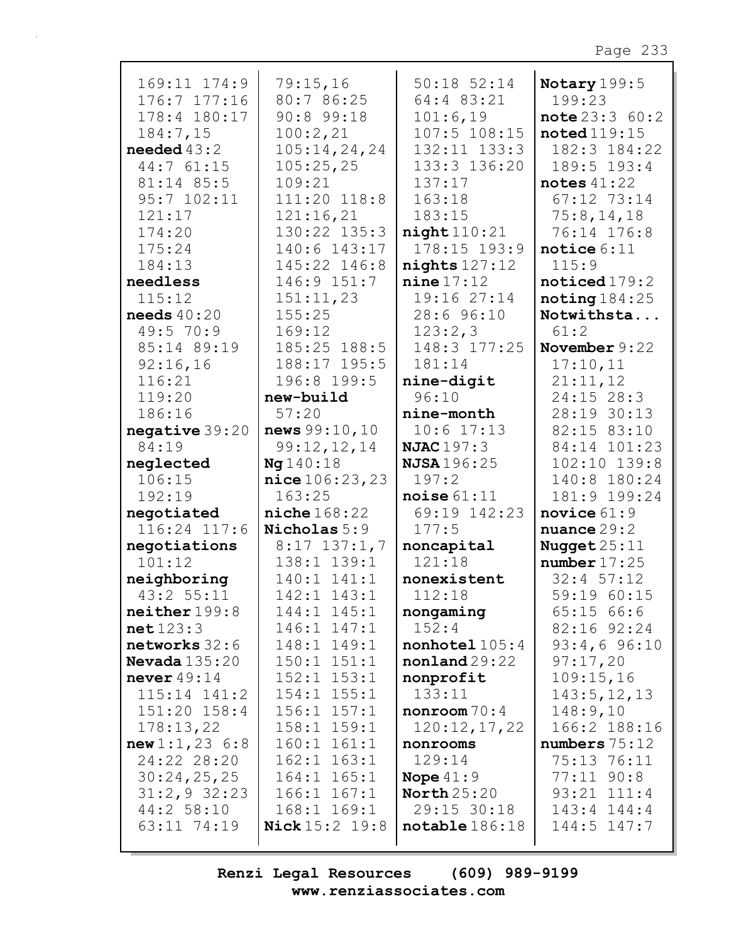|                            |                          | $50:18$ $52:14$          |                                |
|----------------------------|--------------------------|--------------------------|--------------------------------|
| 169:11 174:9               | 79:15,16                 |                          | Notary 199:5                   |
| 176:7 177:16               | 80:7 86:25               | 64:4 83:21               | 199:23                         |
| 178:4 180:17               | $90:8$ 99:18             | 101:6,19                 | note 23:360:2                  |
| 184:7,15                   | 100:2,21                 | 107:5 108:15             | $\texttt{noted}$ 119:15        |
| needed $43:2$              | 105:14,24,24             | 132:11 133:3             | 182:3 184:22                   |
| 44:7 61:15                 | 105:25,25                | 133:3 136:20             | 189:5 193:4                    |
| 81:14 85:5                 | 109:21                   | 137:17                   | notes $41:22$                  |
| 95:7 102:11                | 111:20 118:8             | 163:18                   | 67:12 73:14                    |
| 121:17                     | 121:16,21                | 183:15                   | 75:8, 14, 18                   |
| 174:20                     | 130:22 135:3             | night110:21              | 76:14 176:8                    |
| 175:24                     | 140:6 143:17             | 178:15 193:9             | notice $6:11$                  |
| 184:13                     | 145:22 146:8             | $nights$ 127:12          | 115:9                          |
| needless                   | 146:9 151:7              | nine 17:12               | noticed 179:2                  |
| 115:12                     | 151:11,23                | 19:16 27:14              | noting184:25                   |
| needs $40:20$              | 155:25                   | 28:6 96:10               | Notwithsta                     |
| 49:5 70:9                  | 169:12                   | 123:2,3                  | 61:2                           |
| 85:14 89:19                | 185:25 188:5             | 148:3 177:25             | November $9:22$                |
| 92:16,16                   | 188:17 195:5             | 181:14                   | 17:10,11                       |
| 116:21                     | 196:8 199:5              | nine-digit               | 21:11,12                       |
| 119:20                     | new-build                | 96:10                    | 24:15 28:3                     |
| 186:16                     | 57:20                    | nine-month               | 28:19 30:13                    |
| negative 39:20             | news 99:10,10            | $10:6$ 17:13             | 82:15 83:10                    |
| 84:19                      | 99:12,12,14              | <b>NJAC</b> 197:3        | 84:14 101:23                   |
| neglected                  | Ng 140:18                | <b>NJSA</b> 196:25       | $102:10$ $139:8$               |
| 106:15                     |                          | 197:2                    | 140:8 180:24                   |
| 192:19                     | nice 106:23,23<br>163:25 | noise $61:11$            | 181:9 199:24                   |
|                            | niche 168:22             | 69:19 142:23             | novice $61:9$                  |
| negotiated<br>116:24 117:6 | Nicholas 5:9             | 177:5                    | nuance $29:2$                  |
|                            | $8:17$ 137:1,7           | noncapital               |                                |
| negotiations<br>101:12     | 138:1 139:1              | 121:18                   | Nugget $25:11$<br>number 17:25 |
|                            | 140:1 141:1              |                          |                                |
| neighboring<br>43:2 55:11  | 142:1 143:1              | nonexistent<br>112:18    | $32:4$ 57:12                   |
|                            |                          |                          | 59:19 60:15                    |
| neither 199:8              | 144:1 145:1              | nongaming                | 65:1566:6                      |
| net123:3                   | 146:1 147:1              | 152:4                    | $82:16$ $92:24$                |
| networks 32:6              | 148:1 149:1              | $nonhotel$ $105:4$       | $93:4,6$ $96:10$               |
| Nevada $135:20$            | $150:1$ $151:1$          | nonland 29:22            | 97:17,20                       |
| never $49:14$              | $152:1$ $153:1$          | nonprofit                | 109:15,16                      |
| $115:14$ $141:2$           | $154:1$ $155:1$          | 133:11                   | 143:5, 12, 13                  |
| $151:20$ $158:4$           |                          |                          |                                |
|                            | $156:1$ $157:1$          | nonroom 70:4             | 148:9,10                       |
| 178:13,22                  | $158:1$ $159:1$          | 120:12,17,22             | 166:2 188:16                   |
| new1:1,236:8               | $160:1$ $161:1$          | nonrooms                 | numbers 75:12                  |
| 24:22 28:20                | $162:1$ $163:1$          | 129:14                   | 75:13 76:11                    |
| 30:24,25,25                | $164:1$ $165:1$          | Nope $41:9$              | $77:11$ $90:8$                 |
| $31:2,9$ 32:23             | $166:1$ $167:1$          | North $25:20$            | 93:21 111:4                    |
| 44:2 58:10                 | $168:1$ $169:1$          | 29:15 30:18              | 143:4 144:4                    |
| 63:11 74:19                | <b>Nick</b> 15:2 19:8    | $\texttt{notable}186:18$ | 144:5 147:7                    |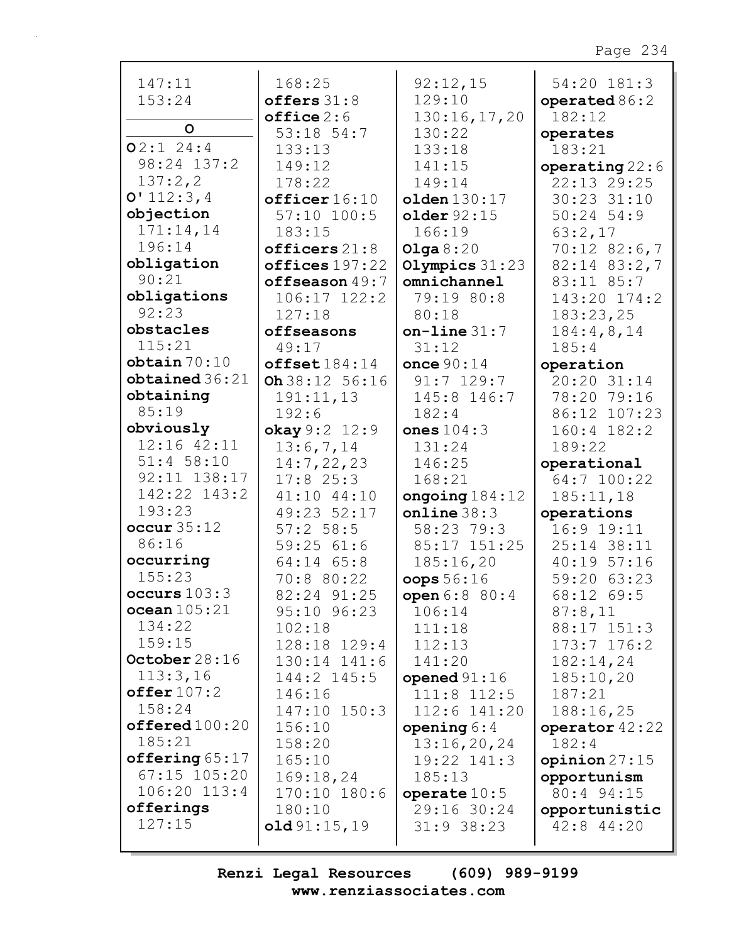| 147:11              | 168:25                | 92:12,15                    | 54:20 181:3                 |
|---------------------|-----------------------|-----------------------------|-----------------------------|
| 153:24              | offers $31:8$         | 129:10                      | operated $86:2$             |
|                     | $offline 2:6$         | 130:16,17,20                | 182:12                      |
| $\circ$             | 53:18 54:7            | 130:22                      | operates                    |
| $O2:1$ 24:4         | 133:13                | 133:18                      | 183:21                      |
| 98:24 137:2         | 149:12                | 141:15                      | operating $22:6$            |
| 137:2,2             | 178:22                | 149:14                      | 22:13 29:25                 |
| 0'112:3,4           | officer16:10          | $\text{olden}\,130\!:\!17$  | 30:23 31:10                 |
| objection           | $57:10$ $100:5$       | older 92:15                 | $50:24$ 54:9                |
| 171:14,14           | 183:15                | 166:19                      | 63:2,17                     |
| 196:14              | officers $21:8$       | Olga $8:20$                 | $70:12$ 82:6,7              |
| obligation          | offices 197:22        | Olympics $31:23$            | $82:14$ $83:2,7$            |
| 90:21               | offseason $49:7$      | omnichannel                 | 83:11 85:7                  |
| obligations         | 106:17 122:2          | 79:19 80:8                  | 143:20 174:2                |
| 92:23               | 127:18                | 80:18                       | 183:23,25                   |
| obstacles           | offseasons            | $on$ -line $31:7$           | 184:4,8,14                  |
| 115:21              | 49:17                 | 31:12                       | 185:4                       |
| obtain 70:10        | offset184:14          | once $90:14$                | operation                   |
| obtained 36:21      | Oh 38:12 56:16        | $91:7$ 129:7                | 20:20 31:14                 |
| obtaining           | 191:11,13             | 145:8 146:7                 | 78:20 79:16                 |
| 85:19               | 192:6                 | 182:4                       | 86:12 107:23                |
| obviously           | okay $9:2$ 12:9       | ones $104:3$                | 160:4 182:2                 |
| 12:16 42:11         | 13:6,7,14             | 131:24                      | 189:22                      |
| $51:4$ 58:10        | 14:7,22,23            | 146:25                      | operational                 |
| 92:11 138:17        | $17:8$ 25:3           | 168:21                      | 64:7 100:22                 |
|                     |                       |                             |                             |
|                     |                       |                             |                             |
| 142:22 143:2        | 41:10 44:10           | ongoing $184:12$            | 185:11,18                   |
| 193:23              | 49:23 52:17           | online 38:3                 | operations                  |
| occur 35:12         | $57:2$ 58:5           | 58:23 79:3                  | $16:9$ $19:11$              |
| 86:16               | 59:2561:6             | 85:17 151:25                | 25:14 38:11                 |
| occurring           | 64:14 65:8            | 185:16,20                   | 40:19 57:16                 |
| 155:23              | 70:8 80:22            | oops 56:16                  | 59:20 63:23                 |
| occurs $103:3$      | 82:24 91:25           | open 6:8 80:4               | 68:12 69:5                  |
| ocean 105:21        | 95:10 96:23           | 106:14                      | 87:8,11                     |
| 134:22              | 102:18                | 111:18                      | 88:17 151:3                 |
| 159:15              | 128:18 129:4          | 112:13                      | $173:7$ $176:2$             |
| October $28:16$     | 130:14 141:6          | 141:20                      | 182:14,24                   |
| 113:3,16            | 144:2 145:5           | opened $91:16$              | 185:10,20                   |
| offer 107:2         | 146:16                | $111:8$ $112:5$             | 187:21                      |
| 158:24              | 147:10 150:3          | 112:6 141:20                | 188:16,25                   |
| offered100:20       | 156:10                | opening $6:4$               | operator 42:22              |
| 185:21              | 158:20                | 13:16,20,24                 | 182:4                       |
| offering $65:17$    | 165:10                | 19:22 141:3                 | opinion $27:15$             |
| 67:15 105:20        | 169:18,24             | 185:13                      | opportunism                 |
| 106:20 113:4        | 170:10 180:6          | operate $10:5$              | 80:4 94:15                  |
| offerings<br>127:15 | 180:10<br>old91:15,19 | 29:16 30:24<br>$31:9$ 38:23 | opportunistic<br>42:8 44:20 |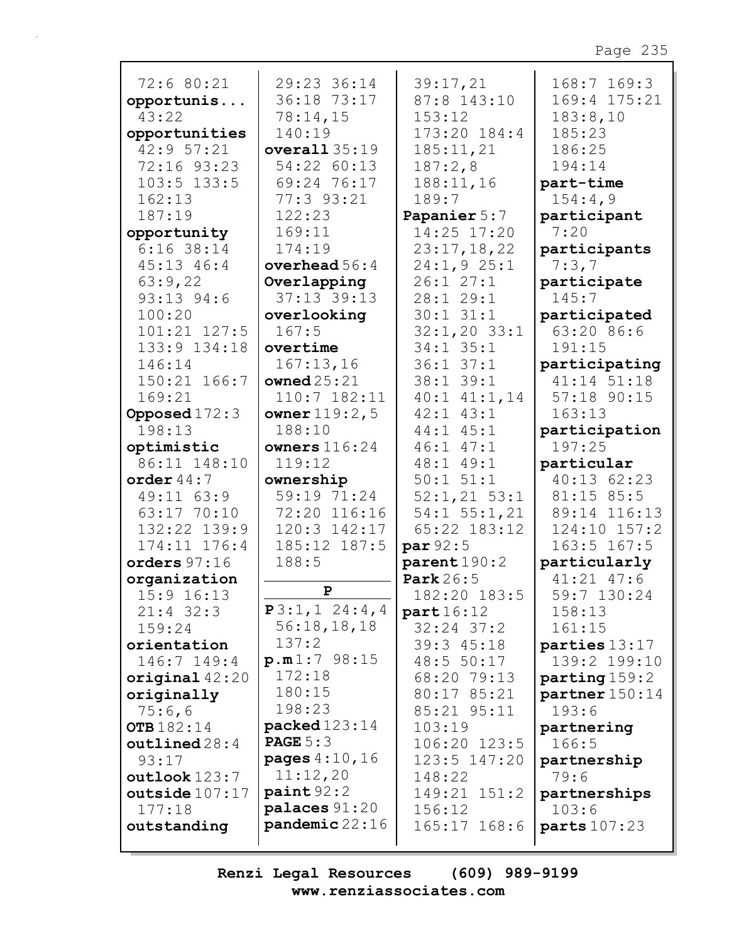| 72:6 80:21        | 29:23 36:14            | 39:17,21           | $168:7$ $169:3$  |
|-------------------|------------------------|--------------------|------------------|
|                   |                        |                    |                  |
| opportunis        | 36:18 73:17            | 87:8 143:10        | 169:4 175:21     |
| 43:22             | 78:14,15               | 153:12             | 183:8,10         |
| opportunities     | 140:19                 | 173:20 184:4       | 185:23           |
| 42:9 57:21        | overall35:19           | 185:11,21          | 186:25           |
| 72:16 93:23       | 54:22 60:13            | 187:2,8            | 194:14           |
| $103:5$ $133:5$   | 69:24 76:17            | 188:11,16          | part-time        |
| 162:13            | 77:3 93:21             | 189:7              | 154:4,9          |
| 187:19            | 122:23                 | Papanier 5:7       | participant      |
| opportunity       | 169:11                 | 14:25 17:20        | 7:20             |
| $6:16$ 38:14      | 174:19                 | 23:17,18,22        | participants     |
| 45:13 46:4        | overhead $56:4$        | 24:1,925:1         | 7:3,7            |
| 63:9,22           | Overlapping            | 26:127:1           | participate      |
| 93:13 94:6        | 37:13 39:13            | 28:1 29:1          | 145:7            |
| 100:20            | overlooking            | $30:1$ $31:1$      | participated     |
| 101:21 127:5      | 167:5                  | $32:1,20$ $33:1$   | 63:20 86:6       |
| 133:9 134:18      | overtime               | 34:1 35:1          | 191:15           |
| 146:14            | 167:13,16              | $36:1$ $37:1$      | participating    |
| 150:21 166:7      | owned $25:21$          | 38:1 39:1          | 41:14 51:18      |
| 169:21            | $110:7$ $182:11$       | $40:1$ $41:1,14$   | 57:18 90:15      |
| Opposed $172:3$   | owner $119:2,5$        | $42:1$ $43:1$      | 163:13           |
| 198:13            | 188:10                 | $44:1$ $45:1$      | participation    |
| optimistic        | owners $116:24$        | $46:1$ $47:1$      | 197:25           |
| 86:11 148:10      | 119:12                 | 48:1 49:1          | particular       |
| order $44:7$      | ownership              | $50:1$ $51:1$      | 40:13 62:23      |
| 49:11 63:9        | 59:19 71:24            | $52:1,21$ $53:1$   | 81:15 85:5       |
| 63:17 70:10       | 72:20 116:16           | $54:1$ $55:1$ , 21 | 89:14 116:13     |
| 132:22 139:9      | 120:3 142:17           | $65:22$ $183:12$   | $124:10$ $157:2$ |
| 174:11 176:4      | 185:12 187:5           | par $92:5$         | $163:5$ $167:5$  |
| orders $97:16$    | 188:5                  | parent190:2        | particularly     |
| organization      |                        | <b>Park</b> 26:5   | $41:21$ $47:6$   |
| $15:9$ $16:13$    | $\mathbf{P}$           | 182:20 183:5       | 59:7 130:24      |
| $21:4$ 32:3       | P3:1, 1 24:4, 4        | part16:12          | 158:13           |
| 159:24            | 56:18,18,18            | $32:24$ $37:2$     | 161:15           |
| orientation       | 137:2                  | $39:3$ $45:18$     | parties 13:17    |
| 146:7 149:4       | p.m1:798:15            | 48:5 50:17         | 139:2 199:10     |
| original $42:20$  | 172:18                 | 68:20 79:13        | parting 159:2    |
| originally        | 180:15                 | 80:17 85:21        | $partner$ 150:14 |
| 75:6,6            | 198:23                 | 85:21 95:11        | 193:6            |
| <b>OTB</b> 182:14 | <b>packed</b> 123:14   | 103:19             | partnering       |
| outlined 28:4     | <b>PAGE</b> $5:3$      | 106:20 123:5       | 166:5            |
| 93:17             | <b>pages</b> $4:10,16$ | 123:5 147:20       | partnership      |
| outlook 123:7     | 11:12,20               | 148:22             | 79:6             |
| outside $107:17$  | paint 92:2             | 149:21 151:2       | partnerships     |
| 177:18            | palaces 91:20          | 156:12             | 103:6            |
| outstanding       | $p$ andemic 22:16      | 165:17 168:6       | parts 107:23     |
|                   |                        |                    |                  |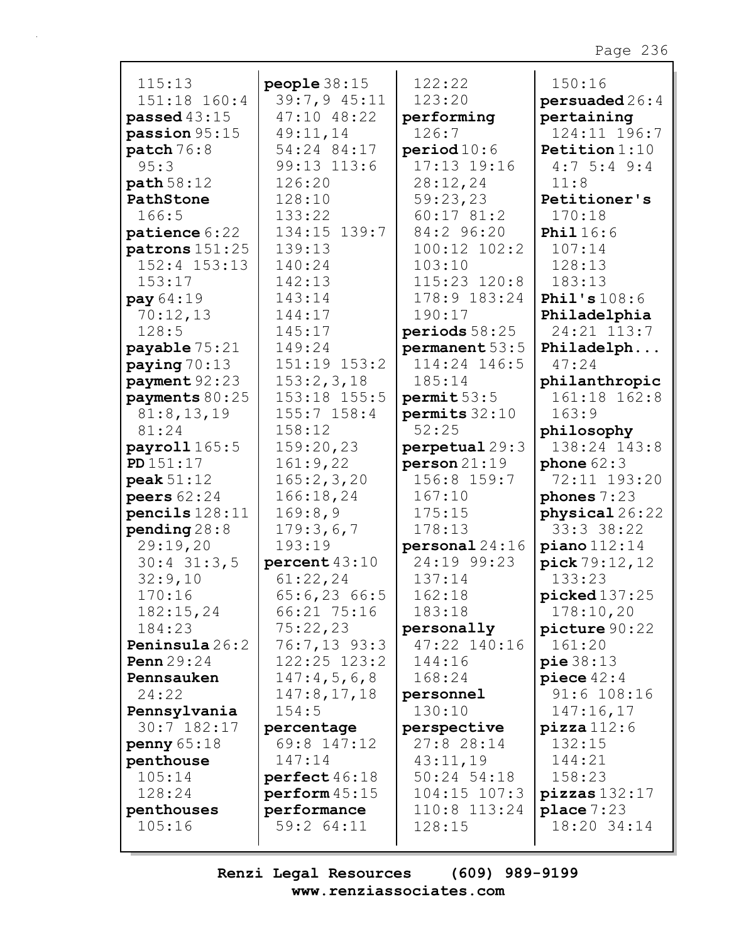| 115:13           | people $38:15$                    | 122:22           | 150:16                   |
|------------------|-----------------------------------|------------------|--------------------------|
| 151:18 160:4     | 39:7,9 45:11                      | 123:20           | persuaded26:4            |
| passed $43:15$   | 47:10 48:22                       | performing       | pertaining               |
| passion 95:15    | 49:11,14                          | 126:7            | 124:11 196:7             |
| patch 76:8       | 54:24 84:17                       | period 10:6      | <b>Petition</b> $1:10$   |
| 95:3             | 99:13 113:6                       | 17:13 19:16      | $4:7$ 5:4 9:4            |
| path 58:12       | 126:20                            | 28:12,24         | 11:8                     |
| PathStone        | 128:10                            | 59:23,23         | Petitioner's             |
| 166:5            | 133:22                            | 60:1781:2        | 170:18                   |
| patience 6:22    | 134:15 139:7                      | 84:2 96:20       | <b>Phil</b> 16:6         |
| patrons 151:25   | 139:13                            | $100:12$ $102:2$ | 107:14                   |
| $152:4$ $153:13$ | 140:24                            | 103:10           | 128:13                   |
| 153:17           | 142:13                            | 115:23 120:8     | 183:13                   |
| pay 64:19        | 143:14                            | 178:9 183:24     | Phil's $108:6$           |
| 70:12,13         | 144:17                            | 190:17           | Philadelphia             |
| 128:5            | 145:17                            | periods 58:25    | 24:21 113:7              |
| payable 75:21    | 149:24                            | permanent 53:5   | Philadelph               |
| paying $70:13$   | 151:19 153:2                      | 114:24 146:5     | 47:24                    |
| payment 92:23    | 153:2,3,18                        | 185:14           | philanthropic            |
| payments 80:25   | 153:18 155:5                      | permit 53:5      | 161:18 162:8             |
| 81:8,13,19       | $155:7$ $158:4$                   | permits $32:10$  | 163:9                    |
| 81:24            | 158:12                            | 52:25            | philosophy               |
| payroll 165:5    | 159:20,23                         | perpetual 29:3   | 138:24 143:8             |
| PD 151:17        | 161:9,22                          | person21:19      | phone $62:3$             |
| peak $51:12$     | 165:2,3,20                        | 156:8 159:7      | 72:11 193:20             |
| peers $62:24$    | 166:18,24                         | 167:10           | phones $7:23$            |
| pencils $128:11$ | 169:8,9                           | 175:15           | physical 26:22           |
| pending $28:8$   | 179:3,6,7                         | 178:13           | 33:3 38:22               |
| 29:19,20         | 193:19                            | personal24:16    | $piano$ $112:14$         |
| $30:4$ 31:3,5    | percent 43:10                     | 24:19 99:23      | pick 79:12,12            |
| 32:9,10          | 61:22,24                          | 137:14           | 133:23                   |
| 170:16           | 65:6,23 66:5                      | 162:18           | picked 137:25            |
| 182:15,24        | 66:21 75:16                       | 183:18           | 178:10,20                |
| 184:23           | 75:22,23                          | personally       | picture 90:22            |
| Peninsula 26:2   | 76:7,13 93:3                      | 47:22 140:16     | 161:20                   |
| Penn $29:24$     | $122:25$ $123:2$                  | 144:16           | pie38:13                 |
| Pennsauken       | 147:4,5,6,8                       | 168:24           | piece $42:4$             |
| 24:22            | 147:8, 17, 18                     | personnel        | 91:6 108:16              |
| Pennsylvania     | 154:5                             | 130:10           | 147:16,17                |
| 30:7 182:17      | percentage                        | perspective      | $\texttt{pizza}$ 112:6   |
| penny $65:18$    | 69:8 147:12                       | 27:8 28:14       | 132:15                   |
| penthouse        | 147:14                            | 43:11,19         | 144:21                   |
| 105:14           | perfect 46:18                     | $50:24$ 54:18    | 158:23                   |
| 128:24           | $\texttt{perform}~45\colon\!\!15$ | $104:15$ $107:3$ | $\texttt{pizzas}$ 132:17 |
| penthouses       | performance                       | 110:8 113:24     | place $7:23$             |
| 105:16           | 59:2 64:11                        | 128:15           | 18:20 34:14              |
|                  |                                   |                  |                          |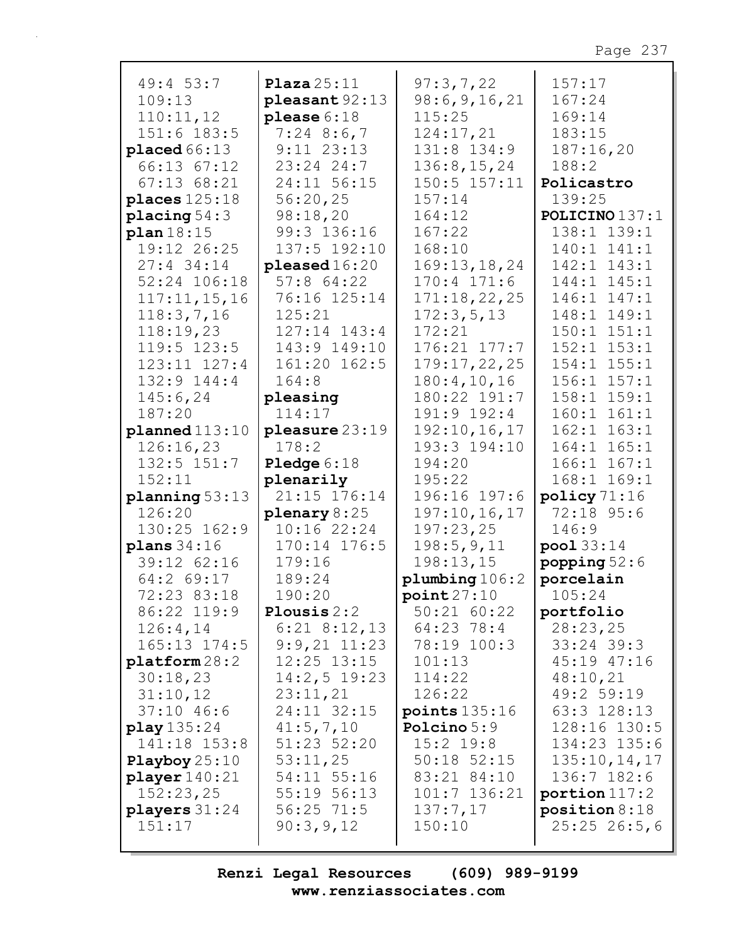| 49:4 53:7                | Plaza $25:11$        | 97:3,7,22        | 157:17          |
|--------------------------|----------------------|------------------|-----------------|
| 109:13                   | $pleasant 92:13$     | 98:6, 9, 16, 21  | 167:24          |
| 110:11,12                | please $6:18$        | 115:25           | 169:14          |
| 151:6 183:5              | $7:24$ 8:6,7         | 124:17,21        | 183:15          |
| placed66:13              | $9:11$ $23:13$       | 131:8 134:9      | 187:16,20       |
| 66:13 67:12              | 23:24 24:7           | 136:8, 15, 24    | 188:2           |
| $67:13$ $68:21$          | 24:11 56:15          | $150:5$ $157:11$ | Policastro      |
|                          | 56:20,25             | 157:14           |                 |
| places $125:18$          |                      |                  | 139:25          |
| placing $54:3$           | 98:18,20             | 164:12           | POLICINO 137:1  |
| plan18:15                | 99:3 136:16          | 167:22           | 138:1 139:1     |
| 19:12 26:25              | 137:5 192:10         | 168:10           | 140:1 141:1     |
| $27:4$ 34:14             | pleased 16:20        | 169:13, 18, 24   | 142:1 143:1     |
| 52:24 106:18             | $57:8$ 64:22         | $170:4$ $171:6$  | 144:1 145:1     |
| 117:11,15,16             | 76:16 125:14         | 171:18,22,25     | 146:1 147:1     |
| 118:3,7,16               | 125:21               | 172:3,5,13       | 148:1<br>149:1  |
| 118:19,23                | $127:14$ $143:4$     | 172:21           | $150:1$ $151:1$ |
| $119:5$ $123:5$          | 143:9 149:10         | 176:21 177:7     | $152:1$ $153:1$ |
| $123:11$ $127:4$         | 161:20 162:5         | 179:17,22,25     | 154:1 155:1     |
|                          |                      |                  |                 |
| 132:9 144:4              | 164:8                | 180:4, 10, 16    | $156:1$ $157:1$ |
| 145:6,24                 | pleasing             | 180:22 191:7     | 158:1 159:1     |
| 187:20                   | 114:17               | 191:9 192:4      | 160:1<br>161:1  |
| plane d113:10            | pleasure 23:19       | 192:10, 16, 17   | $162:1$ $163:1$ |
| 126:16,23                | 178:2                | 193:3 194:10     | 164:1 165:1     |
| $132:5$ $151:7$          | <b>Pledge</b> $6:18$ | 194:20           | $166:1$ $167:1$ |
| 152:11                   | plenarily            | 195:22           | 168:1 169:1     |
| planning 53:13           | 21:15 176:14         | 196:16 197:6     | policy 71:16    |
| 126:20                   | plenary $8:25$       | 197:10,16,17     | 72:18 95:6      |
| 130:25 162:9             | 10:16 22:24          | 197:23,25        | 146:9           |
| plane 34:16              | 170:14 176:5         | 198:5,9,11       | pool 33:14      |
| 39:12 62:16              | 179:16               | 198:13,15        | popping $52:6$  |
| $64:2$ 69:17             | 189:24               | plumbing 106:2   | porcelain       |
| 72:23 83:18              | 190:20               | point27:10       | 105:24          |
| 86:22 119:9              | Plousis $2:2$        | 50:21 60:22      | portfolio       |
| 126:4,14                 | $6:21$ $8:12,13$     | 64:23 78:4       | 28:23,25        |
| 165:13 174:5             | $9:9,21$ $11:23$     | 78:19 100:3      | $33:24$ 39:3    |
| $\texttt{platform} 28:2$ | $12:25$ $13:15$      | 101:13           | 45:19 47:16     |
|                          |                      |                  |                 |
| 30:18,23                 | $14:2,5$ 19:23       | 114:22           | 48:10,21        |
| 31:10,12                 | 23:11,21             | 126:22           | 49:2 59:19      |
| $37:10$ 46:6             | 24:11 32:15          | points $135:16$  | 63:3 128:13     |
| play 135:24              | 41:5,7,10            | Polcino 5:9      | 128:16 130:5    |
| 141:18 153:8             | 51:23 52:20          | $15:2$ 19:8      | 134:23 135:6    |
| Playboy $25:10$          | 53:11,25             | $50:18$ $52:15$  | 135:10, 14, 17  |
| player 140:21            | 54:11 55:16          | 83:21 84:10      | 136:7 182:6     |
| 152:23,25                | 55:19 56:13          | 101:7 136:21     | portion $117:2$ |
| players $31:24$          | $56:25$ 71:5         | 137:7,17         | position 8:18   |
| 151:17                   | 90:3,9,12            | 150:10           | $25:25$ 26:5,6  |
|                          |                      |                  |                 |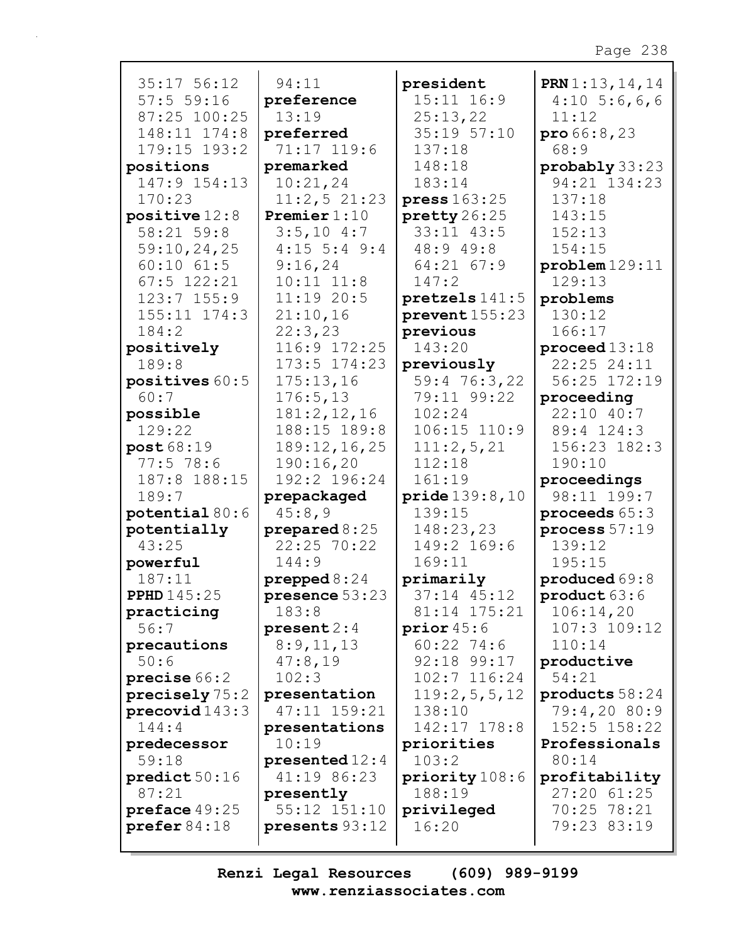| 35:17 56:12                  | 94:11                           | president               | <b>PRN</b> $1:13, 14, 14$     |
|------------------------------|---------------------------------|-------------------------|-------------------------------|
| 57:555:16                    | preference                      | 15:11 16:9              | $4:10\;\;5:6,6,6$             |
| 87:25 100:25<br>148:11 174:8 | 13:19                           | 25:13,22<br>35:19 57:10 | 11:12                         |
| 179:15 193:2                 | preferred<br>71:17 119:6        | 137:18                  | $\text{pro } 66:8,23$<br>68:9 |
| positions                    | premarked                       | 148:18                  | probably 33:23                |
| 147:9 154:13                 | 10:21,24                        | 183:14                  | 94:21 134:23                  |
| 170:23                       | 11:2,521:23                     | press 163:25            | 137:18                        |
| positive $12:8$              | <b>Premier</b> $1:10$           | pretty 26:25            | 143:15                        |
| 58:21 59:8                   | 3:5,104:7                       | 33:11 43:5              | 152:13                        |
| 59:10,24,25                  | $4:15$ 5:4 9:4                  | 48:9 49:8               | 154:15                        |
| $60:10$ $61:5$               | 9:16,24                         | 64:21 67:9              | problem129:11                 |
| $67:5$ 122:21                | $10:11$ $11:8$                  | 147:2                   | 129:13                        |
| $123:7$ $155:9$              | $11:19$ 20:5                    | pretzels 141:5          | problems                      |
| 155:11 174:3                 | 21:10,16                        | prevent155:23           | 130:12                        |
| 184:2                        | 22:3,23                         | previous                | 166:17                        |
| positively                   | 116:9 172:25                    | 143:20                  | proceed $13:18$               |
| 189:8                        | 173:5 174:23                    | previously              | 22:25 24:11                   |
| positives 60:5               | 175:13,16                       | 59:4 76:3,22            | 56:25 172:19                  |
| 60:7                         | 176:5, 13                       | 79:11 99:22             | proceeding                    |
| possible                     | 181:2, 12, 16                   | 102:24                  | 22:10 40:7                    |
| 129:22                       | 188:15 189:8                    | 106:15 110:9            | 89:4 124:3                    |
| post 68:19                   | 189:12,16,25                    | 111:2,5,21              | 156:23 182:3                  |
| $77:5$ 78:6                  | 190:16,20                       | 112:18                  | 190:10                        |
| 187:8 188:15                 | 192:2 196:24                    | 161:19                  | proceedings                   |
| 189:7                        | prepackaged                     | <b>pride</b> $139:8,10$ | 98:11 199:7                   |
| potential $80:6$             | 45:8,9                          | 139:15                  | proceeds $65:3$               |
| potentially                  | prepared $8:25$                 | 148:23,23               | process $57:19$               |
| 43:25                        | 22:25 70:22                     | 149:2 169:6             | 139:12                        |
| powerful                     | 144:9                           | 169:11                  | 195:15                        |
| 187:11                       | prepped $8:24$                  | primarily               | produced 69:8                 |
| <b>PPHD</b> 145:25           | presence $53:23$                | 37:14 45:12             | product 63:6                  |
| practicing                   | 183:8                           | 81:14 175:21            | 106:14,20                     |
| 56:7                         | present 2:4                     | prior $45:6$            | $107:3$ $109:12$              |
| precautions                  | 8:9,11,13                       | $60:22$ 74:6            | 110:14                        |
| 50:6                         | 47:8,19                         | 92:18 99:17             | productive                    |
| precise 66:2                 | 102:3                           | 102:7 116:24            | 54:21                         |
| precisely 75:2               | presentation                    | 119:2,5,5,12            | products 58:24                |
| precovid143:3                | 47:11 159:21                    | 138:10                  | 79:4,20 80:9                  |
| 144:4                        | presentations                   | 142:17 178:8            | $152:5$ $158:22$              |
| predecessor<br>59:18         | 10:19                           | priorities<br>103:2     | Professionals<br>80:14        |
| predict 50:16                | presented $12:4$<br>41:19 86:23 | priority 108:6          | profitability                 |
| 87:21                        | presently                       | 188:19                  | 27:20 61:25                   |
| preface 49:25                | 55:12 151:10                    | privileged              | 70:25 78:21                   |
| $\text{prefer } 84:18$       | presents 93:12                  | 16:20                   | 79:23 83:19                   |
|                              |                                 |                         |                               |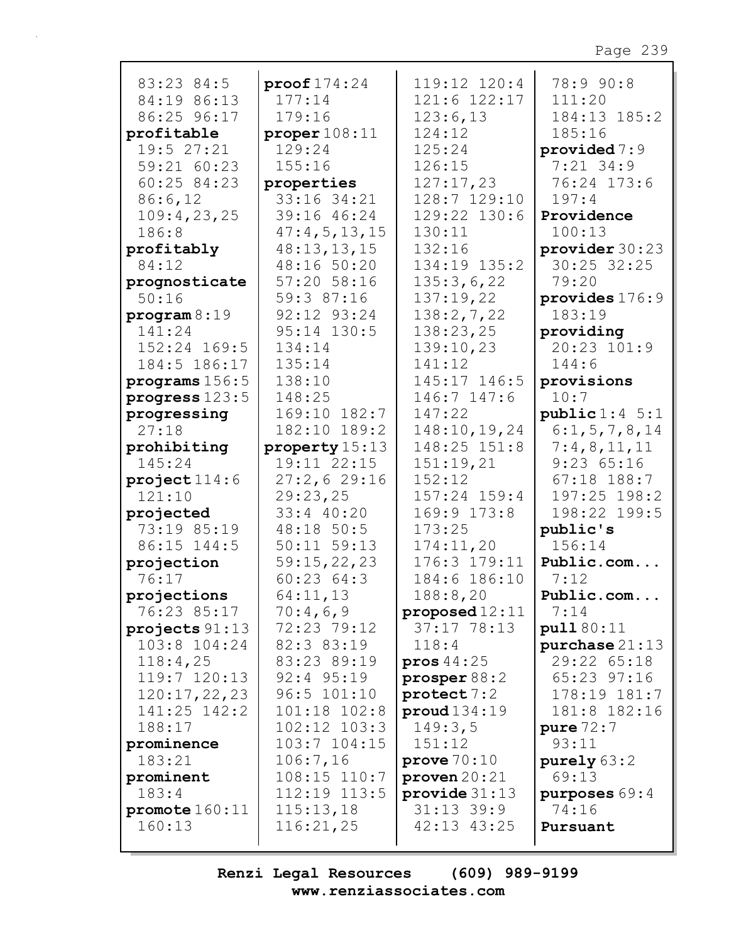| 83:23 84:5       |                        | 119:12 120:4     | 78:9 90:8        |
|------------------|------------------------|------------------|------------------|
| 84:19 86:13      | proof 174:24<br>177:14 | 121:6 122:17     | 111:20           |
|                  |                        |                  |                  |
| 86:25 96:17      | 179:16                 | 123:6,13         | 184:13 185:2     |
| profitable       | proper $108:11$        | 124:12           | 185:16           |
| 19:5 27:21       | 129:24                 | 125:24           | provided $7:9$   |
| 59:21 60:23      | 155:16                 | 126:15           | $7:21$ 34:9      |
| 60:25 84:23      | properties             | 127:17,23        | 76:24 173:6      |
| 86:6,12          | 33:16 34:21            | 128:7 129:10     | 197:4            |
| 109:4,23,25      | 39:16 46:24            | 129:22 130:6     | Providence       |
| 186:8            | 47:4,5,13,15           | 130:11           | 100:13           |
| profitably       | 48:13,13,15            | 132:16           | provider 30:23   |
| 84:12            | 48:16 50:20            | 134:19 135:2     | 30:25 32:25      |
| prognosticate    | 57:20 58:16            | 135:3,6,22       | 79:20            |
| 50:16            | 59:3 87:16             | 137:19,22        | provides $176:9$ |
| $\frac{1}{9}$    | 92:12 93:24            | 138:2,7,22       | 183:19           |
| 141:24           | 95:14 130:5            | 138:23,25        | providing        |
| 152:24 169:5     | 134:14                 | 139:10,23        | 20:23 101:9      |
| 184:5 186:17     | 135:14                 | 141:12           | 144:6            |
| programs $156:5$ | 138:10                 | 145:17 146:5     | provisions       |
| progress 123:5   | 148:25                 | 146:7 147:6      | 10:7             |
| progressing      | 169:10 182:7           | 147:22           | public 1:4 5:1   |
| 27:18            | 182:10 189:2           | 148:10,19,24     | 6:1, 5, 7, 8, 14 |
| prohibiting      | property 15:13         | 148:25 151:8     | 7:4,8,11,11      |
| 145:24           | 19:11 22:15            | 151:19,21        | 9:2365:16        |
| project114:6     | 27:2,629:16            | 152:12           | $67:18$ 188:7    |
| 121:10           | 29:23,25               | 157:24 159:4     | 197:25 198:2     |
| projected        | 33:4 40:20             | 169:9 173:8      | 198:22 199:5     |
| 73:19 85:19      | 48:18 50:5             | 173:25           | public's         |
| 86:15 144:5      | $50:11$ $59:13$        | 174:11,20        | 156:14           |
| projection       | 59:15,22,23            | 176:3 179:11     | Public.com       |
| 76:17            | 60:2364:3              | 184:6 186:10     | 7:12             |
| projections      | 64:11,13               | 188:8,20         | Public.com       |
| 76:23 85:17      | 70:4,6,9               | proposed $12:11$ | 7:14             |
| projects $91:13$ | 72:23 79:12            | 37:1778:13       | pull 80:11       |
| $103:8$ $104:24$ | 82:3 83:19             | 118:4            | purebase 21:13   |
| 118:4,25         | 83:23 89:19            | pros $44:25$     | 29:22 65:18      |
| $119:7$ $120:13$ | $92:4$ $95:19$         | prosper $88:2$   | 65:23 97:16      |
| 120:17,22,23     | 96:5 101:10            | protect 7:2      | 178:19 181:7     |
| 141:25 142:2     | 101:18 102:8           | prod134:19       | 181:8 182:16     |
| 188:17           | $102:12$ $103:3$       | 149:3,5          | pure $72:7$      |
| prominence       | $103:7$ $104:15$       | 151:12           | 93:11            |
| 183:21           | 106:7,16               | prove $70:10$    | purely 63:2      |
| prominent        | $108:15$ $110:7$       | proven $20:21$   | 69:13            |
| 183:4            | $112:19$ $113:5$       | provide $31:13$  | purposes 69:4    |
| promote $160:11$ | 115:13,18              | $31:13$ 39:9     | 74:16            |
| 160:13           | 116:21,25              | 42:13 43:25      | Pursuant         |
|                  |                        |                  |                  |
|                  |                        |                  |                  |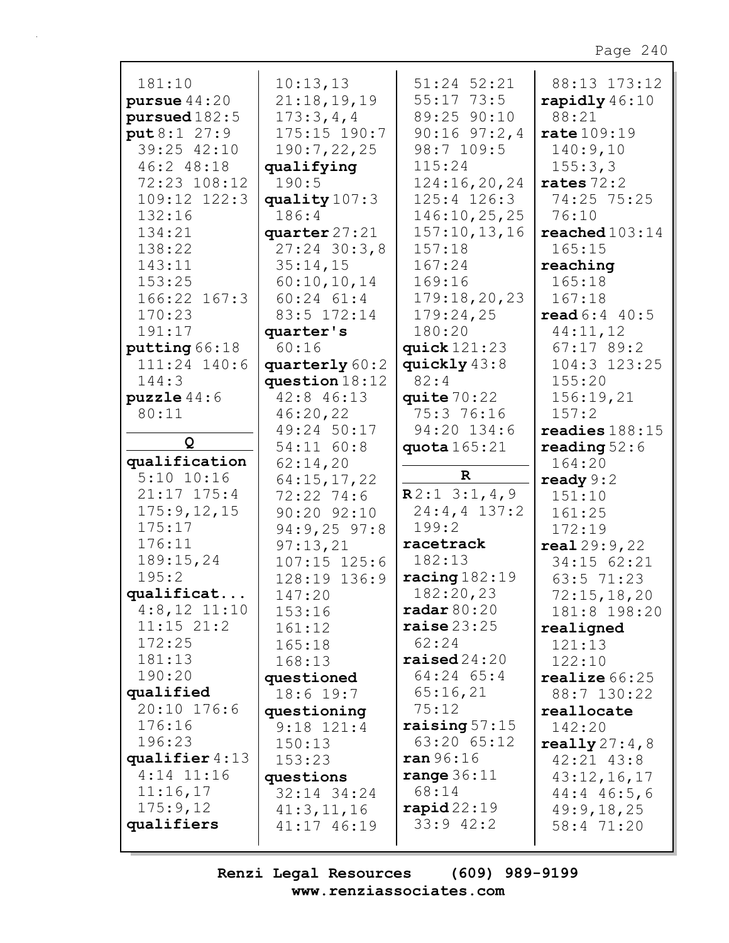| 181:10           | 10:13,13                 | 51:24 52:21             | 88:13 173:12             |
|------------------|--------------------------|-------------------------|--------------------------|
| pursue $44:20$   | 21:18,19,19              | $55:17$ $73:5$          | rapidly $46:10$          |
| pursued 182:5    | 173:3,4,4                | 89:25 90:10             | 88:21                    |
| put 8:1 27:9     | $175:15$ $190:7$         | $90:16$ $97:2,4$        | rate 109:19              |
| 39:25 42:10      | 190:7,22,25              | 98:7 109:5              | 140:9,10                 |
| 46:2 48:18       | qualifying               | 115:24                  | 155:3,3                  |
| 72:23 108:12     | 190:5                    | 124:16,20,24            | rates $72:2$             |
| 109:12 122:3     | quality $107:3$          | $125:4$ $126:3$         | 74:25 75:25              |
| 132:16           | 186:4                    | 146:10,25,25            | 76:10                    |
| 134:21           | quarter 27:21            | 157:10, 13, 16          | reached $103:14$         |
| 138:22           | $27:24$ 30:3,8           | 157:18                  | 165:15                   |
| 143:11           | 35:14,15                 | 167:24                  | reaching                 |
| 153:25           | 60:10,10,14              | 169:16                  | 165:18                   |
| 166:22 167:3     | $60:24$ $61:4$           | 179:18,20,23            | 167:18                   |
| 170:23           | 83:5 172:14              | 179:24,25               | read 6:4 40:5            |
| 191:17           | quarter's                | 180:20                  | 44:11,12                 |
| putting 66:18    | 60:16                    | quick $121:23$          | $67:17$ 89:2             |
| 111:24 140:6     | quarterly 60:2           | quickly 43:8            | 104:3 123:25             |
| 144:3            | question $18:12$         | 82:4                    | 155:20                   |
| puzzle 44:6      | 42:8 46:13               | quite $70:22$           | 156:19,21                |
| 80:11            | 46:20,22                 | 75:3 76:16              | 157:2                    |
|                  | 49:24 50:17              | 94:20 134:6             | readies $188:15$         |
| Q                | 54:11 60:8               | quota $165:21$          | reading $52:6$           |
| qualification    | 62:14,20                 |                         | 164:20                   |
| $5:10$ $10:16$   | 64:15,17,22              | $\mathbf R$             | ready $9:2$              |
| $21:17$ $175:4$  | $72:22$ $74:6$           | R2:13:1,4,9             | 151:10                   |
| 175:9, 12, 15    | 90:20 92:10              | $24:4, 4$ 137:2         | 161:25                   |
| 175:17           | $94:9,25$ 97:8           | 199:2                   | 172:19                   |
| 176:11           | 97:13,21                 | racetrack               | real 29:9,22             |
| 189:15,24        | $107:15$ $125:6$         | 182:13                  | 34:15 62:21              |
| 195:2            | 128:19 136:9             | racing $182:19$         | 63:5 71:23               |
| qualificat       | 147:20                   | 182:20,23               | 72:15,18,20              |
| $4:8,12$ 11:10   | 153:16                   | $\texttt{radar}80:20$   | 181:8 198:20             |
| $11:15$ $21:2$   | 161:12                   | raise $23:25$           | realigned                |
| 172:25           | 165:18                   | 62:24                   | 121:13                   |
| 181:13           | 168:13                   | $\texttt{raiseed}24:20$ | 122:10                   |
| 190:20           | questioned               | 64:24 65:4              | realize $66:25$          |
| qualified        | 18:6 19:7                | 65:16,21                | 88:7 130:22              |
| 20:10 176:6      | questioning              | 75:12                   | reallocate               |
| 176:16           | $9:18$ $121:4$           | raising $57:15$         | 142:20                   |
| 196:23           | 150:13                   | 63:20 65:12             | really $27:4$ , 8        |
| qualifier $4:13$ | 153:23                   | ran 96:16               | $42:21$ $43:8$           |
| $4:14$ 11:16     |                          | range $36:11$           | 43:12,16,17              |
| 11:16,17         | questions<br>32:14 34:24 | 68:14                   | $44:4$ 46:5,6            |
| 175:9,12         | 41:3, 11, 16             | $\texttt{rapid}22:19$   |                          |
| qualifiers       | 41:17 46:19              | $33:9$ 42:2             | 49:9,18,25<br>58:4 71:20 |
|                  |                          |                         |                          |
|                  |                          |                         |                          |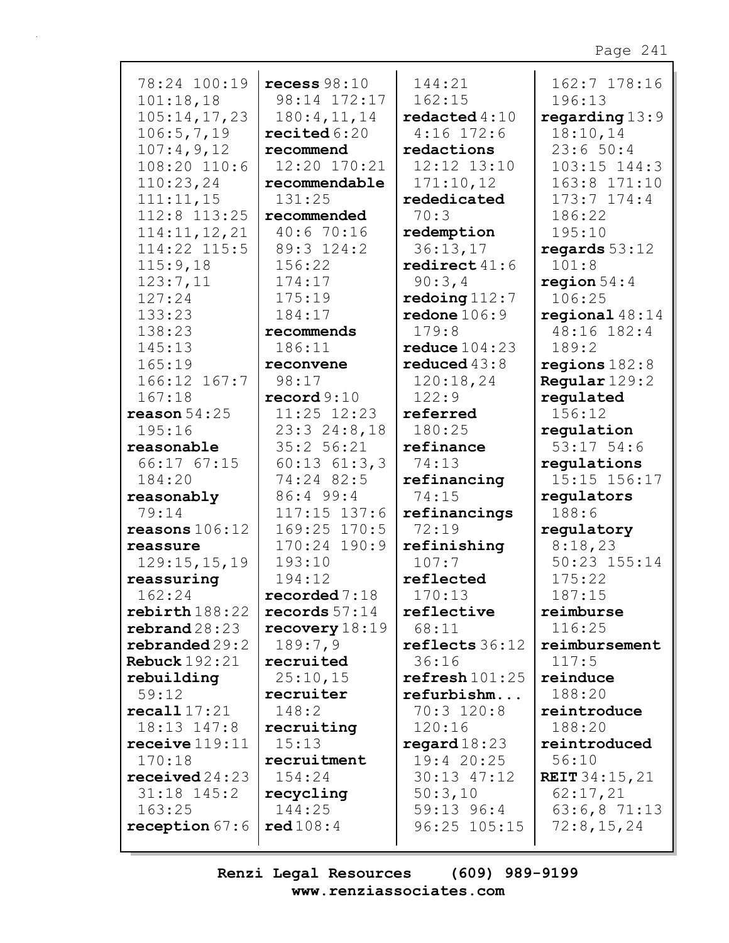| 78:24 100:19                | recess $98:10$                    | 144:21          | 162:7 178:16          |
|-----------------------------|-----------------------------------|-----------------|-----------------------|
| 101:18,18                   | 98:14 172:17                      | 162:15          | 196:13                |
| 105:14,17,23                | 180:4, 11, 14                     | redacted $4:10$ | regarding $13:9$      |
| 106:5,7,19                  | $\texttt{recited}\,6\colon\!\!20$ | $4:16$ 172:6    | 18:10,14              |
| 107:4,9,12                  | recommend                         | redactions      | 23:650:4              |
| 108:20 110:6                | 12:20 170:21                      | 12:12 13:10     | $103:15$ $144:3$      |
| 110:23,24                   | recommendable                     | 171:10,12       | 163:8 171:10          |
| 111:11,15                   | 131:25                            | rededicated     | $173:7$ $174:4$       |
| 112:8 113:25                | recommended                       | 70:3            | 186:22                |
| 114:11, 12, 21              | 40:6 70:16                        | redemption      | 195:10                |
| 114:22 115:5                | 89:3 124:2                        | 36:13,17        | regards $53:12$       |
| 115:9,18                    | 156:22                            | redirect $41:6$ | 101:8                 |
| 123:7,11                    | 174:17                            | 90:3,4          | region $54:4$         |
| 127:24                      | 175:19                            | redoing $112:7$ | 106:25                |
| 133:23                      | 184:17                            | redone $106:9$  | regional $48:14$      |
| 138:23                      | recommends                        | 179:8           | 48:16 182:4           |
| 145:13                      | 186:11                            | reduce $104:23$ | 189:2                 |
| 165:19                      | reconvene                         | reduced $43:8$  | regions $182:8$       |
| 166:12 167:7                | 98:17                             | 120:18,24       | Regular 129:2         |
| 167:18                      | record $9:10$                     | 122:9           | regulated             |
| reason $54:25$              | 11:25 12:23                       | referred        | 156:12                |
| 195:16                      | $23:3$ $24:8,18$                  | 180:25          | regulation            |
| reasonable                  | 35:2 56:21                        | refinance       | $53:17$ 54:6          |
| 66:17 67:15                 | $60:13$ $61:3,3$                  | 74:13           | regulations           |
| 184:20                      | 74:24 82:5                        | refinancing     | 15:15 156:17          |
| reasonably                  | 86:4 99:4                         | 74:15           | regulators            |
| 79:14                       | $117:15$ 137:6                    | refinancings    | 188:6                 |
| reasons $106:12$            | 169:25 170:5                      | 72:19           | regulatory            |
| reassure                    | 170:24<br>190:9                   | refinishing     | 8:18,23               |
| 129:15,15,19                | 193:10                            | 107:7           | 50:23 155:14          |
| reassuring                  | 194:12                            | reflected       | 175:22                |
| 162:24                      | recorded $7:18$                   | 170:13          | 187:15                |
| $\texttt{rebirth}$ 188:22   | records $57:14$                   | reflective      | reimburse             |
| $\texttt{rebrand} \, 28:23$ | recovery $18:19$                  | 68:11           | 116:25                |
| rebranded 29:2              | 189:7,9                           | reflects 36:12  | reimbursement         |
| Rebuck $192:21$             | recruited                         | 36:16           | 117:5                 |
| rebuilding                  | 25:10,15                          | refresh101:25   | reinduce              |
| 59:12                       | recruiter                         | refurbishm      | 188:20                |
| recall17:21                 | 148:2                             | $70:3$ 120:8    | reintroduce           |
| 18:13 147:8                 |                                   |                 |                       |
|                             | recruiting                        | 120:16          | 188:20                |
| receive $119:11$            | 15:13                             | regard $18:23$  | reintroduced          |
| 170:18                      | recruitment<br>154:24             | 19:4 20:25      | 56:10                 |
| $\texttt{received}~24:23$   |                                   | 30:13 47:12     | <b>REIT</b> 34:15, 21 |
| $31:18$ $145:2$             | recycling                         | 50:3,10         | 62:17,21              |
| 163:25                      | 144:25                            | 59:13 96:4      | 63:6,871:13           |
| reception $67:6$            | red108:4                          | 96:25 105:15    | 72:8,15,24            |
|                             |                                   |                 |                       |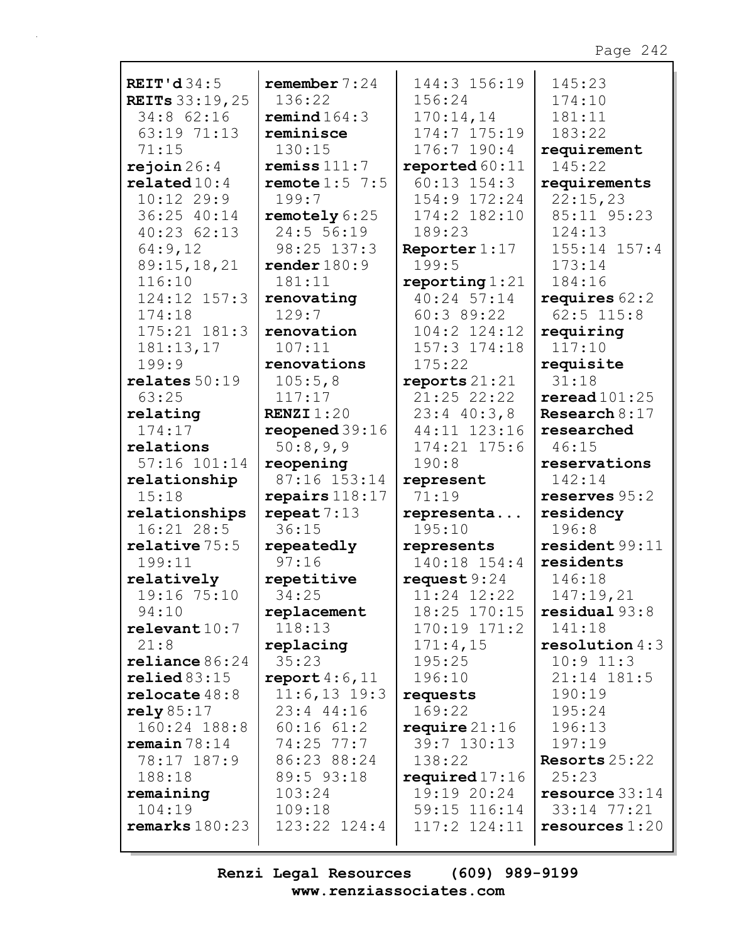| REIT'd $34:5$             | remember $7:24$  | 144:3 156:19       | 145:23           |
|---------------------------|------------------|--------------------|------------------|
| <b>REITS</b> 33:19, 25    | 136:22           | 156:24             | 174:10           |
| 34:8 62:16                | remind $164:3$   | 170:14,14          | 181:11           |
| 63:19 71:13               | reminisce        | 174:7 175:19       | 183:22           |
| 71:15                     | 130:15           | $176:7$ 190:4      | requirement      |
|                           | remiss $111:7$   |                    | 145:22           |
| rejoin 26:4               |                  | reported 60:11     |                  |
| related10:4               | remote $1:5$ 7:5 | $60:13$ $154:3$    | requirements     |
| $10:12$ 29:9              | 199:7            | 154:9 172:24       | 22:15,23         |
| 36:25 40:14               | remotely 6:25    | 174:2 182:10       | 85:11 95:23      |
| 40:23 62:13               | 24:5 56:19       | 189:23             | 124:13           |
| 64:9,12                   | 98:25 137:3      | Reporter $1:17$    | $155:14$ $157:4$ |
| 89:15,18,21               | render $180:9$   | 199:5              | 173:14           |
| 116:10                    | 181:11           | reporting $1:21$   | 184:16           |
| 124:12 157:3              | renovating       | 40:24 57:14        | requires $62:2$  |
| 174:18                    | 129:7            | 60:389:22          | $62:5$ 115:8     |
|                           |                  |                    |                  |
| 175:21 181:3              | renovation       | $104:2$ $124:12$   | requiring        |
| 181:13,17                 | 107:11           | 157:3 174:18       | 117:10           |
| 199:9                     | renovations      | 175:22             | requisite        |
| relates 50:19             | 105:5,8          | reports $21:21$    | 31:18            |
| 63:25                     | 117:17           | 21:25 22:22        | reread101:25     |
| relating                  | RENZI $1:20$     | $23:4$ 40:3,8      | Research $8:17$  |
| 174:17                    | reopened $39:16$ | 44:11 123:16       | researched       |
| relations                 | 50:8,9,9         | 174:21 175:6       | 46:15            |
| 57:16 101:14              | reopening        | 190:8              | reservations     |
|                           | 87:16 153:14     |                    | 142:14           |
| relationship              |                  | represent<br>71:19 |                  |
| 15:18                     | repairs $118:17$ |                    | reserves $95:2$  |
| relationships             | repeat $7:13$    | representa         | residency        |
| 16:21 28:5                | 36:15            | 195:10             | 196:8            |
| $relative$ $75:5$         | repeatedly       | represents         | resident 99:11   |
| 199:11                    | 97:16            | 140:18 154:4       | residents        |
| relatively                | repetitive       | request $9:24$     | 146:18           |
| 19:16 75:10               | 34:25            | 11:24 12:22        | 147:19,21        |
| 94:10                     | replacement      | 18:25 170:15       | residual 93:8    |
| relevent10:7              | 118:13           | $170:19$ $171:2$   | 141:18           |
| 21:8                      | replacing        | 171:4,15           | resolution $4:3$ |
| $\texttt{relinnce} 86:24$ | 35:23            | 195:25             | $10:9$ $11:3$    |
| relied83:15               |                  | 196:10             |                  |
|                           | report $4:6,11$  |                    | 21:14 181:5      |
| relocate $48:8$           | $11:6, 13$ 19:3  | requests           | 190:19           |
| $\texttt{rely}85:17$      | 23:4 44:16       | 169:22             | 195:24           |
| 160:24 188:8              | $60:16$ $61:2$   | require $21:16$    | 196:13           |
| $r$ emain $78:14$         | $74:25$ $77:7$   | 39:7 130:13        | 197:19           |
| 78:17 187:9               | 86:23 88:24      | 138:22             | Resorts $25:22$  |
| 188:18                    | 89:5 93:18       | required $17:16$   | 25:23            |
| remaining                 | 103:24           | 19:19 20:24        | resource $33:14$ |
| 104:19                    | 109:18           | 59:15 116:14       | 33:14 77:21      |
| remarks $180:23$          | $123:22$ $124:4$ | $117:2$ $124:11$   | resources $1:20$ |
|                           |                  |                    |                  |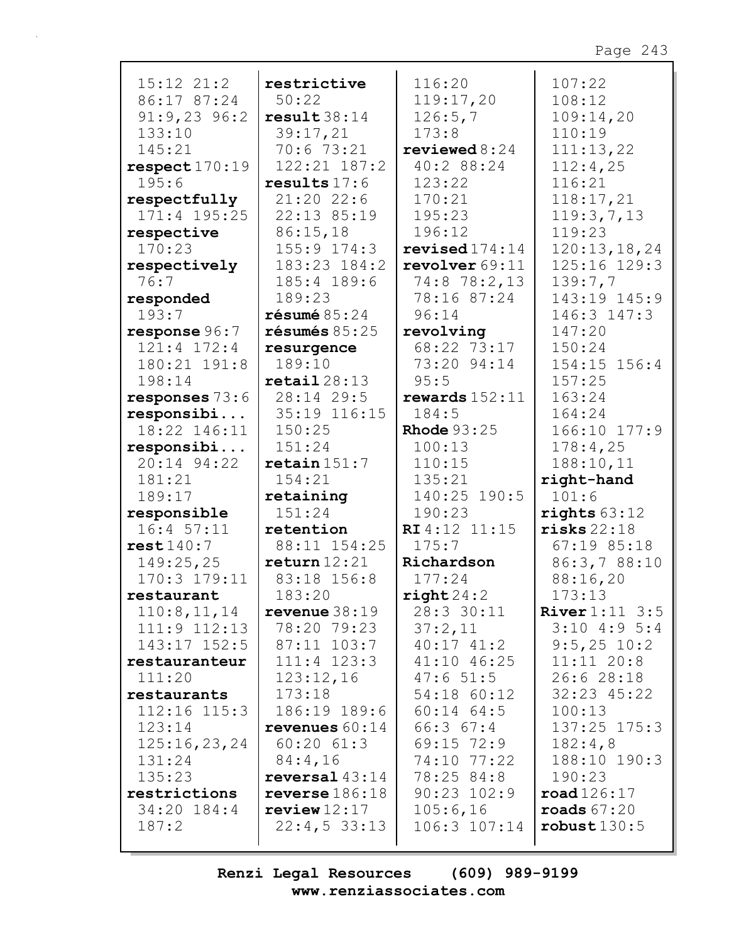| $15:12$ $21:2$   | restrictive                | 116:20             | 107:22                    |
|------------------|----------------------------|--------------------|---------------------------|
| 86:17 87:24      | 50:22                      | 119:17,20          | 108:12                    |
| $91:9,23$ 96:2   | result38:14                | 126:5,7            | 109:14,20                 |
| 133:10           | 39:17,21                   | 173:8              | 110:19                    |
| 145:21           | 70:6 73:21                 | reviewed $8:24$    | 111:13,22                 |
| respect 170:19   | 122:21 187:2               | 40:2 88:24         | 112:4,25                  |
| 195:6            | results $17:6$             | 123:22             | 116:21                    |
| respectfully     | $21:20$ 22:6               | 170:21             | 118:17,21                 |
| $171:4$ 195:25   | 22:13 85:19                | 195:23             | 119:3,7,13                |
| respective       | 86:15,18                   | 196:12             | 119:23                    |
| 170:23           | 155:9 174:3                | revised $174:14$   | 120:13,18,24              |
| respectively     | 183:23 184:2               | revolver $69:11$   | 125:16 129:3              |
| 76:7             | 185:4 189:6                | 74:8 78:2,13       | 139:7,7                   |
| responded        | 189:23                     | 78:16 87:24        | 143:19 145:9              |
| 193:7            | $r$ ésumé $85:24$          | 96:14              | 146:3 147:3               |
| response 96:7    | $r$ ésumés 85:25           | revolving          | 147:20                    |
| 121:4 172:4      | resurgence                 | 68:22 73:17        | 150:24                    |
| 180:21 191:8     | 189:10                     | 73:20 94:14        | 154:15 156:4              |
| 198:14           | $\texttt{retail} \, 28:13$ | 95:5               | 157:25                    |
| responses $73:6$ | 28:14 29:5                 | rewards $152:11$   | 163:24                    |
| responsibi       | 35:19 116:15               | 184:5              | 164:24                    |
| 18:22 146:11     | 150:25                     | <b>Rhode</b> 93:25 | 166:10 177:9              |
| responsibi       | 151:24                     | 100:13             | 178:4,25                  |
| 20:14 94:22      | $\texttt{retain}$ 151:7    | 110:15             | 188:10,11                 |
| 181:21           | 154:21                     | 135:21             | right-hand                |
| 189:17           | retaining                  | 140:25 190:5       | 101:6                     |
| responsible      | 151:24                     | 190:23             | rights $63:12$            |
| 16:4 57:11       | retention                  | RI 4:12 11:15      | risks 22:18               |
| rest140:7        | 88:11 154:25               | 175:7              | $67:19$ 85:18             |
| 149:25,25        | return 12:21               | Richardson         | 86:3,788:10               |
| $170:3$ $179:11$ | 83:18 156:8                | 177:24             | 88:16,20                  |
| restaurant       | 183:20                     | right 24:2         | 173:13                    |
| 110:8, 11, 14    | revenue $38:19$            | 28:3 30:11         | <b>River</b> $1:11 \ 3:5$ |
| $111:9$ $112:13$ | 78:20 79:23                | 37:2,11            | $3:10$ 4:9 5:4            |
| 143:17 152:5     | 87:11 103:7                | $40:17$ $41:2$     | $9:5,25$ 10:2             |
| restauranteur    | $111:4$ $123:3$            | 41:10 46:25        | 11:11 20:8                |
| 111:20           | 123:12,16                  | 47:651:5           | 26:628:18                 |
| restaurants      | 173:18                     | 54:18 60:12        | 32:23 45:22               |
| 112:16 115:3     | 186:19 189:6               | $60:14$ $64:5$     | 100:13                    |
| 123:14           | revenues $60:14$           | 66:367:4           | 137:25 175:3              |
| 125:16,23,24     | $60:20$ $61:3$             | $69:15$ $72:9$     | 182:4,8                   |
| 131:24           | 84:4,16                    | 74:10 77:22        | 188:10 190:3              |
| 135:23           | reversal <sub>43:14</sub>  | 78:25 84:8         | 190:23                    |
| restrictions     | reverse $186:18$           | $90:23$ $102:9$    | $\texttt{road126:17}$     |
| 34:20 184:4      | review12:17                | 105:6,16           | roads $67:20$             |
| 187:2            | $22:4,5$ 33:13             | 106:3 107:14       | robust130:5               |
|                  |                            |                    |                           |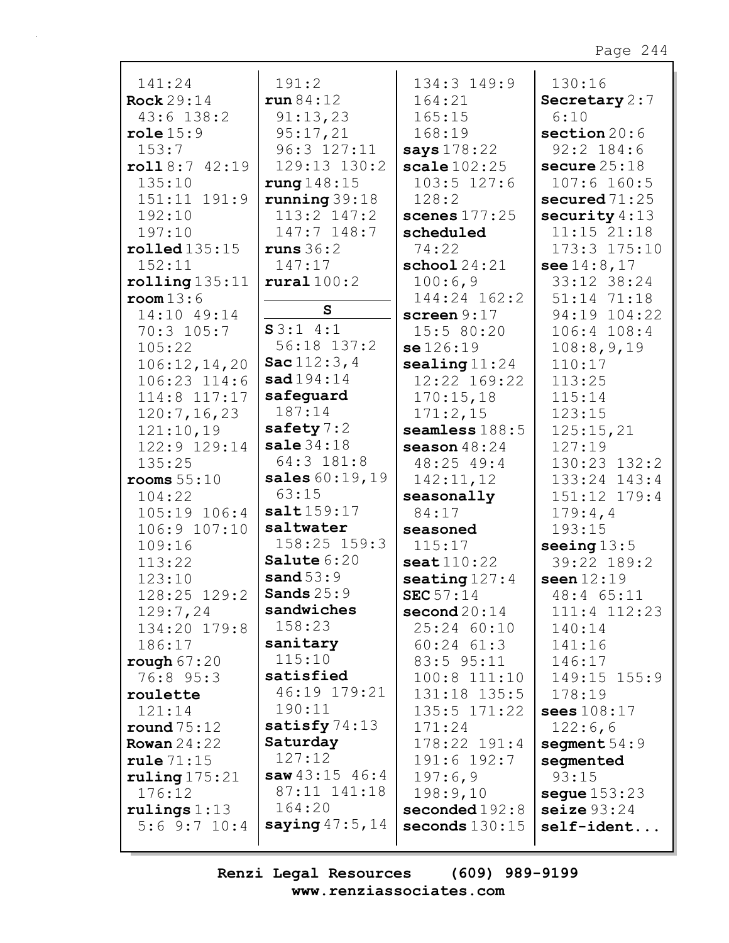| 141:24                         | 191:2                  | 134:3 149:9                  | 130:16          |
|--------------------------------|------------------------|------------------------------|-----------------|
| Rock $29:14$                   | run 84:12              | 164:21                       | Secretary 2:7   |
| 43:6 138:2                     | 91:13,23               | 165:15                       | 6:10            |
| role 15:9                      | 95:17,21               | 168:19                       | section $20:6$  |
| 153:7                          | 96:3 127:11            | says 178:22                  | $92:2$ 184:6    |
| roll8:742:19                   | 129:13 130:2           | scale $102:25$               | secure $25:18$  |
| 135:10                         | rung $148:15$          | $103:5$ $127:6$              | $107:6$ 160:5   |
| 151:11 191:9                   | running $39:18$        | 128:2                        | secured $71:25$ |
| 192:10                         | 113:2 147:2            | scenes $177:25$              | security $4:13$ |
| 197:10                         | 147:7 148:7            | scheduled                    | $11:15$ $21:18$ |
| $\texttt{rolled}$ 135:15       | runs $36:2$            | 74:22                        | 173:3 175:10    |
| 152:11                         | 147:17                 | $\texttt{school} 24:21$      | see $14:8,17$   |
| $rolling$ $135:11$             | $\texttt{rural}~100:2$ | 100:6,9                      | 33:12 38:24     |
| room13:6                       |                        | 144:24 162:2                 | 51:14 71:18     |
| 14:10 49:14                    | $\mathbf{s}$           | screen $9:17$                | 94:19 104:22    |
| 70:3 105:7                     | S3:14:1                | 15:5 80:20                   | 106:4 108:4     |
| 105:22                         | 56:18 137:2            | se126:19                     | 108:8,9,19      |
| 106:12,14,20                   | Sac $112:3,4$          | $\texttt{sealing11:24}$      | 110:17          |
| 106:23 114:6                   | sad194:14              | 12:22 169:22                 | 113:25          |
| 114:8 117:17                   | safeguard              | 170:15,18                    | 115:14          |
| 120:7, 16, 23                  | 187:14                 | 171:2,15                     | 123:15          |
| 121:10,19                      | safety $7:2$           | seamless $188:5$             | 125:15,21       |
| 122:9 129:14                   | sale $34:18$           | season $48:24$               | 127:19          |
| 135:25                         | 64:3 181:8             | 48:25 49:4                   | 130:23 132:2    |
| rooms $55:10$                  | sales 60:19,19         | 142:11,12                    | 133:24 143:4    |
| 104:22                         | 63:15                  | seasonally                   | 151:12 179:4    |
| 105:19 106:4                   | salt159:17             | 84:17                        | 179:4,4         |
| 106:9 107:10                   | saltwater              | seasoned                     | 193:15          |
| 109:16                         | $158:25$ $159:3$       | 115:17                       | seeing $13:5$   |
| 113:22                         | Salute 6:20            | $\texttt{seat}$ $110:22$     | 39:22 189:2     |
| 123:10                         | sand $53:9$            | seating $127:4$              | seen $12:19$    |
| 128:25 129:2                   | Sands $25:9$           | <b>SEC</b> $57:14$           | 48:4 65:11      |
| 129:7,24                       | sandwiches             | $\mathbf{second}\,20\!:\!14$ | 111:4 112:23    |
| 134:20 179:8                   | 158:23                 | 25:24 60:10                  | 140:14          |
| 186:17                         | sanitary               | $60:24$ $61:3$               | 141:16          |
| rough $67:20$                  | 115:10                 | 83:5 95:11                   | 146:17          |
| 76:8 95:3                      | satisfied              | 100:8 111:10                 | 149:15 155:9    |
| roulette                       | 46:19 179:21           | 131:18 135:5                 | 178:19          |
| 121:14                         | 190:11                 | $135:5$ $171:22$             | sees 108:17     |
| round $75:12$                  | satisfy $74:13$        | 171:24                       | 122:6,6         |
| Rowan $24:22$                  | Saturday<br>127:12     | 178:22 191:4                 | segment $54:9$  |
| rule 71:15                     | saw43:1546:4           | $191:6$ $192:7$              | segmented       |
| ruling 175:21                  | 87:11 141:18           | 197:6,9                      | 93:15           |
| 176:12                         | 164:20                 | 198:9,10                     | segue $153:23$  |
| rulings 1:13<br>$5:6$ 9:7 10:4 | saying $47:5$ , $14$   | seconded192:8                | seize $93:24$   |
|                                |                        | seconds $130:15$             | $self$ -ident   |
|                                |                        |                              |                 |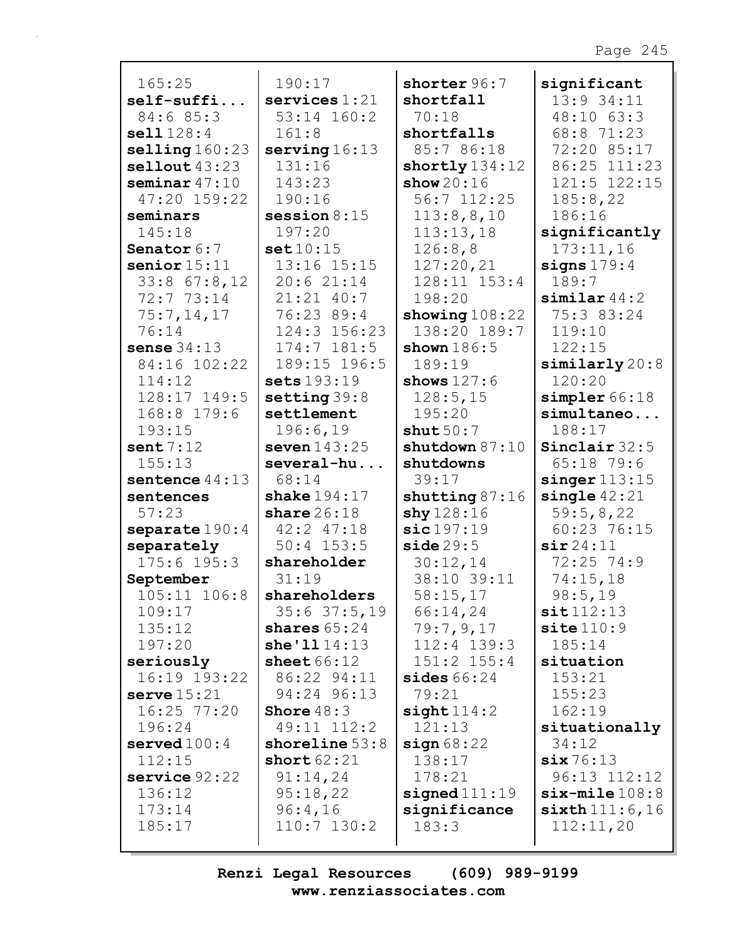| 165:25                    | 190:17           | shorter 96:7                | significant          |
|---------------------------|------------------|-----------------------------|----------------------|
| $self-suffi$              | services $1:21$  | shortfall                   | 13:9 34:11           |
| 84:6 85:3                 | 53:14 160:2      | 70:18                       | 48:10 63:3           |
|                           |                  |                             |                      |
| sell11128:4               | 161:8            | shortfalls                  | 68:8 71:23           |
| $\texttt{selling}$ 160:23 | serving $16:13$  | 85:7 86:18                  | 72:20 85:17          |
| selfout 43:23             | 131:16           | shortly $134:12$            | 86:25 111:23         |
| seminar $47:10$           | 143:23           | show $20:16$                | 121:5 122:15         |
| 47:20 159:22              | 190:16           | 56:7 112:25                 | 185:8,22             |
| seminars                  | session $8:15$   | 113:8,8,10                  | 186:16               |
| 145:18                    | 197:20           | 113:13,18                   | significantly        |
| Senator 6:7               | set10:15         | 126:8,8                     | 173:11,16            |
| senior $15:11$            | 13:16 15:15      | 127:20,21                   | signs $179:4$        |
| $33:8$ 67:8, 12           | 20:621:14        | 128:11 153:4                | 189:7                |
| 72:7 73:14                | 21:21 40:7       | 198:20                      | $similar$ 44:2       |
| 75:7,14,17                | 76:23 89:4       | showing $108:22$            | 75:3 83:24           |
| 76:14                     | 124:3 156:23     | 138:20 189:7                | 119:10               |
| sense $34:13$             | $174:7$ $181:5$  | shown $186:5$               | 122:15               |
| 84:16 102:22              | 189:15 196:5     | 189:19                      | $\sinilary$ 20:8     |
| 114:12                    | sets 193:19      | shows $127:6$               | 120:20               |
| 128:17 149:5              | setting $39:8$   | 128:5, 15                   | simpler66:18         |
| 168:8 179:6               | settlement       | 195:20                      | simultaneo           |
| 193:15                    | 196:6,19         | shut $50:7$                 | 188:17               |
| sent7:12                  | seven $143:25$   | shutdown $87:10$            | Sinclair 32:5        |
| 155:13                    | several-hu       | shutdowns                   | $65:18$ 79:6         |
| sentence $44:13$          | 68:14            | 39:17                       | $singer$ $113:15$    |
| sentences                 | shake $194:17$   | shutting $87:16$            | single $42:21$       |
| 57:23                     | share $26:18$    | $\frac{\text{shy}}{128:16}$ | 59:5,8,22            |
| separate $190:4$          | 42:2 47:18       | sic197:19                   | 60:23 76:15          |
| separately                | $50:4$ 153:5     | side 29:5                   | $\sin 24:11$         |
| $175:6$ 195:3             | shareholder      | 30:12,14                    | $72:25$ $74:9$       |
| September                 | 31:19            | 38:10 39:11                 | 74:15,18             |
| 105:11 106:8              | shareholders     | 58:15,17                    | 98:5,19              |
| 109:17                    | 35:637:5,19      | 66:14,24                    | sit112:13            |
| 135:12                    | shares $65:24$   | 79:7,9,17                   | $\text{site }110:9$  |
| 197:20                    | she'1114:13      | $112:4$ $139:3$             | 185:14               |
| seriously                 | sheet $66:12$    | 151:2 155:4                 | situation            |
| 16:19 193:22              | 86:22 94:11      | sides $66:24$               | 153:21               |
| serve $15:21$             | 94:24 96:13      | 79:21                       | 155:23               |
| 16:25 77:20               | Shore $48:3$     | sight114:2                  | 162:19               |
| 196:24                    | 49:11 112:2      | 121:13                      | situationally        |
| served $100:4$            | shoreline $53:8$ | sign68:22                   | 34:12                |
| 112:15                    | short $62:21$    | 138:17                      | $\texttt{six} 76:13$ |
| $s$ ervice $92:22$        | 91:14,24         | 178:21                      | 96:13 112:12         |
| 136:12                    | 95:18,22         | $\texttt{signed}111:19$     | $six$ -mile $108:8$  |
| 173:14                    | 96:4,16          | significance                | $sixth$ 111:6,16     |
| 185:17                    | $110:7$ $130:2$  | 183:3                       | 112:11,20            |
|                           |                  |                             |                      |
|                           |                  |                             |                      |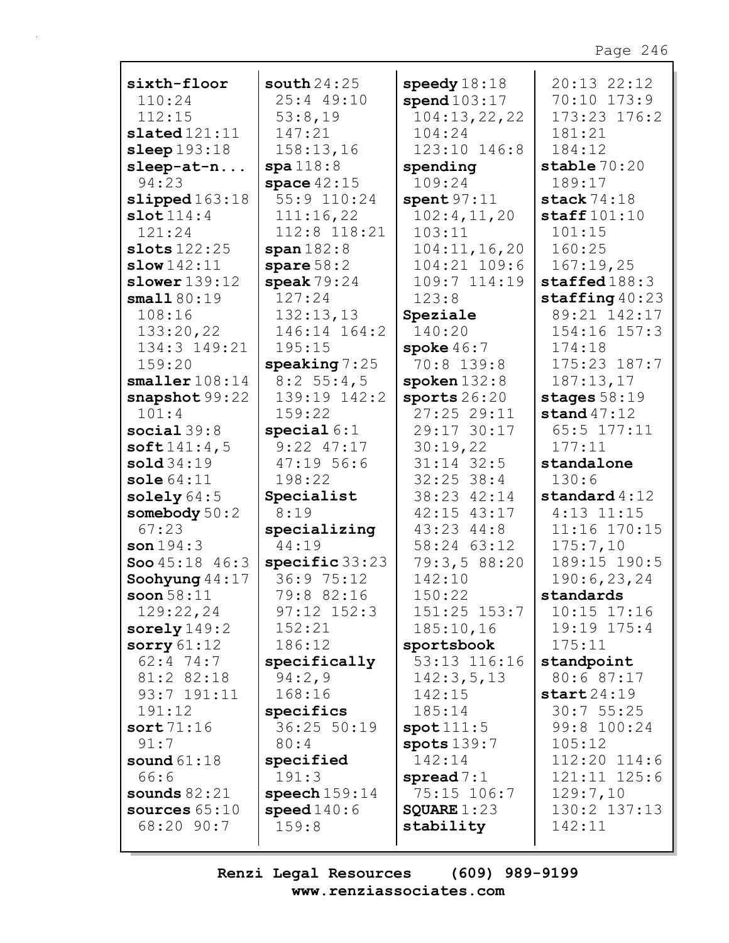| sixth-floor               | south $24:25$   | speedy $18:18$   | 20:13 22:12               |
|---------------------------|-----------------|------------------|---------------------------|
| 110:24                    | 25:4 49:10      | spend103:17      | 70:10 173:9               |
| 112:15                    | 53:8,19         | 104:13,22,22     | 173:23 176:2              |
| slated121:11              | 147:21          | 104:24           | 181:21                    |
| sleep $193:18$            | 158:13,16       | 123:10 146:8     | 184:12                    |
| $sleep-at-n$              | spa118:8        | spending         | stable $70:20$            |
| 94:23                     | space $42:15$   | 109:24           | 189:17                    |
|                           | 55:9 110:24     |                  | stack $74:18$             |
| slipped163:18             |                 | spent $97:11$    |                           |
| slot114:4                 | 111:16,22       | 102:4,11,20      | $\texttt{staff101:10}$    |
| 121:24                    | 112:8 118:21    | 103:11           | 101:15                    |
| slots $122:25$            | span 182:8      | 104:11, 16, 20   | 160:25                    |
| slow 142:11               | spare $58:2$    | 104:21 109:6     | 167:19,25                 |
| $slower$ $139:12$         | speak $79:24$   | 109:7 114:19     | staffed 188:3             |
| small80:19                | 127:24          | 123:8            | $\texttt{staffing}$ 40:23 |
| 108:16                    | 132:13,13       | Speziale         | 89:21 142:17              |
| 133:20,22                 | 146:14 164:2    | 140:20           | 154:16 157:3              |
| 134:3 149:21              | 195:15          | spoke $46:7$     | 174:18                    |
| 159:20                    | speaking $7:25$ | 70:8 139:8       | 175:23 187:7              |
| smaller108:14             | $8:2$ 55:4,5    | spoken $132:8$   | 187:13,17                 |
| snapshot 99:22            | 139:19 142:2    | sports $26:20$   | stages $58:19$            |
| 101:4                     | 159:22          |                  |                           |
|                           |                 | 27:25 29:11      | stand $47:12$             |
| social $39:8$             | special $6:1$   | 29:17 30:17      | 65:5 177:11               |
| soft141:4,5               | $9:22$ $47:17$  | 30:19,22         | 177:11                    |
| $\text{solid}34:19$       | 47:1956:6       | $31:14$ 32:5     | standalone                |
| sole $64:11$              | 198:22          | $32:25$ 38:4     | 130:6                     |
| solely $64:5$             | Specialist      | 38:23 42:14      | standard $4:12$           |
| somebody 50:2             | 8:19            | 42:15 43:17      | $4:13$ $11:15$            |
| 67:23                     | specializing    | 43:23 44:8       | 11:16 170:15              |
| son $194:3$               | 44:19           | 58:24 63:12      | 175:7,10                  |
| <b>Soo</b> $45:18$ $46:3$ | specific 33:23  | 79:3,588:20      | 189:15 190:5              |
| Soohyung $44:17$          | 36:9 75:12      | 142:10           | 190:6,23,24               |
| soon $58:11$              | 79:8 82:16      | 150:22           | standards                 |
| 129:22,24                 | $97:12$ $152:3$ | $151:25$ $153:7$ | $10:15$ $17:16$           |
| sorely $149:2$            | 152:21          | 185:10,16        | 19:19 175:4               |
| sorry $61:12$             | 186:12          | sportsbook       | 175:11                    |
|                           |                 |                  |                           |
| $62:4$ 74:7               | specifically    | 53:13 116:16     | standpoint                |
| 81:2 82:18                | 94:2,9          | 142:3,5,13       | 80:6 87:17                |
| 93:7 191:11               | 168:16          | 142:15           | start24:19                |
| 191:12                    | specifics       | 185:14           | 30:755:25                 |
| sort $71:16$              | 36:25 50:19     | spot111:5        | 99:8 100:24               |
| 91:7                      | 80:4            | spots $139:7$    | 105:12                    |
| sound $61:18$             | specified       | 142:14           | $112:20$ $114:6$          |
| 66:6                      | 191:3           | spread $7:1$     | 121:11 125:6              |
| sounds $82:21$            | $spech159:14$   | 75:15 106:7      | 129:7,10                  |
| sources $65:10$           | speed $140:6$   | SQUARE $1:23$    | 130:2 137:13              |
| 68:20 90:7                | 159:8           | stability        | 142:11                    |
|                           |                 |                  |                           |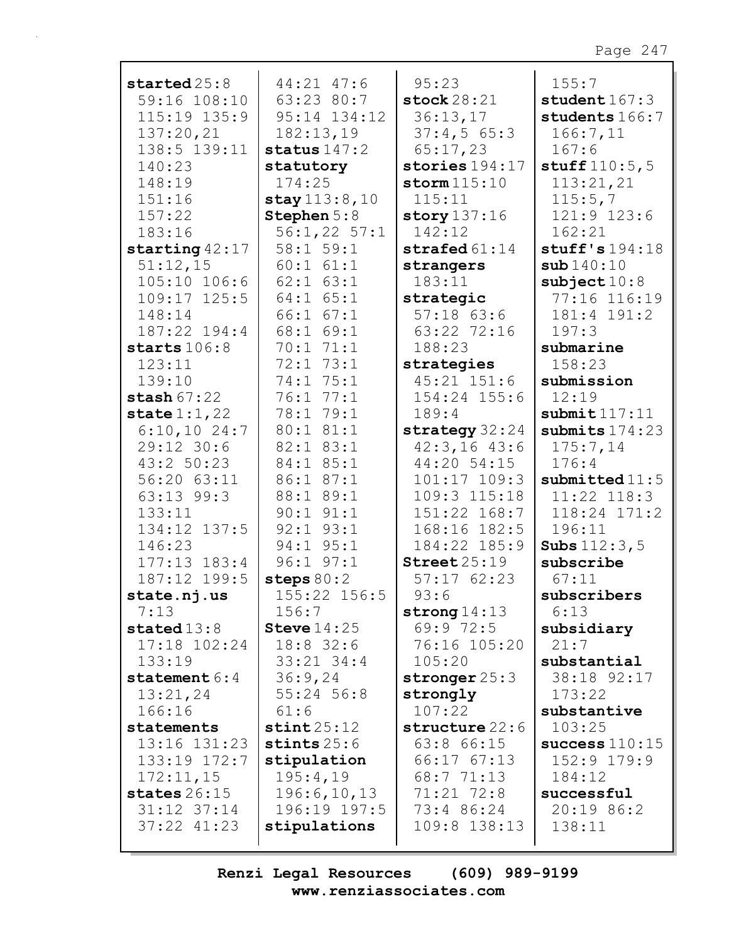| $\:$                         | 44:21 47:6             | 95:23                  | 155:7                   |
|------------------------------|------------------------|------------------------|-------------------------|
| 59:16 108:10                 | 63:23 80:7             | stock $28:21$          | student $167:3$         |
| 115:19 135:9                 | 95:14 134:12           | 36:13,17               | students 166:7          |
| 137:20,21                    | 182:13,19              | 37:4,565:3             | 166:7,11                |
| 138:5 139:11                 | status $147:2$         | 65:17,23               | 167:6                   |
| 140:23                       | statutory              | stories $194:17$       | stuff $110:5, 5$        |
| 148:19                       | 174:25                 | storm $115:10$         | 113:21,21               |
| 151:16                       | stay 113:8,10          | 115:11                 | 115:5,7                 |
| 157:22                       | Stephen 5:8            | story $137:16$         | 121:9 123:6             |
| 183:16                       | $56:1,22$ 57:1         | 142:12                 | 162:21                  |
|                              | 58:1 59:1              | strafed $61:14$        | stuff's $194:18$        |
| starting $42:17$<br>51:12,15 | $60:1$ $61:1$          |                        | sub140:10               |
|                              |                        | strangers<br>183:11    |                         |
| $105:10$ $106:6$             | $62:1$ $63:1$          |                        | $\texttt{subject} 10:8$ |
| 109:17 125:5                 | $64:1$ $65:1$          | strategic              | 77:16 116:19            |
| 148:14                       | $66:1$ $67:1$          | $57:18$ 63:6           | 181:4 191:2             |
| 187:22 194:4                 | 68:1 69:1              | 63:22 72:16            | 197:3                   |
| starts $106:8$               | 70:1 71:1              | 188:23                 | submarine               |
| 123:11                       | 72:1 73:1              | strategies             | 158:23                  |
| 139:10                       | 74:1 75:1              | $45:21$ $151:6$        | submission              |
| stash $67:22$                | 76:1 77:1              | 154:24 155:6           | 12:19                   |
| state $1:1,22$               | 78:1 79:1              | 189:4                  | submit 117:11           |
| $6:10,10$ 24:7               | 80:1 81:1              | strategy 32:24         | submits $174:23$        |
| 29:12 30:6                   | 82:1 83:1              | $42:3,16$ $43:6$       | 175:7,14                |
| 43:2 50:23                   | 84:1 85:1              | 44:20 54:15            | 176:4                   |
| 56:20 63:11                  | 86:1 87:1              | 101:17 109:3           | submitted $11:5$        |
| 63:13 99:3                   | 88:1 89:1              | 109:3 115:18           | 11:22 118:3             |
| 133:11                       | $90:1$ $91:1$          | 151:22 168:7           | 118:24 171:2            |
| 134:12 137:5                 | $92:1$ $93:1$          | 168:16 182:5           | 196:11                  |
| 146:23                       | 94:1 95:1              | 184:22 185:9           | <b>Subs</b> $112:3,5$   |
| $177:13$ $183:4$             | $96:1$ $97:1$          | $\text{Street } 25:19$ | subscribe               |
| 187:12 199:5                 | steps $80:2$           | 57:1762:23             | 67:11                   |
| state.nj.us                  | 155:22 156:5           | 93:6                   | subscribers             |
| 7:13                         | 156:7                  | strong $14:13$         | 6:13                    |
| stated $13:8$                | Steve $14:25$          | 69:9 72:5              | subsidiary              |
| $17:18$ $102:24$             | $18:8$ 32:6            | 76:16 105:20           | 21:7                    |
| 133:19                       | $33:21$ $34:4$         | 105:20                 | substantial             |
| statement $6:4$              | 36:9,24                | stronger $25:3$        | 38:18 92:17             |
| 13:21,24                     | 55:24 56:8             | strongly               | 173:22                  |
| 166:16                       | 61:6                   | 107:22                 | substantive             |
| statements                   | $\texttt{stint} 25:12$ | structure 22:6         | 103:25                  |
| 13:16 131:23                 | stints $25:6$          | 63:8 66:15             | success $110:15$        |
| 133:19 172:7                 | stipulation            | $66:17$ $67:13$        | 152:9 179:9             |
| 172:11,15                    | 195:4,19               | 68:7 71:13             | 184:12                  |
| states $26:15$               | 196:6, 10, 13          | 71:21 72:8             | successful              |
| $31:12$ $37:14$              | 196:19 197:5           | 73:4 86:24             | 20:19 86:2              |
| $37:22$ $41:23$              | stipulations           | 109:8 138:13           | 138:11                  |
|                              |                        |                        |                         |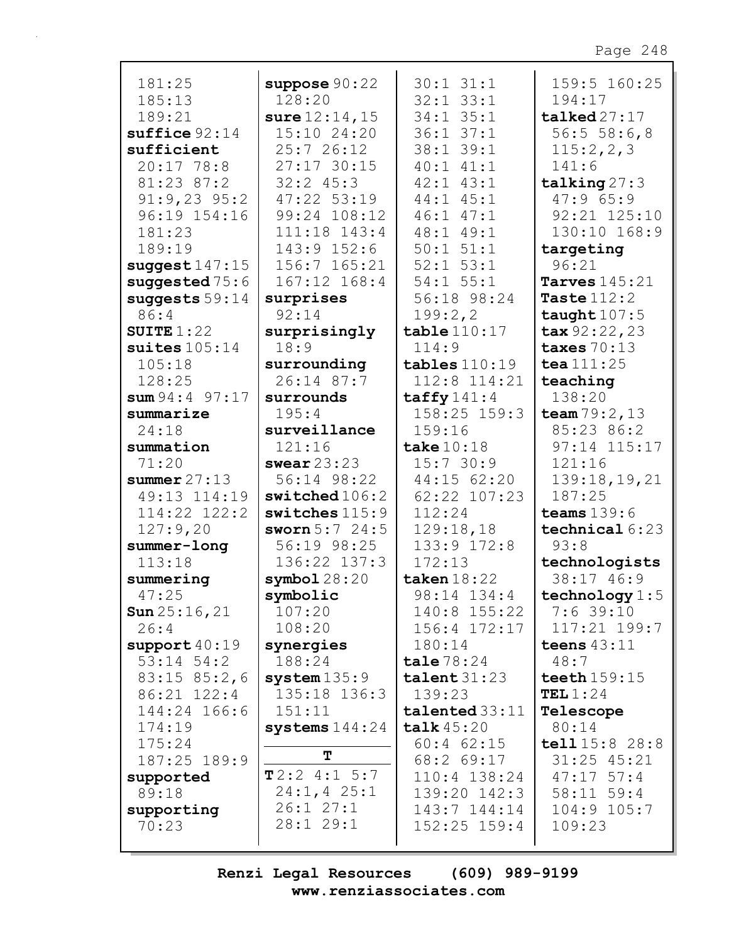| 181:25                         | suppose $90:22$  | $30:1$ $31:1$         | 159:5 160:25            |
|--------------------------------|------------------|-----------------------|-------------------------|
| 185:13                         | 128:20           | $32:1$ $33:1$         | 194:17                  |
| 189:21                         | sure $12:14, 15$ | $34:1$ $35:1$         | talked27:17             |
| $suffice$ $92:14$              | 15:10 24:20      | $36:1$ $37:1$         | 56:556:6,8              |
| sufficient                     | 25:726:12        | 38:1 39:1             | 115:2,2,3               |
| 20:17 78:8                     | 27:17 30:15      | $40:1$ $41:1$         | 141:6                   |
| 81:23 87:2                     | $32:2$ 45:3      | $42:1$ $43:1$         | talking 27:3            |
| $91:9,23$ $95:2$               | 47:22 53:19      | 44:1 45:1             | 47:965:9                |
| 96:19 154:16                   | 99:24 108:12     | $46:1$ $47:1$         | 92:21 125:10            |
|                                |                  |                       |                         |
| 181:23                         | 111:18 143:4     | 48:1 49:1             | 130:10 168:9            |
| 189:19                         | 143:9 152:6      | $50:1$ $51:1$         | targeting               |
| suggest $147:15$               | 156:7 165:21     | $52:1$ $53:1$         | 96:21                   |
| suggested $75:6$               | 167:12 168:4     | $54:1$ $55:1$         | Tarves $145:21$         |
| suggests $59:14$               | surprises        | 56:18 98:24           | Taste $112:2$           |
| 86:4                           | 92:14            | 199:2,2               | taught $107:5$          |
| SUITE $1:22$                   | surprisingly     | table110:17           | $\texttt{tax} 92:22,23$ |
| suites $105:14$                | 18:9             | 114:9                 | taxes $70:13$           |
| 105:18                         | surrounding      | $tables 110:19$       | tea $111:25$            |
| 128:25                         | 26:14 87:7       | 112:8 114:21          | teaching                |
| sum 94:4 97:17                 | surrounds        | $\texttt{taffy141:4}$ | 138:20                  |
| summarize                      | 195:4            | $158:25$ $159:3$      | team $79:2,13$          |
| 24:18                          | surveillance     | 159:16                | 85:23 86:2              |
| summation                      | 121:16           | take $10:18$          | 97:14 115:17            |
| 71:20                          | swear $23:23$    | 15:730:9              | 121:16                  |
| summer $27:13$                 | 56:14 98:22      | 44:15 62:20           | 139:18,19,21            |
| 49:13 114:19                   | switched106:2    | 62:22 107:23          | 187:25                  |
| $114:22$ $122:2$               | $switches$ 115:9 | 112:24                | teams $139:6$           |
| 127:9,20                       | sworn $5:7$ 24:5 | 129:18,18             | technical $6:23$        |
| summer-long                    | 56:19 98:25      | 133:9 172:8           | 93:8                    |
| 113:18                         | 136:22 137:3     | 172:13                | technologists           |
| summering                      | symbol128:20     | taken $18:22$         | 38:17 46:9              |
| 47:25                          | symbolic         | 98:14 134:4           | technology $1:5$        |
|                                | 107:20           | 140:8 155:22          | $7:6$ 39:10             |
| <b>Sun</b> $25:16, 21$<br>26:4 | 108:20           | 156:4 172:17          | 117:21 199:7            |
|                                |                  | 180:14                | teens $43:11$           |
| support40:19                   | synergies        |                       |                         |
| $53:14$ $54:2$                 | 188:24           | $\texttt{tale}$ 78:24 | 48:7                    |
| $83:15$ $85:2,6$               | $system$ $135:9$ | talent $31:23$        | teeth $159:15$          |
| 86:21 122:4                    | 135:18 136:3     | 139:23                | TEL $1:24$              |
| 144:24 166:6                   | 151:11           | $talendared$ 33:11    | Telescope               |
| 174:19                         | systems $144:24$ | talk $45:20$          | 80:14                   |
| 175:24                         | $\mathbf T$      | $60:4$ $62:15$        | tell 15:8 28:8          |
| 187:25 189:9                   |                  | $68:2$ $69:17$        | $31:25$ 45:21           |
| supported                      | T2:24:15:7       | $110:4$ 138:24        | $47:17$ 57:4            |
| 89:18                          | $24:1, 4$ 25:1   | $139:20$ $142:3$      | $58:11$ $59:4$          |
| supporting                     | 26:127:1         | $143:7$ $144:14$      | 104:9 105:7             |
| 70:23                          | 28:1 29:1        | $152:25$ $159:4$      | 109:23                  |
|                                |                  |                       |                         |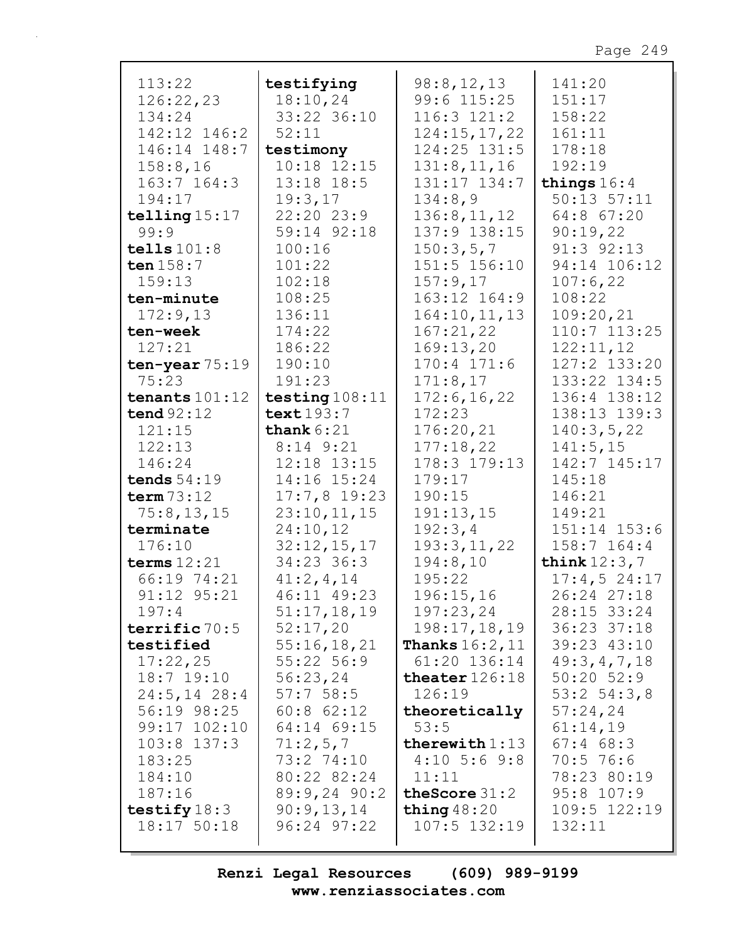| 113:22           | testifying       | 98:8,12,13                  | 141:20          |
|------------------|------------------|-----------------------------|-----------------|
| 126:22,23        | 18:10,24         | 99:6 115:25                 | 151:17          |
| 134:24           | 33:22 36:10      | $116:3$ $121:2$             | 158:22          |
| 142:12 146:2     | 52:11            | 124:15,17,22                | 161:11          |
| 146:14 148:7     | testimony        | 124:25 131:5                | 178:18          |
| 158:8,16         | 10:18 12:15      | 131:8, 11, 16               | 192:19          |
|                  |                  |                             |                 |
| $163:7$ $164:3$  | $13:18$ $18:5$   | 131:17 134:7                | things $16:4$   |
| 194:17           | 19:3,17          | 134:8,9                     | $50:13$ $57:11$ |
| telling $15:17$  | 22:20 23:9       | 136:8, 11, 12               | 64:8 67:20      |
| 99:9             | 59:14 92:18      | 137:9 138:15                | 90:19,22        |
| tells $101:8$    | 100:16           | 150:3,5,7                   | $91:3$ $92:13$  |
| ten $158:7$      | 101:22           | 151:5 156:10                | 94:14 106:12    |
| 159:13           | 102:18           | 157:9,17                    | 107:6,22        |
| ten-minute       | 108:25           | 163:12 164:9                | 108:22          |
| 172:9,13         | 136:11           | 164:10, 11, 13              | 109:20,21       |
| ten-week         | 174:22           | 167:21,22                   | 110:7 113:25    |
| 127:21           | 186:22           | 169:13,20                   | 122:11,12       |
| ten-year $75:19$ | 190:10           | $170:4$ $171:6$             | 127:2 133:20    |
| 75:23            | 191:23           |                             |                 |
|                  |                  | 171:8,17                    | 133:22 134:5    |
| tenants $101:12$ | testing $108:11$ | 172:6, 16, 22               | 136:4 138:12    |
| tend $92:12$     | text 193:7       | 172:23                      | 138:13 139:3    |
| 121:15           | thank $6:21$     | 176:20,21                   | 140:3,5,22      |
| 122:13           | $8:14$ $9:21$    | 177:18,22                   | 141:5, 15       |
| 146:24           | 12:18 13:15      | 178:3 179:13                | 142:7 145:17    |
| tends $54:19$    | 14:16 15:24      | 179:17                      | 145:18          |
| term $73:12$     | $17:7,8$ 19:23   | 190:15                      | 146:21          |
| 75:8,13,15       | 23:10, 11, 15    | 191:13,15                   | 149:21          |
| terminate        | 24:10,12         | 192:3,4                     | 151:14 153:6    |
| 176:10           | 32:12,15,17      | 193:3,11,22                 | $158:7$ 164:4   |
| terms $12:21$    | 34:23 36:3       | 194:8,10                    | think $12:3,7$  |
| 66:19 74:21      | 41:2,4,14        | 195:22                      | 17:4,524:17     |
| 91:12 95:21      | 46:11 49:23      | 196:15,16                   | 26:24 27:18     |
|                  |                  |                             |                 |
| 197:4            | 51:17,18,19      | 197:23,24                   | 28:15 33:24     |
| terrific 70:5    | 52:17,20         | 198:17,18,19                | 36:23 37:18     |
| testified        | 55:16,18,21      | <b>Thanks</b> $16:2$ , $11$ | 39:23 43:10     |
| 17:22,25         | $55:22$ 56:9     | $61:20$ $136:14$            | 49:3,4,7,18     |
| $18:7$ $19:10$   | 56:23,24         | theater $126:18$            | $50:20$ $52:9$  |
| $24:5, 14$ 28:4  | 57:758:5         | 126:19                      | $53:2$ $54:3,8$ |
| 56:19 98:25      | $60:8$ $62:12$   | theoretically               | 57:24,24        |
| $99:17$ $102:10$ | 64:14 69:15      | 53:5                        | 61:14,19        |
| $103:8$ 137:3    | 71:2,5,7         | therewith $1:13$            | $67:4$ $68:3$   |
| 183:25           | 73:2 74:10       | $4:10$ 5:6 9:8              | $70:5$ 76:6     |
| 184:10           | 80:22 82:24      | 11:11                       | 78:23 80:19     |
| 187:16           | $89:9,24$ 90:2   | the Score $31:2$            | $95:8$ 107:9    |
|                  |                  |                             |                 |
| testify $18:3$   | 90:9,13,14       | thing $48:20$               | 109:5 122:19    |
| 18:17 50:18      | $96:24$ $97:22$  | $107:5$ $132:19$            | 132:11          |
|                  |                  |                             |                 |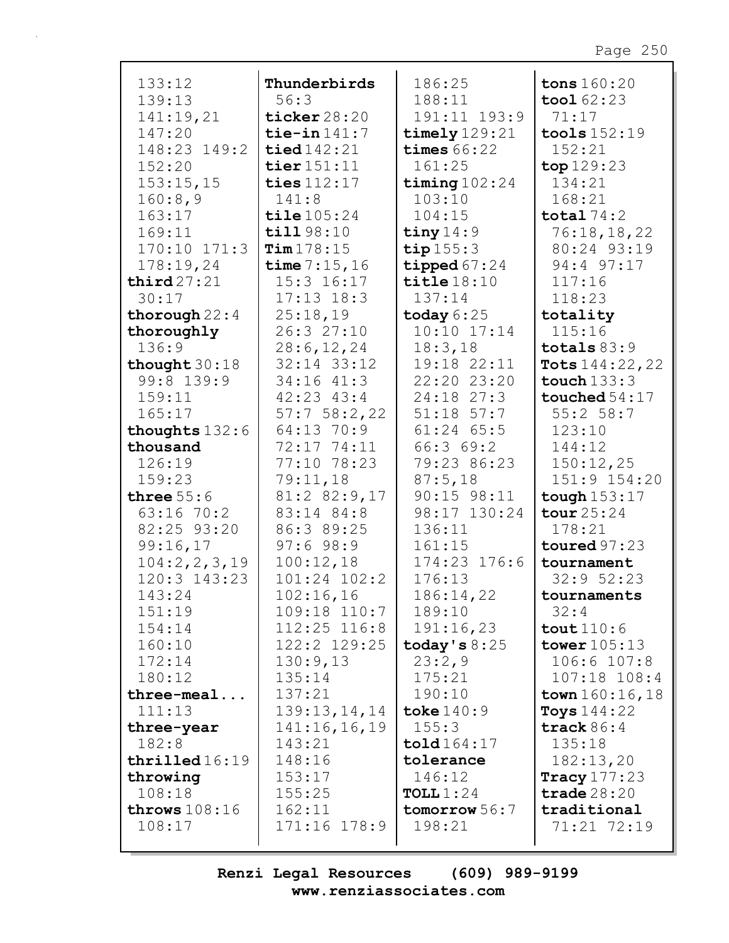| 133:12           | Thunderbirds     | 186:25                | tons 160:20          |
|------------------|------------------|-----------------------|----------------------|
| 139:13           | 56:3             | 188:11                | $\text{tool } 62:23$ |
| 141:19,21        | ticker $28:20$   | 191:11 193:9          | 71:17                |
| 147:20           | tie-in $141:7$   | timely $129:21$       | tools $152:19$       |
| 148:23 149:2     | tied 142:21      | times $66:22$         | 152:21               |
| 152:20           | tier $151:11$    | 161:25                | top 129:23           |
| 153:15,15        | ties $112:17$    | timing $102:24$       | 134:21               |
| 160:8,9          | 141:8            | 103:10                | 168:21               |
| 163:17           | tile 105:24      | 104:15                | total $74:2$         |
| 169:11           | till 98:10       | tiny $14:9$           | 76:18,18,22          |
| 170:10 171:3     | Tim178:15        | tip $155:3$           | 80:24 93:19          |
| 178:19,24        | time $7:15,16$   | tipped $67:24$        | 94:4 97:17           |
| third27:21       | $15:3$ $16:17$   | $\texttt{title}18:10$ | 117:16               |
| 30:17            | $17:13$ $18:3$   | 137:14                | 118:23               |
| thorough $22:4$  | 25:18,19         | today $6:25$          | totality             |
| thoroughly       | 26:3 27:10       | $10:10$ $17:14$       | 115:16               |
| 136:9            | 28:6, 12, 24     | 18:3,18               | totals $83:9$        |
| thought $30:18$  | $32:14$ $33:12$  | 19:18 22:11           | Tots $144:22,22$     |
| 99:8 139:9       | $34:16$ $41:3$   | 22:20 23:20           | touch $133:3$        |
| 159:11           | $42:23$ $43:4$   | 24:18 27:3            | touched $54:17$      |
| 165:17           | $57:7$ 58:2,22   | $51:18$ $57:7$        | 55:2 58:7            |
| thoughts 132:6   | 64:13 70:9       | $61:24$ $65:5$        | 123:10               |
| thousand         | 72:17 74:11      | 66:369:2              | 144:12               |
| 126:19           | 77:10 78:23      | 79:23 86:23           | 150:12,25            |
| 159:23           | 79:11,18         | 87:5,18               | 151:9 154:20         |
| three $55:6$     | 81:2 82:9,17     | $90:15$ $98:11$       | tough $153:17$       |
| 63:16 70:2       | 83:14 84:8       | 98:17 130:24          | tour 25:24           |
| 82:25 93:20      | 86:3 89:25       | 136:11                | 178:21               |
| 99:16,17         | 97:698:9         | 161:15                | toured $97:23$       |
| 104:2, 2, 3, 19  | 100:12,18        | 174:23 176:6          | tournament           |
| $120:3$ $143:23$ | $101:24$ $102:2$ | 176:13                | 32:952:23            |
| 143:24           | 102:16,16        | 186:14,22             | tournaments          |
| 151:19           | 109:18 110:7     | 189:10                | 32:4                 |
| 154:14           | 112:25 116:8     | 191:16,23             | $\text{tout}$ 110:6  |
| 160:10           | 122:2 129:25     | today's $8:25$        | tower $105:13$       |
| 172:14           | 130:9,13         | 23:2,9                | 106:6 107:8          |
| 180:12           | 135:14           | 175:21                | 107:18 108:4         |
| $three-mean$     | 137:21           | 190:10                | town $160:16, 18$    |
| 111:13           | 139:13, 14, 14   | toke $140:9$          | Toys $144:22$        |
| three-year       | 141:16,16,19     | 155:3                 | track $86:4$         |
| 182:8            | 143:21           | told 164:17           | 135:18               |
| thirdled16:19    | 148:16           | tolerance             | 182:13,20            |
| throwing         | 153:17           | 146:12                | Tracy $177:23$       |
| 108:18           | 155:25           | TOLL $1:24$           | trade $28:20$        |
| throws $108:16$  | 162:11           | tomorrow 56:7         | traditional          |
| 108:17           | 171:16 178:9     | 198:21                | 71:21 72:19          |
|                  |                  |                       |                      |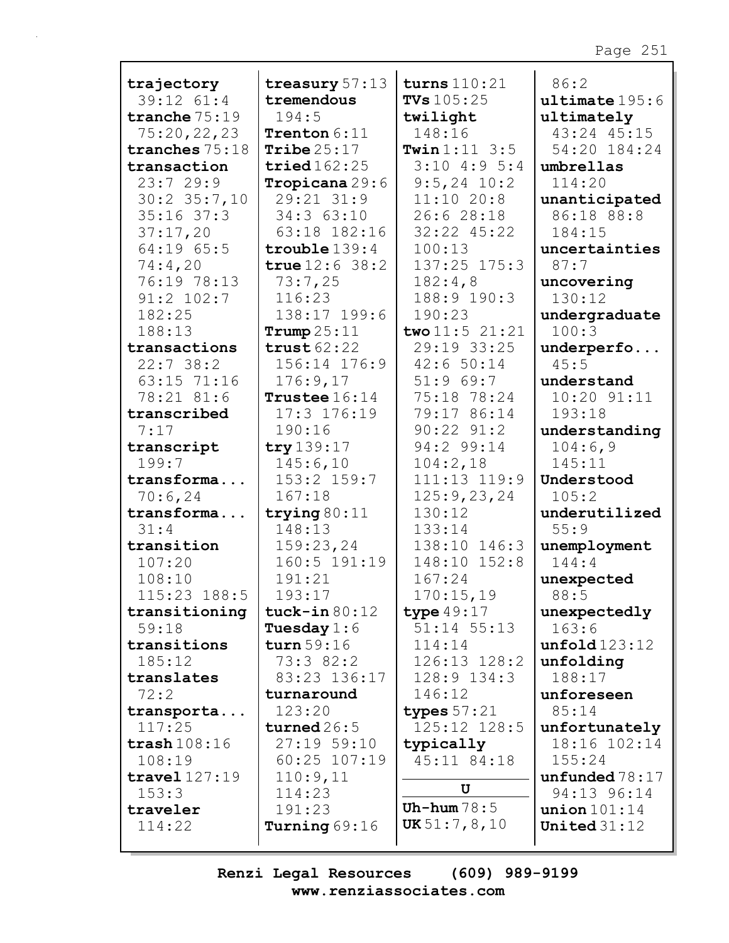| trajectory             | treasury 57:13       | turns $110:21$           | 86:2                |
|------------------------|----------------------|--------------------------|---------------------|
| 39:12 61:4             | tremendous           | <b>TVs</b> $105:25$      | $ul$ timate $195:6$ |
| tranche $75:19$        | 194:5                | twilight                 | ultimately          |
| 75:20,22,23            | Trenton 6:11         | 148:16                   | 43:24 45:15         |
| tranches 75:18         | Tribe $25:17$        | <b>Twin</b> $1:11 \ 3:5$ | 54:20 184:24        |
| transaction            | tried $162:25$       | $3:10$ 4:9 5:4           | umbrellas           |
| 23:729:9               | Tropicana 29:6       | $9:5, 24$ 10:2           | 114:20              |
| $30:2$ $35:7,10$       | 29:21 31:9           | 11:1020:8                | unanticipated       |
| $35:16$ 37:3           | 34:3 63:10           | 26:6 28:18               | 86:18 88:8          |
| 37:17,20               | 63:18 182:16         | 32:22 45:22              | 184:15              |
| 64:19 65:5             | $trouble$ $139:4$    | 100:13                   | uncertainties       |
| 74:4,20                | true $12:6$ 38:2     | 137:25 175:3             | 87:7                |
| 76:19 78:13            | 73:7,25              | 182:4,8                  | uncovering          |
| $91:2$ $102:7$         | 116:23               | 188:9 190:3              | 130:12              |
| 182:25                 | 138:17 199:6         | 190:23                   | undergraduate       |
| 188:13                 | Trump $25:11$        | two $11:5$ 21:21         | 100:3               |
| transactions           | trust62:22           | 29:19 33:25              | underperfo          |
| 22:738:2               | 156:14 176:9         | 42:6 50:14               | 45:5                |
| 63:15 71:16            | 176:9,17             | 51:969:7                 | understand          |
| 78:21 81:6             | Trustee 16:14        | 75:18 78:24              | 10:20 91:11         |
| transcribed            | 17:3 176:19          | 79:17 86:14              | 193:18              |
| 7:17                   | 190:16               | $90:22$ $91:2$           | understanding       |
| transcript             | try 139:17           | 94:2 99:14               | 104:6,9             |
| 199:7                  | 145:6,10             | 104:2,18                 | 145:11              |
| transforma             | 153:2 159:7          | 111:13 119:9             | Understood          |
| 70:6,24                | 167:18               | 125:9,23,24              | 105:2               |
| transforma             | trying $80:11$       | 130:12                   | underutilized       |
| 31:4                   | 148:13               | 133:14                   | 55:9                |
| transition             | 159:23,24            | 138:10 146:3             | unemployment        |
| 107:20                 | 160:5 191:19         | 148:10 152:8             | 144:4               |
| 108:10                 | 191:21               | 167:24                   | unexpected          |
| 115:23 188:5           | 193:17               | 170:15,19                | 88:5                |
| transitioning          | tuck-in $80:12$      | type $49:17$             | unexpectedly        |
| 59:18                  | <b>Tuesday</b> $1:6$ | 51:14 55:13              | 163:6               |
| transitions            | turn $59:16$         | 114:14                   | unfold123:12        |
| 185:12                 | 73:3 82:2            | 126:13 128:2             | unfolding           |
| translates             | 83:23 136:17         | 128:9 134:3              | 188:17              |
| 72:2                   | turnaround           | 146:12                   | unforeseen          |
| transporta             | 123:20               | types $57:21$            | 85:14               |
| 117:25                 | turned $26:5$        | 125:12 128:5             | unfortunately       |
| $\texttt{trash}108:16$ | 27:1959:10           | typically                | 18:16 102:14        |
| 108:19                 | $60:25$ 107:19       | 45:11 84:18              | 155:24              |
| travel 127:19          | 110:9,11             |                          | unfunded $78:17$    |
| 153:3                  | 114:23               | U                        | 94:13 96:14         |
| traveler               | 191:23               | Uh-hum $78:5$            | union $101:14$      |
| 114:22                 | Turning $69:16$      | UK 51:7, 8, 10           | United $31:12$      |
|                        |                      |                          |                     |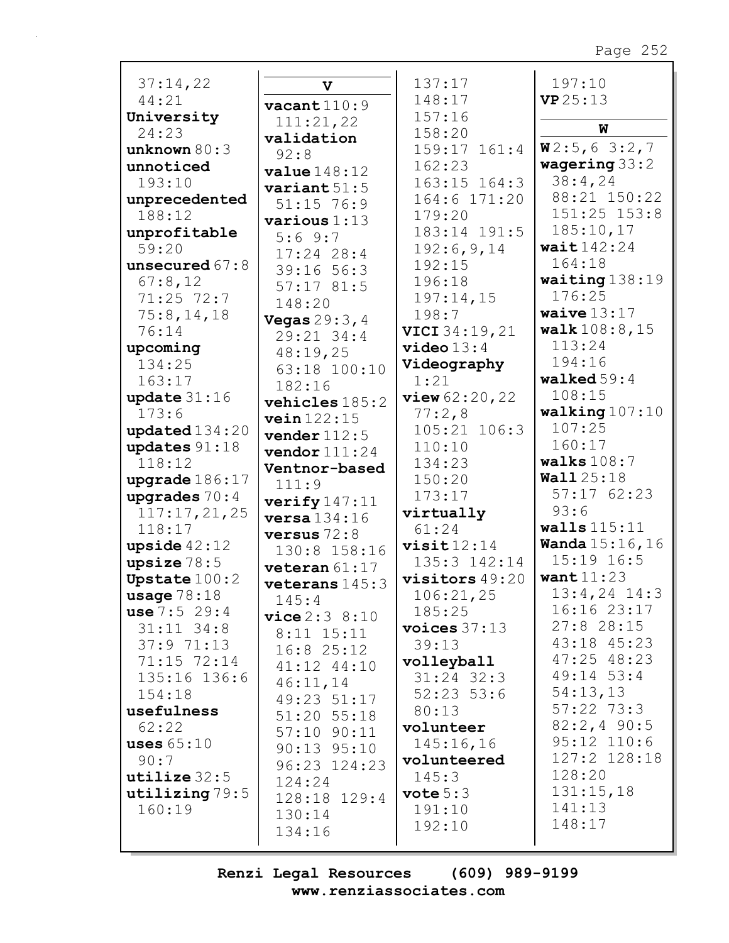| 37:14,22                 | $\mathbf v$             | 137:17                | 197:10                     |
|--------------------------|-------------------------|-----------------------|----------------------------|
| 44:21                    | $\texttt{vacant}$ 110:9 | 148:17                | VP25:13                    |
| University               | 111:21,22               | 157:16                |                            |
| 24:23                    | validation              | 158:20                | W                          |
| unknown $80:3$           | 92:8                    | 159:17 161:4          | W2:5,63::2,7               |
| unnoticed                | value148:12             | 162:23                | wagering $33:2$            |
| 193:10                   | variant $51:5$          | 163:15 164:3          | 38:4,24                    |
| unprecedented            | $51:15$ 76:9            | 164:6 171:20          | 88:21 150:22               |
| 188:12                   | various 1:13            | 179:20                | $151:25$ $153:8$           |
| unprofitable             | 5:69:7                  | 183:14 191:5          | 185:10,17                  |
| 59:20                    | $17:24$ 28:4            | 192:6,9,14            | wait $142:24$              |
| unsecured $67:8$         | 39:16 56:3              | 192:15                | 164:18                     |
| 67:8,12                  | 57:1781:5               | 196:18                | waiting $138:19$           |
| 71:25 72:7               | 148:20                  | 197:14,15             | 176:25                     |
| 75:8, 14, 18             | <b>Vegas</b> $29:3, 4$  | 198:7                 | waive $13:17$              |
| 76:14                    | 29:21 34:4              | <b>VICI</b> 34:19, 21 | walk108:8,15               |
| upcoming                 | 48:19,25                | $video 13:4$          | 113:24                     |
| 134:25                   | 63:18 100:10            | Videography           | 194:16                     |
| 163:17                   | 182:16                  | 1:21                  | walked $59:4$              |
| update $31:16$           | vehicles 185:2          | view 62:20,22         | 108:15                     |
| 173:6                    | vein 122:15             | 77:2,8                | walking $107:10$           |
| updated $134:20$         | vender $112:5$          | 105:21 106:3          | 107:25                     |
| updates $91:18$          | vendor $111:24$         | 110:10                | 160:17                     |
| 118:12                   | Ventnor-based           | 134:23                | walks $108:7$              |
| upgrade $186:17$         | 111:9                   | 150:20                | <b>Wall</b> 25:18          |
| upgrades $70:4$          | verify $147:11$         | 173:17                | 57:1762:23                 |
| 117:17,21,25             | versa 134:16            | virtually             | 93:6                       |
| 118:17                   | versus $72:8$           | 61:24                 | walls $115:11$             |
| upside $42:12$           | 130:8 158:16            | visit12:14            | <b>Wanda</b> 15:16,16      |
| upsize $78:5$            | veteran $61:17$         | 135:3 142:14          | 15:19 16:5                 |
| Upstate $100:2$          | veterans $145:3$        | visitors 49:20        | want $11:23$               |
| usage $78:18$            | 145:4                   | 106:21,25             | $13:4,24$ $14:3$           |
| use 7:5 29:4             | vice 2:3 8:10           | 185:25                | 16:16 23:17                |
| $31:11$ $34:8$           | $8:11$ $15:11$          | voices $37:13$        | $27:8$ 28:15               |
| 37:971:13                | $16:8$ 25:12            | 39:13                 | 43:18 45:23<br>47:25 48:23 |
| 71:15 72:14              | 41:12 44:10             | volleyball            | $49:14$ 53:4               |
| 135:16 136:6             | 46:11,14                | $31:24$ 32:3          | 54:13,13                   |
| 154:18                   | 49:23 51:17             | $52:23$ $53:6$        | $57:22$ 73:3               |
| usefulness               | 51:20 55:18             | 80:13                 | $82:2,4$ 90:5              |
| 62:22                    | 57:10 90:11             | volunteer             | $95:12$ 110:6              |
| uses $65:10$             | 90:13 95:10             | 145:16,16             | 127:2 128:18               |
| 90:7                     | 96:23 124:23            | volunteered           | 128:20                     |
| utilize $32:5$           | 124:24                  | 145:3                 | 131:15,18                  |
| utilizing 79:5<br>160:19 | 128:18 129:4            | vote $5:3$<br>191:10  | 141:13                     |
|                          | 130:14                  | 192:10                | 148:17                     |
|                          | 134:16                  |                       |                            |
|                          |                         |                       |                            |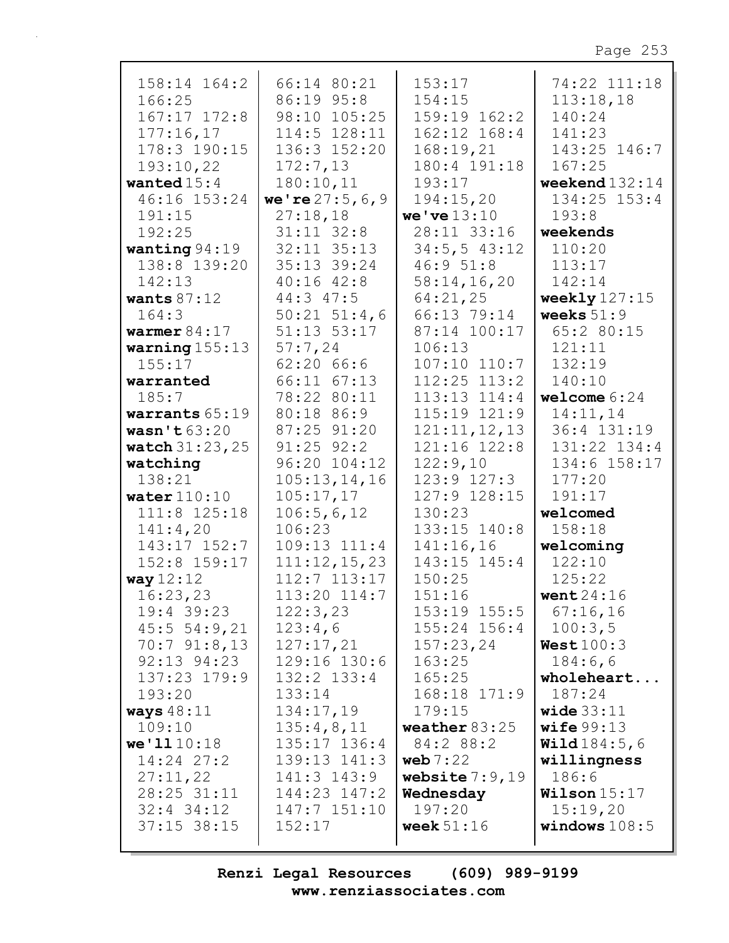| $158:14$ $164:2$         | 66:14 80:21                      | 153:17                               | 74:22 111:18          |
|--------------------------|----------------------------------|--------------------------------------|-----------------------|
| 166:25                   | 86:19 95:8                       | 154:15                               | 113:18,18             |
| $167:17$ $172:8$         | 98:10 105:25                     | $159:19$ $162:2$                     | 140:24                |
| 177:16,17                | $114:5$ $128:11$                 | 162:12 168:4                         | 141:23                |
| 178:3 190:15             | 136:3 152:20                     | 168:19,21                            | 143:25 146:7          |
| 193:10,22                | 172:7,13                         | 180:4 191:18                         | 167:25                |
| wanted $15:4$            | 180:10,11                        | 193:17                               | weekend $132:14$      |
| 46:16 153:24             | we're $27:5, 6, 9$               | 194:15,20                            | $134:25$ $153:4$      |
| 191:15                   | 27:18,18                         | we've $13:10$                        | 193:8                 |
| 192:25                   | $31:11$ $32:8$                   | 28:11 33:16                          | weekends              |
| wanting $94:19$          | 32:11 35:13                      | 34:5, 543:12                         | 110:20                |
| 138:8 139:20             | 35:13 39:24                      | 46:951:8                             | 113:17                |
| 142:13                   | $40:16$ $42:8$                   | 58:14,16,20                          | 142:14                |
| wants $87:12$            | $44:3$ $47:5$                    | 64:21,25                             | weekly $127:15$       |
| 164:3                    | $50:21$ $51:4,6$                 | 66:13 79:14                          | weeks $51:9$          |
| warmer $84:17$           | 51:13 53:17                      | 87:14 100:17                         | 65:2 80:15            |
| warning $155:13$         | 57:7,24                          | 106:13                               | 121:11                |
| 155:17                   | 62:2066:6                        | $107:10$ $110:7$                     | 132:19                |
| warranted                | 66:11 67:13                      | $112:25$ $113:2$                     | 140:10                |
| 185:7                    | 78:22 80:11                      | $113:13$ $114:4$                     | welcome $6:24$        |
| warrants 65:19           | 80:18 86:9                       | 115:19 121:9                         | 14:11,14              |
| wasn't $63:20$           | 87:25 91:20                      | 121:11,12,13                         | 36:4 131:19           |
| <b>watch</b> $31:23,25$  | $91:25$ $92:2$                   | 121:16 122:8                         | 131:22 134:4          |
| watching                 | $96:20$ $104:12$                 | 122:9,10                             | 134:6 158:17          |
| 138:21                   | 105:13,14,16                     | $123:9$ $127:3$                      | 177:20                |
| water $110:10$           | 105:17,17                        | 127:9 128:15                         | 191:17                |
| 111:8 125:18             | 106:5,6,12                       | 130:23                               | welcomed              |
| 141:4,20                 | 106:23                           | 133:15 140:8                         | 158:18                |
| 143:17 152:7             | 109:13 111:4                     | 141:16,16                            | welcoming             |
| 152:8 159:17             | 111:12,15,23<br>$112:7$ $113:17$ | 143:15 145:4<br>150:25               | 122:10<br>125:22      |
| way 12:12                |                                  | 151:16                               |                       |
| 16:23,23<br>$19:4$ 39:23 | $113:20$ $114:7$                 |                                      | went $24:16$          |
| 45:554:9,21              | 122:3,23<br>123:4,6              | $153:19$ $155:5$<br>$155:24$ $156:4$ | 67:16,16<br>100:3,5   |
| $70:7$ $91:8,13$         | 127:17,21                        | 157:23,24                            | West100:3             |
| 92:13 94:23              | 129:16 130:6                     | 163:25                               | 184:6,6               |
| 137:23 179:9             | $132:2$ $133:4$                  | 165:25                               | wholeheart            |
| 193:20                   | 133:14                           | 168:18 171:9                         | 187:24                |
| ways $48:11$             | 134:17,19                        | 179:15                               | wide $33:11$          |
| 109:10                   | 135:4,8,11                       | weather $83:25$                      | wife99:13             |
| we'1110:18               | $135:17$ $136:4$                 | 84:2 88:2                            | <b>Wild</b> $184:5,6$ |
| $14:24$ 27:2             | 139:13 141:3                     | web $7:22$                           | willingness           |
| 27:11,22                 | 141:3 143:9                      | website $7:9,19$                     | 186:6                 |
| 28:25 31:11              | 144:23 147:2                     | Wednesday                            | Wilson $15:17$        |
| $32:4$ $34:12$           | 147:7 151:10                     | 197:20                               | 15:19,20              |
| $37:15$ 38:15            | 152:17                           | week $51:16$                         | windows $108:5$       |
|                          |                                  |                                      |                       |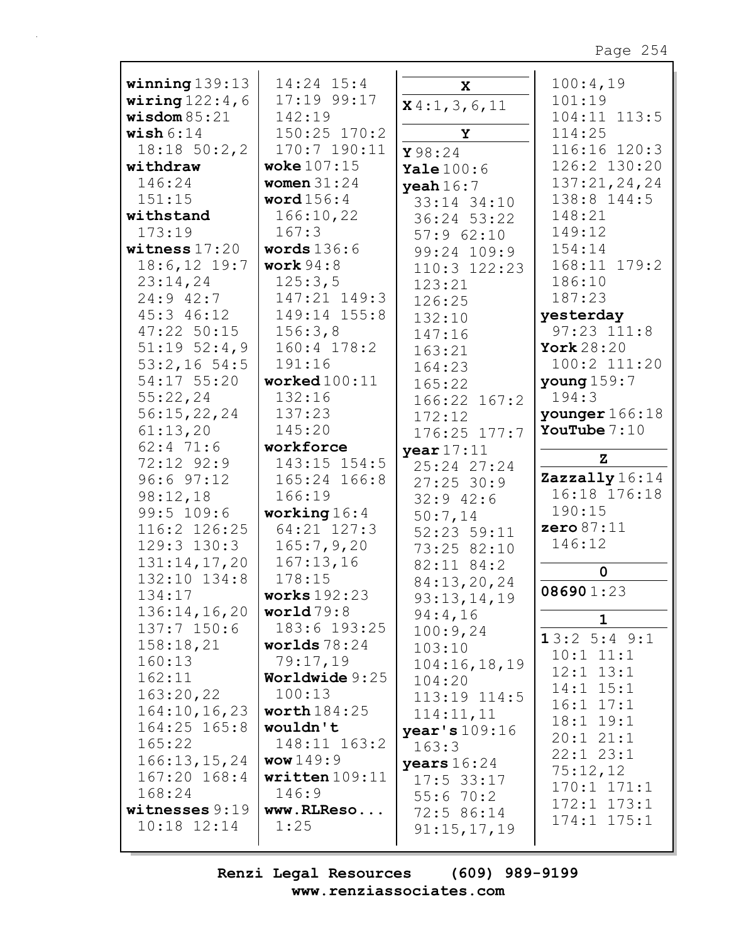Page 254

| winning $139:13$   | $14:24$ 15:4        | $\mathbf x$    | 100:4,19         |
|--------------------|---------------------|----------------|------------------|
| wiring $122:4$ , 6 | 17:19 99:17         | $x$ 4:1,3,6,11 | 101:19           |
| wisdom 85:21       | 142:19              |                | 104:11 113:5     |
| wish $6:14$        | 150:25 170:2        | Y              | 114:25           |
| $18:18$ 50:2,2     | 170:7 190:11        | Y98:24         | 116:16 120:3     |
| withdraw           | woke $107:15$       |                | 126:2 130:20     |
|                    |                     | Yale $100:6$   |                  |
| 146:24             | women $31:24$       | yeah $16:7$    | 137:21,24,24     |
| 151:15             | word $156:4$        | 33:14 34:10    | 138:8 144:5      |
| withstand          | 166:10,22           | 36:24 53:22    | 148:21           |
| 173:19             | 167:3               | 57:962:10      | 149:12           |
| witness $17:20$    | words $136:6$       | 99:24 109:9    | 154:14           |
| $18:6, 12$ 19:7    | work $94:8$         | 110:3 122:23   | 168:11 179:2     |
| 23:14,24           | 125:3,5             | 123:21         | 186:10           |
| $24:9$ 42:7        | 147:21 149:3        | 126:25         | 187:23           |
| 45:3 46:12         | 149:14 155:8        |                | yesterday        |
|                    |                     | 132:10         | $97:23$ $111:8$  |
| 47:22 50:15        | 156:3,8             | 147:16         |                  |
| $51:19$ $52:4,9$   | 160:4 178:2         | 163:21         | York 28:20       |
| $53:2,16$ 54:5     | 191:16              | 164:23         | 100:2 111:20     |
| 54:17 55:20        | worked $100:11$     | 165:22         | young $159:7$    |
| 55:22,24           | 132:16              | 166:22 167:2   | 194:3            |
| 56:15,22,24        | 137:23              | 172:12         | younger $166:18$ |
| 61:13,20           | 145:20              | 176:25 177:7   | YouTube $7:10$   |
| $62:4$ 71:6        | workforce           |                |                  |
| 72:12 92:9         | 143:15 154:5        | year $17:11$   | $\mathbf{z}$     |
|                    |                     | 25:24 27:24    | Zazzally $16:14$ |
| $96:6$ $97:12$     | 165:24 166:8        | $27:25$ 30:9   | 16:18 176:18     |
| 98:12,18           | 166:19              | $32:9$ 42:6    |                  |
| 99:5 109:6         | working $16:4$      | 50:7,14        | 190:15           |
| 116:2 126:25       | 64:21 127:3         | 52:23 59:11    | zero $87:11$     |
| 129:3 130:3        | 165:7,9,20          | 73:25 82:10    | 146:12           |
| 131:14,17,20       | 167:13,16           | 82:11 84:2     |                  |
| 132:10 134:8       | 178:15              | 84:13,20,24    | 0                |
| 134:17             | <b>works</b> 192:23 | 93:13,14,19    | 086901:23        |
| 136:14,16,20       | world $79:8$        |                |                  |
| 137:7 150:6        | 183:6 193:25        | 94:4,16        | 1                |
| 158:18,21          | worlds $78:24$      | 100:9,24       | 13:25:49:1       |
|                    |                     | 103:10         | $10:1$ $11:1$    |
| 160:13             | 79:17,19            | 104:16,18,19   | $12:1$ $13:1$    |
| 162:11             | Worldwide $9:25$    | 104:20         | $14:1$ $15:1$    |
| 163:20,22          | 100:13              | 113:19 114:5   | $16:1$ $17:1$    |
| 164:10, 16, 23     | worth $184:25$      | 114:11,11      |                  |
| $164:25$ $165:8$   | wouldn't            | year's 109:16  | $18:1$ $19:1$    |
| 165:22             | 148:11 163:2        | 163:3          | 20:121:1         |
| 166:13,15,24       | www149:9            | years $16:24$  | $22:1$ $23:1$    |
| 167:20 168:4       | written $109:11$    | $17:5$ 33:17   | 75:12,12         |
| 168:24             | 146:9               |                | $170:1$ $171:1$  |
| witnesses 9:19     | www.RLReso          | 55:670:2       | $172:1$ $173:1$  |
|                    |                     | 72:5 86:14     | $174:1$ $175:1$  |
| $10:18$ $12:14$    | 1:25                | 91:15,17,19    |                  |
|                    |                     |                |                  |

Renzi Legal Resources  $(609)$  989-9199 www.renziassociates.com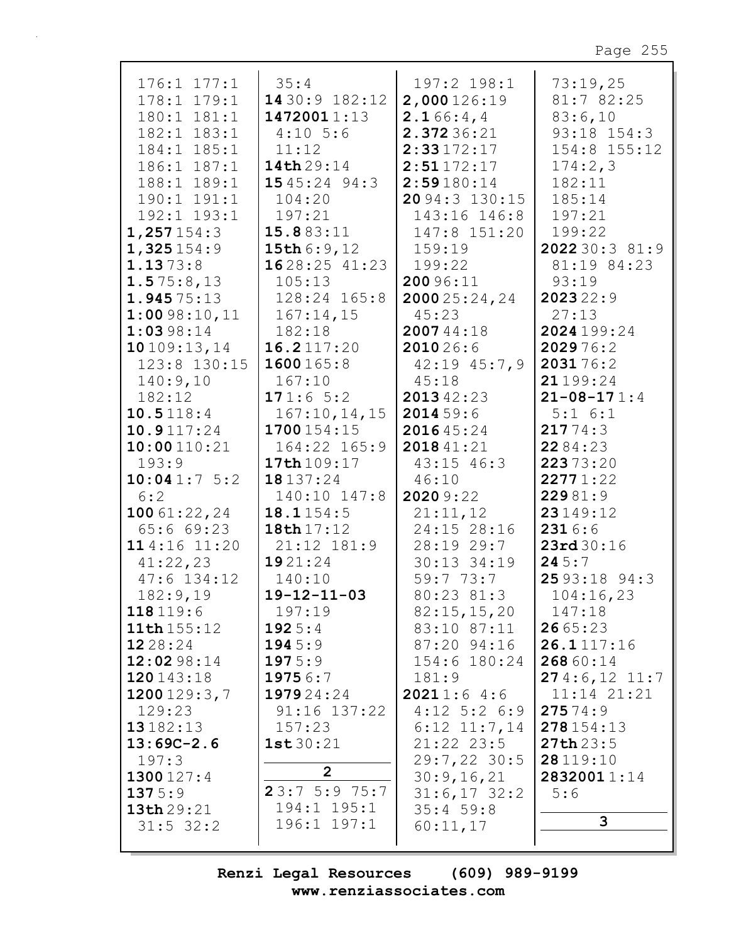Page 255

| $176:1$ $177:1$          | 35:4                | 197:2 198:1                | 73:19,25          |
|--------------------------|---------------------|----------------------------|-------------------|
| 178:1<br>179:1           | 14 30:9 182:12      | 2,000126:19                | 81:7 82:25        |
| 180:1 181:1              | 14720011:13         | 2.166:4,4                  | 83:6,10           |
| 182:1 183:1              | $4:10$ 5:6          | 2.37236:21                 | 93:18 154:3       |
| 184:1 185:1              | 11:12               | 2:33172:17                 | $154:8$ $155:12$  |
| 186:1 187:1              | 14th 29:14          | 2:51172:17                 | 174:2,3           |
| 188:1 189:1              | 1545:24 94:3        | 2:59180:14                 | 182:11            |
| 190:1 191:1              | 104:20              | 20 94:3 130:15             | 185:14            |
| 192:1 193:1              | 197:21              | 143:16 146:8               | 197:21            |
| 1,257154:3               | 15.883:11           | 147:8 151:20               | 199:22            |
| 1,325154:9               | 15th 6:9,12         | 159:19                     | 2022 30:3 81:9    |
| 1.1373:8                 | $1628:25$ 41:23     | 199:22                     | 81:19 84:23       |
| 1.575:8,13               | 105:13              | 20096:11                   | 93:19             |
| 1.94575:13               | 128:24 165:8        | 2000 25:24, 24             | 202322:9          |
| 1:0098:10,11             | 167:14,15           | 45:23                      | 27:13             |
| 1:0398:14                | 182:18              | 200744:18                  | 2024199:24        |
| 10109:13,14              | 16.2117:20          | 201026:6                   | 202976:2          |
| 123:8 130:15             | 1600165:8           | $42:19$ $45:7,9$           | 203176:2          |
| 140:9,10                 | 167:10              | 45:18                      | 21199:24          |
| 182:12                   | 171:65:2            | 201342:23                  | $21 - 08 - 171:4$ |
| 10.5118:4                | 167:10, 14, 15      | 2014 59:6                  | $5:1 \t6:1$       |
| 10.9117:24               | 1700154:15          | 201645:24                  | 21774:3           |
| 10:00110:21              | 164:22 165:9        | 2018 41:21                 | 2284:23           |
| 193:9                    | 17th 109:17         | $43:15$ $46:3$             | 22373:20          |
| 10:041:75:2              | 18137:24            | 46:10                      | 22771:22          |
| 6:2                      | 140:10 147:8        | 2020 9:22                  | 22981:9           |
| 100 $61:22,24$           | 18.1154:5           | 21:11,12                   | 23149:12          |
| 65:669:23                | 18th 17:12          | 24:15 28:16                | 2316:6            |
| 114:16 11:20             | $21:12$ $181:9$     | 28:1929:7                  | 23rd 30:16        |
| 41:22,23                 | 1921:24             | 30:13 34:19                | 245:7             |
| $47:6$ 134:12            | 140:10              | 59:773:7                   | 25 93:18 94:3     |
| 182:9,19                 | $19 - 12 - 11 - 03$ | 80:23 81:3                 | 104:16,23         |
| 118 119:6<br>11th 155:12 | 197:19              | 82:15,15,20                | 147:18<br>2665:23 |
| 1228:24                  | 1925:4<br>1945:9    | 83:10 87:11<br>87:20 94:16 | 26.1117:16        |
| 12:02 98:14              | 1975:9              | 154:6 180:24               | 268 60:14         |
| 120143:18                | 19756:7             | 181:9                      | 274:6, 121:7      |
| 1200 $129:3,7$           | 197924:24           | 20211:64:6                 | 11:14 21:21       |
| 129:23                   | $91:16$ 137:22      | $4:12$ 5:2 6:9             | 27574:9           |
| 13182:13                 | 157:23              | $6:12$ $11:7,14$           | 278154:13         |
| $13:69C-2.6$             | 1st30:21            | $21:22$ $23:5$             | 27th23:5          |
| 197:3                    |                     | $29:7,22$ 30:5             | 28 119:10         |
| 1300127:4                | $\overline{2}$      | 30:9,16,21                 | 28320011:14       |
| 1375:9                   | 23:75:975:7         | $31:6,17$ $32:2$           | 5:6               |
| 13th 29:21               | 194:1 195:1         | 35:459:8                   |                   |
| $31:5$ 32:2              | 196:1 197:1         | 60:11,17                   | 3                 |
|                          |                     |                            |                   |

Renzi Legal Resources  $(609)$  989-9199 www.renziassociates.com